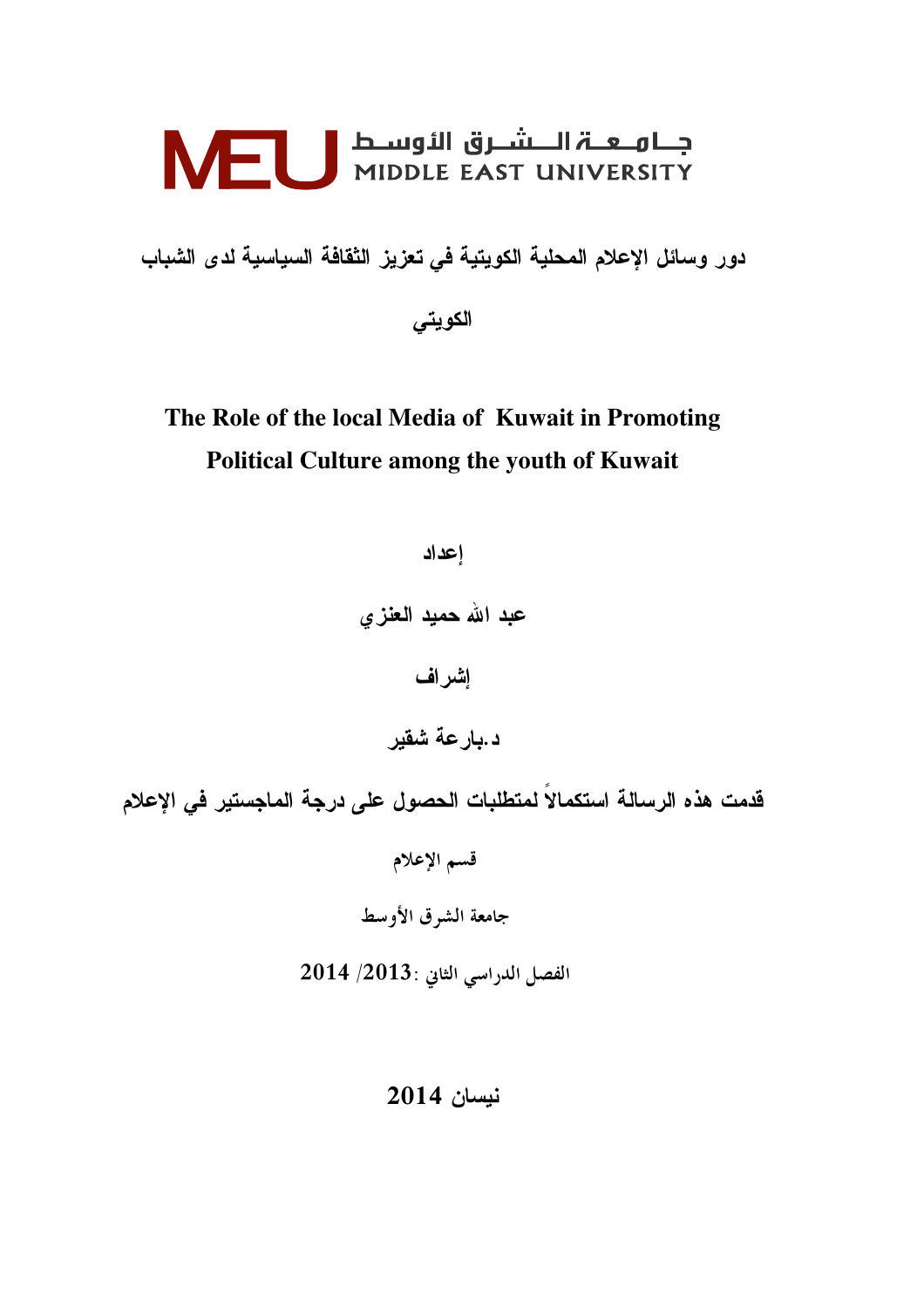# FULL MIDDLE EAST UNIVERSITY

دور وسائل الإعلام المحلية الكويتية في تعزيز الثقافة السياسية لدى الشباب الكويتي

# The Role of the local Media of Kuwait in Promoting **Political Culture among the youth of Kuwait**

إعداد عبد الله حميد العنزي إشراف د.بارعة شقير قدمت هذه الرسالة استكمالاً لمتطلبات الحصول على درجة الماجستير فى الإعلام قسم الإعلام جامعة الشرق الأوسط الفصل الدراسي الثاني : 2013/ 2014

### نيسان 2014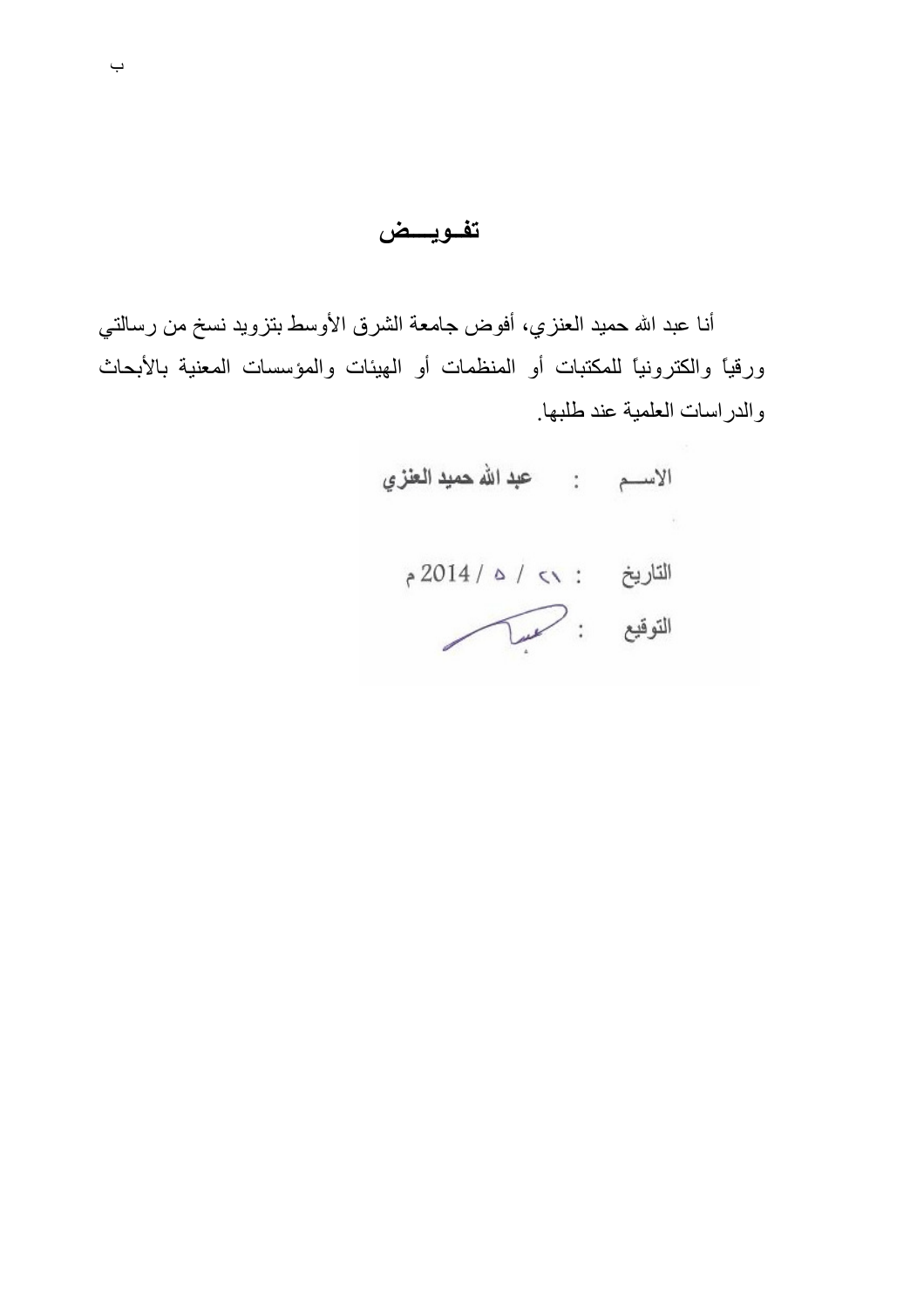تفويسض

أنا عبد الله حميد العنزي، أفوض جامعة الشرق الأوسط بتزويد نسخ من رسالتي ورقيًّا والكترونيًّا للمكتبات أو المنظمات أو الهيئات والمؤسسات المعنية بالأبحاث والدراسات العلمية عند طلبها.

الاســم : عبدالله حميد العنزي التاريخ : >> / 2014 م التوقيع : مسك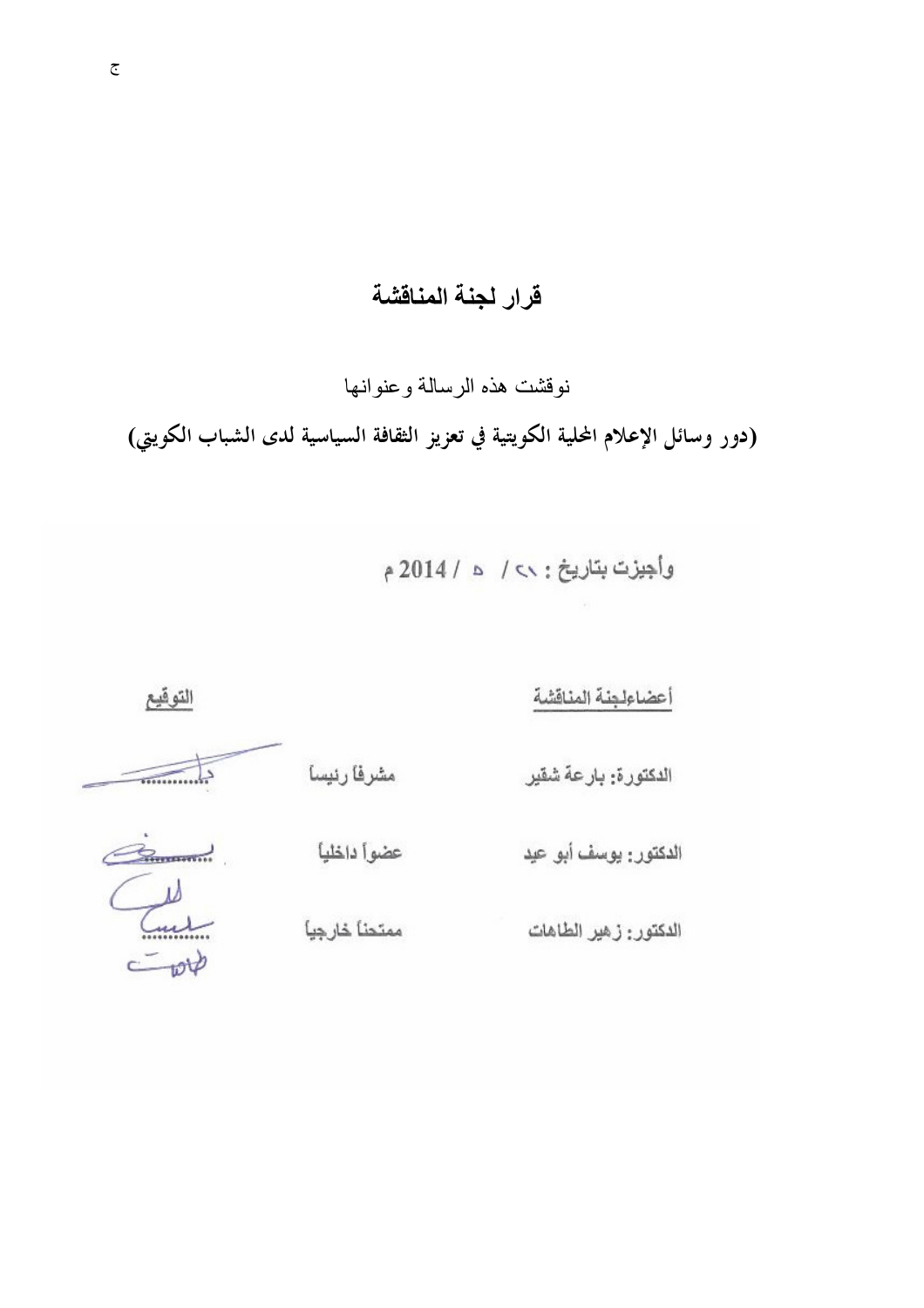# قرار لجنة المناقشة

نوقشت هذه الرسالة وعنوانها

(دور وسائل الإعلام المحلية الكويتية في تعزيز الثقافة السياسية لدى الشباب الكويتي)

وأجيزت بتاريخ: ٧٧ / 2014 م

التوقيع أعضاءلجنة المناقشة مشرفا رنيسا الدكتورة: بارعة شقير mumma  $\alpha$ عضوا داخليا الدكتور : يوسف أبو عيد Tu ممتحنا خارجيا الدكتور : زهير الطاهات  $500$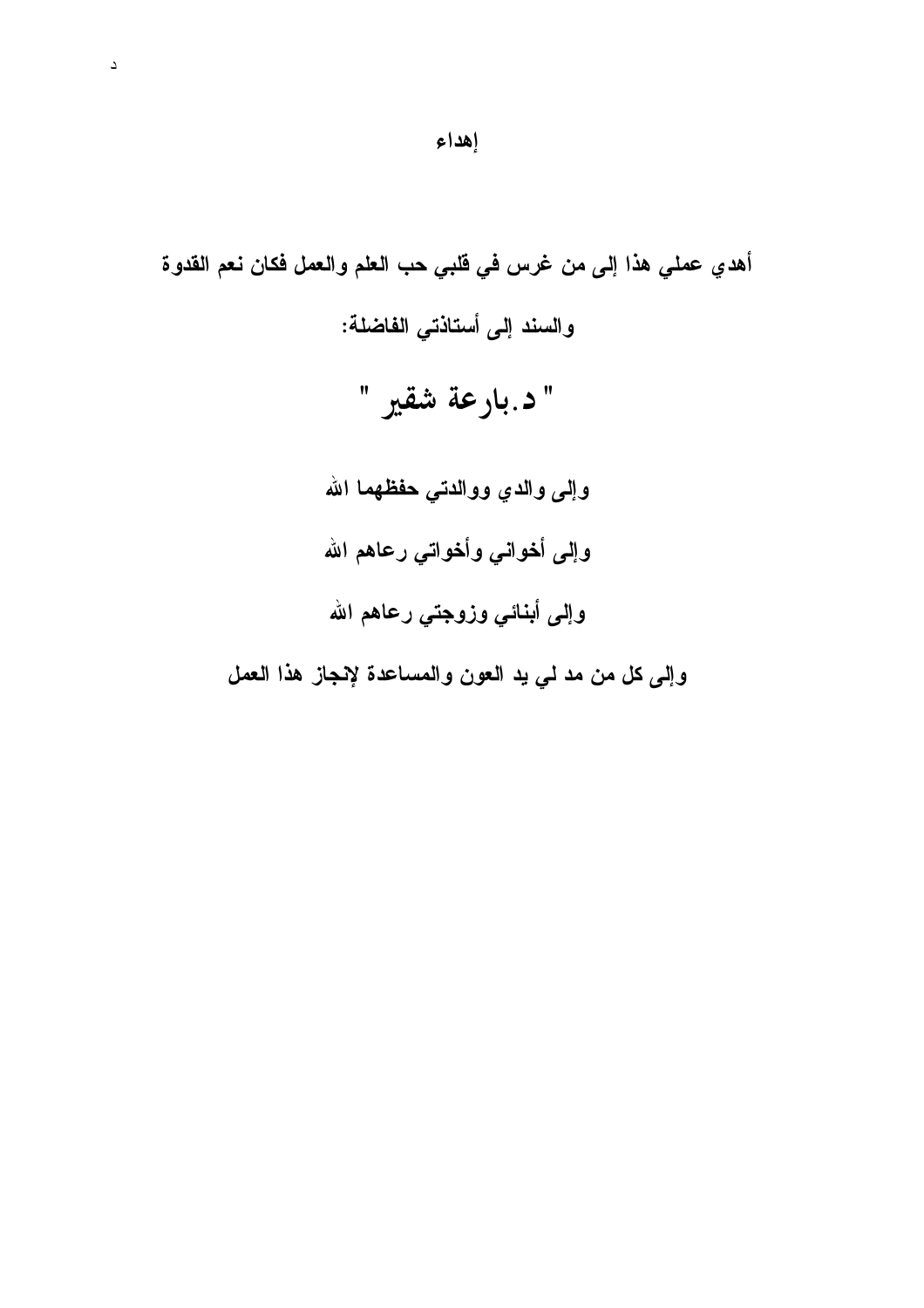أهدي عملي هذا إلى من غرس في قلبي حب العلم والعمل فكان نعم القدوة والسند إلى أستاذتى الفاضلة: " د.بارعة شقير " وإلى والدي ووالدتي حفظهما الله وإلى أخواني وأخواتي رعاهم الله وإلى أبنائي وزوجتي رعاهم الله وإلى كل من مد لي يد العون والمساعدة لإنجاز هذا العمل

 $\Delta$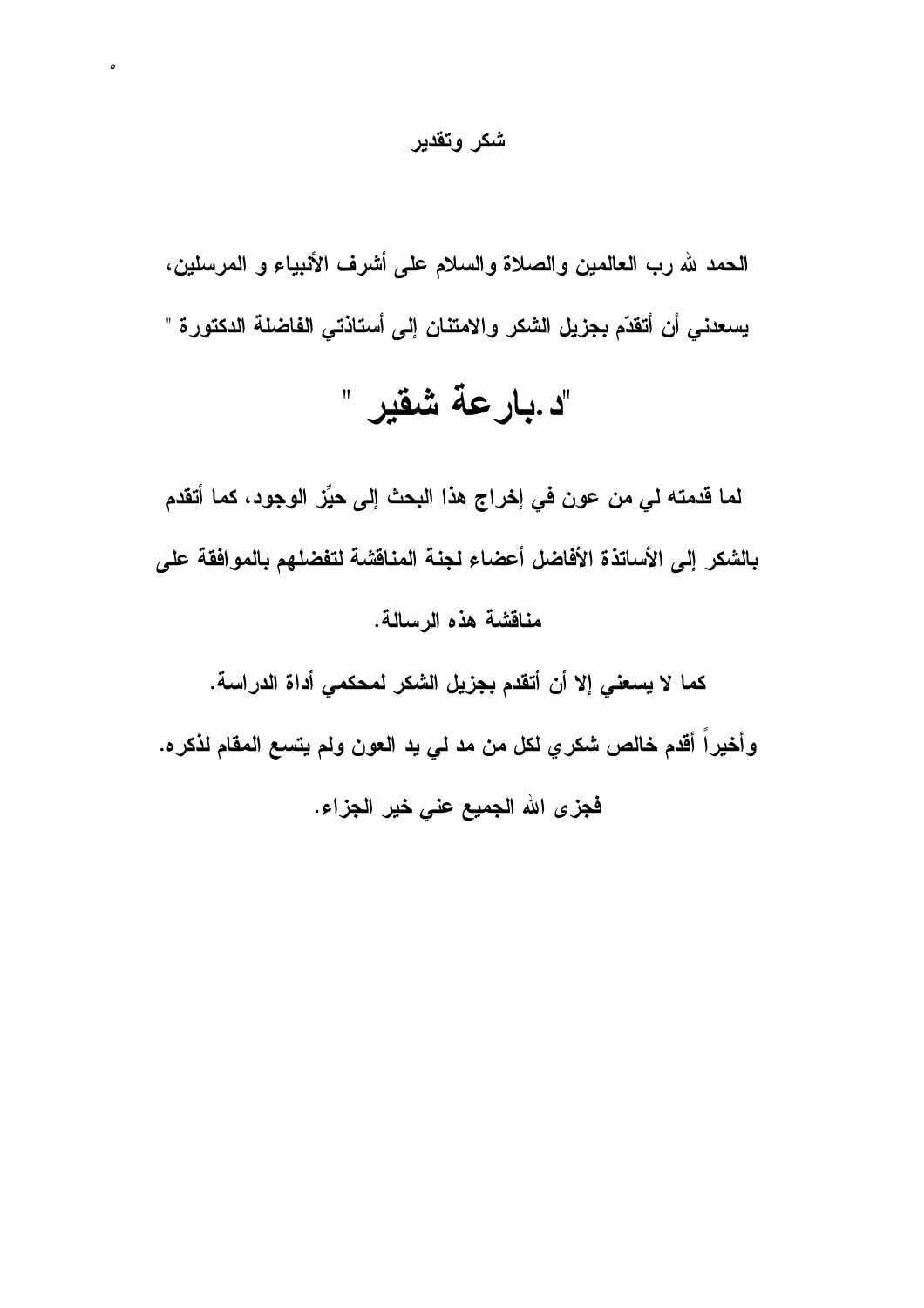شكر وتقدير

 $\circ$ 

الحمد لله رب العالمين والصلاة والسلام على أشرف الأنبياء و المرسلين، يسعدني أن أتقدّم بجزيل الشكر والامتنان إلى أستاذتي الفاضلة الدكتورة "

# "د .بار عة شقير "

لما قدمته لـى من عون فى إخراج هذا البحث إلى حيِّز الوجود، كما أتقدم بالشكر إلى الأساتذة الأفاضل أعضاء لجنة المناقشة لتفضلهم بالموافقة على مناقشة هذه الرسالة.

كما لا يسعني إلا أن أتقدم بجزيل الشكر لمحكمي أداة الدراسة.

وأخيراً أقدم خالص شكري لكل من مد لي يد العون ولم يتسع المقام لذكره.

فجزى الله الجميع عنى خير الجزاء.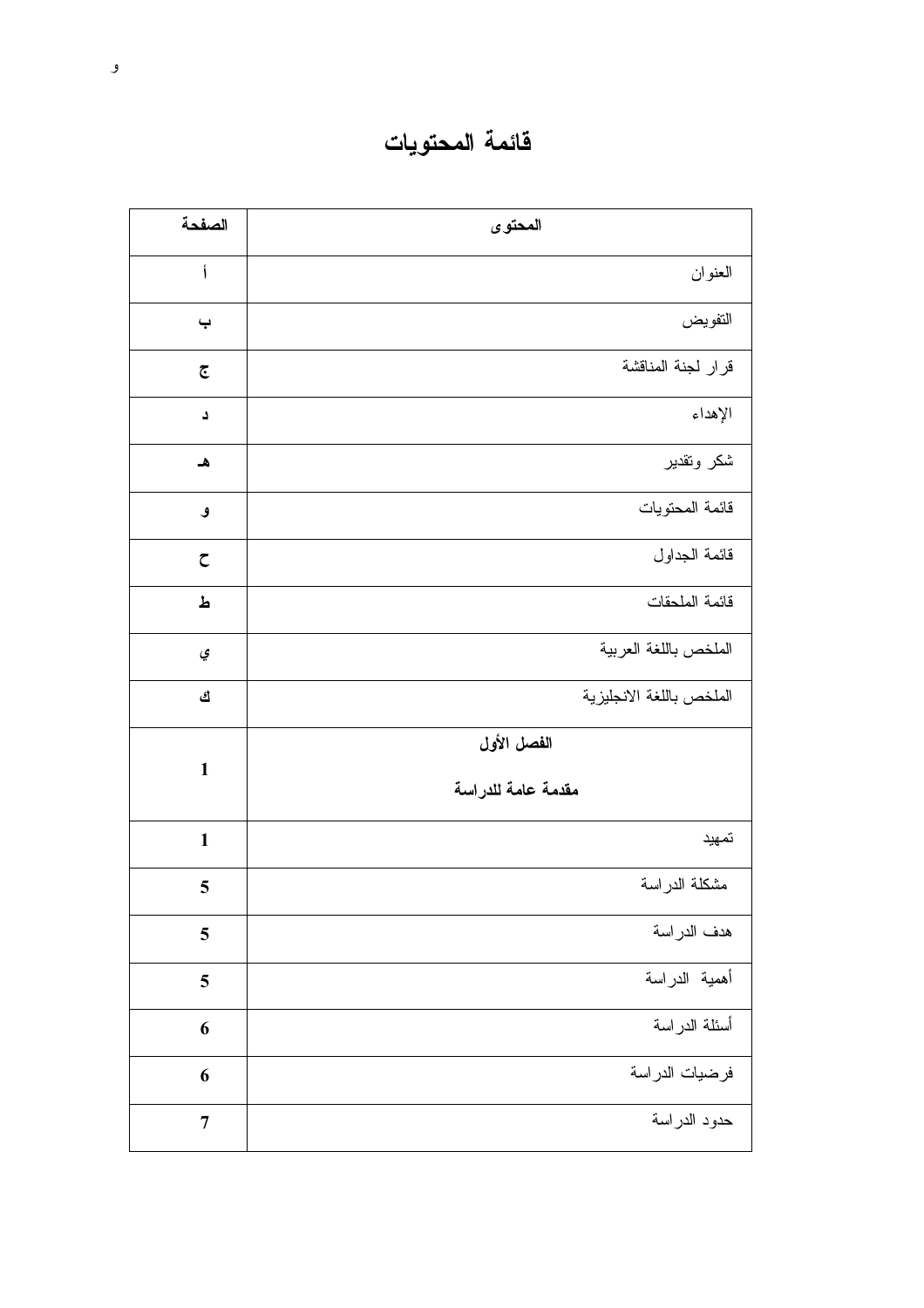فائمة المحتويات

| الصفحة                    | المحتوى                           |
|---------------------------|-----------------------------------|
| Ĵ                         | العنوان                           |
| $\ddot{\phantom{0}}$      | التفويض                           |
| $\overline{\mathfrak{C}}$ | قرار لجنة المناقشة                |
| د                         | الإهداء                           |
| هـ                        | شكر وتقدير                        |
| و                         | قائمة المحتويات                   |
| $\zeta$                   | قائمة الجداول                     |
| ط                         | قائمة الملحقات                    |
| ي                         | الملخص باللغة العربية             |
| ك                         | الملخص باللغة الانجليزية          |
| $\mathbf{1}$              | الفصل الأول<br>مقدمة عامة للدراسة |
| $\mathbf{1}$              | تمهيد                             |
| 5                         | مشكلة الدراسة                     |
| 5                         | هدف الدر اسة                      |
| 5                         | أهمية الدراسة                     |
| 6                         | أسئلة الدراسة                     |
| 6                         | فرضيات الدراسة                    |
| $\overline{7}$            | حدود الدراسة                      |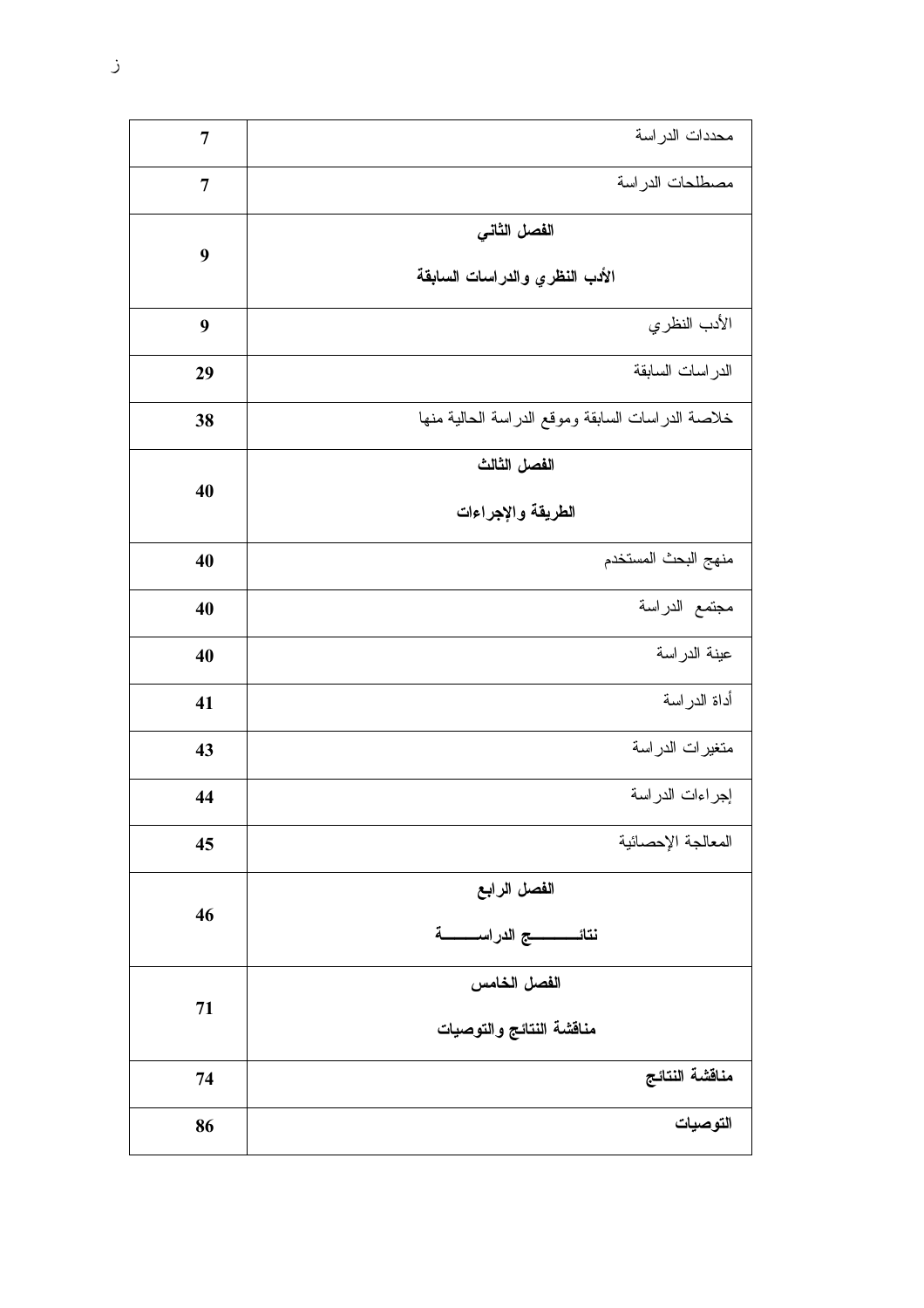| $\overline{7}$ | محددات الدر اسة                                      |
|----------------|------------------------------------------------------|
| $\overline{7}$ | مصطلحات الدراسة                                      |
| 9              | الفصل الثاني<br>الأدب النظري والدراسات السابقة       |
| 9              | الأدب النظري                                         |
| 29             | الدر اسات السابقة                                    |
| 38             | خلاصة الدراسات السابقة وموقع الدراسة الحالية منها    |
| 40             | الفصل الثالث<br>الطريقة والإجراءات                   |
| 40             | منهج البحث المستخدم                                  |
| 40             | مجتمع الدراسة                                        |
| 40             | عينة الدراسة                                         |
| 41             | أداة الدراسة                                         |
| 43             | متغيرات الدراسة                                      |
| 44             | إجراءات الدراسة                                      |
| 45             | المعالجة الإحصائية                                   |
| 46             | الفصل الرابع<br>نتائــــــــــــج الدراســـــــــــة |
| 71             | الفصل الخامس<br>مناقشة النتائج والتوصيات             |
| 74             | مناقشة النتائج                                       |
| 86             | التوصيات                                             |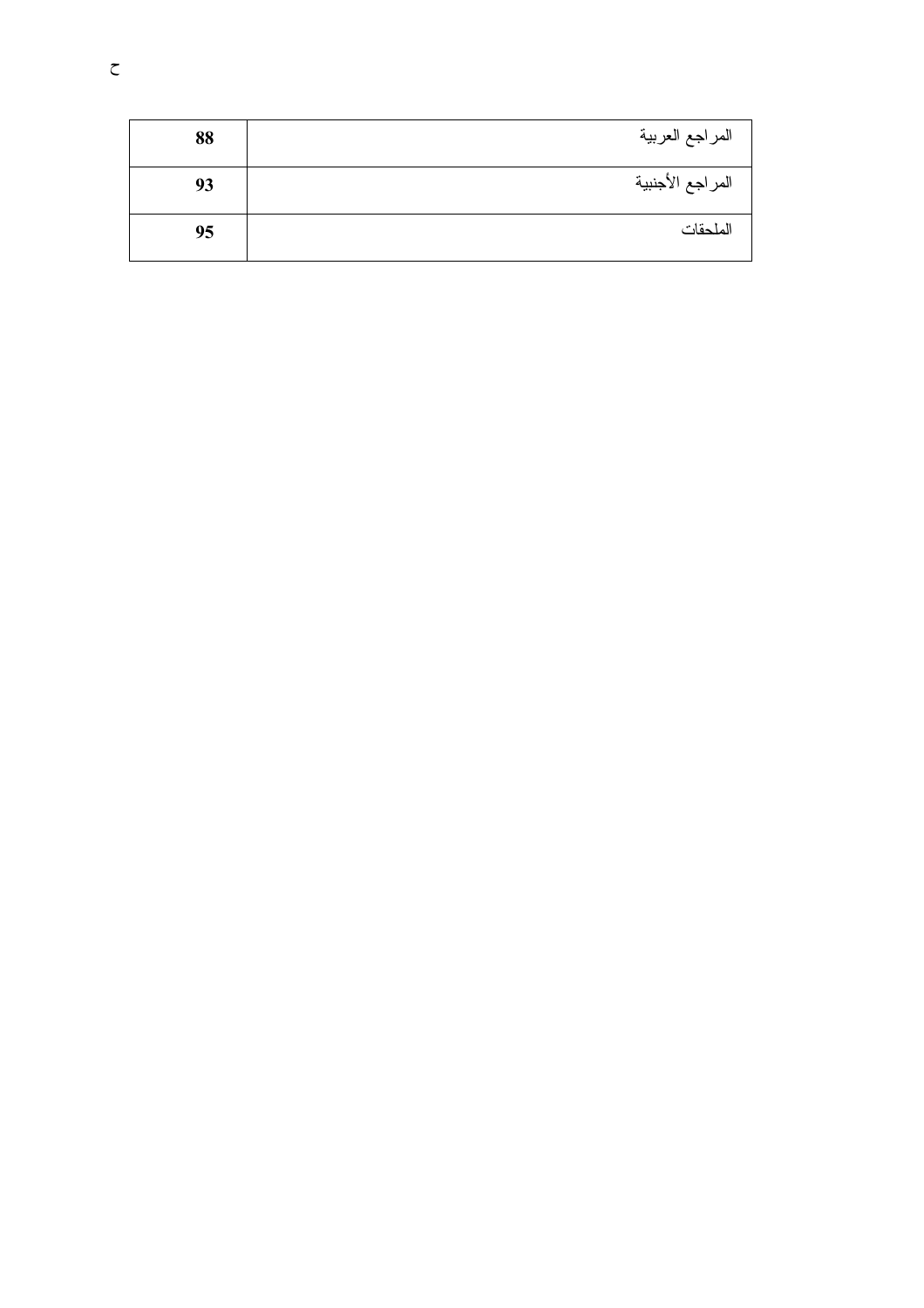| 88 | المراجع العربية  |
|----|------------------|
| 93 | المراجع الأجنبية |
| 95 | الملحقات         |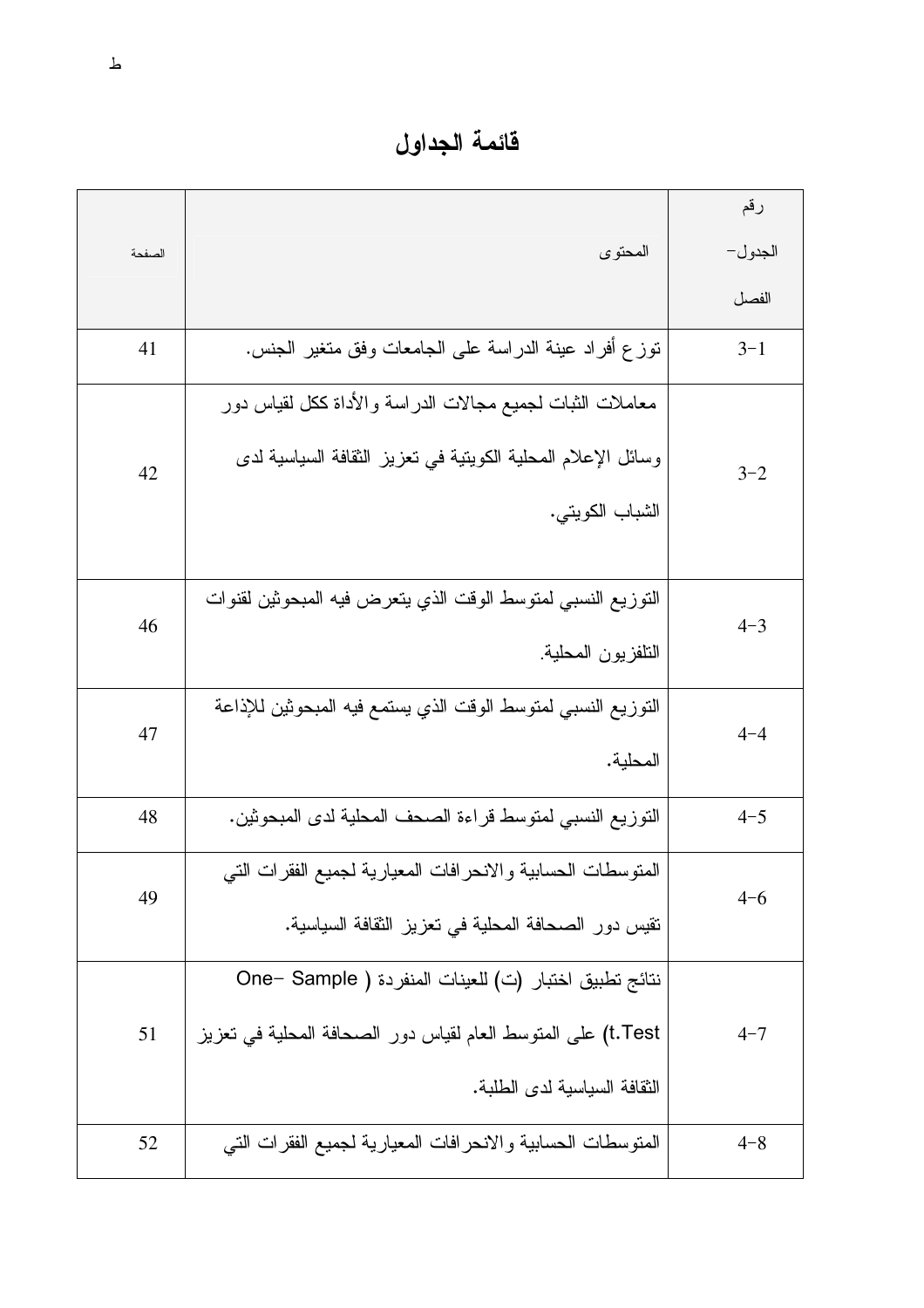فائمة الجداول

|        |                                                              | رقم     |
|--------|--------------------------------------------------------------|---------|
| الصفحة | المحتوى                                                      | الجدول– |
|        |                                                              | الفصل   |
| 41     | نوز ع أفراد عينة الدراسة على الجامعات وفق متغير الجنس.       | $3 - 1$ |
|        | معاملات الثبات لجميع مجالات الدراسة والأداة ككل لقياس دور    |         |
| 42     | وسائل الإعلام المحلية الكوينية في تعزيز الثقافة السياسية لدى | $3 - 2$ |
|        | الشباب الكويتي.                                              |         |
|        | النوزيع النسبي لمنوسط الوقت الذي يتعرض فيه المبحوثين لقنوات  |         |
| 46     | النلفزيون المحلية                                            | $4 - 3$ |
| 47     | النوزيع النسبي لمنوسط الوقت الذي يستمع فيه المبحوثين للإذاعة | $4 - 4$ |
|        | المحلية.                                                     |         |
| 48     | التوزيع النسبي لمنوسط قراءة الصحف المحلية لدى المبحوثين.     | $4 - 5$ |
| 49     | المنوسطات الحسابية والانحرافات المعيارية لجميع الفقرات التي  | $4 - 6$ |
|        | نقيس دور الصحافة المحلية في نعزيز الثقافة السياسية.          |         |
|        | نتائج تطبيق اختبار (ت) للعينات المنفردة ( One– Sample        |         |
| 51     | t.Test) على المنوسط العام لقياس دور الصحافة المحلية في تعزيز | $4 - 7$ |
|        | الثقافة السياسية لدى الطلبة.                                 |         |
| 52     | المنوسطات الحسابية والانحرافات المعيارية لجميع الفقرات التي  | $4 - 8$ |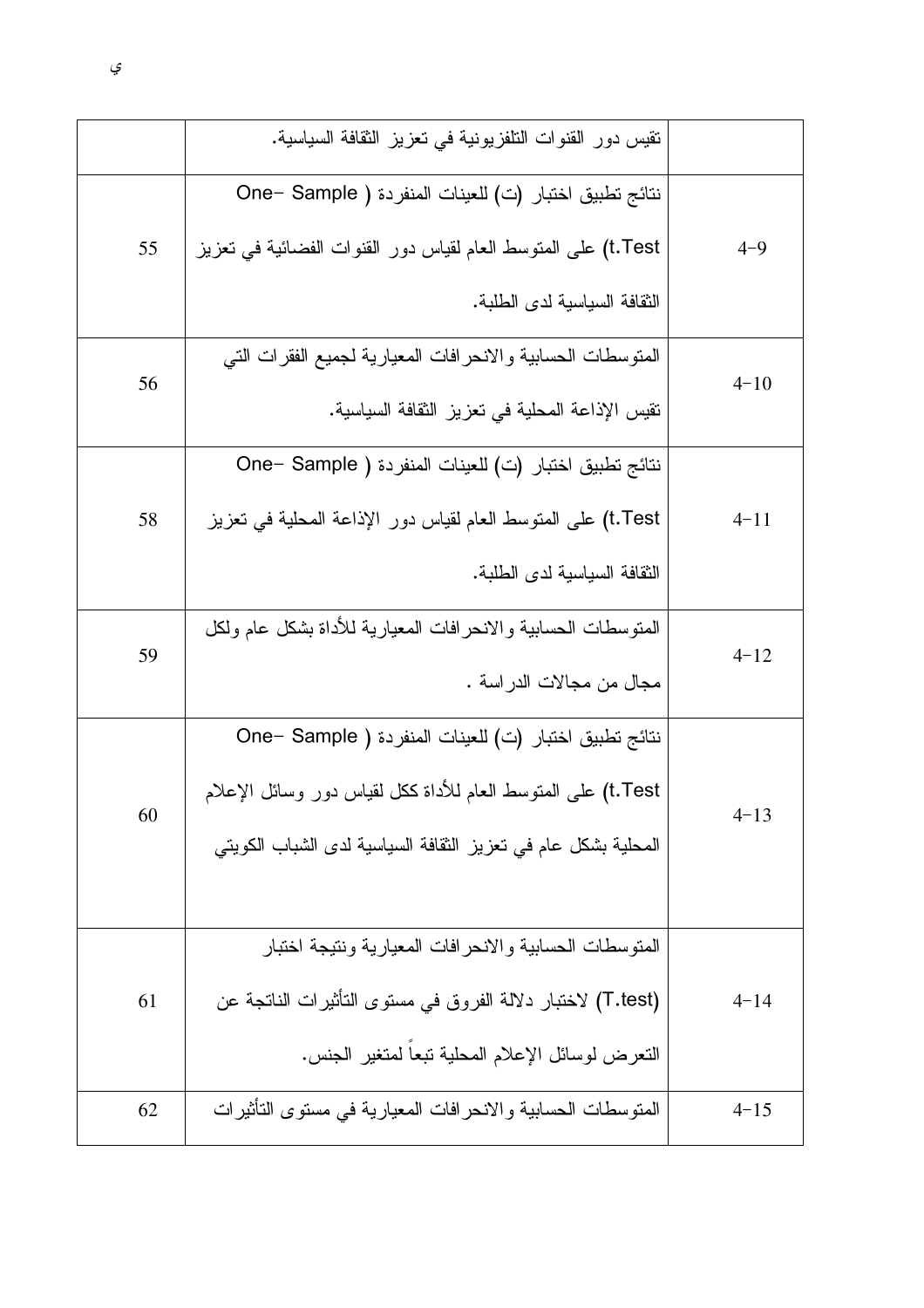|    | نقيس دور القنوات النلفزيونية في تعزيز الثقافة السياسية.       |          |
|----|---------------------------------------------------------------|----------|
|    | نتائج تطبيق اختبار (ت) للعينات المنفردة ( One– Sample         |          |
| 55 | t.Test) على المنوسط العام لقياس دور القنوات الفضائية في تعزيز | $4 - 9$  |
|    | النقافة السياسية لدى الطلبة.                                  |          |
| 56 | المتوسطات الحسابية والانحرافات المعيارية لجميع الفقرات التي   | $4 - 10$ |
|    | نقيس الإذاعة المحلية في تعزيز النقافة السياسية.               |          |
|    | نتائج تطبيق اختبار (ت) للعينات المنفردة ( One– Sample         |          |
| 58 | t.Test) على المنوسط العام لقياس دور الإذاعة المحلية في نعزيز  | $4 - 11$ |
|    | النقافة السياسية لدى الطلبة.                                  |          |
| 59 | المتوسطات الحسابية والانحرافات المعيارية للأداة بشكل عام ولكل | $4 - 12$ |
|    | مجال من مجالات الدر اسة .                                     |          |
|    | نتائج تطبيق اختبار (ت) للعينات المنفردة ( One– Sample         |          |
| 60 | t.Test) على المنوسط العام للأداة ككل لقياس دور وسائل الإعلام  | $4 - 13$ |
|    | المحلية بشكل عام في تعزيز الثقافة السياسية لدى الشباب الكويتي |          |
|    |                                                               |          |
|    | المنوسطات الحسابية والانحر افات المعيارية ونتيجة اختبار       |          |
| 61 | (T.test) لاختبار دلالة الفروق في مستوى التأثيرات الناتجة عن   | $4 - 14$ |
|    | النعرض لوسائل الإعلام المحلية نبعا لمنغير الجنس.              |          |
| 62 | المنوسطات الحسابية والانحر افات المعيارية في مستوى التأثيرات  | $4 - 15$ |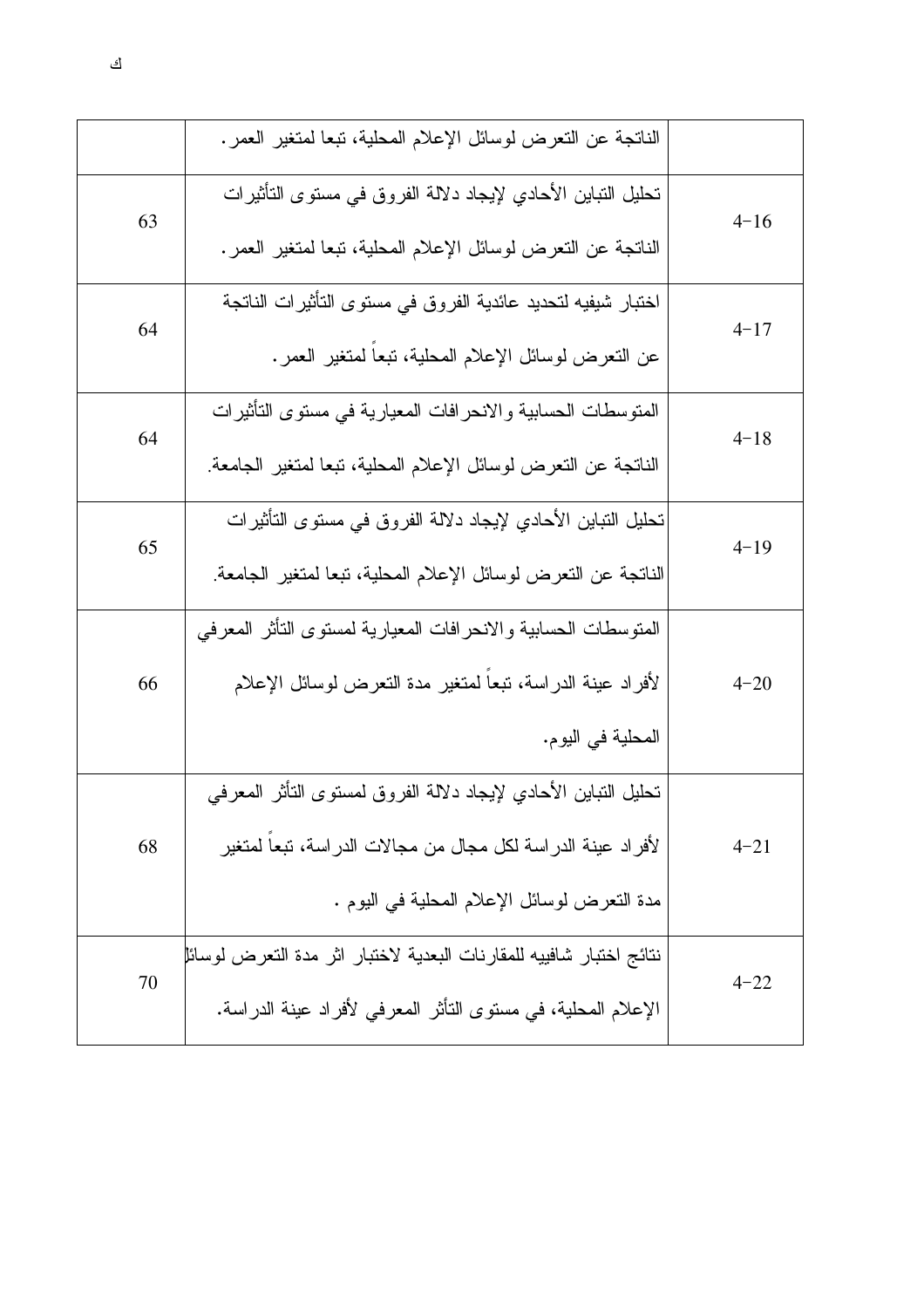|    | الناتجة عن النعرض لوسائل الإعلام المحلية، تبعا لمتغير العمر.        |          |
|----|---------------------------------------------------------------------|----------|
| 63 | تحليل النباين الأحادي لإيجاد دلالة الفروق في مستوى التأثيرات        | $4 - 16$ |
|    | الناتجة عن النعرض لوسائل الإعلام المحلية، تبعا لمتغير العمر .       |          |
| 64 | اختبار شيفيه لتحديد عائدية الفروق في مستوى التأثيرات الناتجة        | $4 - 17$ |
|    | عن النعرض لوسائل الإعلام المحلية، تبعا لمنغير العمر.                |          |
| 64 | المتوسطات الحسابية والانحرافات المعيارية في مستوى التأثيرات         | $4 - 18$ |
|    | الناتجة عن النعرض لوسائل الإعلام المحلية، نبعا لمتغير الجامعة       |          |
| 65 | تحليل النباين الأحادي لإيجاد دلالة الفروق في مستوى التأثيرات        | $4 - 19$ |
|    | الناتجة عن التعرض لوسائل الإعلام المحلية، تبعا لمتغير الجامعة.      |          |
|    | المنوسطات الحسابية والانحرافات المعيارية لمسنوى النأثر المعرفي      |          |
| 66 | لأفراد عينة الدراسة، تبعا لمتغير مدة التعرض لوسائل الإعلام          | $4 - 20$ |
|    | المحلية في اليوم.                                                   |          |
|    | تحليل النباين الأحادي لإيجاد دلالة الفروق لمستوى النأثر المعرفي     |          |
| 68 | لأفراد عينة الدراسة لكل مجال من مجالات الدراسة، تبعا لمتغير         | $4 - 21$ |
|    | مدة النعرض لوسائل الإعلام المحلية في اليوم .                        |          |
| 70 | نتائج اختبار شافييه للمقارنات البعدية لاختبار اثر مدة التعرض لوسائل | $4 - 22$ |
|    | الإعلام المحلية، في مستوى التأثر المعرفي لأفراد عينة الدراسة.       |          |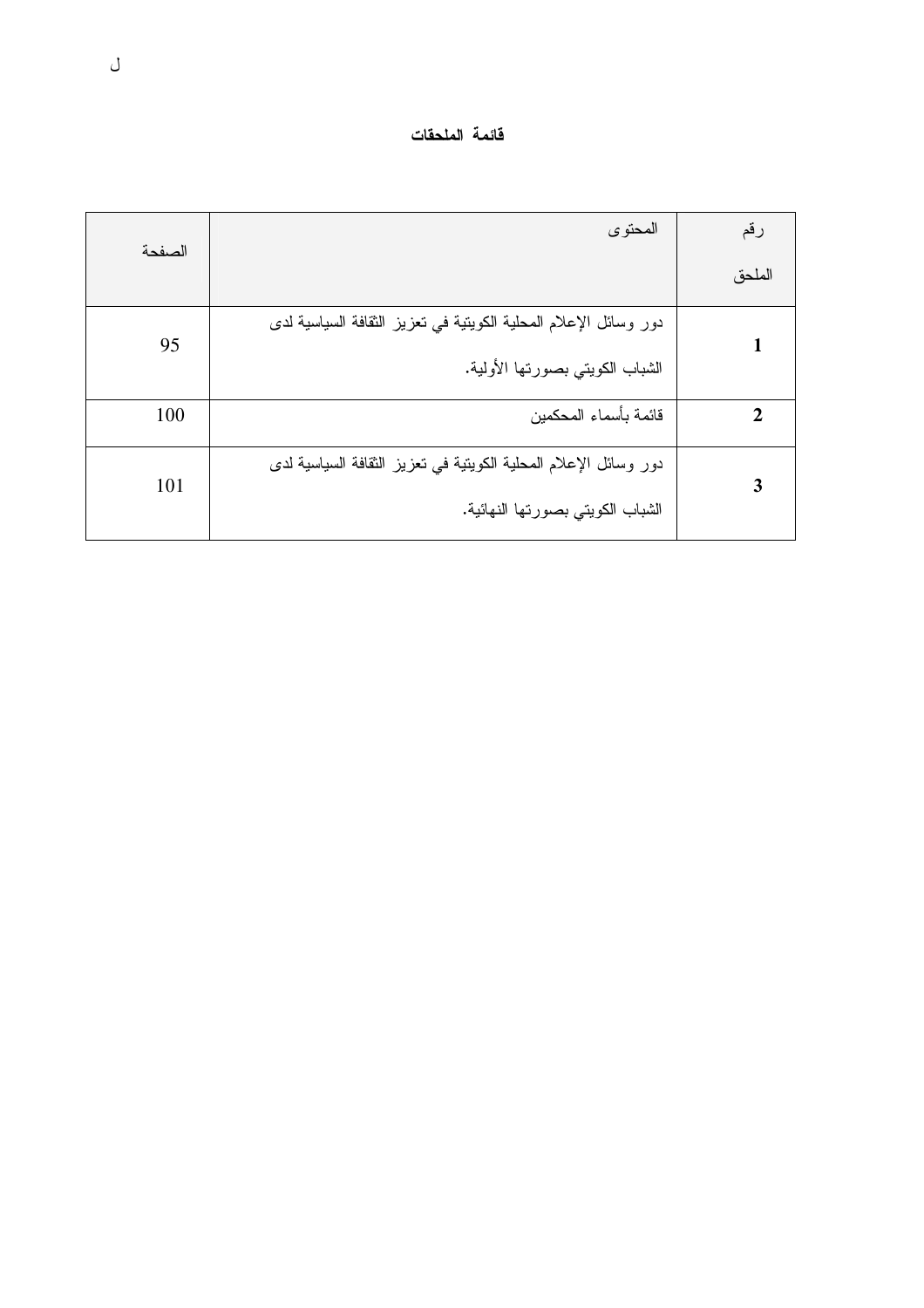| قائمة الملحقات |  |
|----------------|--|
|----------------|--|

| الصفحة | المحتوى                                                          | رقم    |
|--------|------------------------------------------------------------------|--------|
|        |                                                                  | الملحق |
| 95     | دور وسائل الإعلام المحلية الكويتية في تعزيز الثقافة السياسية لدى |        |
|        | الشباب الكويتي بصورتها الأولية.                                  |        |
| 100    | قائمة بأسماء المحكمين                                            |        |
|        | دور وسائل الإعلام المحلية الكويتية في تعزيز الثقافة السياسية لدى |        |
| 101    | الشباب الكويتي بصورتها النهائية.                                 |        |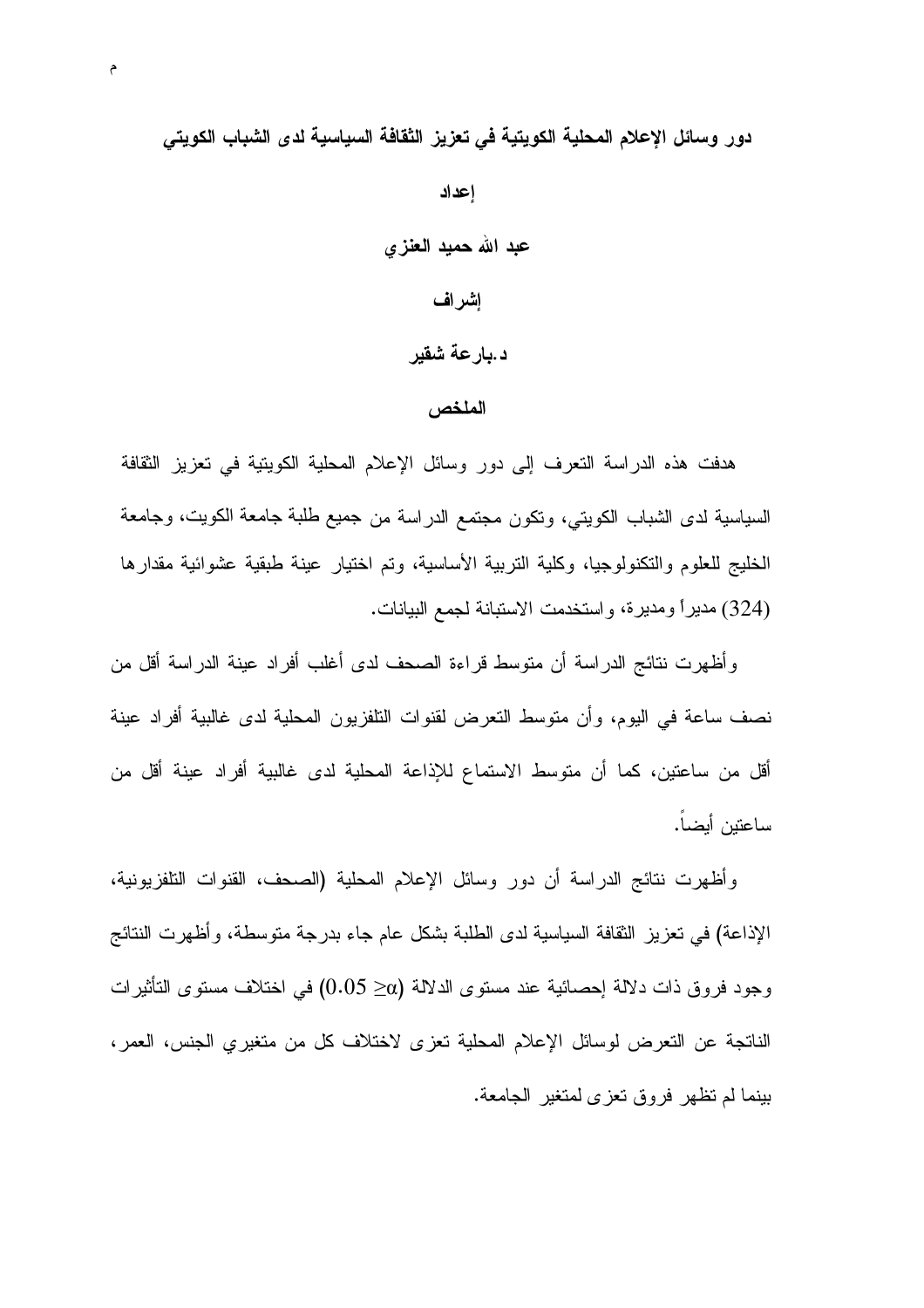دور وسائل الإعلام المحلية الكويتية في تعزيز الثقافة السياسية لدى الشباب الكويتي

إعداد عبد الله حمید العنزی إشراف د.بارعة شقير

#### الملخص

هدفت هذه الدراسة النعرف إلى دور وسائل الإعلام المحلية الكويتية في تعزيز الثقافة السياسية لدى الشباب الكويتي، ونكون مجتمع الدراسة من جميع طلبة جامعة الكويت، وجامعة الخليج للعلوم والتكنولوجيا، وكلية التربية الأساسية، وتم اختيار عينة طبقية عشوائية مقدارها (324) مديراً ومديرة، واستخدمت الاستبانة لجمع البيانات.

وأظهرت نتائج الدراسة أن متوسط قراءة الصحف لدى أغلب أفراد عينة الدراسة أقل من نصف ساعة في اليوم، وأن متوسط التعرض لقنوات التلفزيون المحلية لدى غالبية أفراد عينة أقل من ساعتين، كما أن متوسط الاستماع للإذاعة المحلية لدى غالبية أفراد عينة أقل من ساعتبن أبضا.

وأظهرت نتائج الدراسة أن دور وسائل الإعلام المحلية (الصحف، القنوات التلفزيونية، الإذاعة) في تعزيز ِ الثقافة السياسية لدى الطلبة بشكل عام جاء بدرجة متوسطة، و أظهرت النتائج وجود فروق ذات دلالة إحصائية عند مستوى الدلالة (@≤ 0.05) في اختلاف مستوى التأثير ات الناتجة عن التعرض لوسائل الإعلام المحلية تعزى لاختلاف كل من متغيري الجنس، العمر، بينما لم تظهر فروق نعزى لمتغير الجامعة.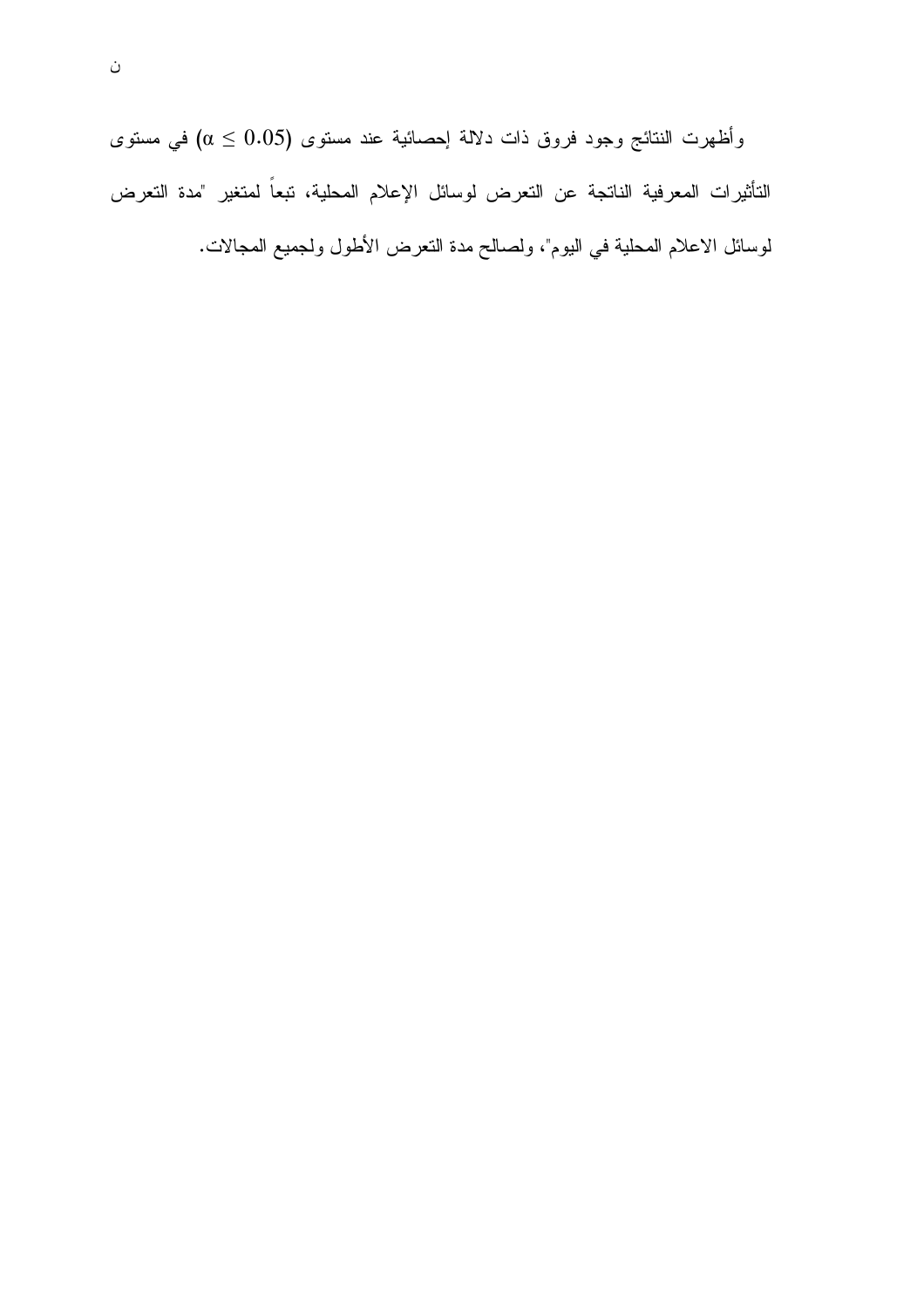وأظهرت النتائج وجود فروق ذات دلالة إحصائية عند مستوى (0.05  $\alpha \leq (\alpha \leq 0.5)$  في مستوى التأثيرات المعرفية الناتجة عن التعرض لوسائل الإعلام المحلية، تبعاً لمتغير "مدة التعرض لوسائل الاعلام المحلية في اليوم"، ولصالح مدة النعرض الأطول ولجميع المجالات.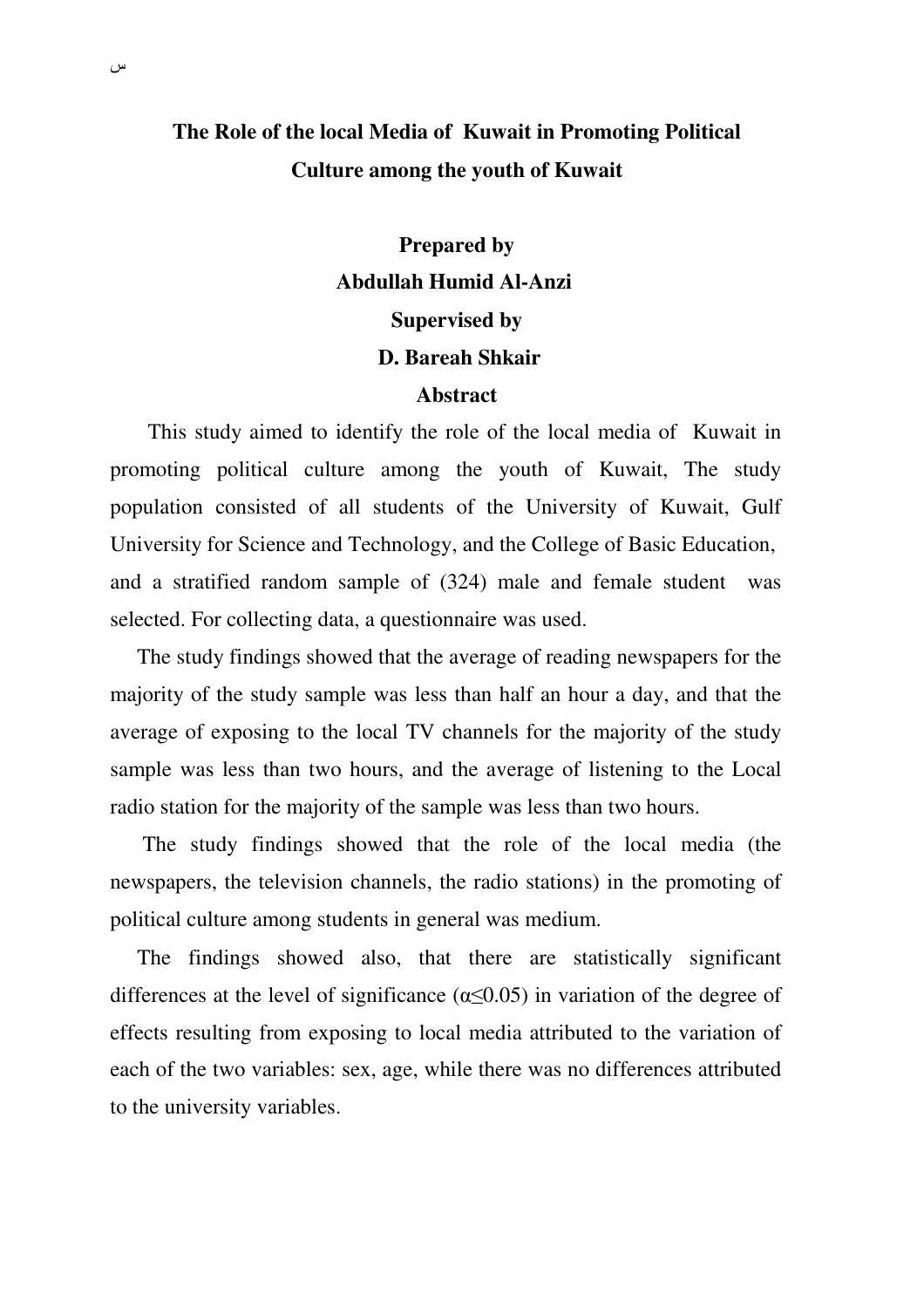## **The Role of the local Media of Kuwait in Promoting Political Culture among the youth of Kuwait**

 **Prepared by Abdullah Humid Al-Anzi Supervised by D. Bareah Shkair Abstract**

 This study aimed to identify the role of the local media of Kuwait in promoting political culture among the youth of Kuwait, The study population consisted of all students of the University of Kuwait, Gulf University for Science and Technology, and the College of Basic Education, and a stratified random sample of (324) male and female student was selected. For collecting data, a questionnaire was used.

 The study findings showed that the average of reading newspapers for the majority of the study sample was less than half an hour a day, and that the average of exposing to the local TV channels for the majority of the study sample was less than two hours, and the average of listening to the Local radio station for the majority of the sample was less than two hours.

 The study findings showed that the role of the local media (the newspapers, the television channels, the radio stations) in the promoting of political culture among students in general was medium.

 The findings showed also, that there are statistically significant differences at the level of significance ( $\alpha \leq 0.05$ ) in variation of the degree of effects resulting from exposing to local media attributed to the variation of each of the two variables: sex, age, while there was no differences attributed to the university variables.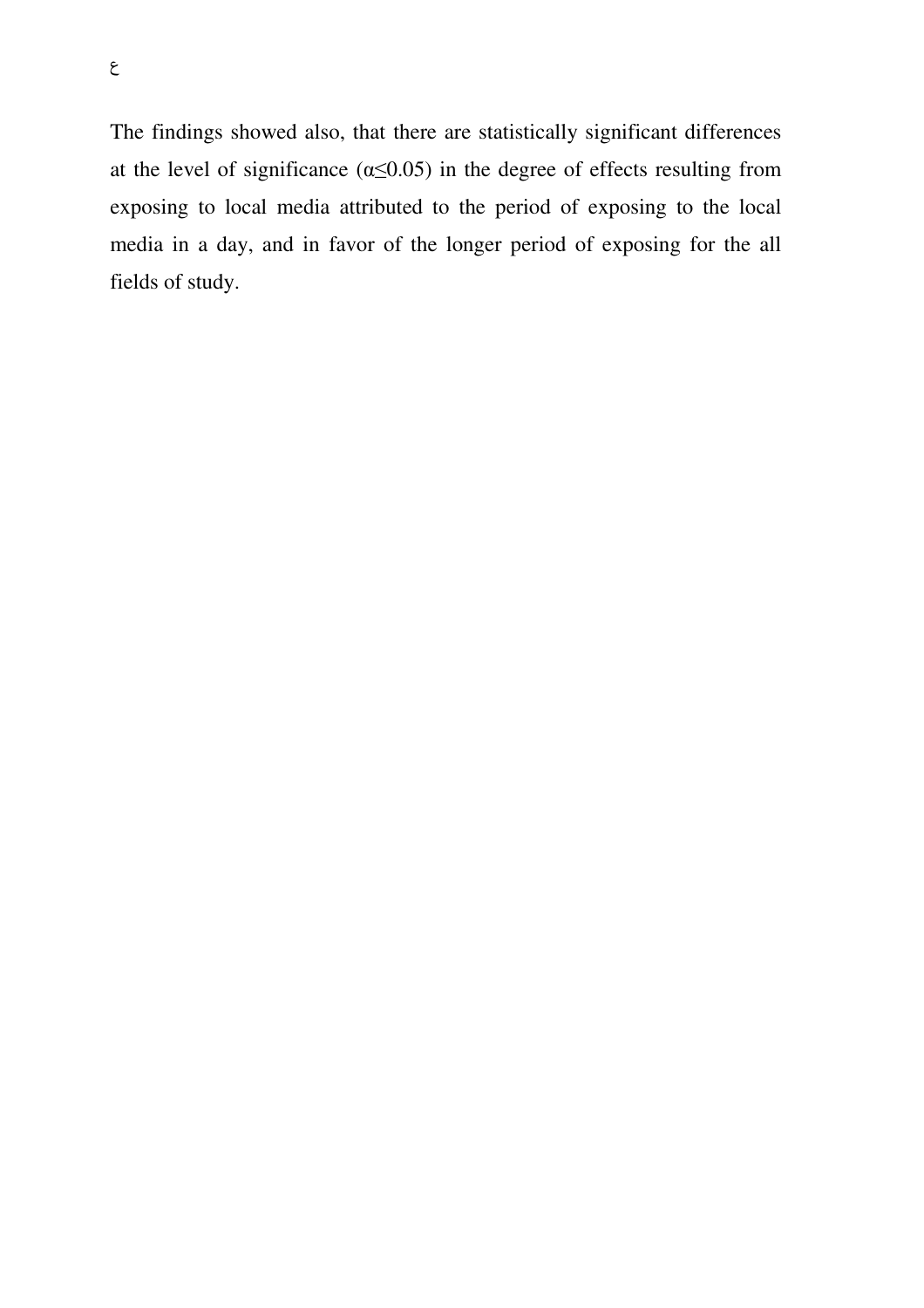The findings showed also, that there are statistically significant differences at the level of significance ( $\alpha \leq 0.05$ ) in the degree of effects resulting from exposing to local media attributed to the period of exposing to the local media in a day, and in favor of the longer period of exposing for the all fields of study.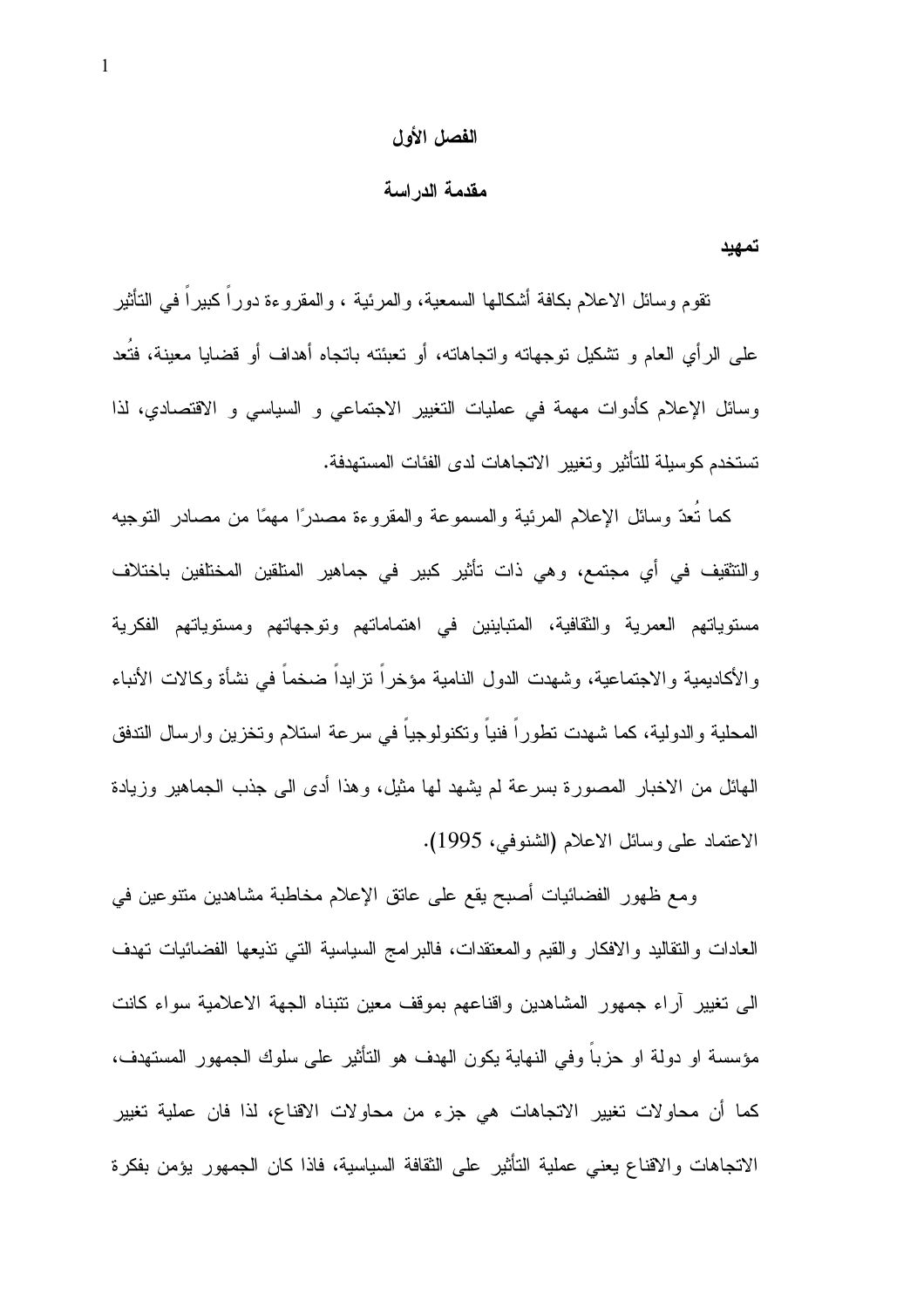#### الفصل الأول

#### مقدمة الدراسة

تمهيد

نقوم وسائل الاعلام بكافة أشكالها السمعية، والمرئية ، والمقروءة دوراً كبيراً في التأثير على الرأى العام و نشكيل نوجهانه وانجاهانه، أو نعبئنه بانجاه أهداف أو قضايا معينة، فتُعد وسائل الإعلام كأدوات مهمة في عمليات النغيير الاجتماعي و السياسي و الاقتصادي، لذا تستخدم كوسيلة للتأثير وتغيير الاتجاهات لدى الفئات المستهدفة.

كما نعدّ وسائل الإعلام المرئية والمسموعة والمقروءة مصدرًا مهمًا من مصادر النوجيه والتثقيف في أي مجتمع، وهي ذات تأثير كبير في جماهير المتلقين المختلفين باختلاف مستوياتهم العمرية والثقافية، المتباينين في اهتماماتهم وتوجهاتهم ومستوياتهم الفكرية والأكاديمية والاجتماعية، وشهدت الدول النامية مؤخراً نزايداً ضخماً في نشأة وكالات الأنباء المحلية والدولية، كما شهدت نطوراً فنياً وتكنولوجياً في سرعة استلام وتخزين وإرسال التدفق الهائل من الاخبار المصورة بسرعة لم يشهد لها مثيل، وهذا أدى الى جذب الجماهير وزيادة الاعتماد على وسائل الاعلام (الشنوفي، 1995).

ومع ظهور الفضائيات أصبح يقع على عانق الإعلام مخاطبة مشاهدين منتوعين في العادات والنقاليد والافكار والقيم والمعتقدات، فالبرامج السياسية التي نذيعها الفضائيات تهدف البي نغيير أراء جمهور المشاهدين واقناعهم بموقف معين نتبناه الجهة الاعلامية سواء كانت مؤسسة او دولة او حزباً وفي النهاية يكون الهدف هو الناأثير على سلوك الجمهور المستهدف، كما أن محاوٍ لات تغيير الاتجاهات هي جزءٍ من محاوِ لات الاقناع، لذا فان عملية تغيير الاتجاهات والاقناع يعنى عملية التأثير على الثقافة السياسية، فاذا كان الجمهور يؤمن بفكرة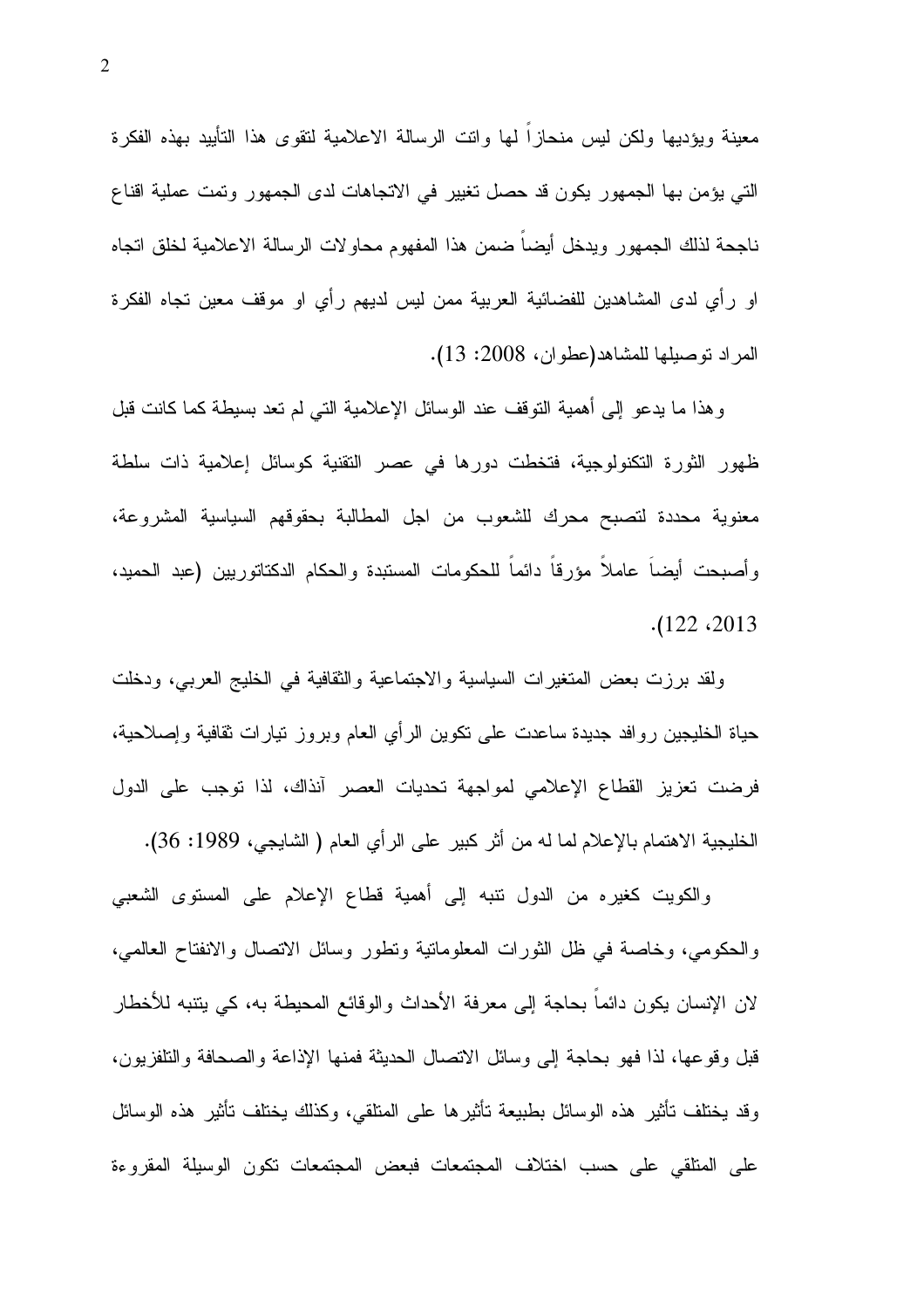معينة ويؤديها ولكن ليس منحازاً لمها وانت الرسالة الاعلامية لنقوى هذا التأييد بهذه الفكرة التي يؤمن بها الجمهور يكون قد حصل تغيير في الاتجاهات لدى الجمهور وتمت عملية اقناع ناجحة لذلك الجمهور ويدخل أيضا ضمن هذا المفهوم محاولات الرسالة الاعلامية لخلق اتجاه او رأي لدى المشاهدين للفضائية العربية ممن ليس لديهم رأي او موقف معين تجاه الفكرة المراد توصيلها للمشاهد(عطوان، 2008: 13).

وهذا ما يدعو إلى أهمية النوقف عند الوسائل الإعلامية التي لم نعد بسيطة كما كانت قبل ظهور الثورة التكنولوجية، فتخطت دورها في عصر التقنية كوسائل إعلامية ذات سلطة معنوية محددة لتصبح محرك للشعوب من اجل المطالبة بحقوقهم السياسية المشروعة، وأصبحت أيضا عاملا مؤرقا دائما للحكومات المستبدة والحكام الدكتاتوريين (عبد الحميد،  $. (122 \cdot 2013$ 

ولقد برزت بعض المتغيرات السياسية والاجتماعية والثقافية في الخليج العربي، ودخلت حياة الخليجين روافد جديدة ساعدت علىي نكوين الرأي العام وبروز نيارات نقافية وإصلاحية، فرضت تعزيز القطاع الإعلامي لمواجهة تحديات العصر أنذاك، لذا توجب على الدول الخليجية الاهتمام بالإعلام لما له من أثر كبير على الرأي العام ( الشايجي، 1989: 36).

والكويت كغيره من الدول نتبه إلى أهمية فطاع الإعلام على المستوى الشعبي والحكومي، وخاصة في ظل الثورات المعلومانية ونطور وسائل الانصال والانفناح العالمي، لان الإنسان يكون دائما بحاجة إلى معرفة الأحداث والوقائع المحيطة به، كي يتنبه للأخطار قبل وقوعها، لذا فهو بحاجة إلى وسائل الاتصال الحديثة فمنها الإذاعة والصحافة والتلفزيون، وقد يختلف تأثير هذه الوسائل بطبيعة تأثيرها على المتلقى، وكذلك يختلف تأثير هذه الوسائل على المنلقى على حسب اختلاف المجتمعات فبعض المجتمعات تكون الوسيلة المقروءة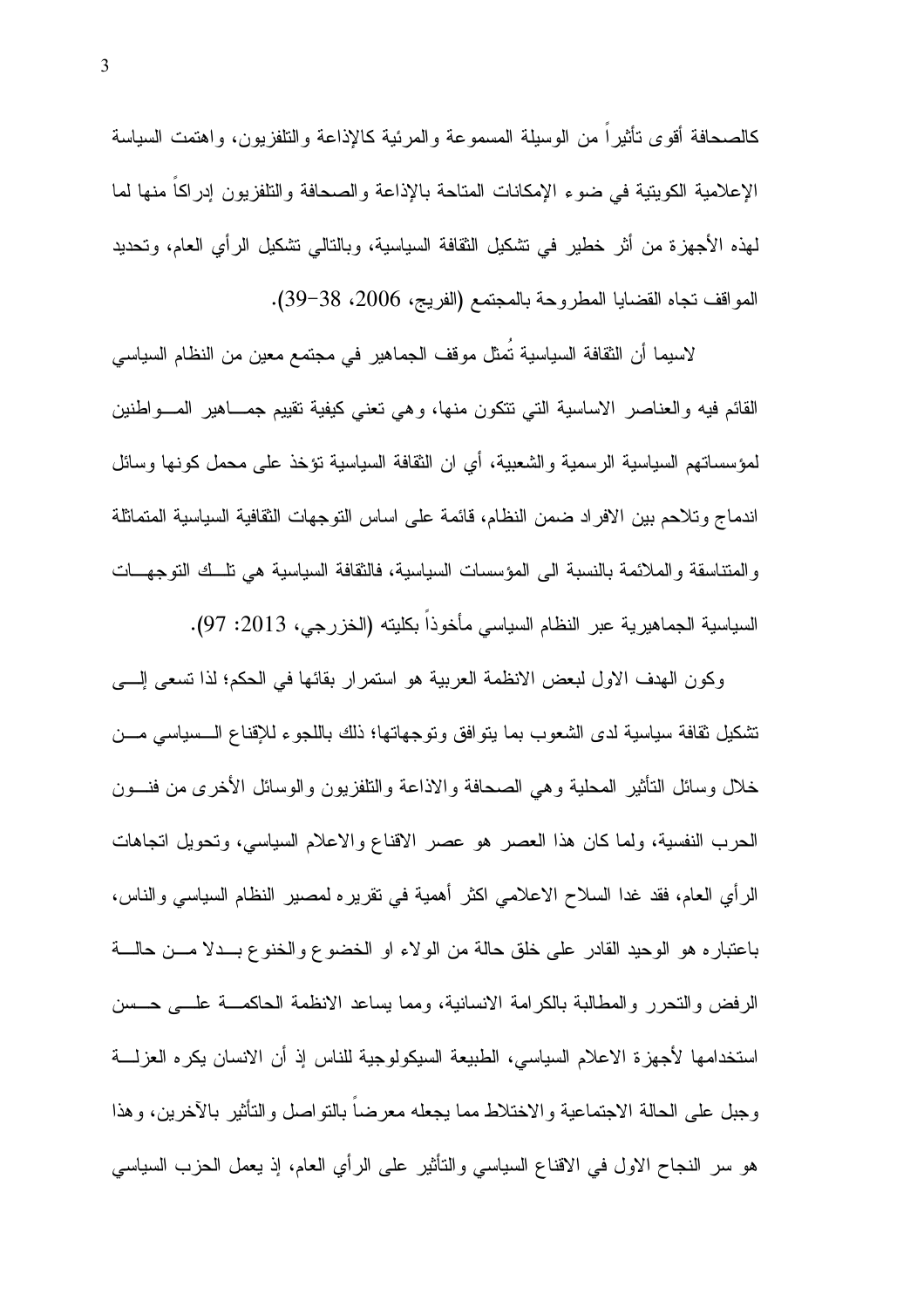كالصحافة أقوى نأثيراً من الوسيلة المسموعة والمرئية كالإذاعة والتلفزيون، واهتمت السياسة الإعلامية الكويتية في ضوء الإمكانات المتاحة بالإذاعة والصحافة والتلفزيون إدراكا منها لما لمهذه الأجهزة من أثر خطير في نشكيل الثقافة السياسية، وبالتالي نشكيل الرأى العام، وتحديد المواقف نجاه القضايا المطروحة بالمجتمع (الفريج، 2006، 38-39).

لاسيما أن الثقافة السياسية تُمثل موقف الجماهير في مجتمع معين من النظام السياسي القائم فيه والعناصر الاساسية التبي نتكون منها، وهي نعني كيفية نقييم جمـــاهير المـــواطنين لمؤسساتهم السياسية الرسمية والشعبية، أي ان النقافة السياسية نؤخذ على محمل كونها وسائل اندماج وتلاحم بين الافراد ضمن النظام، فائمة على اساس النوجهات الثقافية السياسية المتماثلة والمنتاسقة والملائمة بالنسبة الى المؤسسات السياسية، فالثقافة السياسية هي نلَّــك النوجهــات السياسية الجماهيرية عبر النظام السياسي مأخوذا بكليته (الخزرجي، 2013: 97).

وكون الهدف الاول لبعض الانظمة العربية هو استمر ار بقائها في الحكم؛ لذا تسعى إلـــي تشكيل نقافة سياسية لدى الشعوب بما يتوافق وتوجهاتها؛ ذلك باللجوء للإقناع الـــسياسي مـــن خلال وسائل النأثير المحلية وهي الصحافة والاذاعة والنلفزيون والوسائل الأخرى من فنسون الحرب النفسية، ولما كان هذا العصر هو عصر الاقناع والاعلام السياسي، وتحويل اتجاهات الرأي العام، فقد غدا السلاح الاعلامي اكثر أهمية في نقريره لمصير النظام السياسي والناس، باعتبار ه هو الوحيد القادر على خلق حالة من الولاء او الخضوع والخنوع بـــدلا مــــن حالــــة الرفض والنحرر والمطالبة بالكرامة الانسانية، ومما يساعد الانظمة الحاكمـــة علــــي حـــسن استخدامها لأجهزة الاعلام السياسي، الطبيعة السيكولوجية للناس إذ أن الانسان يكره العزلــــة وجبل على الحالة الاجتماعية والاختلاط مما يجعله معرضا بالتواصل والتأثير بالأخرين، وهذا هو سر النجاح الاول في الاقناع السياسي والتأثير على الرأى العام، إذ يعمل الحزب السياسي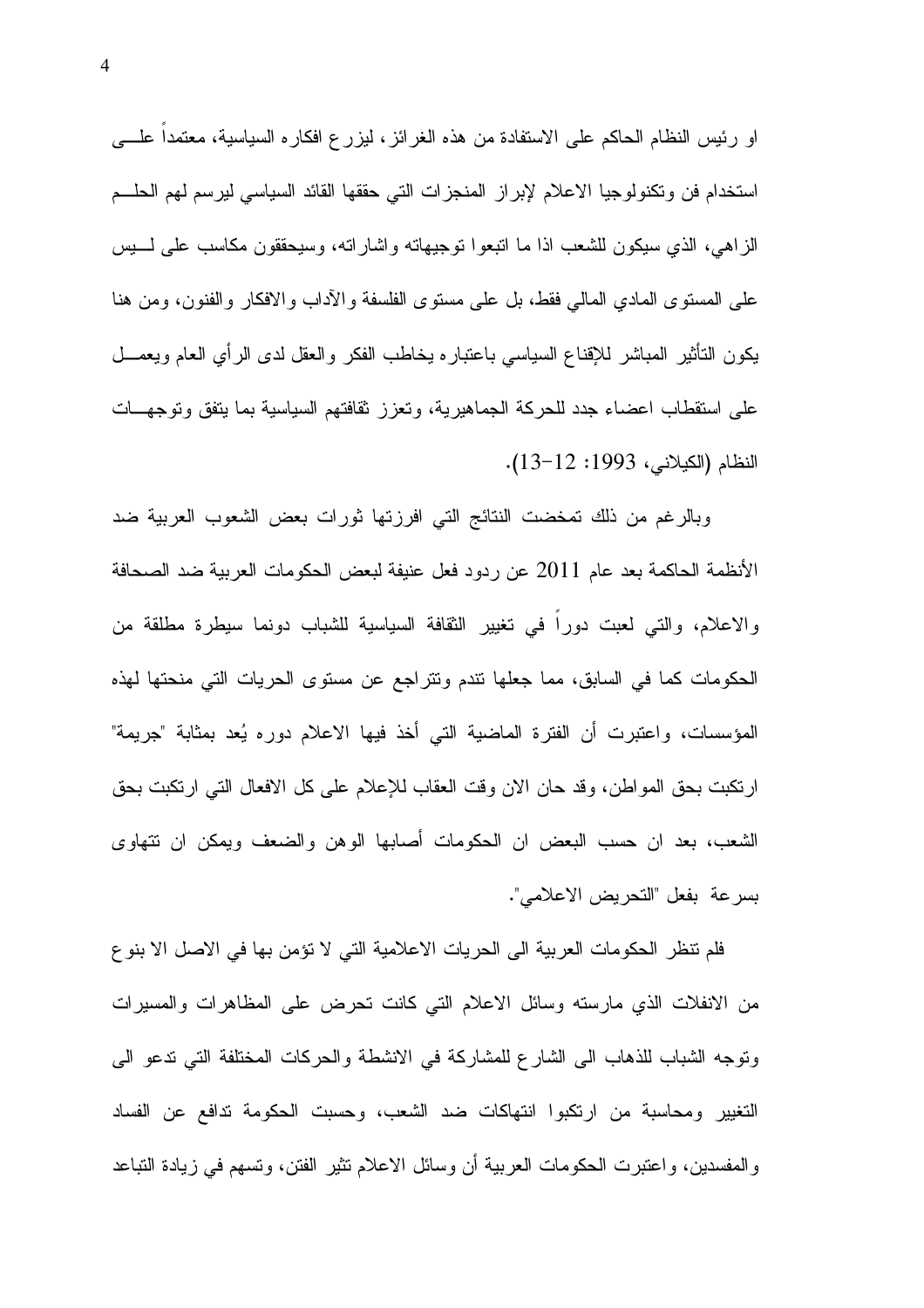او رئيس النظام الحاكم على الاستفادة من هذه الغرائز ، ليزرع افكاره السياسية، معتمدا علــــي استخدام فن ونكنولوجيا الاعلام لإبراز المنجزات التي حققها القائد السياسي ليرسم لهم الحلـــم الزاهي، الذي سيكون للشعب اذا ما انبعوا نوجيهانه واشارانه، وسيحققون مكاسب على لــــبس على المستوى المادي المالي فقط، بل علي مستوى الفلسفة والأداب والافكار والفنون، ومن هنا يكون النأنثير المباشر للإقناع السياسي باعتباره يخاطب الفكر والعقل لدى الرأي العام ويعمـــل على استقطاب اعضاء جدد للحركة الجماهيرية، وتعزز ثقافتهم السياسية بما يتفق وتوجهــات النظام (الكيلاني، 1993: 12–13).

وبالرغم من ذلك تمخضت النتائج التي افرزتها ثورات بعض الشعوب العربية ضد الأنظمة الحاكمة بعد عام 2011 عن ردود فعل عنيفة لبعض الحكومات العربية ضد الصحافة والاعلام، والتي لعبت دورًا في تغيير الثقافة السياسية للشباب دونما سيطرة مطلقة من الحكومات كما في السابق، مما جعلها نتدم ونتراجع عن مستوى الحريات التي منحتها لهذه المؤسسات، واعتبرت أن الفترة الماضية التي أخذ فيها الاعلام دوره يُعد بمثابة "جريمة" ارنكبت بحق المواطن، وقد حان الان وقت العقاب للإعلام على كل الافعال التي ارتكبت بحق الشعب، بعد ان حسب البعض ان الحكومات أصابها الوهن والضعف ويمكن ان نتهاوى بسرعة بفعل "التحريض الاعلامي".

فلم تنظر الحكومات العربية الى الحريات الاعلامية التي لا تؤمن بها في الاصل الا بنو ع من الانفلات الذي مارسته وسائل الاعلام التبي كانت تحرض على المظاهرات والمسيرات وتوجه الشباب للذهاب الى الشارع للمشاركة في الانشطة والحركات المختلفة التي ندعو الى التغيير ومحاسبة من ارتكبوا انتهاكات ضد الشعب، وحسبت الحكومة تدافع عن الفساد و المفسدين، و اعتبر ت الحكومات العربية أن وسائل الاعلام تثير الفتن، وتسهم في زيادة التباعد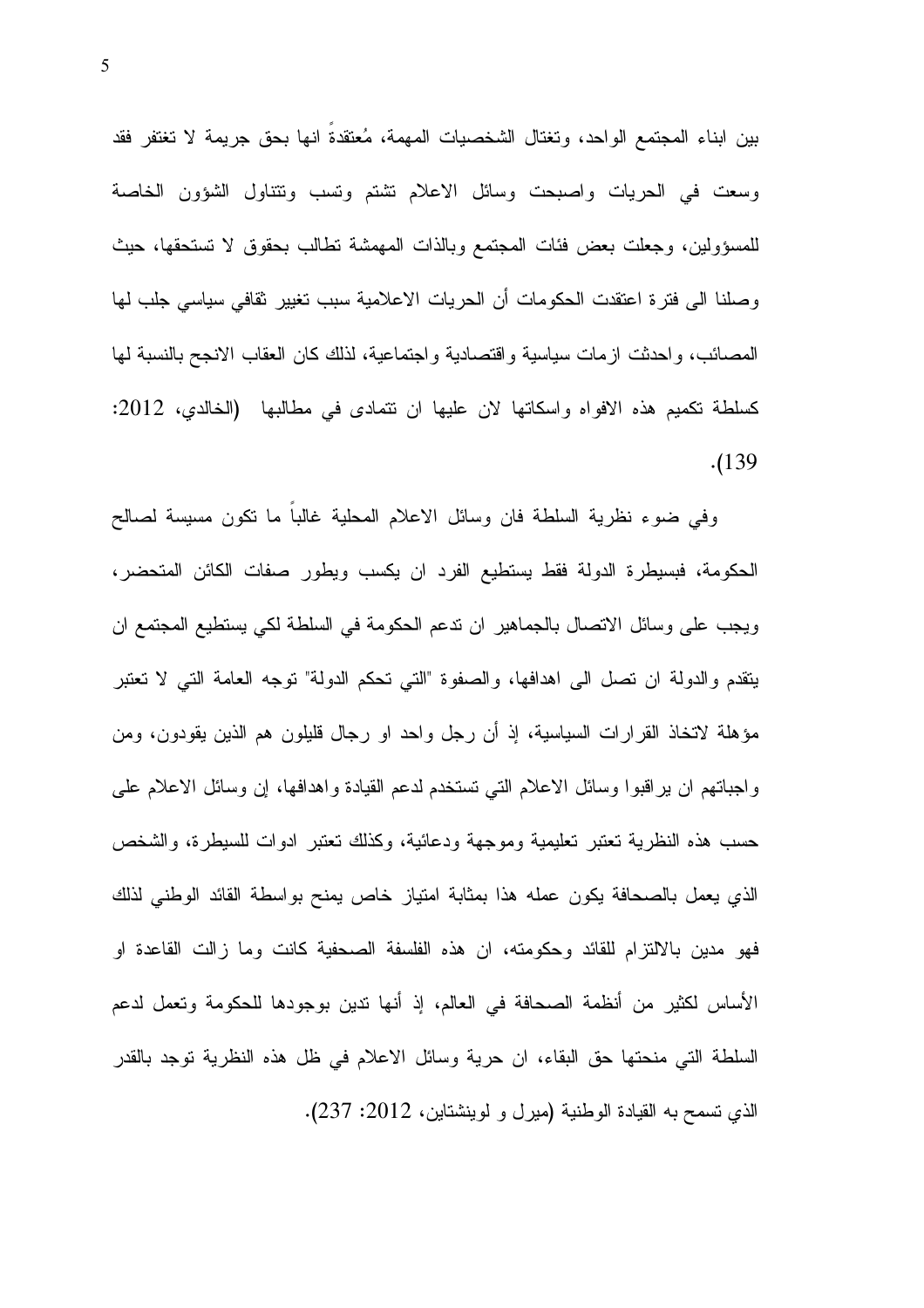بين ابناء المجتمع الواحد، وتغتال الشخصيات المهمة، مُعتقدة انها بحق جريمة لا تغتفر فقد وسعت في الحريات واصبحت وسائل الاعلام تشتم ونسب ونتناول الشؤون الخاصة للمسؤولين، وجعلت بعض فئات المجتمع وبالذات المهمشة نطالب بحقوق لا نستحقها، حيث وصلنا الى فترة اعتقدت الحكومات أن الحريات الاعلامية سبب تغيير ثقافي سياسي جلب لها المصائب، واحدثت ازمات سياسية واقتصادية واجتماعية، لذلك كان العقاب الانجح بالنسبة لها كسلطة نكميم هذه الافواه واسكاتها لان عليها ان نتمادى في مطالبها (الخالدي، 2012: .(139

وفي ضوء نظرية السلطة فان وسائل الاعلام المحلية غالبا ما نكون مسيسة لصالح الحكومة، فبسيطرة الدولة فقط يستطيع الفرد ان يكسب ويطور صفات الكائن المتحضر، ويجب على وسائل الاتصال بالجماهير ان ندعم الحكومة في السلطة لكي يستطيع المجتمع ان يتقدم والدولة ان نصل الى اهدافها، والصفوة "التي نحكم الدولة" نوجه العامة التي لا نعتبر مؤهلة لاتخاذ القرارات السياسية، إذ أن رجل واحد او رجال قليلون هم الذين يقودون، ومن واجباتهم ان يراقبوا وسائل الاعلام التبي تستخدم لدعم القيادة واهدافها، إن وسائل الاعلام على حسب هذه النظرية تعتبر تعليمية وموجهة ودعائية، وكذلك تعتبر ادوات للسيطرة، والشخص الذي يعمل بالصحافة يكون عمله هذا بمثابة امتياز خاص يمنح بواسطة القائد الوطني لذلك فهو مدين بالالتزام للقائد وحكومته، ان هذه الفلسفة الصحفية كانت وما زالت القاعدة او الأساس لكثير من أنظمة الصحافة في العالم، إذ أنها ندين بوجودها للحكومة وتعمل لدعم السلطة التي منحتها حق البقاء، ان حرية وسائل الاعلام في ظل هذه النظرية توجد بالقدر الذي نسمح به القيادة الوطنية (ميرل و لوينشتاين، 2012: 237).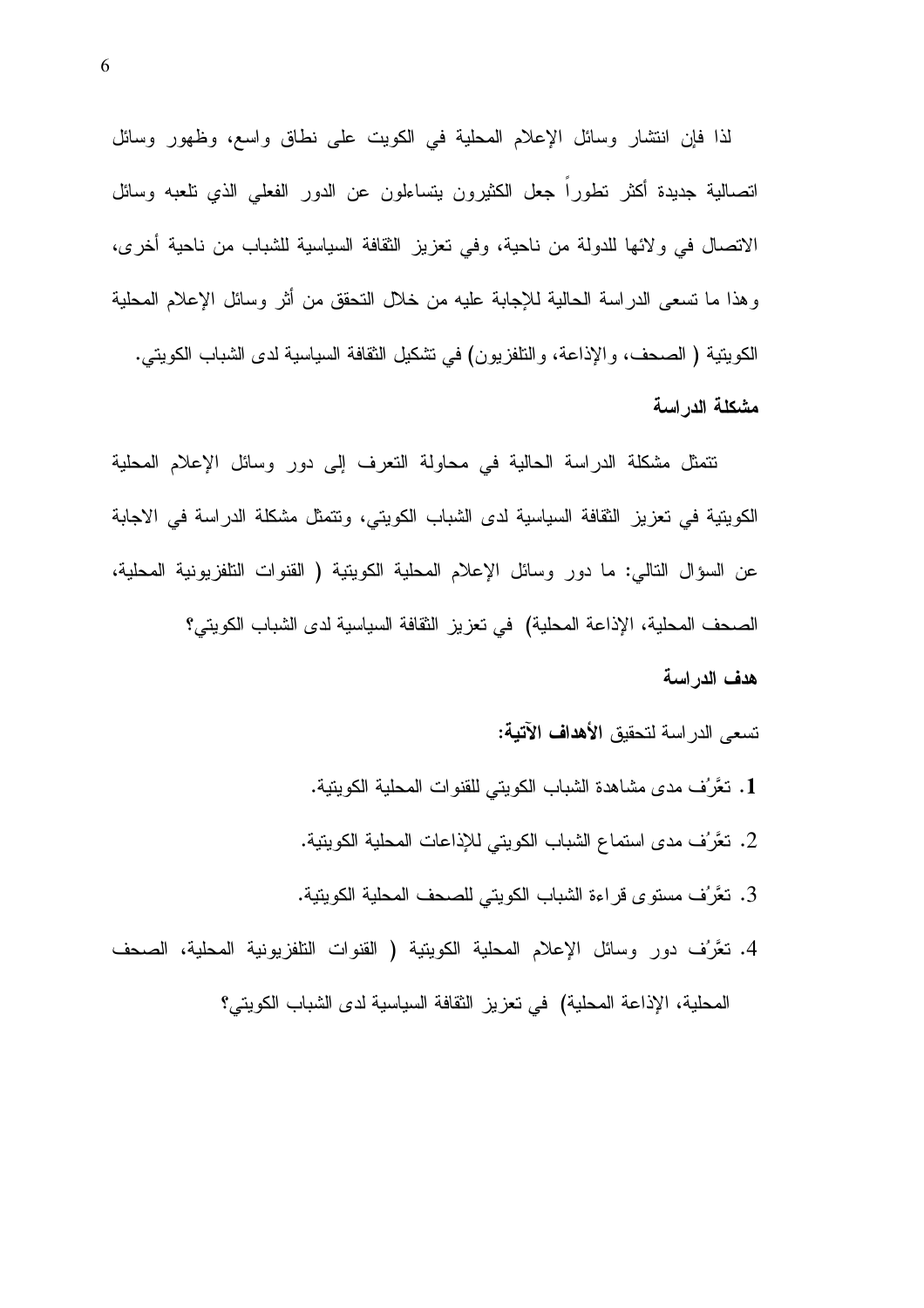لذا فإن انتشار وسائل الإعلام المحلية في الكويت على نطاق واسع، وظهور وسائل انصالية جديدة أكثر نطوراً جعل الكثيرون بتساءلون عن الدور الفعلي الذي نلعبه وسائل الاتصال في ولائها للدولة من ناحية، وفي تعزيز الثقافة السياسية للشباب من ناحية أخرى، وهذا ما تسعى الدراسة الحالية للإجابة عليه من خلال النحقق من أثر وسائل الإعلام المحلية الكويتية ( الصحف، والإذاعة، والنافزيون) في تشكيل الثقافة السياسية لدى الشباب الكويتي. مشكلة الدراسة

نتمثل مشكلة الدراسة الحالية في محاولة النعرف إلى دور وسائل الإعلام المحلية الكويتية في تعزيز الثقافة السياسية لدى الشباب الكويتي، وتتمثَّل مشكلة الدراسة في الإجابة عن السؤال التالي: ما دور وسائل الإعلام المحلية الكويتية ( القنوات التلفزيونية المحلية، الصحف المحلية، الإذاعة المحلية) في تعزيز الثقافة السياسية لدى الشباب الكويتي؟ هدف الدر اسة

تسعى الدراسة لتحقيق الأهدا**ف الآتية:** 

- 1. نعَّرُف مدى مشاهدة الشباب الكويتي للقنوات المحلية الكويتية.
- 2. نعَّرُف مدى استماع الشباب الكويتي للإذاعات المحلية الكويتية.
- 3. نعَّرُف مستوى قراءة الشباب الكويتي للصحف المحلية الكويتية.
- 4. نعَّرُف دور وسائل الإعلام المحلية الكويتية ( القنوات النلفزيونية المحلية، الصحف المحلية، الإذاعة المحلية) في تعزيز الثقافة السياسية لدى الشباب الكويتي؟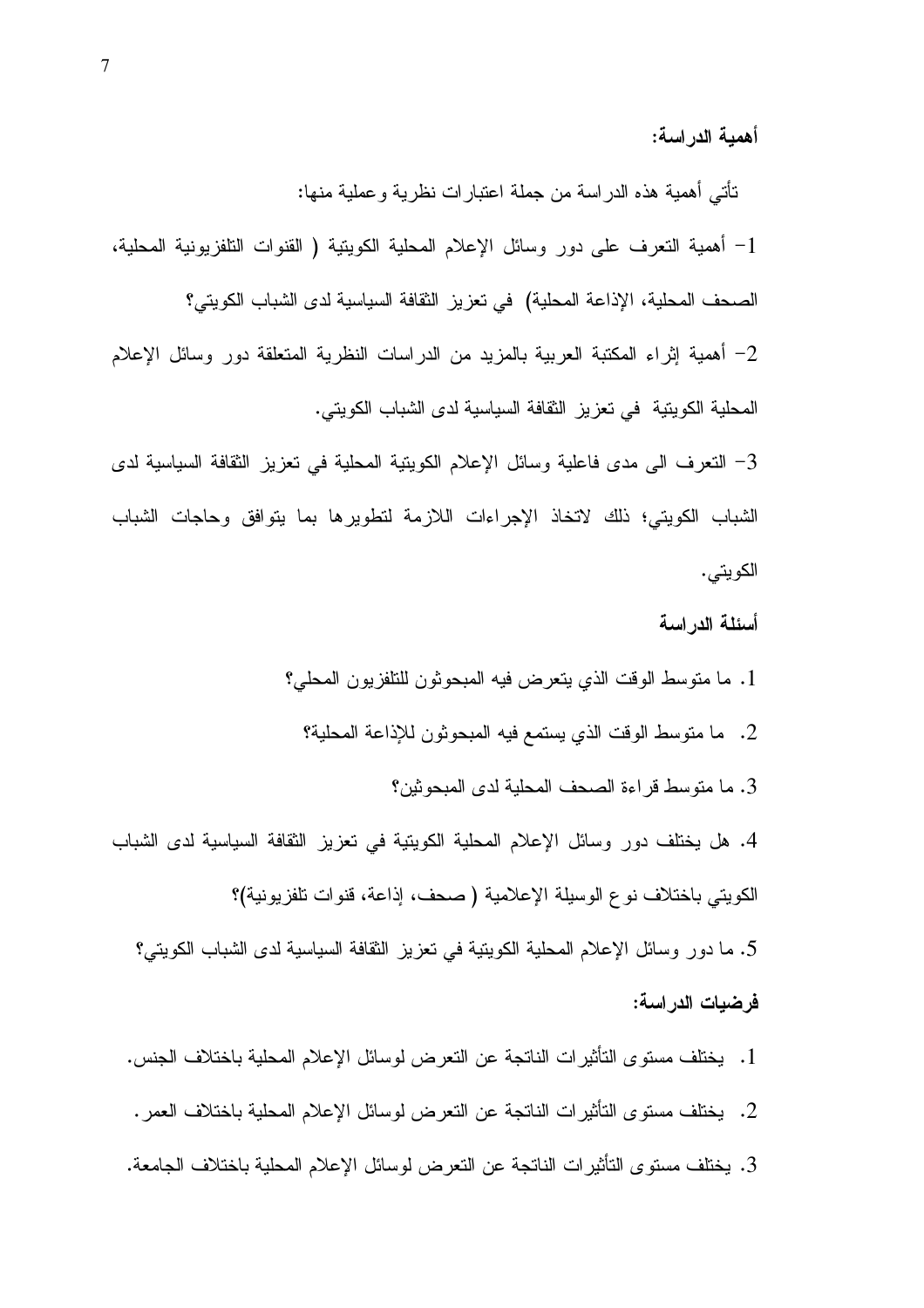أهمية الدراسة:

تَأْتَى أهمية هذه الدراسة من جملة اعتبارات نظرية وعملية منها: 1– أهمية النعرف على دور وسائل الإعلام المحلية الكوينية ( القنوات النلفزيونية المحلية، الصحف المحلية، الإذاعة المحلية) في تعزيز النقافة السياسية لدى الشباب الكويتي؟ 2– أهمية إثراء المكتبة العربية بالمزيد من الدراسات النظرية المتعلقة دور وسائل الإعلام المحلية الكويتية في تعزيز الثقافة السياسية لدى الشباب الكويتي.

3– النعرف الى مدى فاعلية وسائل الإعلام الكويتية المحلية في تعزيز الثقافة السياسية لدى الشباب الكويتي؛ ذلك لاتخاذ الإجراءات اللازمة لتطويرها بما يتوافق وحاجات الشباب الكويتي.

أسئلة الدر اسة

- 1. ما منوسط الوقت الذي يتعرض فيه المبحوثون للتلفزيون المحلي؟
	- 2. ما متوسط الوقت الذي يستمع فيه المبحوثون للإذاعة المحلية؟

3. ما متوسط قراءة الصحف المحلية لدى المبحوثين؟

4. هل يختلف دور وسائل الإعلام المحلية الكويتية في تعزيز الثقافة السياسية لدى الشباب الكويتي باختلاف نوع الوسيلة الإعلامية ( صحف، إذاعة، قنوات تلفزيونية)؟ 5. ما دور وسائل الإعلام المحلية الكويتية في تعزيز الثقافة السياسية لدى الشباب الكويتي؟

فرضيات الدراسة:

- 1. يختلف مستوى التأثير ات الناتجة عن التعرض لوسائل الإعلام المحلية باختلاف الجنس.
- 2. يختلف مستوى التأثيرات الناتجة عن التعرض لوسائل الإعلام المحلية باختلاف العمر .
- 3. يختلف مستوى التأثيرات الناتجة عن التعرض لوسائل الإعلام المحلية باختلاف الجامعة.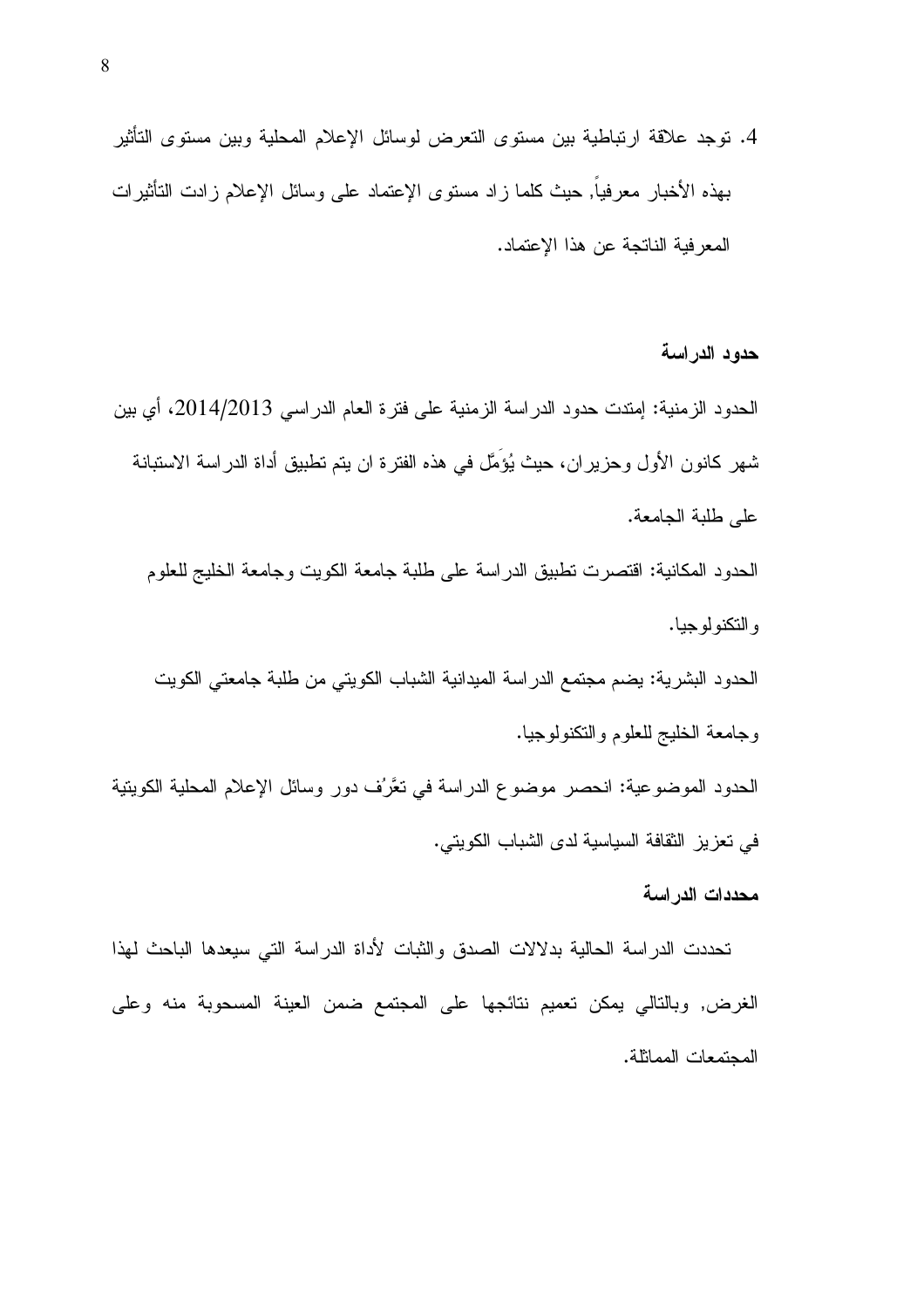4. نوجد علاقة ارتباطية بين مستوى النعرض لوسائل الإعلام المحلية وبين مستوى التأثير بهذه الأخبار معرفيا, حيث كلما زاد مستوى الإعتماد على وسائل الإعلام زادت التأثيرات المعرفية الناتجة عن هذا الإعتماد.

الحدود الزمنية: إمتدت حدود الدراسة الزمنية على فترة العام الدراسي 2014/2013، أي بين شهر كانون الأول وحزيران، حيث يُؤَمَّل في هذه الفترة ان يتم تطبيق أداة الدراسة الاستبانة على طلبة الجامعة.

الحدود المكانية: اقتصرت تطبيق الدراسة على طلبة جامعة الكويت وجامعة الخليج للعلوم و التكنو لو جيا.

الحدود البشرية: يضم مجتمع الدراسة الميدانية الشباب الكويتي من طلبة جامعتي الكويت وجامعة الخليج للعلوم والنكنولوجيا.

الحدود الموضوعية: انحصر موضوع الدراسة في تعَّرُف دور وسائل الإعلام المحلية الكويتية في تعزيز النقافة السياسية لدى الشباب الكويتي.

محددات الدر اسة

حدود الدراسة

تحددت الدراسة الحالية بدلالات الصدق والثبات لأداة الدراسة التي سيعدها الباحث لهذا الغرض, وبالنالي بمكن تعميم نتائجها على المجتمع ضمن العينة المسحوبة منه وعلى المجتمعات المماثلة.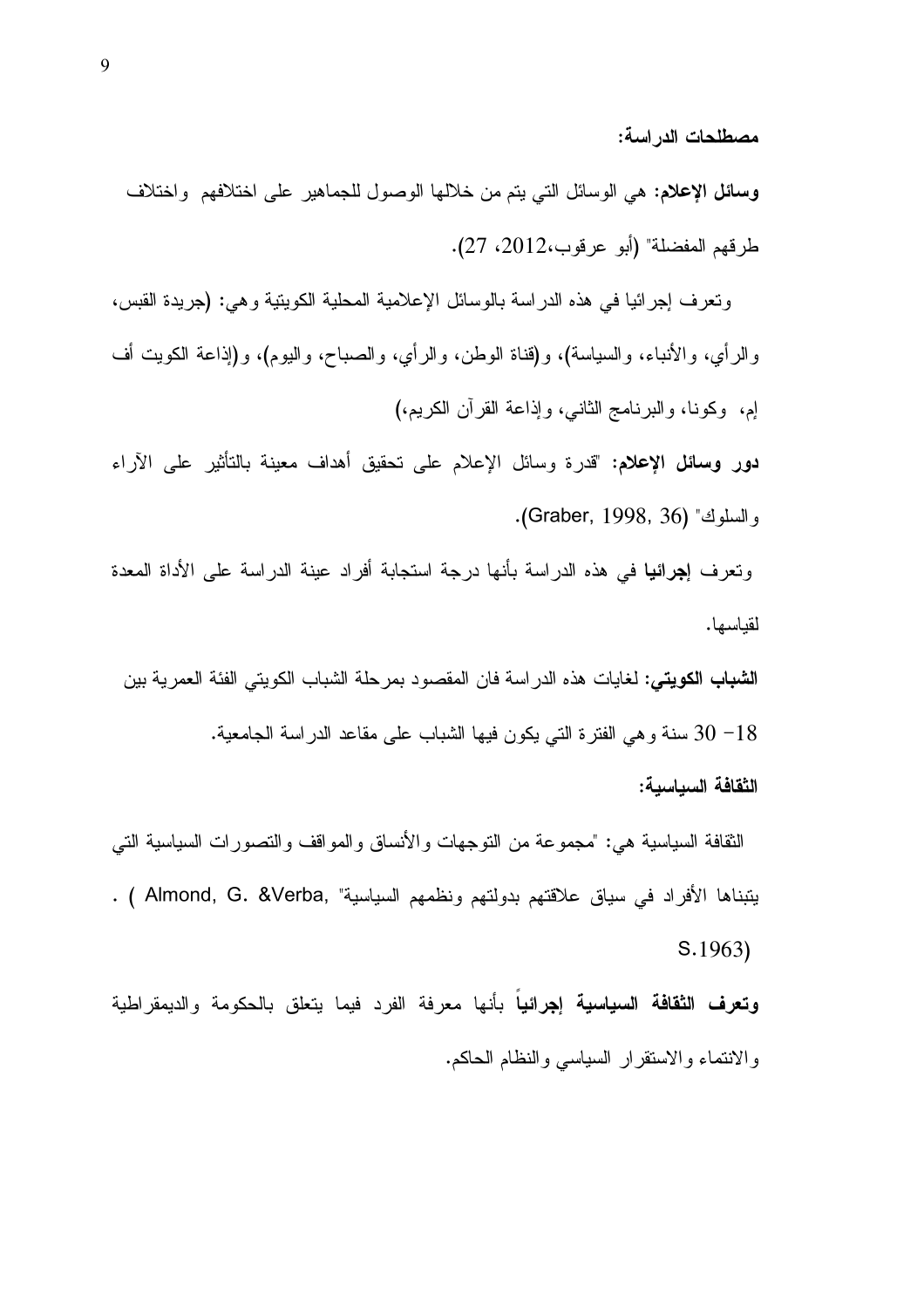مصطلحات الدراسة:

وسائل الإعلام: هي الوسائل التي يتم من خلالها الوصول للجماهير على اختلافهم واختلاف طر قهم المفضلة" (أبو عر قوب،2012، 27).

ونعرف إجرائيا في هذه الدراسة بالوسائل الإعلامية المحلية الكويتية وهي: (جريدة القبس، والرأي، والأنباء، والسياسة)، و(قناة الوطن، والرأي، والصباح، واليوم)، و(إذاعة الكويت أف إم، وكونا، والبرنامج الثاني، وإذاعة القرآن الكريم،)

دور وسائل الإعلام: "قدرة وسائل الإعلام على تحقيق أهداف معينة بالتأثير على الآراء و السلوك" (Graber, 1998, 36).

ونعرف إ**جرائيا** في هذه الدراسة بأنها درجة استجابة أفراد عينة الدراسة على الأداة المعدة لقياسها.

**الشباب الكويتي: ل**غايات هذه الدر اسة فان المقصود بمرحلة الشباب الكويتي الفئة العمرية بين 18– 30 سنة وهي الفترة التي يكون فيها الشباب على مقاعد الدراسة الجامعية. الثقافة السباسبة:

الثقافة السياسية هي: "مجموعة من التوجهات والأنساق والمواقف والتصورات السياسية التي يتبناها الأفراد في سياق علاقتهم بدولتهم ونظمهم السياسية" , Almond, G. &Verba ) .  $S.1963$ 

**وتعرف الثقافة السياسية إجرائياً** بأنها معرفة الفرد فيما يتعلق بالحكومة والديمقراطية والانتماء والاستقرار السياسي والنظام الحاكم.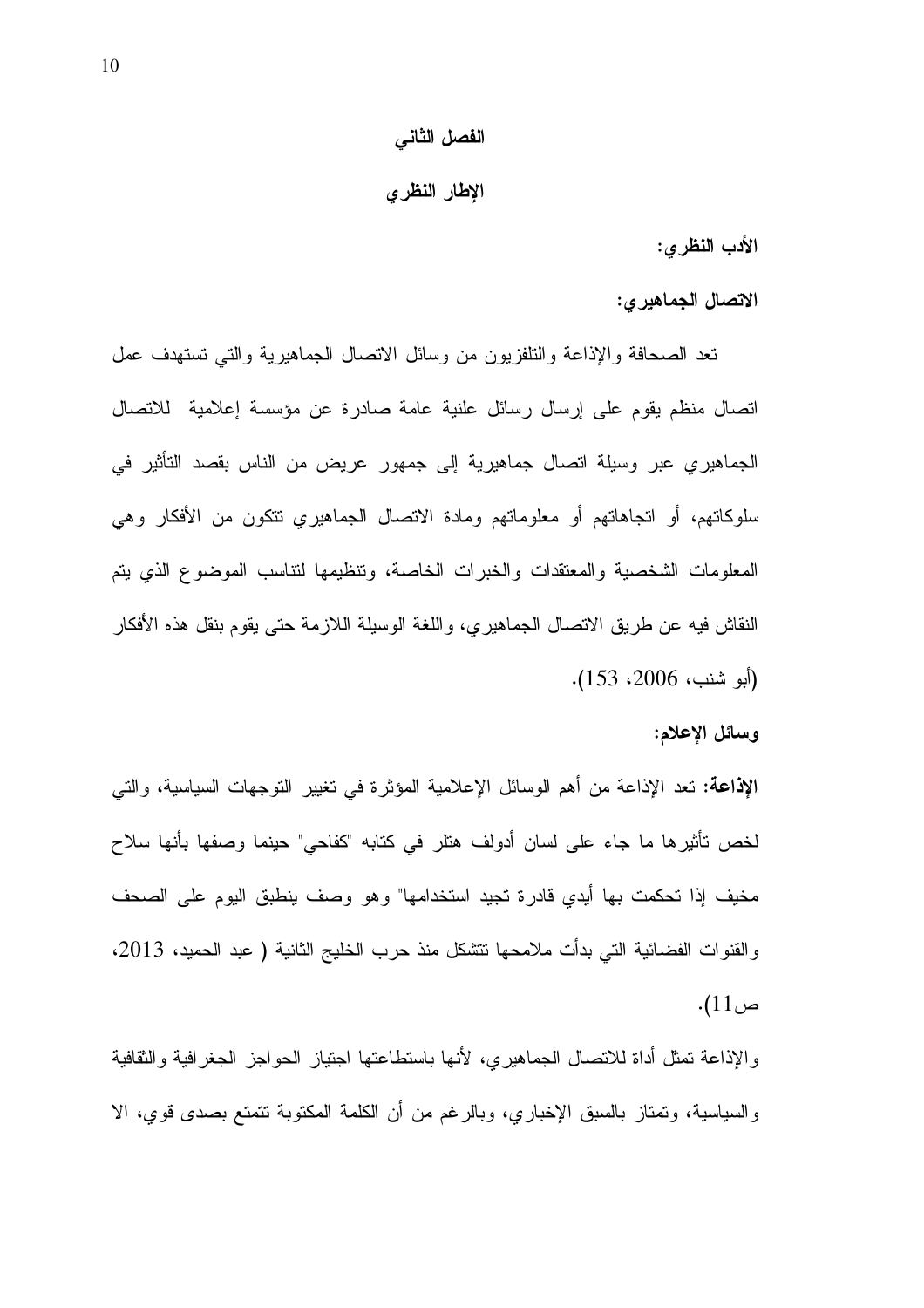#### الفصل الثاني

#### الإطار النظري

الأدب النظرى:

الاتصال الجماهير ي:

نعد الصحافة والإذاعة والتلفزيون من وسائل الانصال الجماهيرية والنبى نستهدف عمل اتصال منظم يقوم على إرسال رسائل علنية عامة صادرة عن مؤسسة إعلامية للاتصال الجماهيري عبر وسيلة اتصال جماهيرية إلى جمهور عريض من الناس بقصد النأثير في سلوكاتهم، أو اتجاهاتهم أو معلوماتهم ومادة الاتصال الجماهيري نتكون من الأفكار وهي المعلومات الشخصية والمعتقدات والخبرات الخاصة، وتنظيمها لتناسب الموضوع الذي يتم النقاش فيه عن طريق الاتصال الجماهيري، واللغة الوسيلة اللازمة حتى يقوم بنقل هذه الأفكار (أبو شنب، 2006، 153).

وسائل الإعلام:

الإذاعة: تعد الإذاعة من أهم الوسائل الإعلامية المؤثرة في تغيير التوجهات السياسية، والتي لخص نأثيرها ما جاء على لسان أدولف هنلر في كنابه "كفاحي" حينما وصفها بأنها سلاح مخيف إذا تحكمت بها أيدى قادرة تجيد استخدامها" وهو وصف ينطبق اليوم على الصحف والقنوات الفضائية التي بدأت ملامحها نتشكل منذ حرب الخليج الثانية ( عبد الحميد، 2013، ص11).

والإذاعة نمثل أداة للانصال الجماهيري، لأنها باستطاعتها اجتياز الحواجز الجغرافية والثقافية والسياسية، وتمتاز بالسبق الإخباري، وبالرغم من أن الكلمة المكتوبة نتمتع بصدى قوي، الا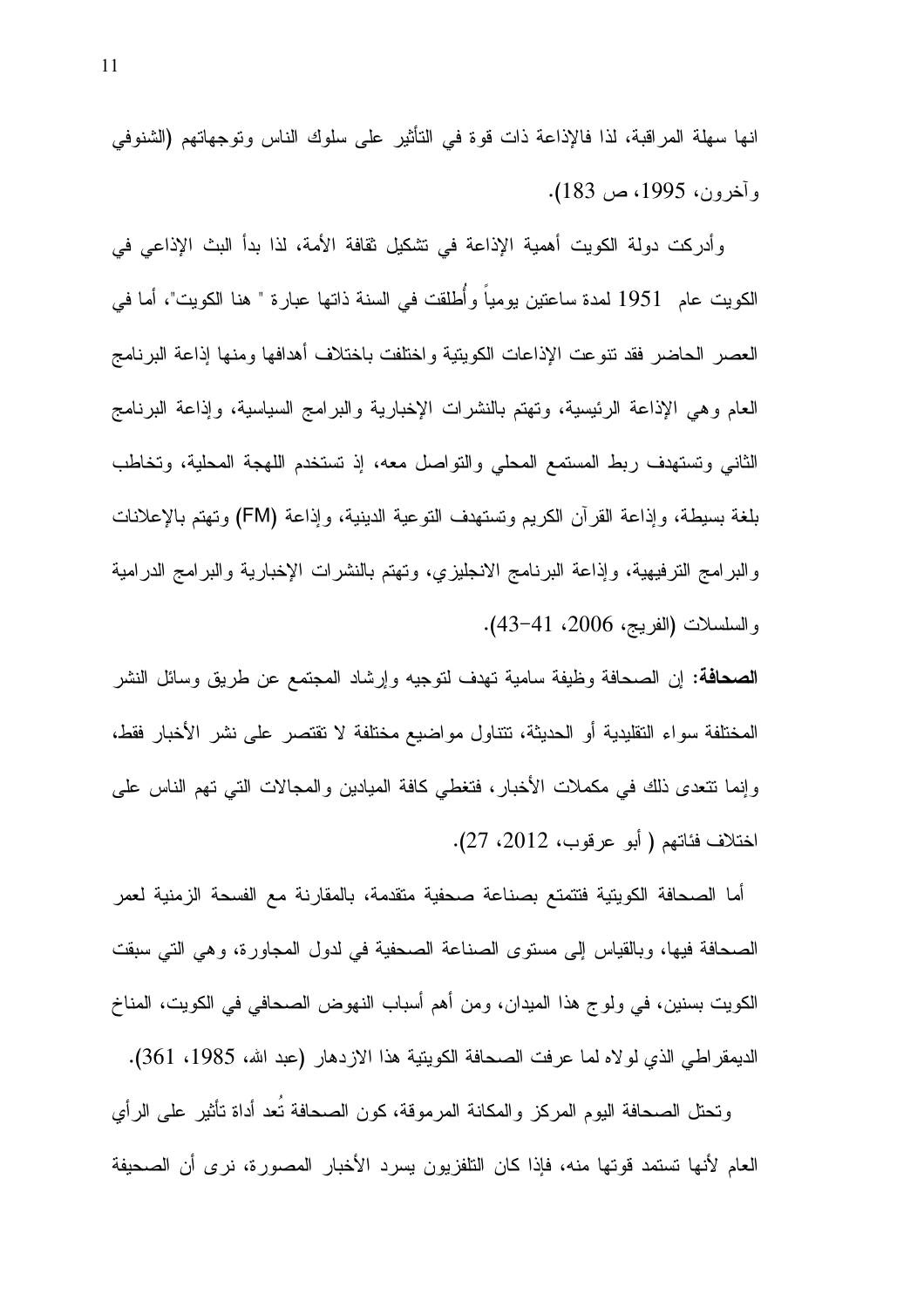انها سهلة المراقبة، لذا فالإذاعة ذات قوة في التأثير على سلوك الناس وتوجهاتهم (الشنوفي وأخرون، 1995، ص 183).

وأدرِكت دولة الكويت أهمية الإذاعة في تشكيل ثقافة الأمة، لذا بدأ البث الإذاعي في الكويت عام 1951 لمدة ساعتين يومياً وأطلقت في السنة ذاتها عبارة " هنا الكويت"، أما في العصر الحاضر فقد نتوعت الإذاعات الكويتية واختلفت باختلاف أهدافها ومنها إذاعة البرنامج العام وهي الإذاعة الرئيسية، وتهتم بالنشرات الإخبارية والبرامج السياسية، وإذاعة البرنامج الثاني وتستهدف ربط المستمع المحلي والنواصل معه، إذ تستخدم اللهجة المحلية، وتخاطب بلغة بسيطة، وإذاعة القرآن الكريم وتستهدف التوعية الدينية، وإذاعة (FM) وتهتم بالإعلانات والبرامج الترفيهية، وإذاعة البرنامج الانجليزي، وتهتم بالنشرات الإخبارية والبرامج الدرامية والسلسلات (الفريج، 2006، 41-43).

**الصحافة:** إن الصحافة وظيفة سامية تهدف لتوجيه وإرشاد المجتمع عن طريق وسائل النشر المختلفة سواء النقليدية أو الحديثة، تتتاول مواضيع مختلفة لا تقتصر على نشر الأخبار فقط، وإنما نتحدى ذلك في مكملات الأخبار، فتغطى كافة المبادين والمجالات التي تهم الناس على اختلاف فئاتهم ( أبو عرقوب، 2012، 27).

أما الصحافة الكويتية فتتمتع بصناعة صحفية متقدمة، بالمقارنة مع الفسحة الزمنية لعمر الصحافة فيها، وبالقياس إلى مستوى الصناعة الصحفية في لدول المجاورة، وهي التي سبقت الكويت بسنين، في ولو ج هذا الميدان، ومن أهم أسباب النهوض الصحافي في الكويت، المناخ الديمقر اطـي الذي لو لاه لمـا عرفت الصـحافة الكويتية هذا الاز دهار (عبد الله، 1985، 361).

ونحتل الصحافة اليوم المركز والمكانة المرموقة، كون الصحافة تُعد أداة نأثير على الرأي العام لأنها نستمد قوتها منه، فإذا كان التلفزيون يسرد الأخبار المصورة، نرى أن الصحيفة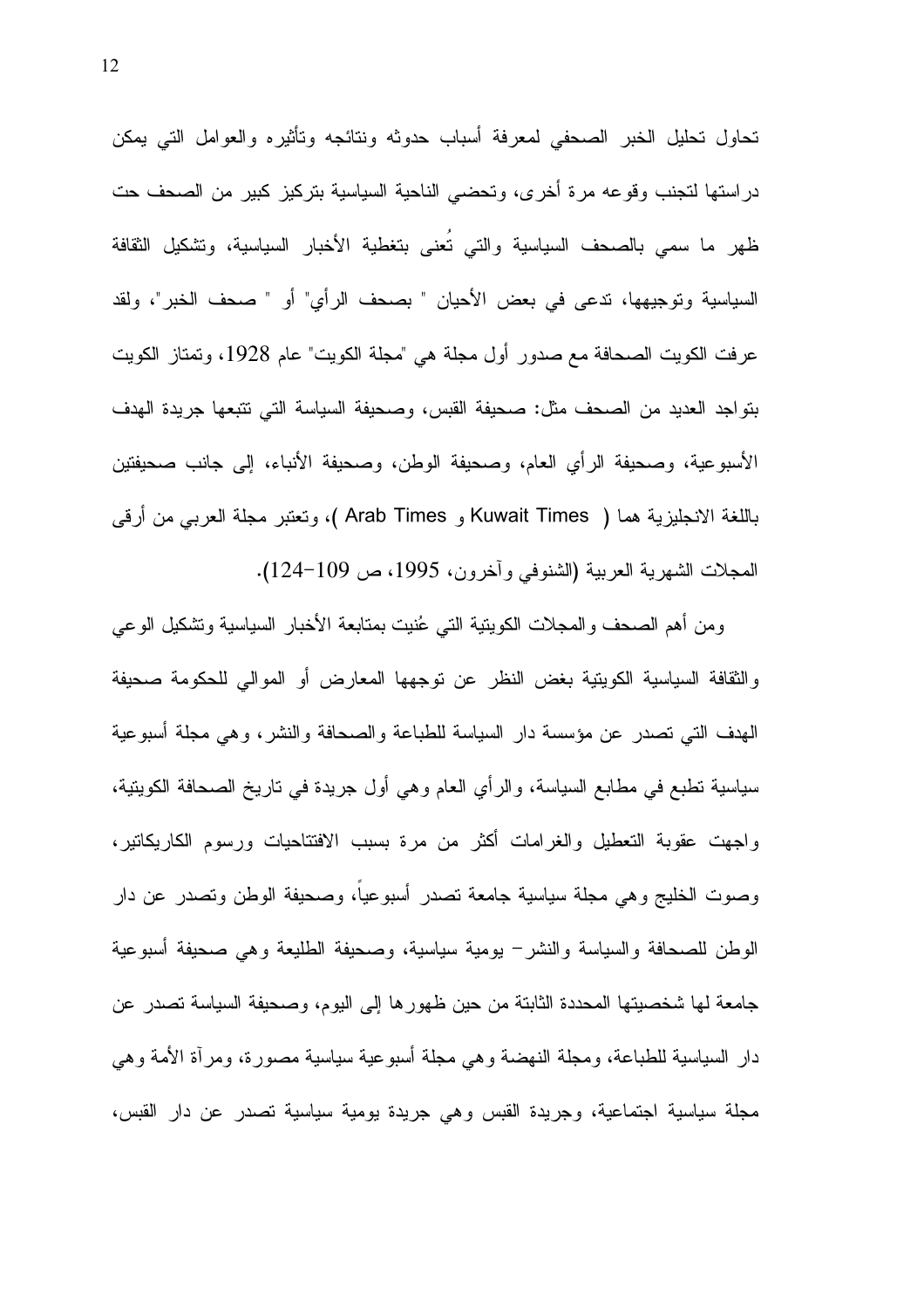تحاول تحليل الخبر الصحفي لمعرفة أسباب حدوثه ونتائجه وتأثيره والعوامل التي يمكن دراستها لتجنب وقوعه مرة أخرى، وتحضى الناحية السياسية بتركيز كبير من الصحف حت ظهر ما سمى بالصحف السياسية والتي تعنى بتغطية الأخبار السياسية، وتشكيل الثقافة السياسية وتوجيهها، تدعى في بعض الأحيان " بصحف الرأى" أو " صحف الخبر"، ولقد عرفت الكويت الصحافة مع صدور أول مجلة هي "مجلة الكويت" عام 1928، وتمتاز الكويت بنواجد العديد من الصحف مثل: صحيفة القبس، وصحيفة السياسة التي تتبعها جريدة الهدف الأسبوعية، وصحيفة الرأى العام، وصحيفة الوطن، وصحيفة الأنباء، إلى جانب صحيفتين باللغة الانجليزية هما ( Kuwait Times و Arab Times )، وتعتبر مجلة العربي من أرقى المجلات الشهرية العربية (الشنوفي وأخرون، 1995، ص 109–124).

ومن أهم الصحف والمجلات الكويتية التبي عُنيت بمتابعة الأخبار السياسية وتشكيل الوعبي والثقافة السياسية الكويتية بغض النظر عن توجهها المعارض أو الموالي للحكومة صحيفة الهدف التي نصدر عن مؤسسة دار السياسة للطباعة والصحافة والنشر، وهي مجلة أسبوعية سياسية نطبع في مطابع السياسة، والرأي العام وهي أول جريدة في ناريخ الصحافة الكوينية، واجهت عقوبة التعطيل والغرامات أكثر من مرة بسبب الافتتاحيات ورسوم الكاريكاتير، وصوت الخليج وهي مجلة سياسية جامعة تصدر أسبوعياً، وصحيفة الوطن وتصدر عن دار الوطن للصحافة والسياسة والنشر− بومية سياسية، وصحيفة الطليعة وهي صحيفة أسبوعية جامعة لـها شخصيتها المحددة الثابتة من حين ظهور ها إلى اليوم، وصحيفة السياسة تصدر عن دار السياسية للطباعة، ومجلَّة النَّهضة وهي مجلَّة أسبوعية سياسية مصورة، ومرأَّة الأمة وهي مجلَّة سياسية اجتماعية، وجريدة القبس وهي جريدة يومية سياسية تصدر عن دار القبس،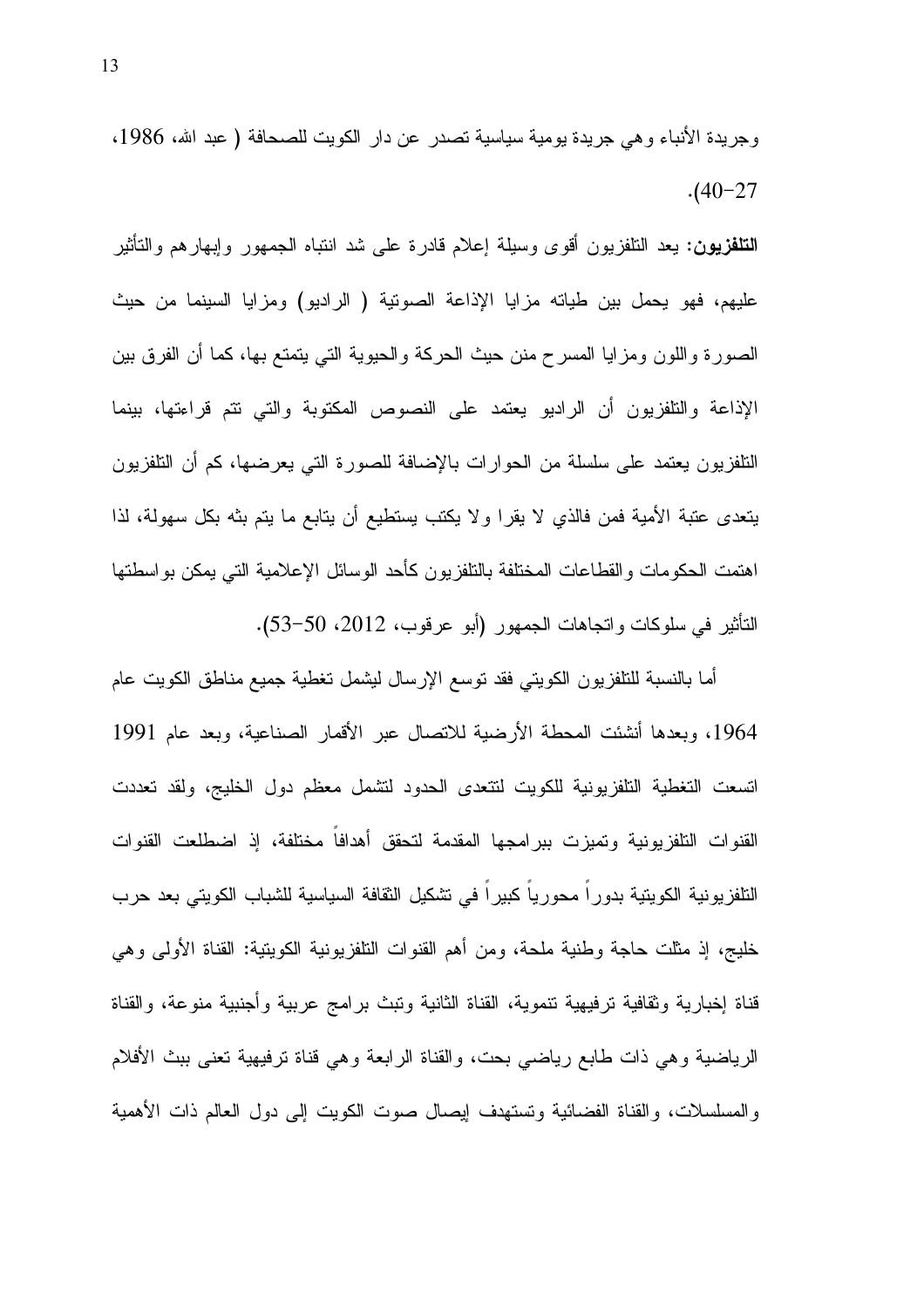وجريدة الأنباء وهي جريدة يومية سياسية تصدر عن دار الكويت للصحافة ( عبد الله، 1986،  $. (40 - 27)$ 

**التلفزيون:** يعد النلفزيون أقوى وسيلة إعلام قادرة على شد انتباه الجمهور وإبهارهم والتأثير عليهم، فهو يحمل بين طياته مزايا الإذاعة الصونية ( الراديو) ومزايا السينما من حيث الصورة واللون ومزايا المسرح منن حيث الحركة والحيوية التبي يتمتع بها، كما أن الفرق بين الإذاعة والتلفزيون أن الراديو يعتمد على النصوص المكتوبة والتي نتم قراءتها، بينما النلفزيون يعتمد على سلسلة من الحوارات بالإضافة للصورة التي يعرضها، كم أن النلفزيون يتعدى عتبة الأمية فمن فالذي لا يقرًا ولا يكتب يستطيع أن يتابع ما يتم بثه بكل سهولة، لذا اهتمت الحكومات والقطاعات المختلفة بالنلفزيون كأحد الوسائل الإعلامية التي يمكن بواسطتها التأثير في سلوكات واتجاهات الجمهور (أبو عرفوب، 2012، 50−53).

أما بالنسبة للنلفزيون الكويتي فقد نوسع الإرسال ليشمل نغطية جميع مناطق الكويت عام 1964، وبعدها أنشئت المحطة الأرضية للانصال عبر الأقمار الصناعية، وبعد عام 1991 اتسعت التغطية التلفزيونية للكويت لنتعدى الحدود لتشمل معظم دول الخليج، ولقد تعددت القنوات التلفزيونية وتميزت ببرامجها المقدمة لتحقق أهدافا مختلفة، إذ اضطلعت القنوات النلفزيونية الكويتية بدوراً محورياً كبيراً في تشكيل النقافة السياسية للشباب الكويتي بعد حرب خليج، إذ مثلت حاجة وطنية ملحة، ومن أهم القنوات النلفزيونية الكوينية: القناة الأولى وهي قناة إخبارية وثقافية ترفيهية نتموية، القناة الثانية ونبث برامج عربية وأجنبية منوعة، والقناة الرياضية وهي ذات طابع رياضيي بحت، والقناة الرابعة وهي قناة ترفيهية تعني ببث الأفلام والمسلسلات، والقناة الفضائية وتستهدف ليصال صوت الكويت إلى دول العالم ذات الأهمية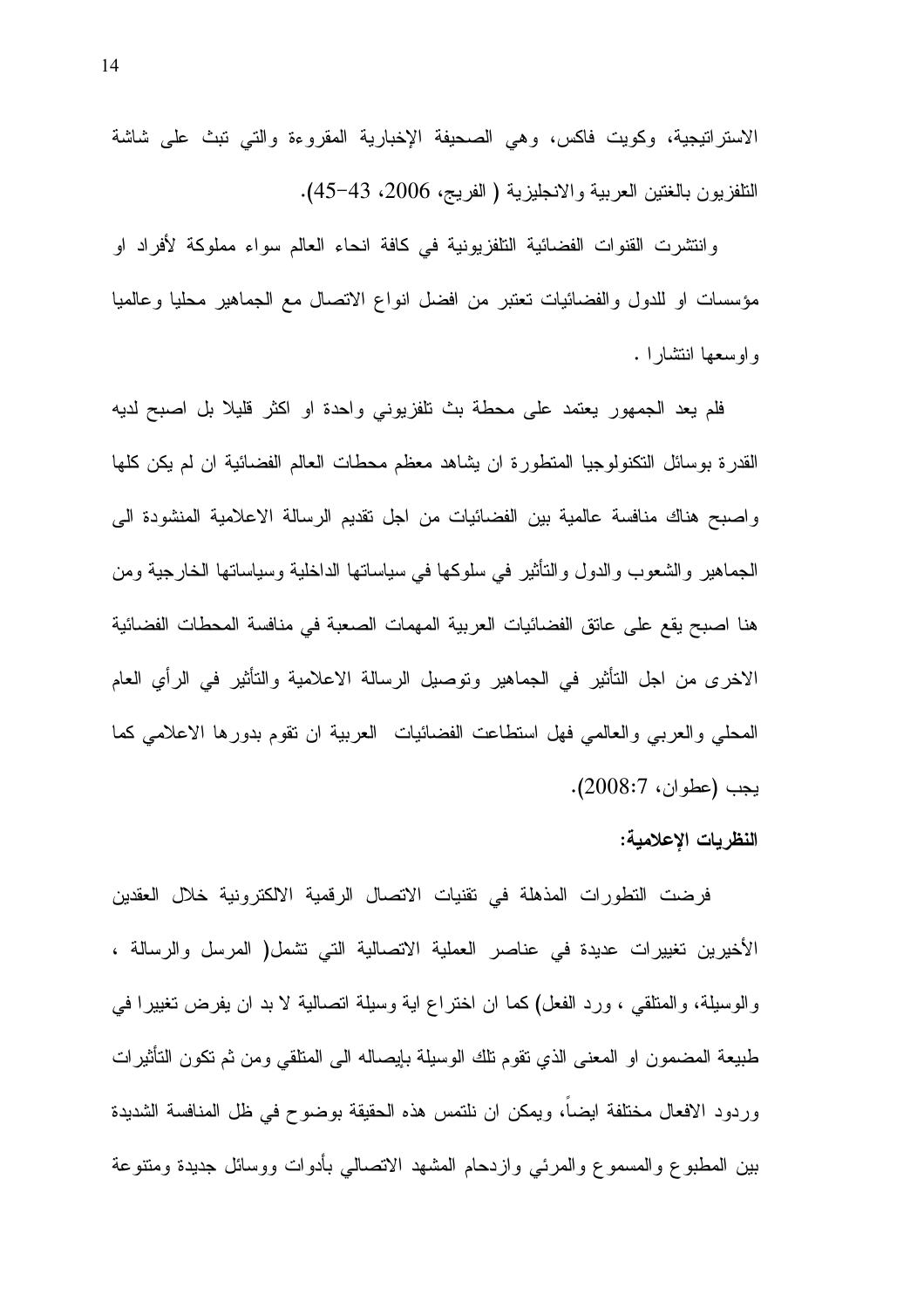الاستراتيجية، وكويت فاكس، وهي الصحيفة الإخبارية المقروءة والتي نبث على شاشة التلفزيون بالغتين العربية والانجليزية ( الفريج، 2006، 43–45).

و انتشرت القنوات الفضائية التلفزيونية في كافة انحاء العالم سواء مملوكة لأفراد او مؤسسات او للدول والفضائيات تعتبر من افضل انواع الاتصال مع الجماهير محليا وعالميا وإوسعها انتشارا .

فلم يعد الجمهور يعتمد على محطة بث نلفزيوني واحدة او اكثر قليلا بل اصبح لديه القدرة بوسائل التكنولوجيا المنطورة ان يشاهد معظم محطات العالم الفضائية ان لم يكن كلها واصبح هناك منافسة عالمية بين الفضائيات من اجل تقديم الرسالة الاعلامية المنشودة الى الجماهير والشعوب والدول والتأثير في سلوكها في سياساتها الداخلية وسياساتها الخارجية ومن هنا اصبح يقع على عاتق الفضائيات العربية المهمات الصعبة في منافسة المحطات الفضائية الاخر ي من اجل التأثير في الجماهير وتوصيل الرسالة الاعلامية والتأثير في الرأى العام المحلَّى والعربي والعالمي فهل استطاعت الفضائيات العربية ان نقوم بدورها الاعلامي كما يجب (عطوان، 2008:7).

#### النظريات الإعلامية:

فرضت النطورات المذهلة في نقنيات الاتصال الرقمية الالكترونية خلال العقدين الأخيرين تغييرات عديدة في عناصر العملية الاتصالية التي نشمل( المرسل والرسالة ، والوسيلة، والمتلقى ، ورد الفعل) كما ان اختراع اية وسيلة اتصالية لا بد ان يفرض تغييرا في طبيعة المضمون او المعنى الذي نقوم نلك الوسيلة بإيصاله الى المنلقى ومن ثم نكون النأثيرات وردود الافعال مختلفة ايضا، ويمكن ان نلتمس هذه الحقيقة بوضوح في ظل المنافسة الشديدة بين المطبوع والمسموع والمرئي وازدحام المشهد الاتصالي بأدوات ووسائل جديدة ومتنوعة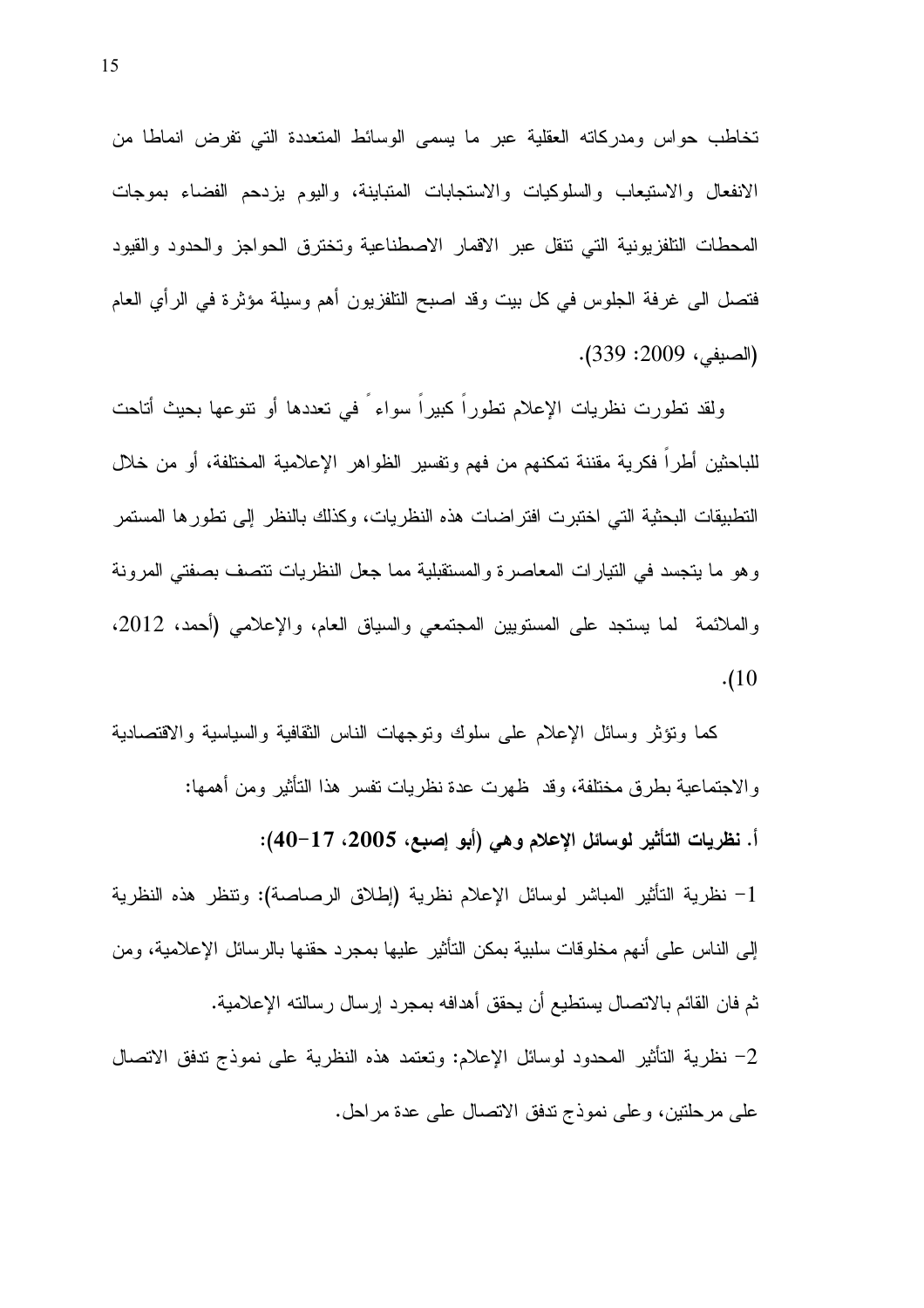تخاطب حواس ومدركاته العقلية عبر ما يسمى الوسائط المتعددة التبي تفرض انماطا من الانفعال والاستيعاب والسلوكيات والاستجابات المتباينة، واليوم يزدحم الفضاء بموجات المحطات النلفزيونية التي نتقل عبر الاقمار الاصطناعية وتخترق الحواجز والحدود والقيود فتصل الى غرفة الجلوس في كل بيت وقد اصبح التلفزيون أهم وسيلة مؤثرة في الرأى العام (الصيفي، 2009: 339).

ولقد تطورت نظريات الإعلام تطوراً كبيراً سواء ً في تعددها أو نتوعها بحيث أتاحت للباحثين أطراً فكرية مقننة تمكنهم من فهم وتفسير الظواهر الإعلامية المختلفة، أو من خلال التطبيقات البحثية التي اختبرت افتر اضات هذه النظريات، وكذلك بالنظر إلى تطور ها المستمر وهو ما يتجسد في النيارات المعاصرة والمستقبلية مما جعل النظريات نتصف بصفتي المرونة والملائمة ً لما يستجد على المستويين المجتمعي والسياق العام، والإعلامي (أحمد، 2012،  $(10)$ 

كما ونؤثر وسائل الإعلام على سلوك ونوجهات الناس الثقافية والسياسية والاقتصادية والاجتماعية بطرق مختلفة، وقد ظهرت عدة نظريات نفسر هذا النأثير ومن أهمها: أ. نظريات التأثير لوسائل الإعلام وهي (أبو إصبع، 2005، 17−40): 1– نظرية التأثير المباشر لوسائل الإعلام نظرية (إطلاق الرصاصة): وتنظر هذه النظرية إلى الناس على أنهم مخلوقات سلبية بمكن النأثير عليها بمجرد حقنها بالرسائل الإعلامية، ومن ثم فان القائم بالاتصال بستطيع أن يحقق أهدافه بمجرد إرسال رسالته الإعلامية. 2– نظرية التأثير المحدود لوسائل الإعلام: وتعتمد هذه النظرية على نموذج ندفق الاتصال على مرحلتين، وعلى نموذج ندفق الانصال على عدة مراحل.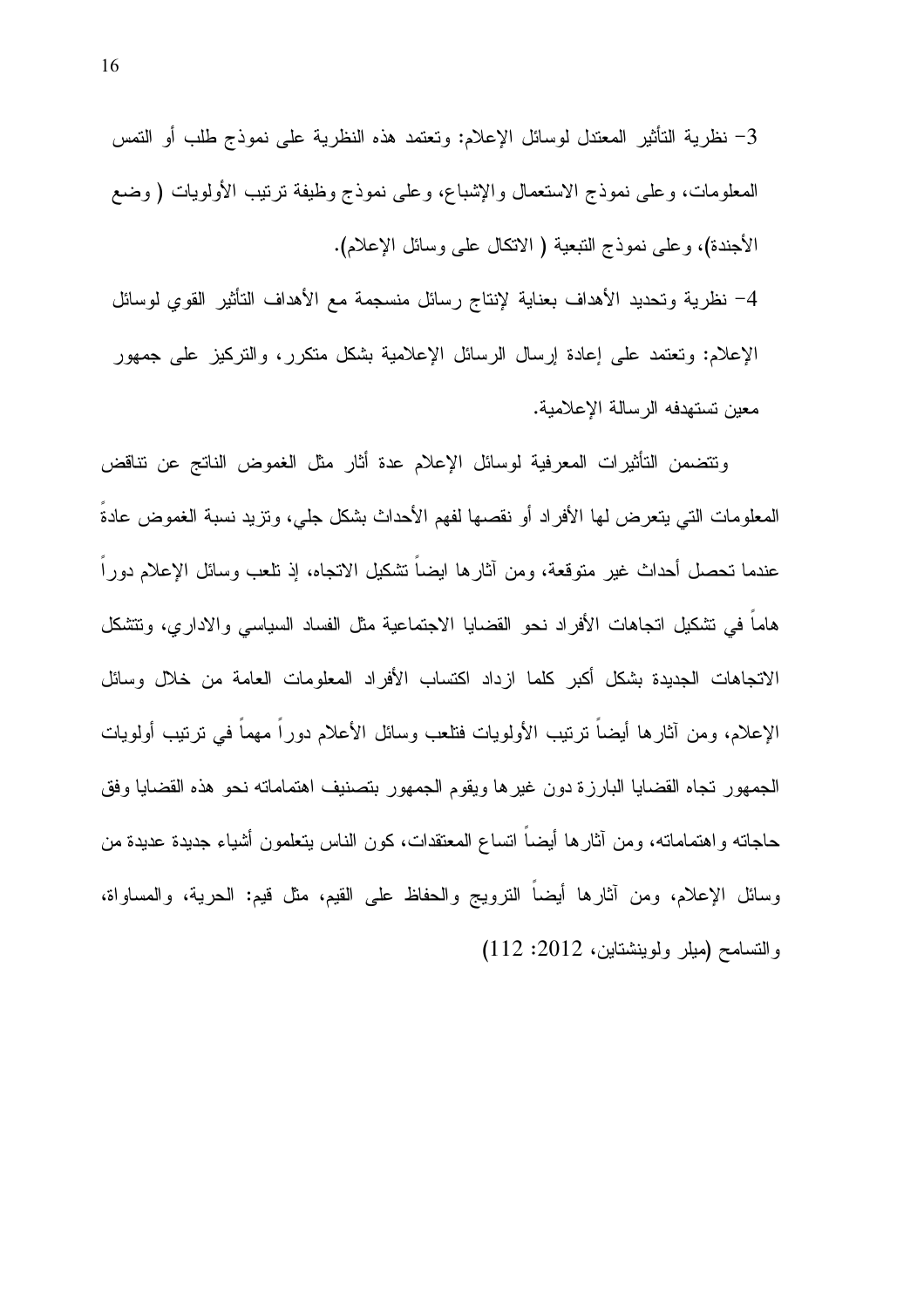خظرية التأثير المعتدل لوسائل الإعلام: وتعتمد هذه النظرية على نموذج طلب أو التمس " - " المعلومات، وعلى نموذج الاستعمال والإشباع، وعلى نموذج وظيفة نرنيب الأولويات ( وضع الأجندة)، وعلى نموذج النبعية ( الانكال على وسائل الإعلام). 4– نظرية وتحديد الأهداف بعناية لإنتاج رسائل منسجمة مع الأهداف التأثير القوي لوسائل

الإعلام: وتعتمد على إعادة إرسال الرسائل الإعلامية بشكل متكرر، والنركيز على جمهور

معين تستهدفه الرسالة الإعلامية.

ونتضمن التأثيرات المعرفية لوسائل الإعلام عدة أثار مثل الغموض الناتج عن نتاقض المعلومات التي يتعرض لمها الأفراد أو نقصها لفهم الأحداث بشكل جلي، ونزيد نسبة الغموض عادة عندما نحصل أحداث غير متوقعة، ومن أثارها ايضا نشكيل الانجاه، إذ نلعب وسائل الإعلام دورا هاما في تشكيل اتجاهات الأفراد نحو القضايا الاجتماعية مثل الفساد السياسي والاداري، وتتشكل الاتجاهات الجديدة بشكل أكبر كلما ازداد اكتساب الأفراد المعلومات العامة من خلال وسائل الإعلام، ومن أثارها أيضاً نرتيب الأولويات فتلعب وسائل الأعلام دوراً مهماً في نرتيب أولويات الجمهور تجاه القضايا البارزة دون غيرها ويقوم الجمهور بتصنيف اهتماماته نحو هذه القضايا وفق حاجاته واهتماماته، ومن أثارها أيضا انساع المعتقدات، كون الناس بنعلمون أشياء جديدة عديدة من وسائل الإعلام، ومن أثارها أيضاً النرويج والحفاظ على القيم، مثل قيم: الحرية، والمساواة، والتسامح (ميلر ولوينشتاين، 2012: 112)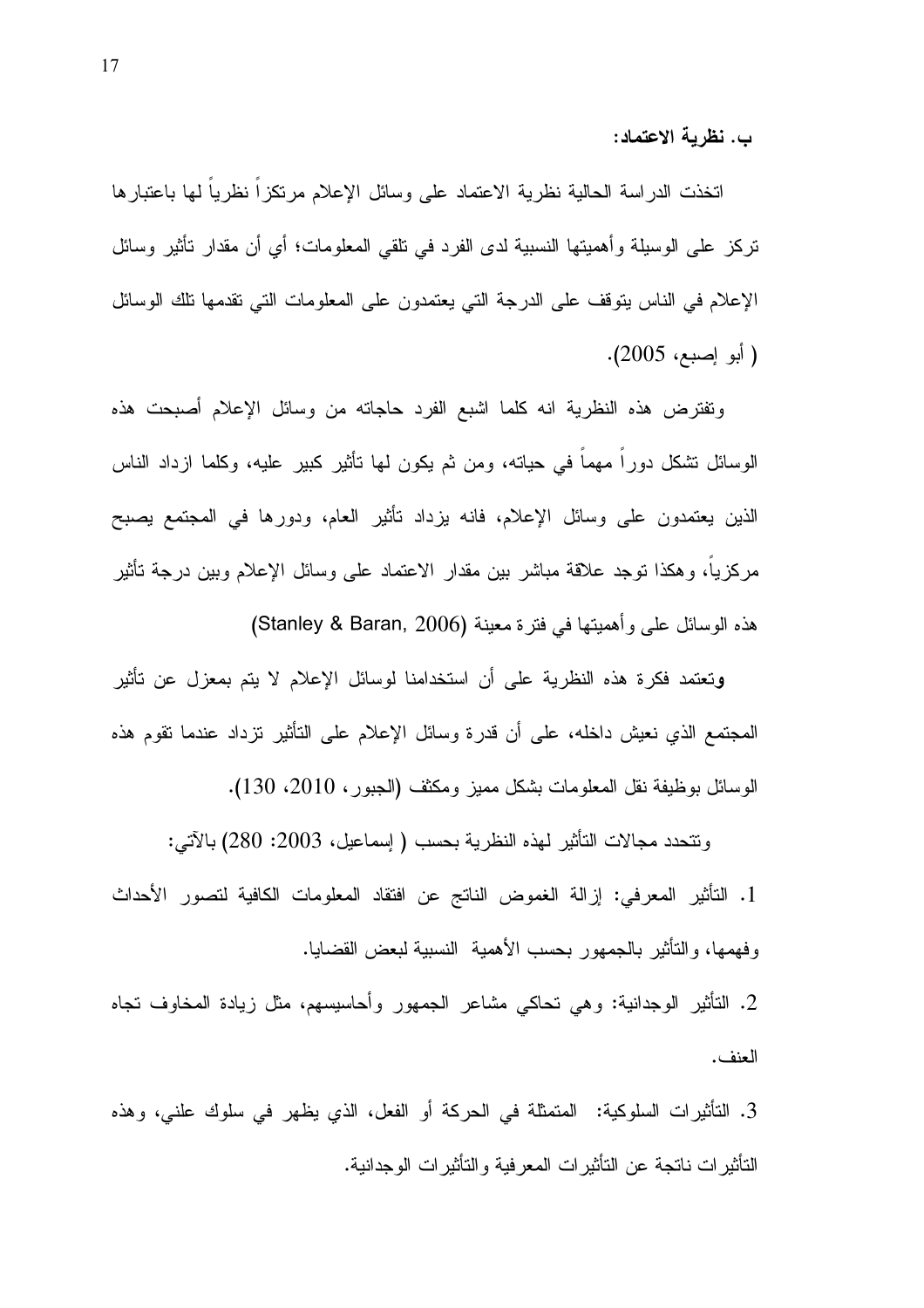ب. نظرية الاعتماد:

اتخذت الدراسة الحالية نظرية الاعتماد على وسائل الإعلام مرتكزاً نظرياً لمها باعتبارها تركز على الوسيلة وأهميتها النسبية لدى الفرد في نلقي المعلومات؛ أي أن مقدار نأثير وسائل الإعلام في الناس يتوقف على الدرجة التي يعتمدون على المعلومات التي تقدمها نلك الوسائل ( أبو إصبع، 2005).

وتفترض هذه النظرية انه كلما اشبع الفرد حاجاته من وسائل الإعلام أصبحت هذه الوسائل نشكل دورًا مهما في حيانه، ومن ثم يكون لمها نأثير كبير عليه، وكلما ازداد الناس الذين يعتمدون على وسائل الإعلام، فانه بزداد نأثير العام، ودورها في المجتمع بصبح مركزيا، وهكذا توجد علاقة مباشر بين مقدار الاعتماد على وسائل الإعلام وبين درجة تأثير هذه الوسائل على وأهميتها في فنرة معينة (Stanley & Baran, 2006)

ونعتمد فكرة هذه النظرية على أن استخدامنا لوسائل الإعلام لا يتم بمعزل عن تأثير المحتمع الذي نعيش داخله، على أن قدرة وسائل الإعلام على التأثير نزداد عندما نقوم هذه الوسائل بوظيفة نقل المعلومات بشكل مميز ومكثف (الجبور، 2010، 130).

ونتحدد مجالات التأثير لمهذه النظرية بحسب ( إسماعيل، 2003: 280) بالآتي: 1. التأثير المعرفي: إزالة الغموض الناتج عن افتقاد المعلومات الكافية لتصور الأحداث وفهمها، والتأثير بالجمهور بحسب الأهمية النسبية لبعض القضايا. 2. التأثير الوجدانية: وهي تحاكي مشاعر الجمهور وأحاسيسهم، مثل زيادة المخاوف تجاه

العنف.

3. التأثيرات السلوكية: المتمثلة في الحركة أو الفعل، الذي يظهر في سلوك علني، وهذه الناثيرات ناتجة عن الناثيرات المعرفية والناثيرات الوجدانية.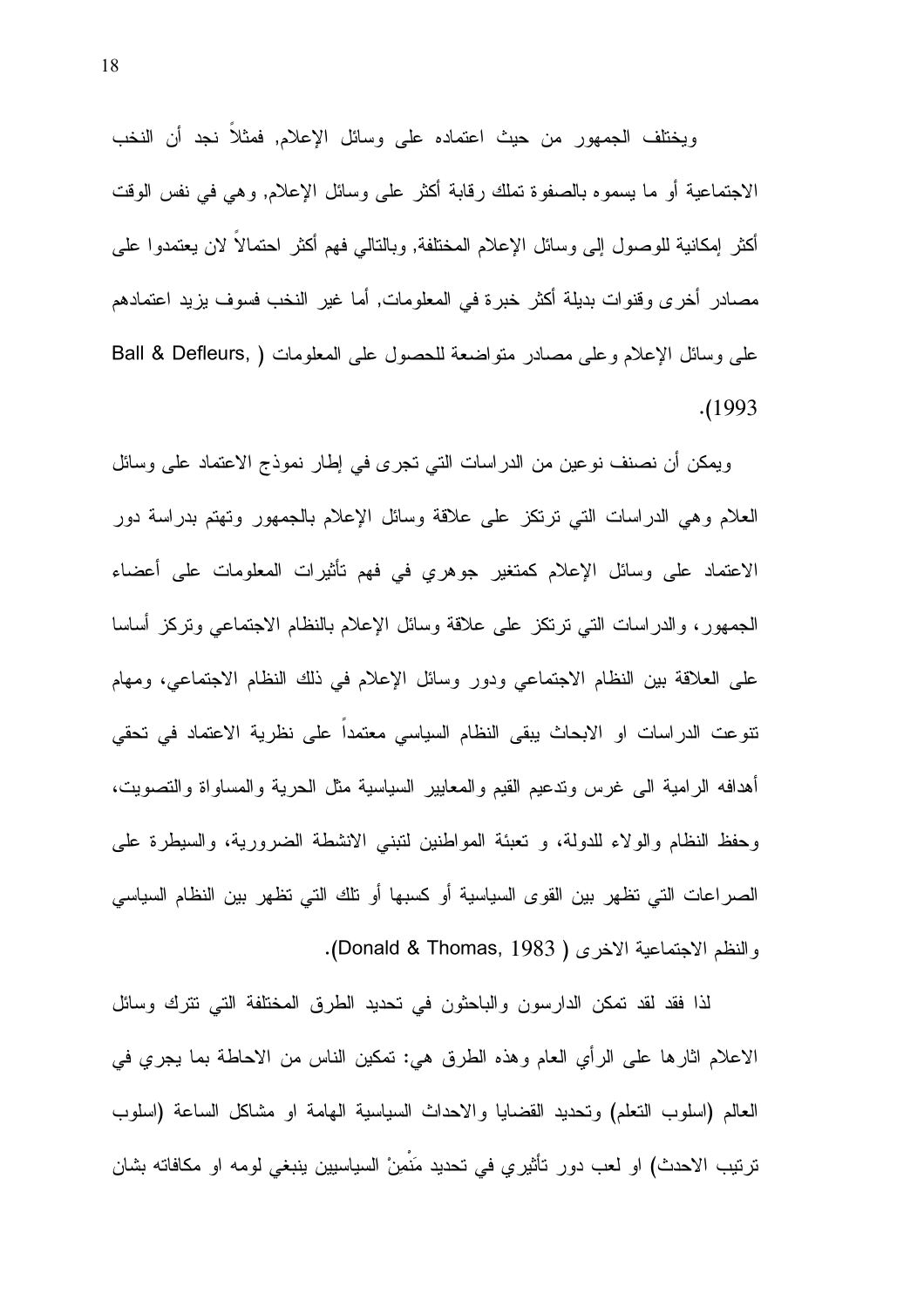ويختلف الجمهور من حيث اعتماده على وسائل الإعلام, فمثلا نجد أن النخب الاجتماعية أو ما يسموه بالصفوة تملك رقابة أكثر على وسائل الإعلام, وهي في نفس الوقت أكثر ۖ إمكانية للوصول إلى وسائل الإعلام المختلفة, وبالتالي فهم أكثر احتمالاً لان يعتمدوا على مصـادر أخرى وقنوات بديلة أكثر خبرة في المعلومات, أما غير النخب فسوف يزيد اعتمادهم على وسائل الإعلام وعلى مصادر منواضعة للحصول على المعلومات ( ,Ball & Defleurs  $. (1993)$ 

ويمكن أن نصنف نوعين من الدراسات التي تجرى في إطار نموذج الاعتماد على وسائل العلام وهي الدراسات التي نرنكز على علاقة وسائل الإعلام بالجمهور وتهتم بدراسة دور الاعتماد على وسائل الإعلام كمتغير جوهري في فهم تأثيرات المعلومات على أعضاء الجمهور، والدراسات النبي نرنكز على علاقة وسائل الإعلام بالنظام الاجتماعي ونركز أساسا على العلاقة بين النظام الاجتماعي ودور وسائل الإعلام في ذلك النظام الاجتماعي، ومهام نتوعت الدراسات او الابحاث ببقى النظام السياسي معتمدا على نظرية الاعتماد في تحقى أهدافه الرامية الى غرس وندعيم القيم والمعابير السياسية مثل الحرية والمساواة والنصويت، وحفظ النظام والولاء للدولة، و تعبئة المواطنين لتبني الانشطة الضرورية، والسيطرة على الصر اعات التي تظهر بين القوى السياسية أو كسبها أو تلك التي تظهر بين النظام السياسي والنظم الاجتماعية الاخرى ( Donald & Thomas, 1983).

لذا فقد لقد تمكن الدارسون والباحثون في تحديد الطرق المختلفة التي نترك وسائل الاعلام اثارها على الرأي العام وهذه الطرق هي: تمكين الناس من الاحاطة بما يجري في العالم (اسلوب النعلم) ونحديد القضايا والاحداث السياسية الهامة او مشاكل الساعة (اسلوب تربّيب الاحدث) او لعب دور تأثيري في تحديد مَنْمِنْ السياسيين ينبغي لومه او مكافاته بشان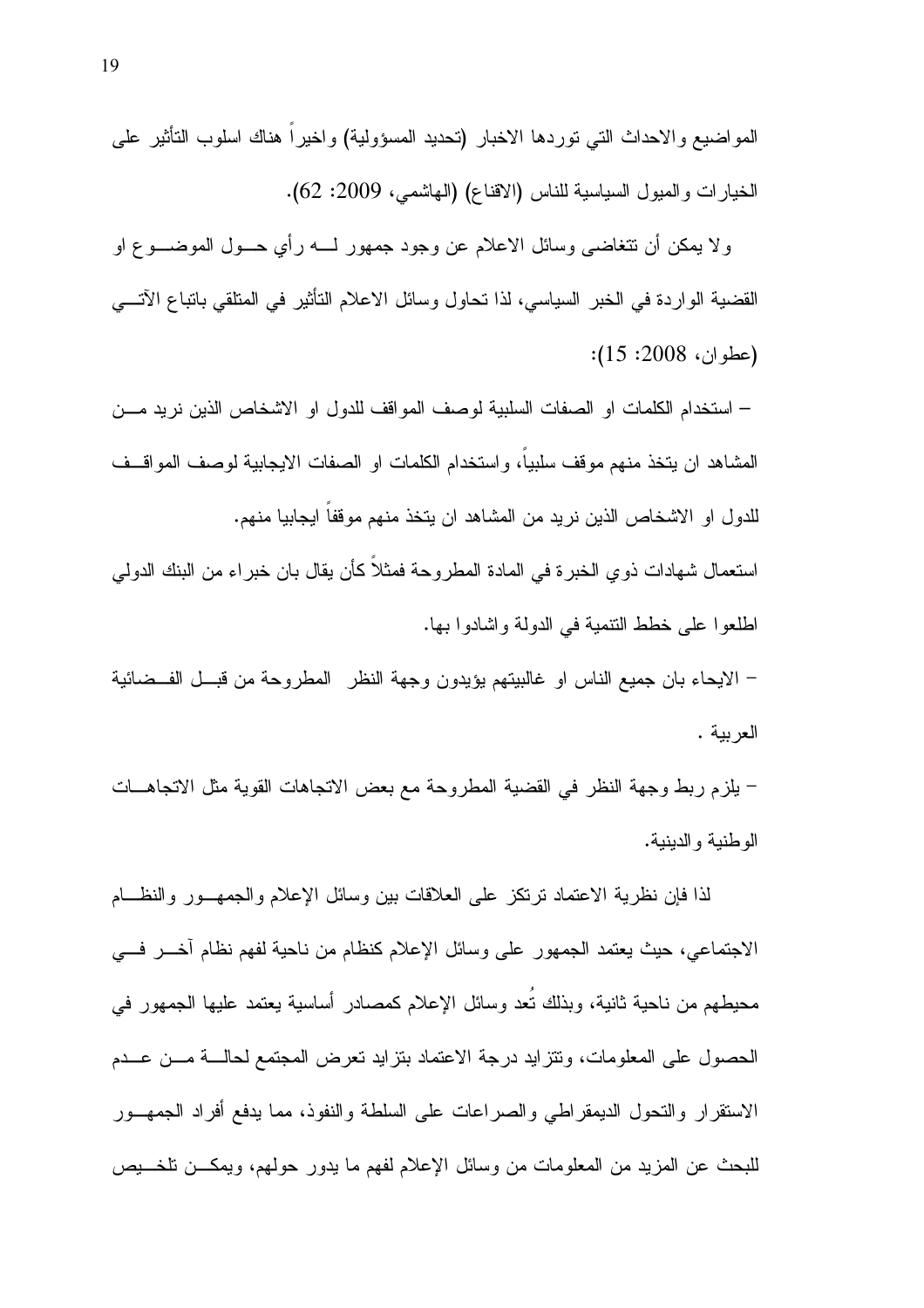المواضيع والاحداث النبي نوردها الاخبار (نحديد المسؤولية) واخيرا هناك اسلوب النأثير علىي الخيارات والمبول السياسية للناس (الاقناع) (الـهاشمـي، 2009: 62).

ولا يمكن أن نتغاضبي وسائل الاعلام عن وجود جمهور لـــــه رأي حــــول الموضـــــو ع او القضية الواردة في الخبر السياسي، لذا تحاول وسائل الاعلام التأثير في المتلقى باتباع الآتـــي  $(15:2008:1)$ :

– استخدام الكلمات او الصفات السلبية لوصف المواقف للدول او الاشخاص الذين نريد مـــن المشاهد ان يتخذ منهم موقف سلبيا، واستخدام الكلمات او الصفات الايجابية لوصف المواقــف للدول او الاشخاص الذين نريد من المشاهد ان يتخذ منهم موقفا ايجابيا منهم.

استعمال شهادات ذوي الخبرة في المادة المطروحة فمثلاً كأن يقال بان خبراء من البنك الدولمى اطلعوا على خطط النتمية في الدولة واشادوا بها.

– الايحاء بان جميع الناس او غالبيتهم يؤيدون وجهة النظر المطروحة من قبــل الفــضائية العربية .

– يلزم ربط وجهة النظر في القضية المطروحة مع بعض الاتجاهات القوية مثل الاتجاهـــات الو طنبة و الدبنبة.

لذا فإن نظرية الاعتماد نرتكز على العلاقات بين وسائل الإعلام والجمهــور والنظـــام الاجتماعي، حيث يعتمد الجمهور على وسائل الإعلام كنظام من ناحية لفهم نظام أخــــر فــــي محبطهم من ناحية ثانية، وبذلك نعد وسائل الإعلام كمصادر أساسية يعتمد عليها الجمهور في الحصول على المعلومات، ونتزايد درجة الاعتماد بنزايد نعرض المجتمع لحالـــة مـــن عـــدم الاستقرار والتحول الديمقراطي والصراعات على السلطة والنفوذ، مما يدفع أفراد الجمهـــور للبحث عن المزيد من المعلومات من وسائل الإعلام لفهم ما يدور حولهم، ويمكـــن نلخــــيص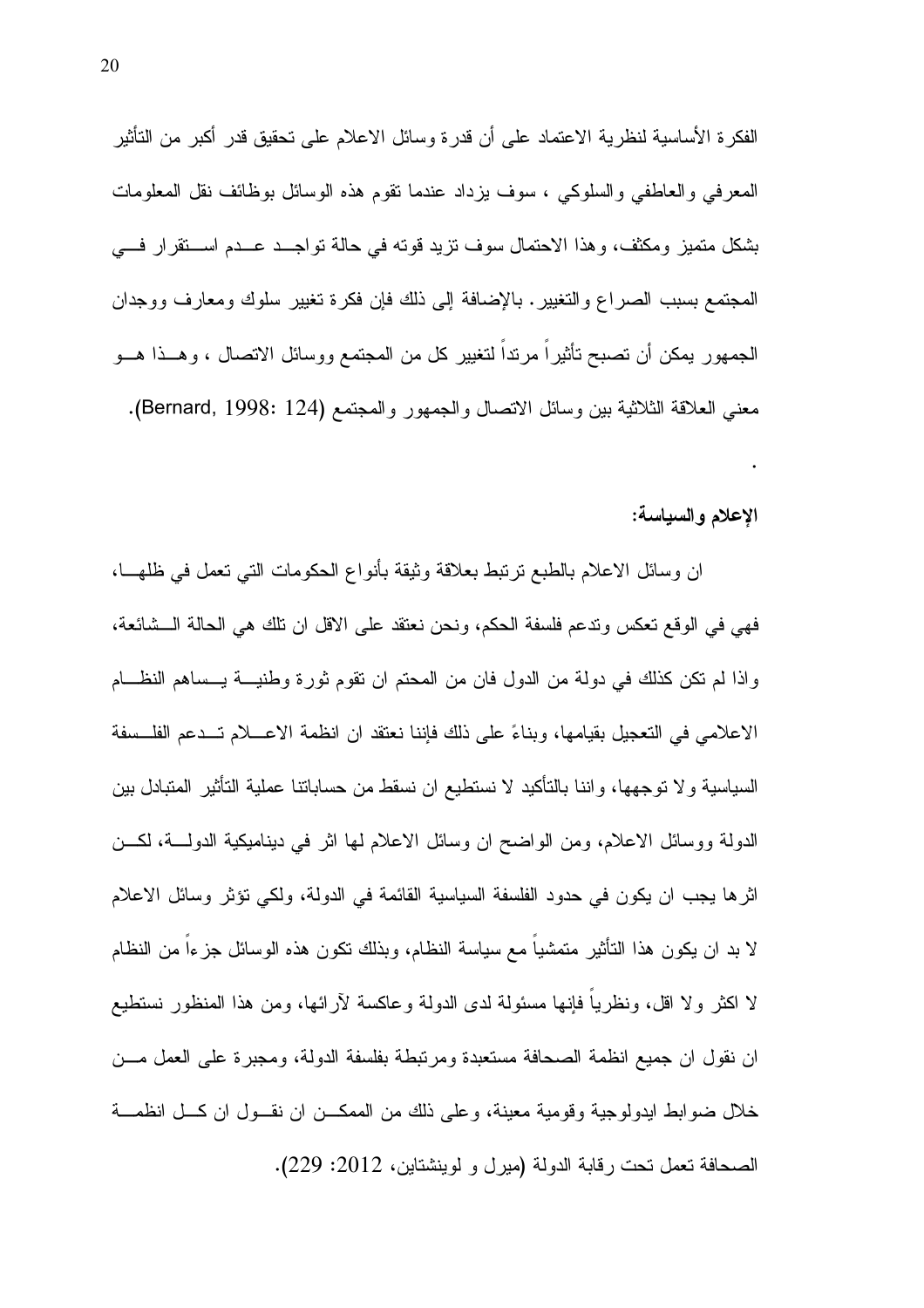الفكرة الأساسية لنظرية الاعتماد على أن قدرة وسائل الاعلام على تحقيق قدر أكبر من التأثير المعرفي والعاطفي والسلوكي ، سوف بزداد عندما نقوم هذه الوسائل بوظائف نقل المعلومات بشكل متميز ومكثف، وهذا الاحتمال سوف نزيد قوته في حالة تواجــد عــدم اســـنقرار فـــي المجتمع بسبب الصراع والتغيير . بالإضافة إلى ذلك فإن فكرة تغيير سلوك ومعارف ووجدان الجمهور بمكن أن تصبح تأثيراً مرنداً لتغيير كل من المجتمع ووسائل الاتصال ، وهــذا هـــو معنى العلاقة الثلاثية بين وسائل الاتصال والجمهور والمجتمع (Bernard, 1998: 124).

#### الإعلام والسياسة:

 $\ddot{\phantom{0}}$ 

ان وسائل الاعلام بالطبع ترتبط بعلاقة وثيقة بأنواع الحكومات التي تعمل في ظلهـــا، فهي في الوقع نعكس وندعم فلسفة الحكم، ونحن نعتقد على الاقل ان نلك هي الحالة الــشائعة، واذا لم نكن كذلك في دولة من الدول فان من المحتم ان تقوم ثورة وطنيـــة يـــساهم النظـــام الإعلامي في التعجيل بقيامها، وبناءً على ذلك فإننا نعتقد ان انظمة الإعسلام تسدعم الفلسسفة السياسية ولا نوجهها، واننا بالتأكيد لا نستطيع ان نسقط من حساباننا عملية النأثير المتبادل بين الدولة ووسائل الاعلام، ومن الواضح ان وسائل الاعلام لها اثر في ديناميكية الدولــــة، لكــــن اثر ها يجب ان يكون في حدود الفلسفة السياسية القائمة في الدولة، ولكي تؤثِّر وسائل الإعلام لا بد ان يكون هذا التأثير متمشيا مع سياسة النظام، وبذلك نكون هذه الوسائل جزءا من النظام لا اكثر ولا اقل، ونظريا فإنها مسئولة لدى الدولة وعاكسة لأرائها، ومن هذا المنظور نستطيع ان نقول ان جميع انظمة الصحافة مستعبدة ومرتبطة بفلسفة الدولة، ومجبرة على العمل مـــن خلال ضوابط ايدولوجية وقومية معينة، وعلى ذلك من الممكــن ان نقــول ان كــل انظمـــة الصحافة تعمل تحت رقابة الدولة (ميرل و لوينشتاين، 2012: 229).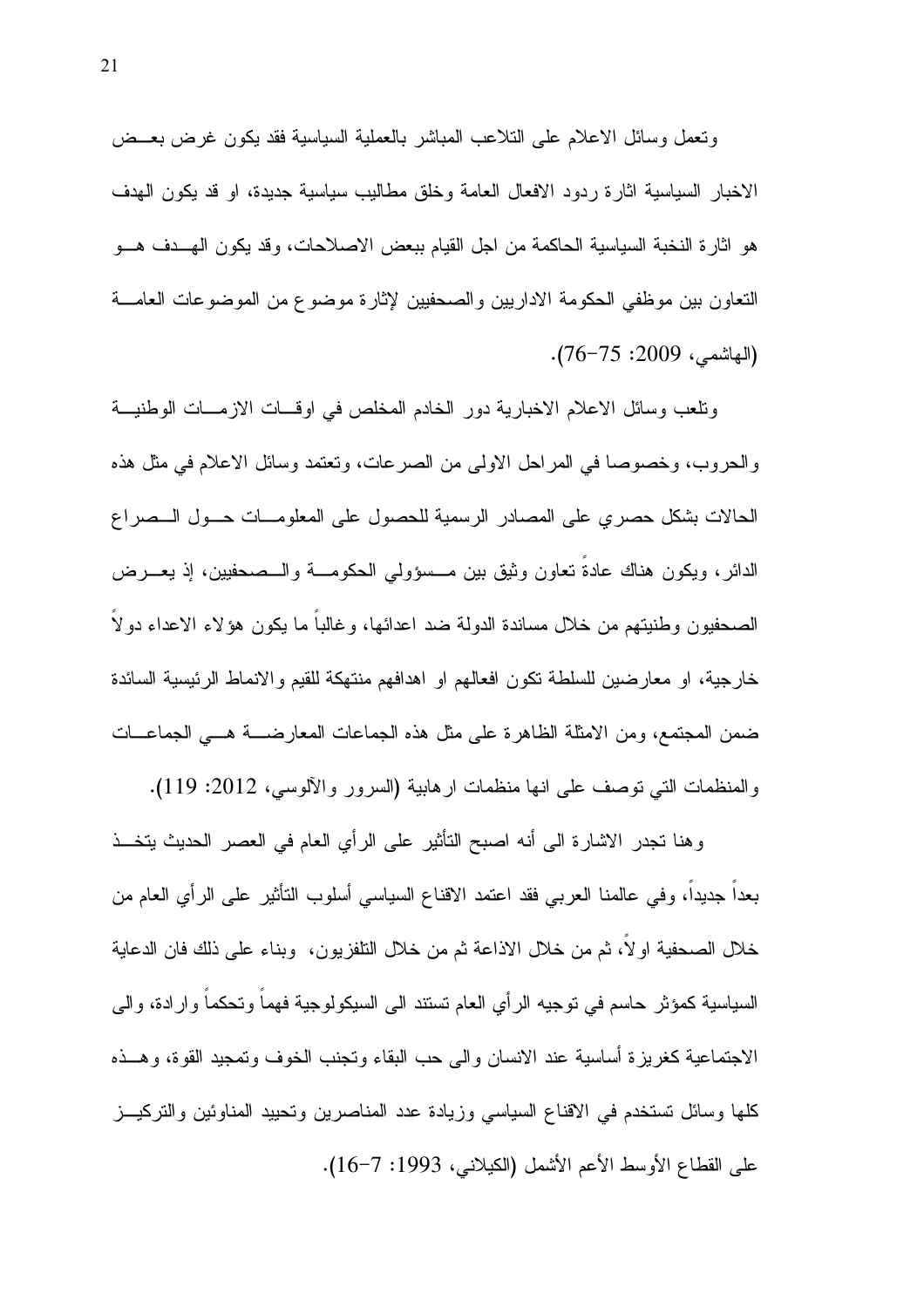ونعمل وسائل الاعلام علىي النلاعب المباشر بالعملية السياسية فقد يكون غرض بعــض الاخبار السياسية اثارة ردود الافعال العامة وخلق مطاليب سياسية جديدة، او قد يكون الهدف هو اثار ة النخبة السياسية الحاكمة من اجل القيام ببعض الاصلاحات، وقد يكون الهـــدف هـــو التعاون بين موظفى الحكومة الاداريين والصحفيين لإثارة موضوع من الموضوعات العامـــة (المهاشمي، 2009: 75-76).

ونلعب وسائل الاعلام الاخبارية دور الخادم المخلص في اوقــات الازمـــات الوطنيـــة والحروب، وخصوصاً في المراحل الاولى من الصرعات، ونعتمد وسائل الاعلام في مثل هذه الحالات بشكل حصر ي على المصادر الرسمية للحصول على المعلومـــات حـــول الـــصر اع الدائر ، ويكون هناك عادة تعاون وثيق بين مـــسؤولي الحكومـــة والـــصـحفيين، إذ يعــــرض الصحفيون وطنيتهم من خلال مساندة الدولة ضد اعدائها، وغالبًا ما يكون هؤلاء الاعداء دولًا خارجية، او معارضين للسلطة نكون افعالهم او اهدافهم منتهكة للقيم والانماط الرئيسية السائدة ضمن المجتمع، ومن الامثلة الظاهرة على مثل هذه الجماعات المعارضــــة هـــي الجماعـــات والمنظمات التي نوصف على انها منظمات ارهابية (السرور والألوسي، 2012: 119).

وهنا تجدر الاشارة الى أنه اصبح التأثير على الرأي العام في العصر الحديث يتخــذ بعدا جديدا، وفي عالمنا العربي فقد اعتمد الاقناع السياسي أسلوب النأثير على الرأي العام من خلال الصحفية اولا، ثم من خلال الاذاعة ثم من خلال النلفزيون، وبناء على ذلك فان الدعاية السياسية كمؤثر حاسم في نوجيه الرأى العام نستند الى السيكولوجية فهما ونحكما وارادة، والى الاجتماعية كغريزة أساسية عند الانسان والبي حب البقاء وتجنب الخوف وتمجيد القوة، وهــذه كلَّها وسائل تستخدم في الاقناع السياسي وزيادة عدد المناصرين وتحييد المناوئين والتركيــز على القطاع الأوسط الأعم الأشمل (الكيلاني، 1993: 7-16).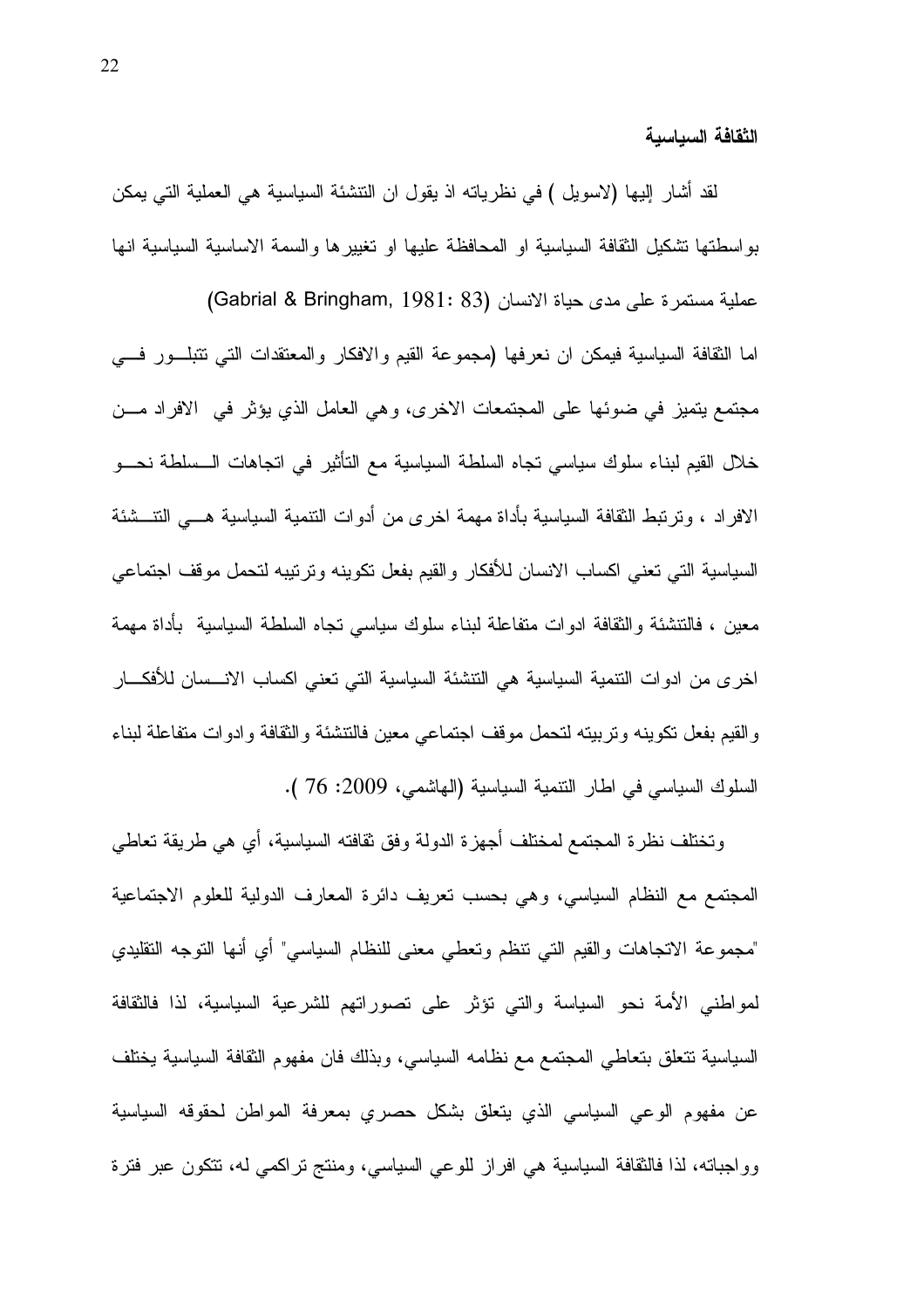الثقافة السباسبة

لقد أشار إليها (لاسويل ) في نظرياته اذ يقول ان النتشئة السياسية هي العملية التي يمكن بو اسطتها تشكيل الثقافة السياسية او المحافظة عليها او تغيير ها والسمة الاساسية السياسية انها عملية مستمرة على مدى حياة الانسان (Gabrial & Bringham, 1981: 83) اما الثقافة السياسية فيمكن ان نعرفها (مجموعة القيم والافكار والمعتقدات التبي نتبلـــور فــــي مجتمع يتميز في ضوئها على المجتمعات الاخرى، وهي العامل الذي يؤثر في الافراد مــن خلال القيم لبناء سلوك سياسي نجاه السلطة السياسية مع التأثير في انجاهات الـــسلطة نحـــو الافر اد ، و تر تبط الثقافة السياسية بأداة مهمة اخر ي من أدوات التنمية السياسية هــــى التنـــشئة السياسية التي تعني اكساب الانسان للأفكار والقيم بفعل تكوينه وترتيبه لتحمل موقف اجتماعي معين ، فالتتشئة والثقافة ادوات متفاعلة لبناء سلوك سياسي نجاه السلطة السياسية بأداة مهمة اخر ي من ادوات النتمية السياسية هي النتشئة السياسية التي تعني اكساب الانـــسان للأفكــــار والقيم بفعل نكوينه وترببيته لتحمل موقف اجتماعي معين فالتتشئة والثقافة وادوات متفاعلة لبناء السلوك السياسي في اطار النتمية السياسية (الهاشمي، 2009: 76 ).

وتختلف نظرة المجتمع لمختلف أجهزة الدولة وفق ثقافته السياسية، أي هي طريقة تعاطى المجتمع مع النظام السياسي، وهي بحسب نعريف دائرة المعارف الدولية للعلوم الاجتماعية "مجموعة الاتجاهات والقيم التي نتظم وتعطي معنى للنظام السياسي" أي أنها التوجه النقليدي لمواطني الأمة نحو السياسة والتي نؤثر على نصوراتهم للشرعية السياسية، لذا فالنقافة السياسية تتعلق بتعاطى المجتمع مع نظامه السياسي، وبذلك فان مفهوم الثقافة السياسية يختلف عن مفهوم الوعي السياسي الذي يتعلق بشكل حصري بمعرفة المواطن لحقوقه السياسية وواجباته، لذا فالثقافة السياسية هي افراز للوعي السياسي، ومنتج تراكمي له، تتكون عبر فترة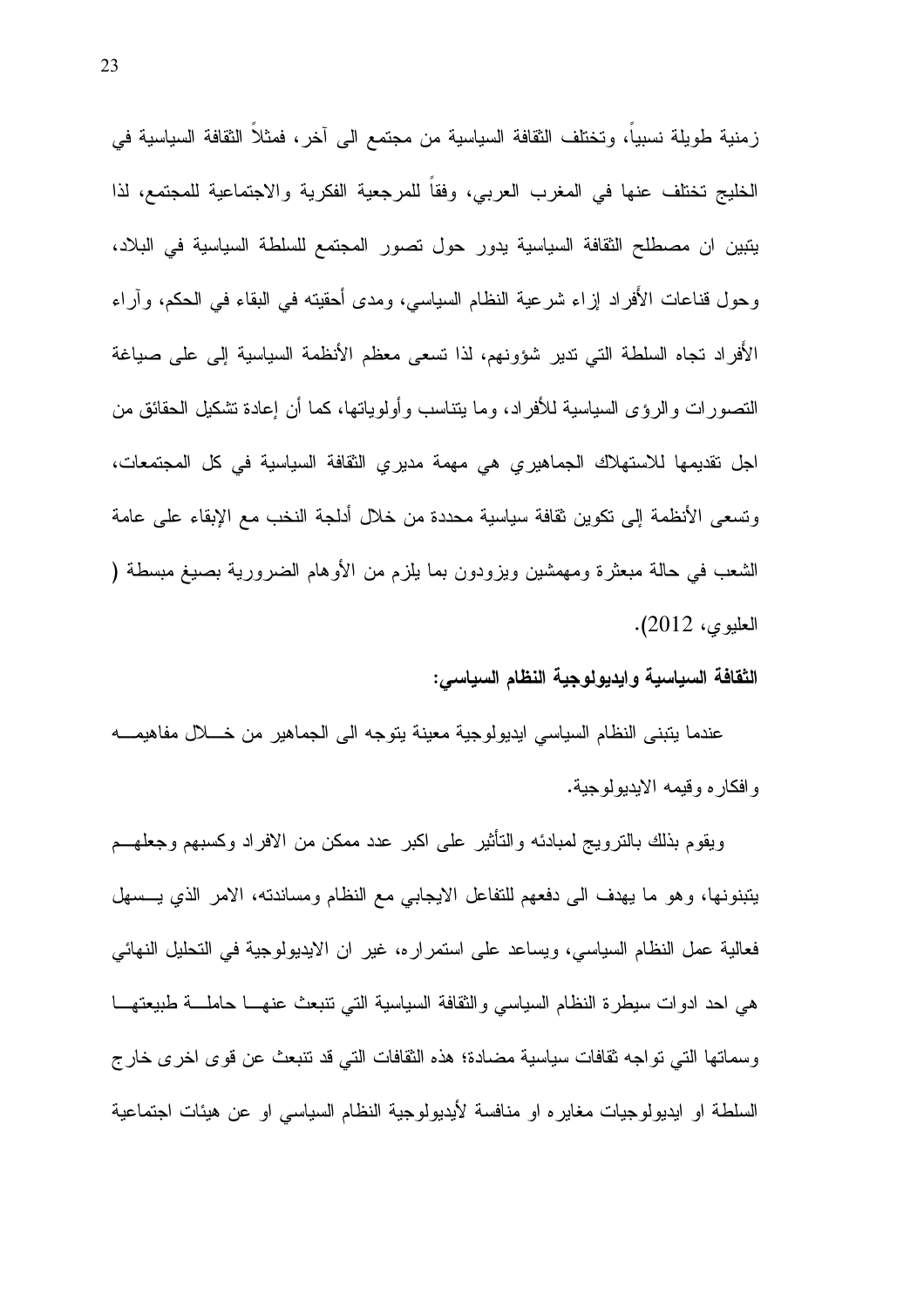زمنية طويلة نسبياً، وتختلف الثقافة السياسية من مجتمع الى آخر، فمثلاً الثقافة السياسية في الخليج تختلف عنها في المغرب العربي، وفقا للمرجعية الفكرية والاجتماعية للمجتمع، لذا يتبين ان مصطلح الثقافة السياسية يدور حول تصور المجتمع للسلطة السياسية في البلاد، وحول قناعات الأفراد إزاء شرعية النظام السياسي، ومدى أحقيته في البقاء في الحكم، وآراء الأفراد تجاه السلطة التي تدير شؤونهم، لذا تسعى معظم الأنظمة السياسية إلى على صياغة النصورات والرؤى السياسية للأفراد، وما يتناسب وأولوياتها، كما أن إعادة تشكيل الحقائق من اجل نقديمها للاستهلاك الجماهيري هي مهمة مديري النقافة السياسية في كل المجتمعات، وتسعى الأنظمة إلى نكوين ثقافة سياسية محددة من خلال أدلجة النخب مع الإبقاء على عامة الشعب في حالة مبعثرة ومهمشين ويزودون بما يلزم من الأوهام الضرورية بصيغ مبسطة ( العليوي، 2012).

الثقافة السياسية وايديولوجية النظام السياسي:

عندما يتبنى النظام السياسي ايديولوجية معينة يتوجه الىي الجماهير من خــــلال مفاهيمــــه و افكار م و قيمه الإبدبو لو جية.

ويقوم بذلك بالنزويج لمبادئه والنأنثير على اكبر عدد ممكن من الافراد وكسبهم وجعلهــم يتبنونها، وهو ما يهدف الى دفعهم للتفاعل الايجابي مع النظام ومساندته، الامر الذي يـــسهل فعالية عمل النظام السياسي، ويساعد على استمراره، غير ان الايديولوجية في التحليل النهائي هي احد ادوات سيطرة النظام السياسي والثقافة السياسية التي نتبعث عنهــا حاملـــة طبيعتهـــا وسماتها التي تواجه نقافات سياسية مضادة؛ هذه النقافات التي قد تتبعث عن قوى اخرى خارج السلطة او ايديولوجيات مغايره او منافسة لأيديولوجية النظام السياسي او عن هيئات اجتماعية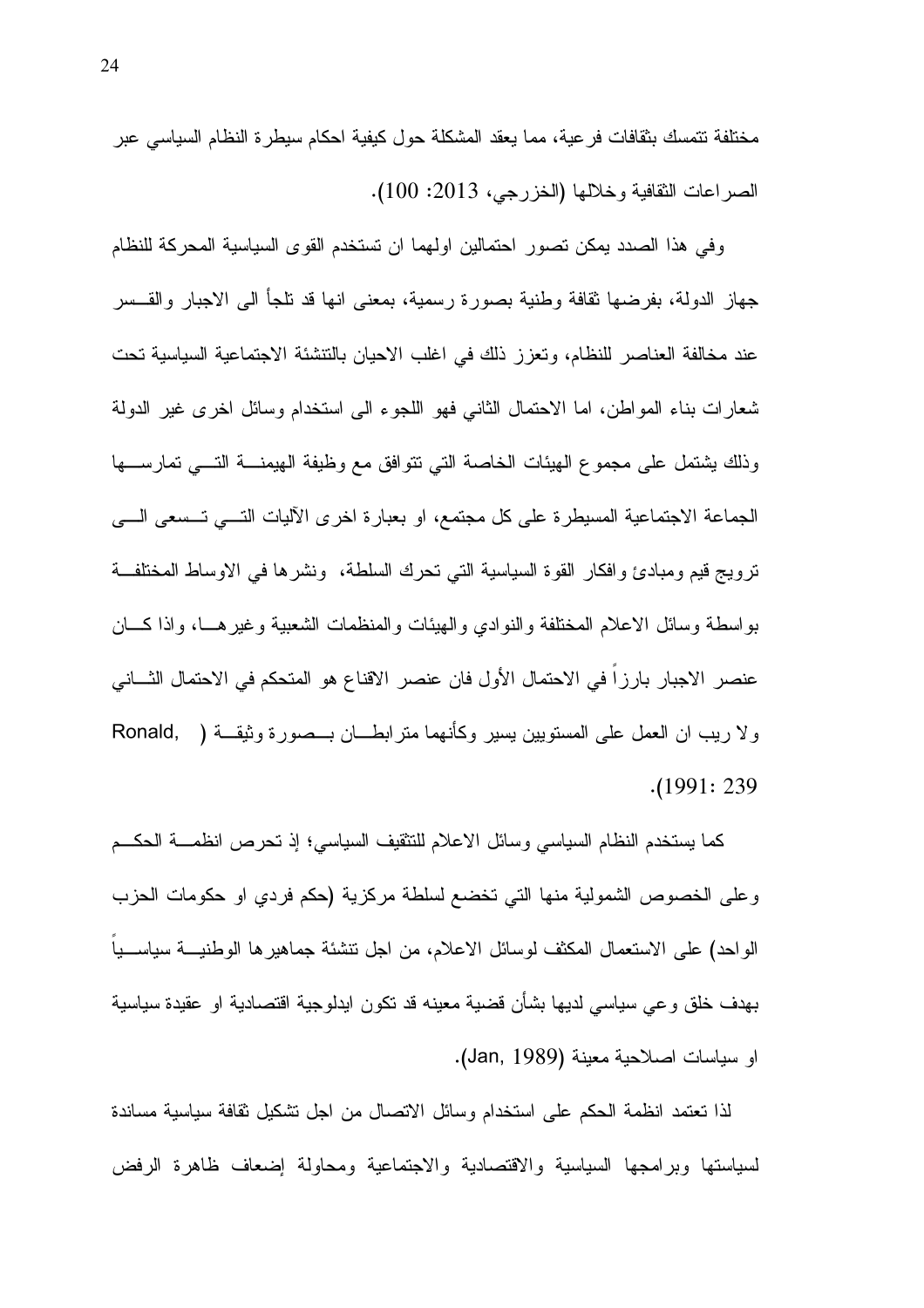مختلفة نتمسك بثقافات فرعية، مما يعقد المشكلة حول كيفية احكام سيطرة النظام السياسي عبر الصراعات الثقافية وخلالها (الخزرجي، 2013: 100).

و في هذا الصدد يمكن تصور ِ احتمالين اولهما ان تستخدم القوى السياسية المحركة للنظام جهاز الدولة، بفرضها نقافة وطنية بصورة رسمية، بمعنى انها قد نلجأ الى الاجبار والقـــسر عند مخالفة العناصر للنظام، وتعزز ذلك في اغلب الاحيان بالنتشئة الاجتماعية السياسية تحت شعارات بناء المواطن، اما الاحتمال الثاني فهو اللجوء الى استخدام وسائل اخرى غير الدولة وذلك بشتمل على مجموع الهيئات الخاصة التي نتوافق مع وظيفة الهيمنــــة التــــى تمارســــها الجماعة الاجتماعية المسيطرة على كل مجتمع، او بعبارة اخرى الآليات التسى تـــسعى الــــي ترويج قيم ومبادئ وافكار القوة السياسية التي تحرك السلطة، ونشرها في الاوساط المختلفة بواسطة وسائل الاعلام المختلفة والنوادي والهيئات والمنظمات الشعبية وغيرهـــا، واذا كــــان عنصر الاجبار بارزاً في الاحتمال الأول فان عنصر الاقناع هو المتحكم في الاحتمال الثـــاني ولا ريب ان العمل على المستويين يسير وكأنهما متر ابطـــان بـــصورة وثيقـــة ( Ronald, )  $. (1991: 239)$ 

كما يستخدم النظام السياسي وسائل الاعلام للتثقيف السياسي؛ إذ تحرص انظمـــة الحكـــم وعلى الخصوص الشمولية منها التي تخضع لسلطة مركزية (حكم فردي او حكومات الحزب الواحد) على الاستعمال المكثف لوسائل الاعلام، من اجل نتشئة جماهيرها الوطنيـــة سياســـياً بـهدف خلق و عـي سياسـي لديـها بشأن قضـيـة مـعينـه قد تكون ايدلوجيـة اقتصـاديـة او عقيدة سياسية او سياسات اصلاحية معينة (Jan, 1989).

لذا نعتمد انظمة الحكم على استخدام وسائل الاتصال من اجل نشكيل ثقافة سياسية مساندة لسياستها وبرامجها السياسية والاقتصادية والاجتماعية ومحاولة إضعاف ظاهرة الرفض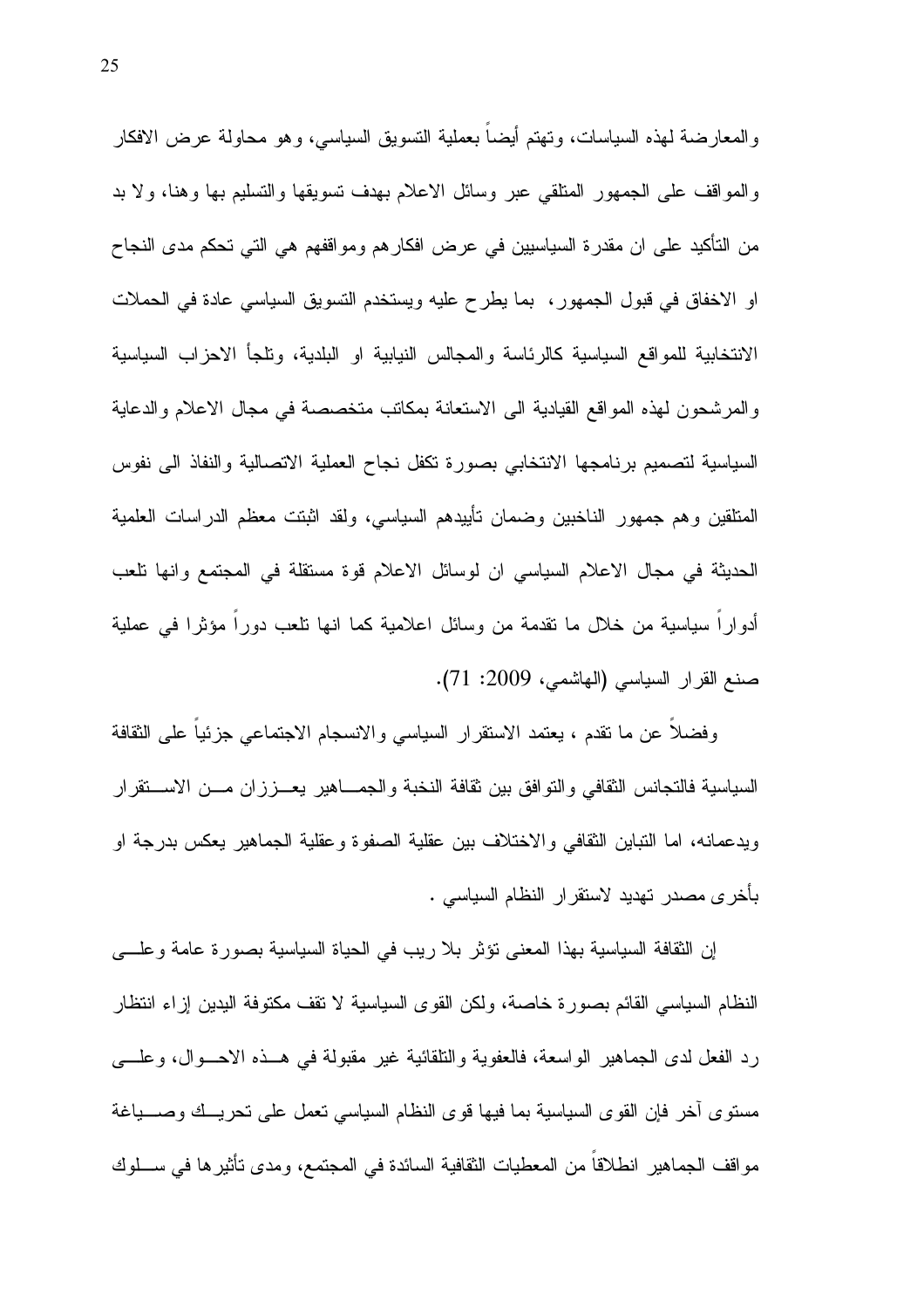والمعارضة لهذه السياسات، ونهتم أيضاً بعملية النسويق السياسي، وهو محاولة عرض الافكار والمواقف على الجمهور المتلقى عبر وسائل الاعلام بهدف نسويقها والتسليم بها وهنا، ولا بد من التأكيد على ان مقدرة السياسيين في عرض افكار هم ومواقفهم هي التي تحكم مدى النجاح او الاخفاق في قبول الجمهور، بما يطرح عليه ويستخدم النسويق السياسي عادة في الحملات الانتخابية للمواقع السياسية كالرئاسة والمجالس النيابية او البلدية، وتلجأ الاحزاب السياسية والمرشحون لهذه المواقع القيادية الى الاستعانة بمكانب متخصصة في مجال الاعلام والدعاية السياسية لتصميم برنامجها الانتخابي بصورة نكفل نجاح العملية الاتصالية والنفاذ الىي نفوس المتلقين وهم جمهور الناخبين وضمان تأييدهم السياسي، ولقد انْبِتت معظم الدر اسات العلمية الحديثة في مجال الاعلام السياسي ان لوسائل الاعلام قوة مستقلة في المجتمع وانها نلعب أدوارا سياسية من خلال ما نقدمة من وسائل اعلامية كما انها نلعب دورا مؤثرا في عملية صنع القرار السياسي (المهاشمي، 2009: 71).

وفضلا عن ما نقدم ، يعتمد الاستقرار السياسي والانسجام الاجتماعي جزئيا على الثقافة السياسية فالتجانس الثقافي والنوافق بين ثقافة النخبة والجمـــاهير يعـــززان مـــن الاســــتقرار ويدعمانه، اما النباين الثقافي والاختلاف بين عقلية الصفوة وعقلية الجماهير يعكس بدرجة او بأخر ي مصدر تهديد لاستقرار النظام السياسي .

إن الثقافة السياسية بهذا المعنى نؤثر بلا ريب في الحياة السياسية بصورة عامة وعلـــي النظام السياسي القائم بصورة خاصة، ولكن القوى السياسية لا نقف مكتوفة البدين إزاء انتظار رد الفعل لدى الجماهير الواسعة، فالعفوية والنلقائية غير مقبولة في هــذه الاحـــوال، وعلــــي مستوى آخر فإن القوى السياسية بما فيها قوى النظام السياسي نعمل على نحريــك وصــــباغة مو اقف الجماهير ِ انطلاقاً من المعطيات الثقافية السائدة في المجتمع، و مدى تأثير ها في ســـلو ك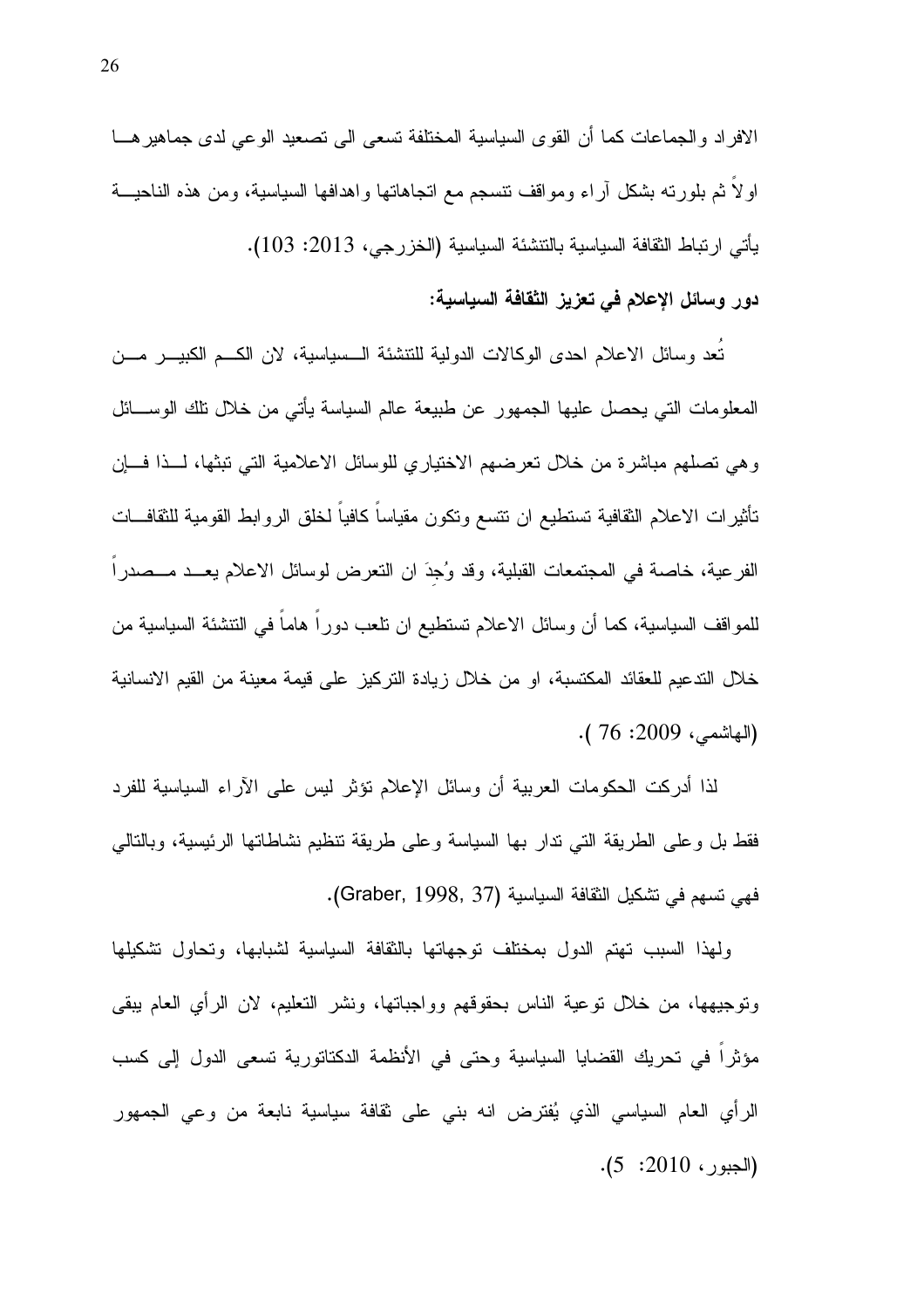الافراد والجماعات كما أن القوى السياسية المختلفة تسعى الى تصعيد الوعي لدى جماهير هـــا اولاً ثم بلورته بشكل اراء ومواقف نتسجم مع انجاهاتها واهدافها السياسية، ومن هذه الناحيـــة يأتي ارتباط الثقافة السياسية بالتتشئة السياسية (الخزرجي، 2013: 103).

### دور وسائل الإعلام في تعزيز الثقافة السياسية:

تُعد وسائل الاعلام احدى الوكالات الدولية للتتشئة الــسياسية، لان الكــم الكبيــــر مــــن المعلومات التي يحصل عليها الجمهور عن طبيعة عالم السياسة يأتي من خلال نلك الوســـائل وهي نصلهم مباشرة من خلال نعرضهم الاختياري للوسائل الاعلامية التي نبثها، لـــذا فـــان نأثيرات الاعلام الثقافية تستطيع ان نتسع ونكون مقياساً كافياً لخلق الروابط القومية للثقافـــات الفرعية، خاصة في المجتمعات القبلية، وقد وُجِدَ ان النعرض لوسائل الاعلام يعــد مــصدر ا للمواقف السياسية، كما أن وسائل الاعلام تستطيع ان نلعب دورًا هاما في النتشئة السياسية من خلال الندعيم للعقائد المكتسبة، او من خلال زيادة التركيز على قيمة معينة من القيم الانسانية (المهاشمي، 2009: 76 ).

لذا أدركت الحكومات العربية أن وسائل الإعلام نؤثر ليس على الآراء السياسية للفرد فقط بل وعلى الطريقة التي ندار بها السياسة وعلى طريقة نتظيم نشاطاتها الرئيسية، وبالنالي فهي تسهم في تشكيل الثقافة السياسية (Graber, 1998, 37).

ولهذا السبب تهتم الدول بمختلف توجهاتها بالثقافة السياسية لشبابها، وتحاول تشكيلها وتوجيهها، من خلال توعية الناس بحقوقهم وواجباتها، ونشر التعليم، لان الرأي العام ببقى مؤثرًا في تحريك القضايا السياسية وحتى في الأنظمة الدكتاتورية تسعى الدول إلى كسب الرأى العام السياسي الذي يُفترض انه بنبي على نقافة سياسية نابعة من وعي الجمهور  $(5:2010:5)$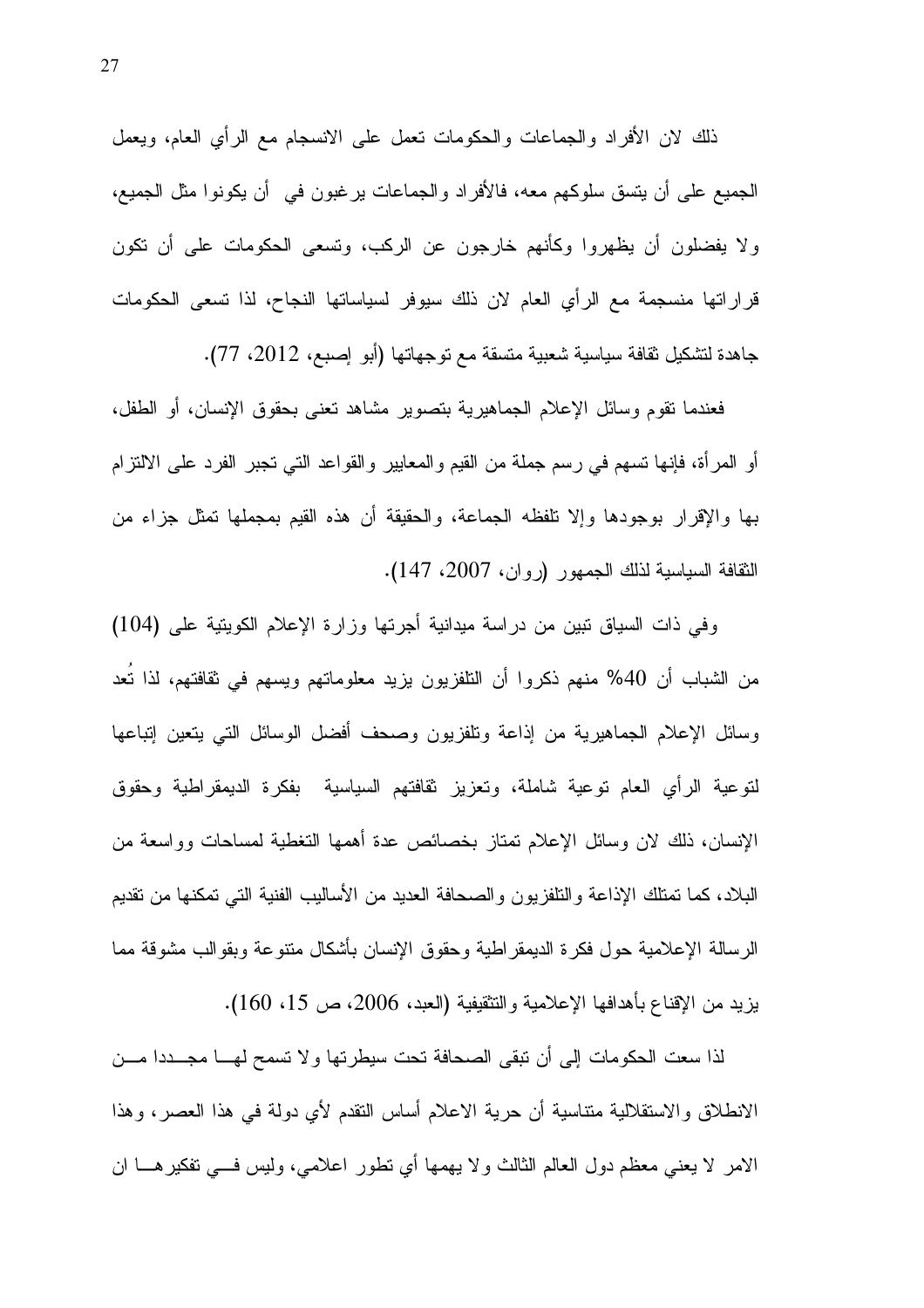ذلك لان الأفراد والجماعات والحكومات نعمل على الانسجام مع الرأي العام، ويعمل الجميع على أن يتسق سلوكهم معه، فالأفراد والجماعات يرغبون في ۖ أن يكونوا مثل الجميع، ولا يفضلون أن يظهروا وكأنهم خارجون عن الركب، وتسعى الحكومات على أن تكون قراراتها منسجمة مع الرأى العام لان ذلك سيوفر لسياساتها النجاح، لذا تسعى الحكومات جاهدة لتشكيل ثقافة سياسية شعبية متسقة مع توجهاتها (أبو إصبع، 2012، 77).

فعندما نقوم وسائل الإعلام الجماهيرية بتصوير مشاهد نعنى بحقوق الإنسان، أو الطفل، أو المرأة، فإنها نسهم في رسم جملة من القيم والمعايير والقواعد التي نـجبر الفرد علـي الالتزام بها والإقرار بوجودها وإلا نلفظه الجماعة، والحقيقة أن هذه القيم بمجملها تمثل جزاء من الثقافة السياسية لذلك الجمهور (روان، 2007، 147).

وفي ذات السياق نبين من دراسة ميدانية أجرتها وزارة الإعلام الكوينية على (104) من الشباب أن 40% منهم ذكروا أن النلفزيون يزيد معلوماتهم ويسهم في ثقافتهم، لذا تُعد وسائل الإعلام الجماهيرية من إذاعة ونلفزيون وصحف أفضل الوسائل التبي يتعين إنباعها لنوعية الرأى العام نوعية شاملة، ونعزيز نقافتهم السياسية بفكرة الديمقراطية وحقوق الإنسان، ذلك لان وسائل الإعلام نمتاز بخصائص عدة أهمها النغطية لمساحات وواسعة من البلاد، كما تمتلك الإذاعة والتلفزيون والصحافة العديد من الأساليب الفنية التي تمكنها من تقديم الرسالة الإعلامية حول فكرة الديمقراطية وحقوق الإنسان بأشكال متنوعة وبقوالب مشوقة مما بزيد من الإقناع بأهدافها الإعلامية والتثقيفية (العبد، 2006، ص 15، 160).

لذا سعت الحكومات إلى أن تبقى الصحافة تحت سيطرتها ولا تسمح لهـــا مجـــددا مـــن الانطلاق والاستقلالية متناسية أن حرية الاعلام أساس النقدم لأى دولة في هذا العصر، وهذا الامر لا يعني معظم دول العالم الثالث و لا يهمها أي نطور اعلامي، وليس في نفكير هـــا ان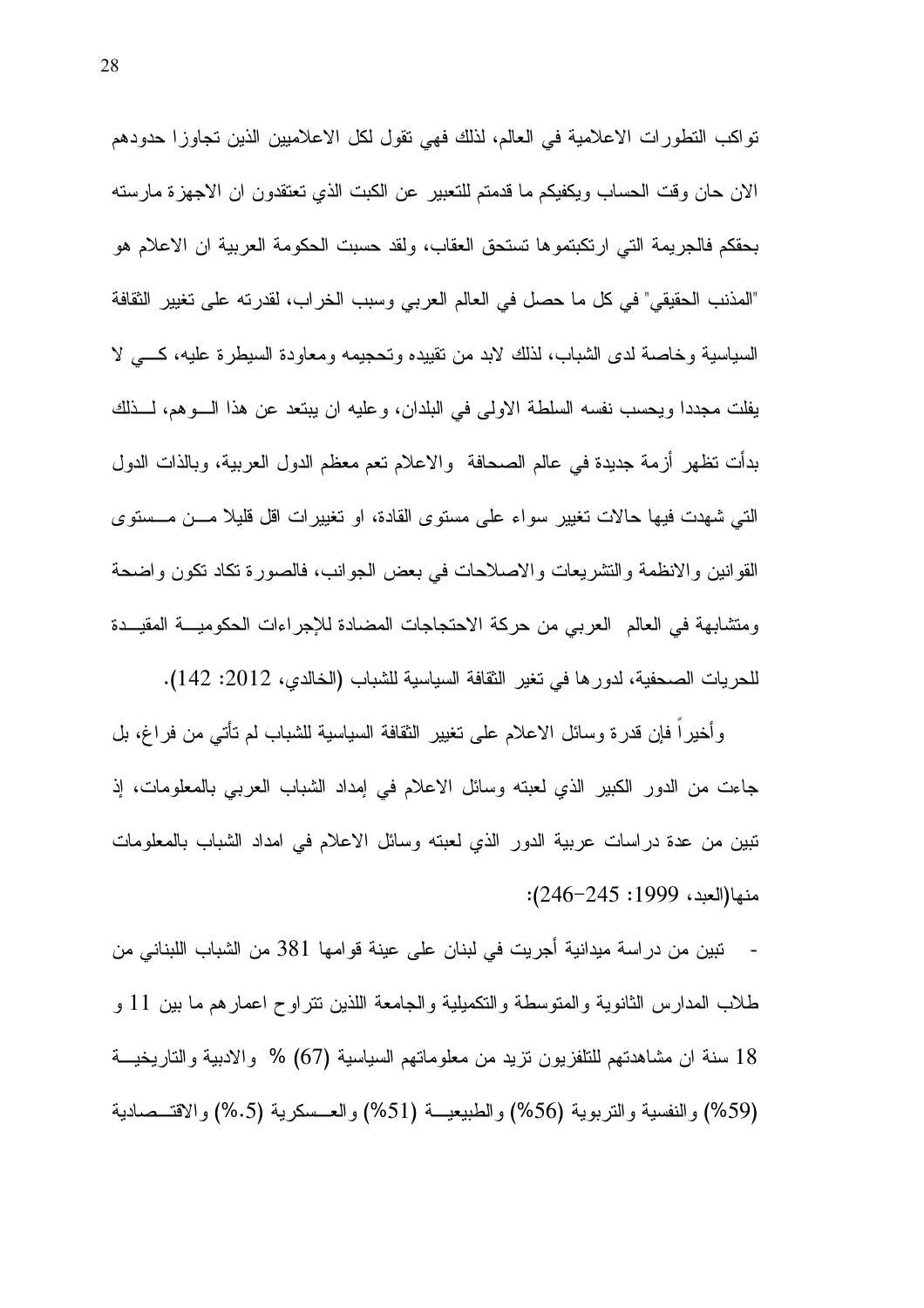نواكب النطورات الاعلامية في العالم، لذلك فهي نقول لكل الاعلاميين الذين تجاوزا حدودهم الان حان وقت الحساب ويكفيكم ما قدمتم للتعبير عن الكبت الذي تعتقدون ان الاجهزة مارسته بحقكم فالجريمة التي ارتكبتموها تستحق العقاب، ولقد حسبت الحكومة العربية ان الاعلام هو "المذنب الحقيقي" في كل ما حصل في العالم العربي وسبب الخراب، لقدرته على تغيير الثقافة السياسية وخاصة لدى الشباب، لذلك لابد من تقييده وتحجيمه ومعاودة السيطرة عليه، كسى لا يفلت مجددًا ويحسب نفسه السلطة الاولى في البلدان، وعليه ان يبتعد عن هذا الـــوهم، لـــذلك بدأت نظهر أزمة جديدة في عالم الصحافة ۖ والاعلام نعم معظم الدول العربية، وبالذات الدول التي شهدت فيها حالات تغيير سواء على مستوى القادة، او تغيير ات اقل قليلا مـــن مـــستوى القوانين والانظمة والتشريعات والاصلاحات في بعض الجوانب، فالصورة تكاد نكون واضحة ومتشابهة في العالم العربي من حركة الاحتجاجات المضادة للإجراءات الحكوميـــة المقيـــدة للحريات الصحفية، لدورها في تغير الثقافة السياسية للشباب (الخالدي، 2012: 142).

وأُخيرًا فإن قدرة وسائل الاعلام على تغيير الثقافة السياسية للشباب لم تأتي من فراغ، بل جاءت من الدور الكبير الذي لعبته وسائل الاعلام في امداد الشباب العربي بالمعلومات، إذ نبين من عدة دراسات عربية الدور الذي لعبته وسائل الاعلام في امداد الشباب بالمعلومات منها(العبد، 1999: 245–246):

- تبين من در اسة ميدانية أجريت في لبنان على عينة قوامها 381 من الشباب اللبناني من طلاب المدارس الثانوية والمنوسطة والنكميلية والجامعة اللذين نتراوح اعمارهم ما بين 11 و 18 سنة ان مشاهدتهم للتلفزيون نزيد من معلوماتهم السياسية (67) % والادبية والتاريخيـــة (59%) والنفسية والتربوية (56%) والطبيعيـــة (51%) والعـــسكرية (6.5%) والاقتـــصـادية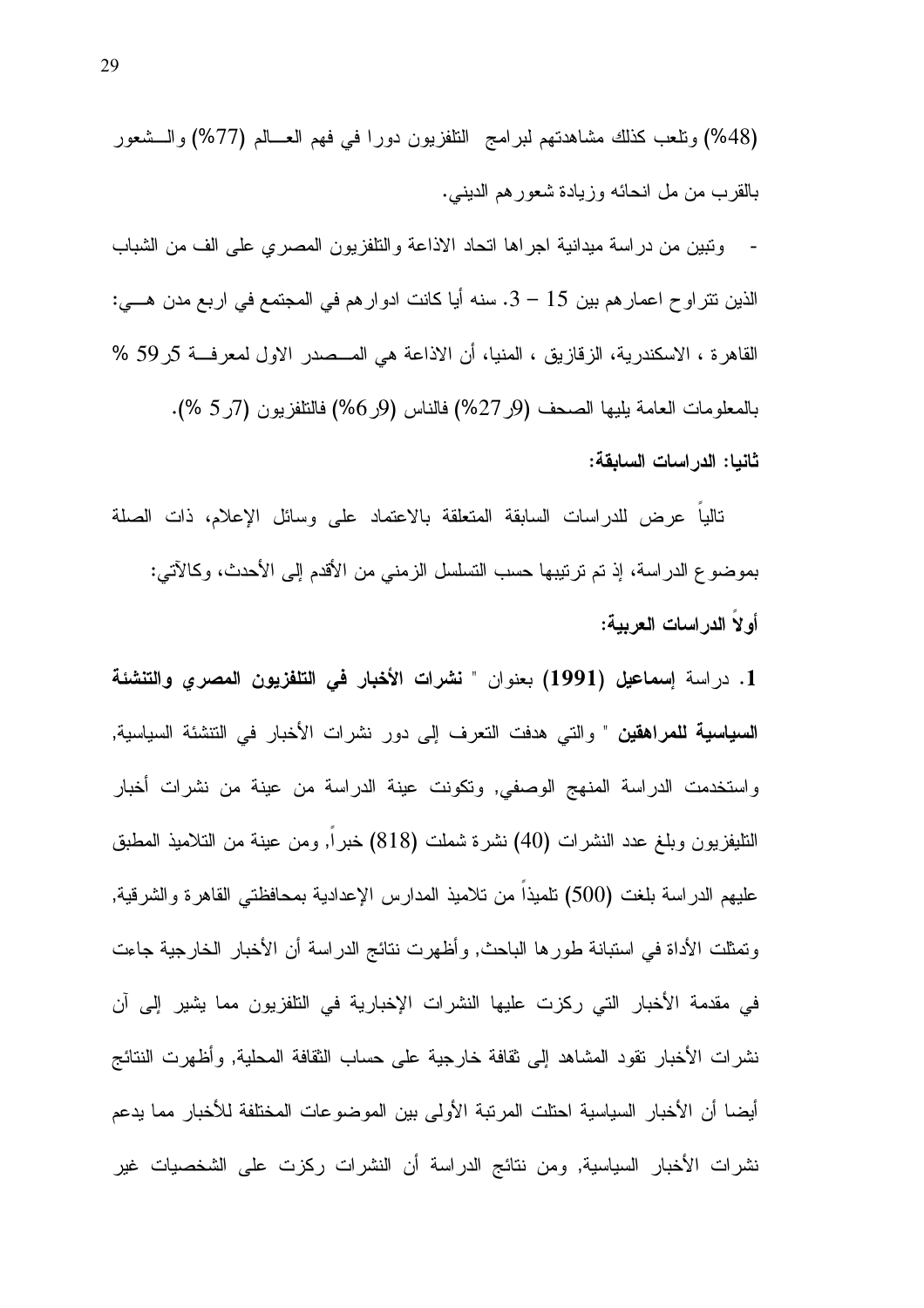(48%) ونلعب كذلك مشاهدتهم لبرامج النلفزيون دورا في فهم العـــالم (77%) والـــشعور بالقرب من مل انحائه وزيادة شعورهم الدينبي.

ونبين من دراسة ميدانية اجراها اتحاد الاذاعة والتلفزيون المصري على الف من الشباب الذين نتر او ح اعمار هم بين 15 – 3. سنه أيا كانت ادوار هم في المجتمع في اربع مدن هـــي: القاهرة ، الاسكندرية، الزقازيق ، المنيا، أن الاذاعة هي المــصدر الاول لمعرفـــة 5ر59 % بالمعلومات العامة بليها الصحف (9ر 27%) فالناس (9ر6%) فالتلفزيون (7ر 5 %). ثانيا: الدراسات السابقة:

ناليا عرض للدراسات السابقة المتعلقة بالاعتماد على وسائل الإعلام، ذات الصلة بموضوع الدراسة، إذ تم ترتيبها حسب التسلسل الزمني من الأقدم إلى الأحدث، وكالآتي: أولا الدراسات العربية:

1. دراسة إسماعيل (1991) بعنوان " نشرات الأخبار في التلفزيون المصري والتنشئة **السياسية للمراهقين** " والتي هدفت التعرف إلى دور نشرات الأخبار في التتشئة السياسية, واستخدمت الدراسة المنهج الوصفى, وتكونت عينة الدراسة من عينة من نشرات أخبار التليفزيون وبلغ عدد النشرات (40) نشرة شملت (818) خبر ا, ومن عينة من النلاميذ المطبق عليهم الدراسة بلغت (500) تلميذا من تلاميذ المدارس الإعدادية بمحافظتي القاهرة والشرقية, ونَمثلت الأداة في استبانة طورها الباحث, وأظهرت نتائج الدراسة أن الأخبار الخارجية جاءت في مقدمة الأخبار التي ركزت عليها النشرات الإخبارية في التلفزيون مما يشير إلى أن نشرات الأخبار نقود المشاهد إلى ثقافة خارجية على حساب الثقافة المحلية, وأظهرت النتائج أيضا أن الأخبار السياسية احتلت المربّبة الأولى بين الموضوعات المختلفة للأخبار مما يدعم نشرات الأخبار السياسية, ومن نتائج الدراسة أن النشرات ركزت على الشخصيات غير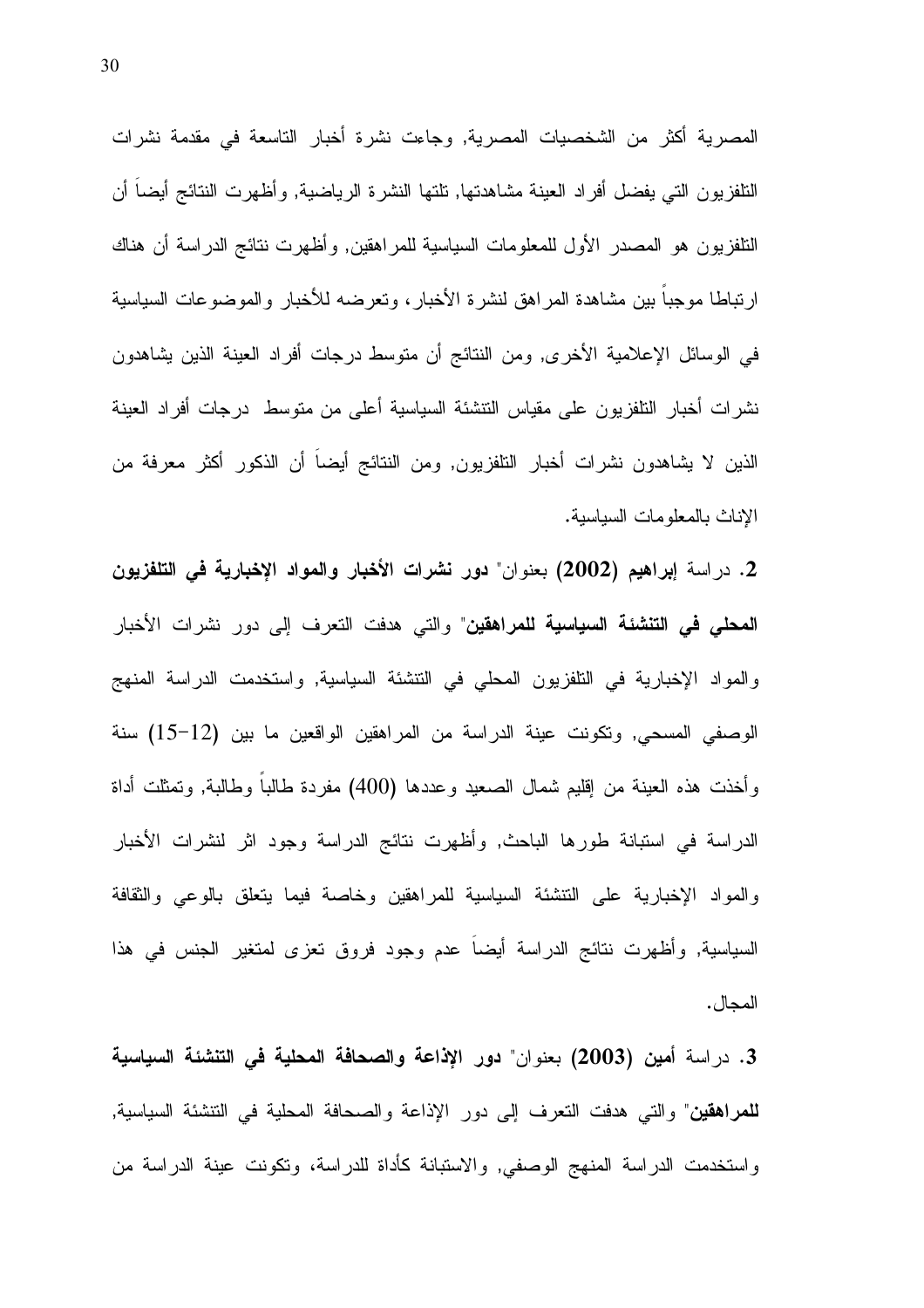المصرية أكثر من الشخصيات المصرية, وجاءت نشرة أخبار التاسعة في مقدمة نشرات النلفزيون التي يفضل أفراد العينة مشاهدتها, نلتها النشرة الرياضية, وأظهرت النتائج أيضا أن النلفزيون هو المصدر الأول للمعلومات السياسية للمراهقين, وأظهرت نتائج الدراسة أن هناك ارتباطا موجباً بين مشاهدة المراهق لنشرة الأخبار، وتعرضه للأخبار والموضوعات السياسية في الوسائل الإعلامية الأخرى, ومن النتائج أن منوسط درجات أفراد العينة الذين يشاهدون نشرات أخبار النلفزيون على مقياس النتشئة السياسية أعلى من متوسط درجات أفراد العينة الذين لا يشاهدون نشرات أخبار النافزيون, ومن النتائج أيضاً أن الذكور أكثر معرفة من الإناث بالمعلومات السياسية.

2. دراسة إبراهيم (2002) بعنوان" دور نشرات الأخبار والمواد الإخبارية في التلفزيون **المحلي في التنشئة السياسية للمراهقين**" والتي هدفت التعرف إلى دور نشرات الأخبار والمواد الإخبارية في التلفزيون المحلي في التتشئة السياسية, واستخدمت الدراسة المنهج الوصفى المسحى, ونكونت عينة الدراسة من المراهقين الواقعين ما بين (12–15) سنة وأخذت هذه العينة من إقليم شمال الصعيد وعددها (400) مفردة طالبا وطالبة, ونمثلت أداة الدراسة في استبانة طورها الباحث, وأظهرت نتائج الدراسة وجود اثر لنشرات الأخبار والمواد الإخبارية على التتشئة السياسية للمراهقين وخاصة فيما يتعلق بالوعى والثقافة السياسية, وأظهرت نتائج الدراسة أيضاً عدم وجود فروق تعزى لمتغير الجنس في هذا المجال .

3. دراسة أمين (2003) بعنوان" دور الإذاعة والصحافة المحلية في التنشئة السياسية **للمراهقين**" والتي هدفت التعرف إلى دور الإذاعة والصحافة المحلية في التتشئة السياسية, واستخدمت الدراسة المنهج الوصفى, والاستبانة كأداة للدراسة، وتكونت عينة الدراسة من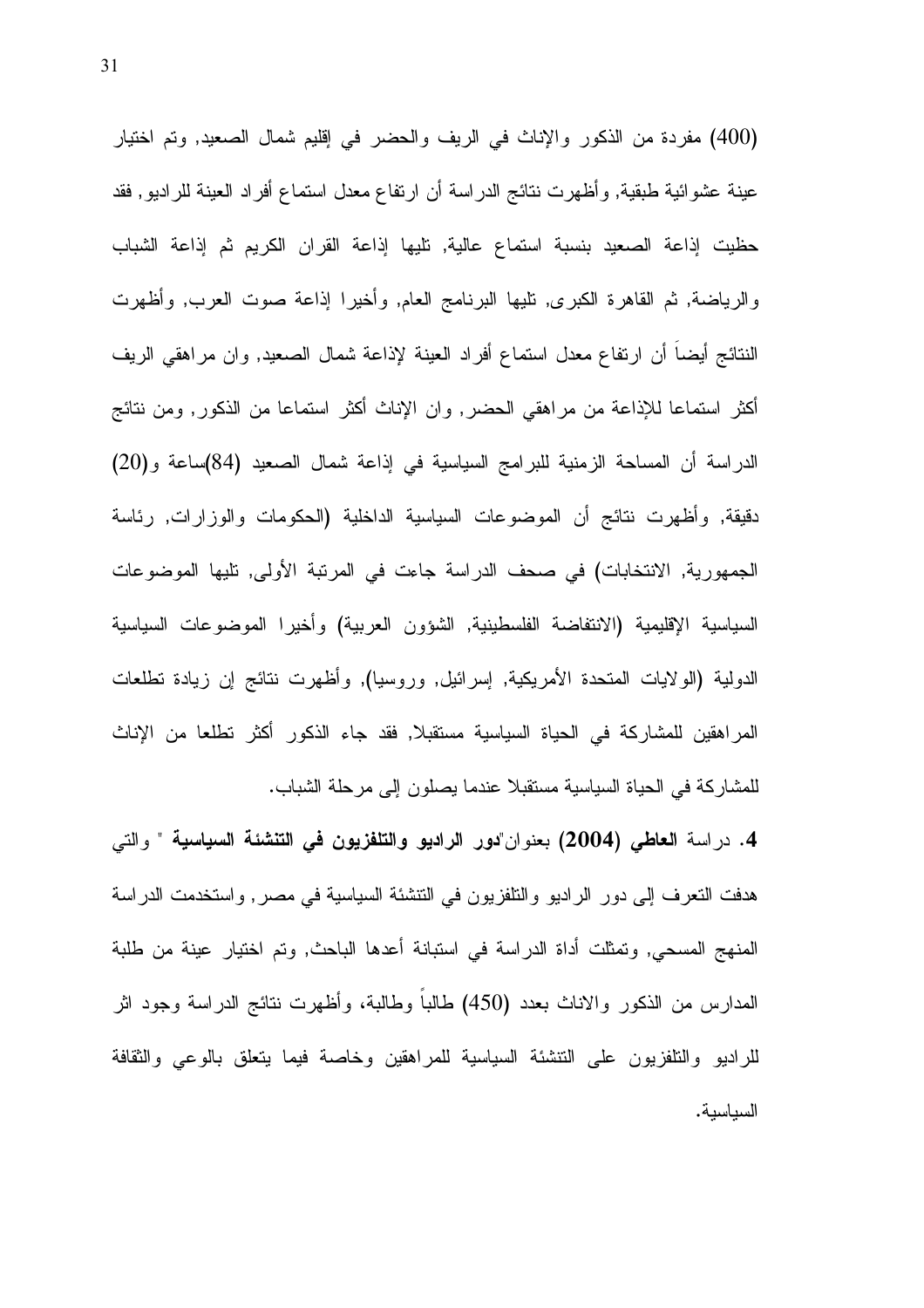(400) مفردة من الذكور والإناث في الريف والحضر في إقليم شمال الصعيد, وتم اختيار عينة عشوائية طبقية, وأظهرت نتائج الدراسة أن ارتفاع معدل استماع أفراد العينة للراديو, فقد حظيت إذاعة الصعيد بنسبة استماع عالية, تليها إذاعة القران الكريم ثم إذاعة الشباب والرياضة, ثم القاهرة الكبرى, تليها البرنامج العام, وأخيرا إذاعة صوت العرب, وأظهرت النتائج أيضاً أن ارتفاع معدل استماع أفراد العينة لإذاعة شمال الصعيد, وان مراهقي الريف أكثر استماعا للإذاعة من مراهقي الحضر, وان الإناث أكثر استماعا من الذكور, ومن نتائج الدراسة أن المساحة الزمنية للبرامج السياسية في إذاعة شمال الصعيد (84)ساعة و(20) دقيقة, وأظهرت نتائج أن الموضوعات السياسية الداخلية (الحكومات والوزارات, رئاسة الجمهورية, الانتخابات) في صحف الدراسة جاءت في المرتبة الأولى, تليها الموضوعات السياسية الإقليمية (الانتفاضة الفلسطينية, الشؤون العربية) وأخيرا الموضوعات السياسية الدولية (الولايات المتحدة الأمريكية, إسرائيل, وروسيا), وأظهرت نتائج إن زيادة تطلعات المراهقين للمشاركة في الحياة السياسية مستقبلا, فقد جاء الذكور أكثر تطلعا من الإناث للمشاركة في الحياة السياسية مستقبلا عندما يصلون إلى مرحلة الشباب.

4. دراسة العاطي (2004) بعنوان"دور الراديو والتلفزيون في التنشئة السياسية " والتي هدفت النعرف إلى دور الراديو والنافزيون في النتشئة السياسية في مصر, واستخدمت الدراسة المنهج المسحى, وتمثَّلت أداة الدراسة في استبانة أعدها الباحث, وتم اختبار عينة من طلبة المدارس من الذكور والاناث بعدد (450) طالباً وطالبة، وأظهرت نتائج الدراسة وجود اثر للراديو والتلفزيون على النتشئة السياسية للمراهقين وخاصة فيما يتعلق بالوعى والثقافة السياسية.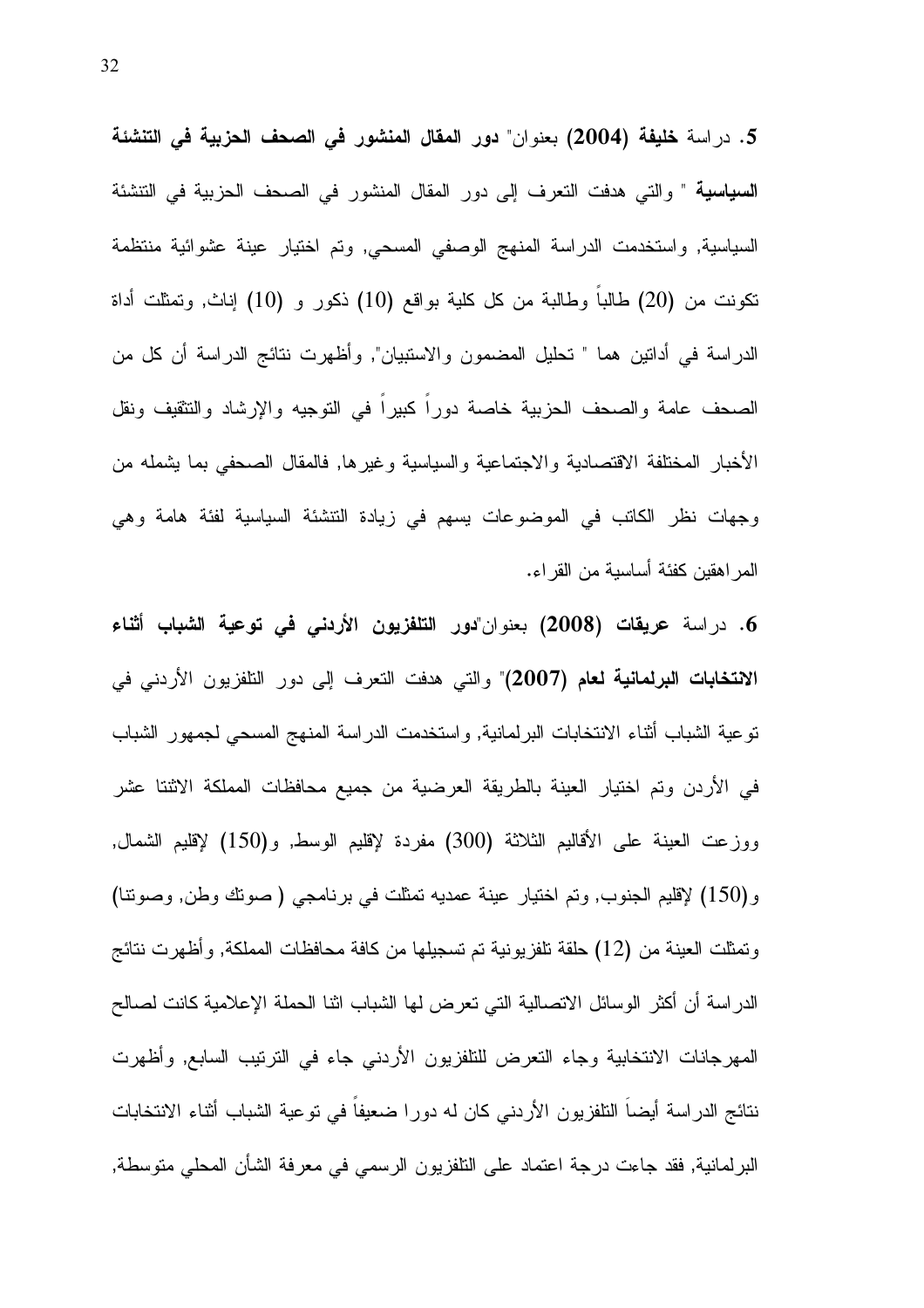5. دراسة خليفة (2004) بعنوان" دور المقال المنشور في الصحف الحزبية في التنشئة **السياسية** " والتي هدفت التعرف إلى دور المقال المنشور في الصحف الحزبية في التتشئة السياسية, واستخدمت الدراسة المنهج الوصفى المسحى, وتم اختيار عينة عشوائية منتظمة نكونت من (20) طالباً وطالبة من كل كلية بواقع (10) ذكور و (10) إناث, ونمثلت أداة الدراسة في أدانين هما " تحليل المضمون والاستبيان", وأظهرت نتائج الدراسة أن كل من الصحف عامة والصحف الحزبية خاصة دوراً كبيراً في التوجيه والإرشاد والتثقيف ونقل الأخبار المختلفة الاقتصادية والاجتماعية والسياسية وغيرها, فالمقال الصحفى بما يشمله من وجهات نظر الكاتب في الموضوعات بسهم في زيادة التتشئة السياسية لفئة هامة وهي المر اهقين كفئة أساسية من القر اء.

6. دراسة عريقات (2008) بعنوان"دور التلفزيون الأردنى فى توعية الشباب أثناء الانتخابات البرلمانية لعام (2007)" والتي هدفت النعرف إلى دور النلفزيون الأردني في نوعية الشباب أثناء الانتخابات البرلمانية, واستخدمت الدراسة المنهج المسحى لجمهور الشباب في الأردن وتم اختيار العينة بالطريقة العرضية من جميع محافظات المملكة الاثنتا عشر ووزعت العينة على الأقاليم الثلاثة (300) مفردة لإقليم الوسط, و(150) لإقليم الشمال, و(150) لإقليم الجنوب, وتم اختيار عينة عمديه تمثلت في برنامجي (صوتك وطن, وصوتنا) وتمثَّلت العينة من (12) حلقة تلفزيونية تم تسجيلها من كافة محافظات المملكة, وأظهرت نتائج الدر اسة أن أكثر الوسائل الاتصالية التي تعرض لها الشباب اثنا الحملة الإعلامية كانت لصالح المهرجانات الانتخابية وجاء التعرض للتلفزيون الأردنبي جاء في الترنيب السابع, وأظهرت نتائج الدر اسة أيضا النلفزيون الأردني كان له دورا ضعيفا في توعية الشباب أثناء الانتخابات البرلمانية, فقد جاءت درجة اعتماد على التلفزيون الرسمي في معرفة الشأن المحلي متوسطة,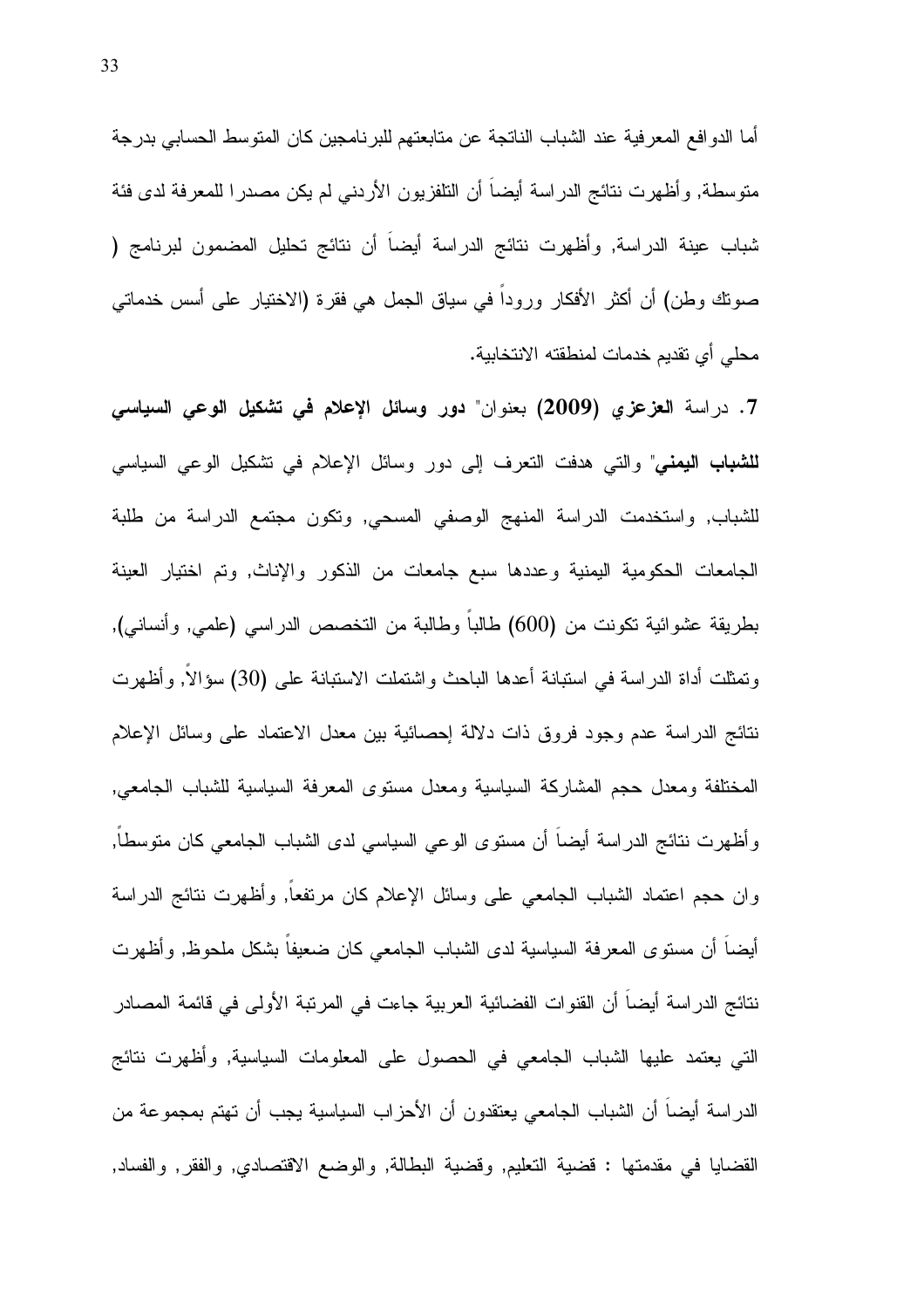أما الدوافع المعرفية عند الشباب الناتجة عن متابعتهم للبرنامجين كان المتوسط الحسابي بدرجة متوسطة, وأظهرت نتائج الدراسة أيضا أن النلفزيون الأردنبي لم يكن مصدرا للمعرفة لدى فئة شباب عينة الدراسة, وأظهرت نتائج الدراسة أيضاً أن نتائج تحليل المضمون لبرنامج ( صوتك وطن) أن أكثر الأفكار وروداً في سياق الجمل هي فقرة (الاختيار على أسس خدماتي محلِّي أي تقديم خدمات لمنطقته الانتخابية.

7. دراسة العزعزى (2009) بعنوان" دور وسائل الإعلام في تشكيل الوعى السياسي **للشباب اليمني**" والتي هدفت التعرف إلى دور وسائل الإعلام في تشكيل الوعي السياسي للشباب, واستخدمت الدراسة المنهج الوصفي المسحي, ونكون مجتمع الدراسة من طلبة الجامعات الحكومية اليمنية وعددها سبع جامعات من الذكور والإناث, ونم اختيار العينة بطريقة عشوائية نكونت من (600) طالباً وطالبة من التخصص الدراسي (علمي, وأنساني), وتمثَّلت أداة الدراسة في استبانة أعدها الباحث واشتملت الاستبانة على (30) سؤالاً, وأظهرت نتائج الدراسة عدم وجود فروق ذات دلالة إحصائية بين معدل الاعتماد على وسائل الإعلام المختلفة ومعدل حجم المشاركة السياسية ومعدل مستوى المعرفة السياسية للشباب الجامعي, وأظهرت نتائج الدراسة أيضاً أن مستوى الوعى السياسي لدى الشباب الجامعي كان متوسطاً, وان حجم اعتماد الشباب الجامعي على وسائل الإعلام كان مرتفعاً, وأظهرت نتائج الدراسة أيضا أن مستوى المعرفة السياسية لدى الشباب الجامعي كان ضعيفا بشكل ملحوظ, وأظهرت نتائج الدراسة أيضاً أن القنوات الفضائية العربية جاءت في المرتبة الأولى في قائمة المصادر التي يعتمد عليها الشباب الجامعي في الحصول على المعلومات السياسية, وأظهرت نتائج الدر اسة أيضاً أن الشباب الجامعي يعتقدون أن الأحزاب السياسية يجب أن تهتم بمجموعة من القضايا في مقدمتها : قضية التعليم, وقضية البطالة, والوضع الاقتصادي, والفقر, والفساد,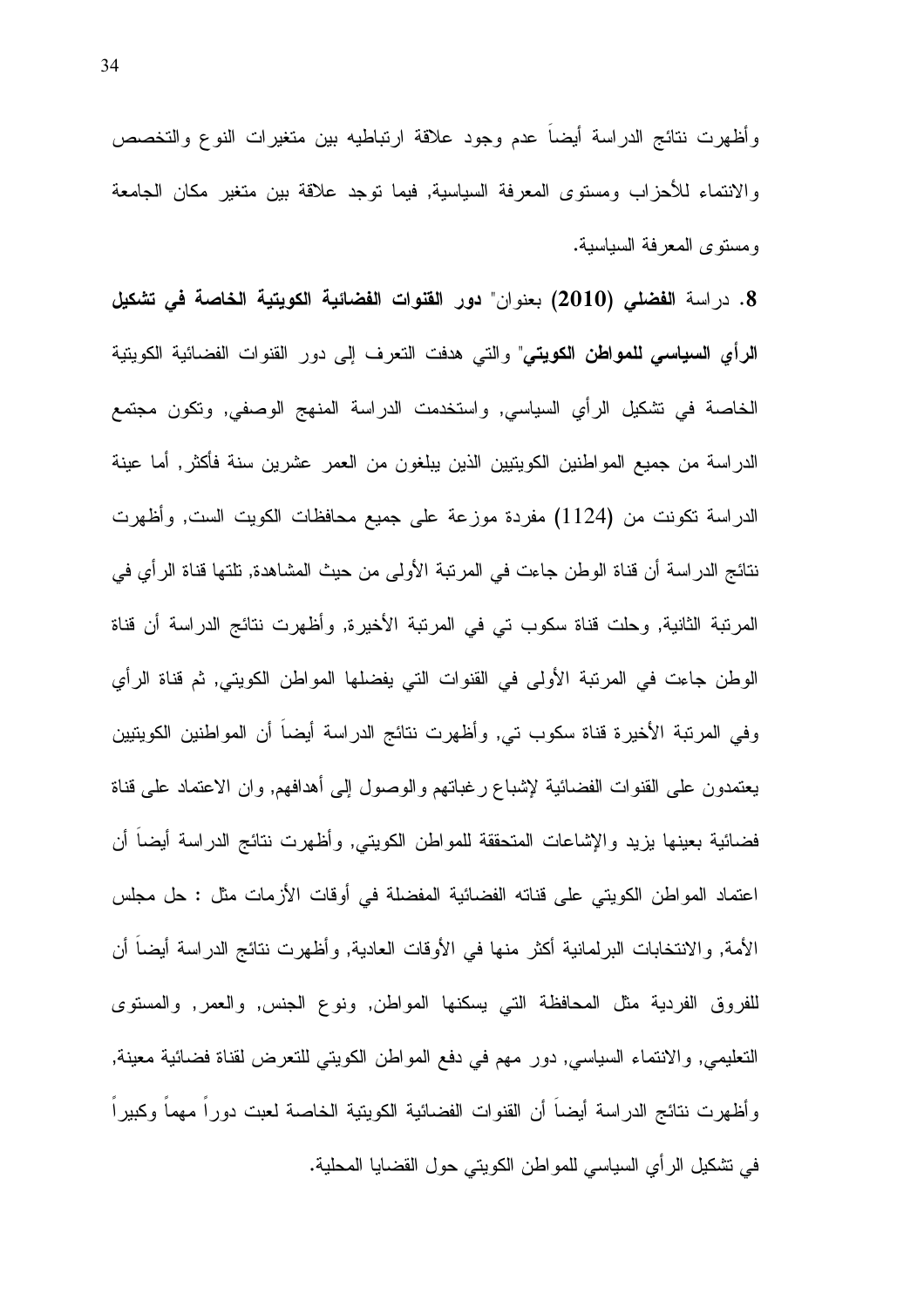وأظهرت نتائج الدراسة أيضاً عدم وجود علاقة ارتباطيه بين متغيرات النوع والتخصص والانتماء للأحزاب ومستوى المعرفة السياسية, فيما توجد علاقة بين متغير مكان الجامعة ومستوى المعرفة السياسية.

8. دراسة الفضلي (2010) بعنوان" دور القنوات الفضائية الكويتية الخاصة في تشكيل **الرأي السياسي للمواطن الكويتي**" والتي هدفت التعرف إلى دور القنوات الفضائية الكويتية الخاصة في نشكيل الرأي السياسي, واستخدمت الدراسة المنهج الوصفي, ونكون مجتمع الدراسة من جميع المواطنين الكويتيين الذين يبلغون من العمر عشرين سنة فأكثر, أما عينة الدراسة نكونت من (1124) مفردة موزعة على جميع محافظات الكويت الست, وأظهرت نتائج الدراسة أن قناة الوطن جاءت في المرتبة الأولى من حيث المشاهدة, تلتها قناة الرأى في المرتبة الثانية, وحلت قناة سكوب تي في المرتبة الأخيرة, وأظهرت نتائج الدراسة أن قناة الوطن جاءت في المرتبة الأولى في القنوات التي يفضلها المواطن الكويتي, ثم قناة الرأي وفي المرتبة الأخيرة قناة سكوب تي, وأظهرت نتائج الدراسة أيضاً أن المواطنين الكويتيين يعتمدون على القنوات الفضائية لإشباع رغبانهم والوصول إلى أهدافهم, وان الاعتماد على قناة فضائية بعينها يزيد والإشاعات المتحققة للمواطن الكويتي, وأظهرت نتائج الدراسة أيضا أن اعتماد المواطن الكويتي على قناته الفضائية المفضلة في أوقات الأزمات مثل : حل مجلس الأمة, والانتخابات البرلمانية أكثر منها في الأوقات العادية, وأظهرت نتائج الدراسة أيضا أن للفروق الفردية مثل المحافظة التي يسكنها المواطن, ونوع الجنس, والعمر, والمسنوى النعليمي, والانتماء السياسي, دور مهم في دفع المواطن الكويتي للنعرض لقناة فضائية معينة, وأظهرت نتائج الدراسة أيضا أن القنوات الفضائية الكويتية الخاصة لعبت دورا مهما وكبيرا في نشكيل الرأي السياسي للمواطن الكويني حول القضايا المحلية.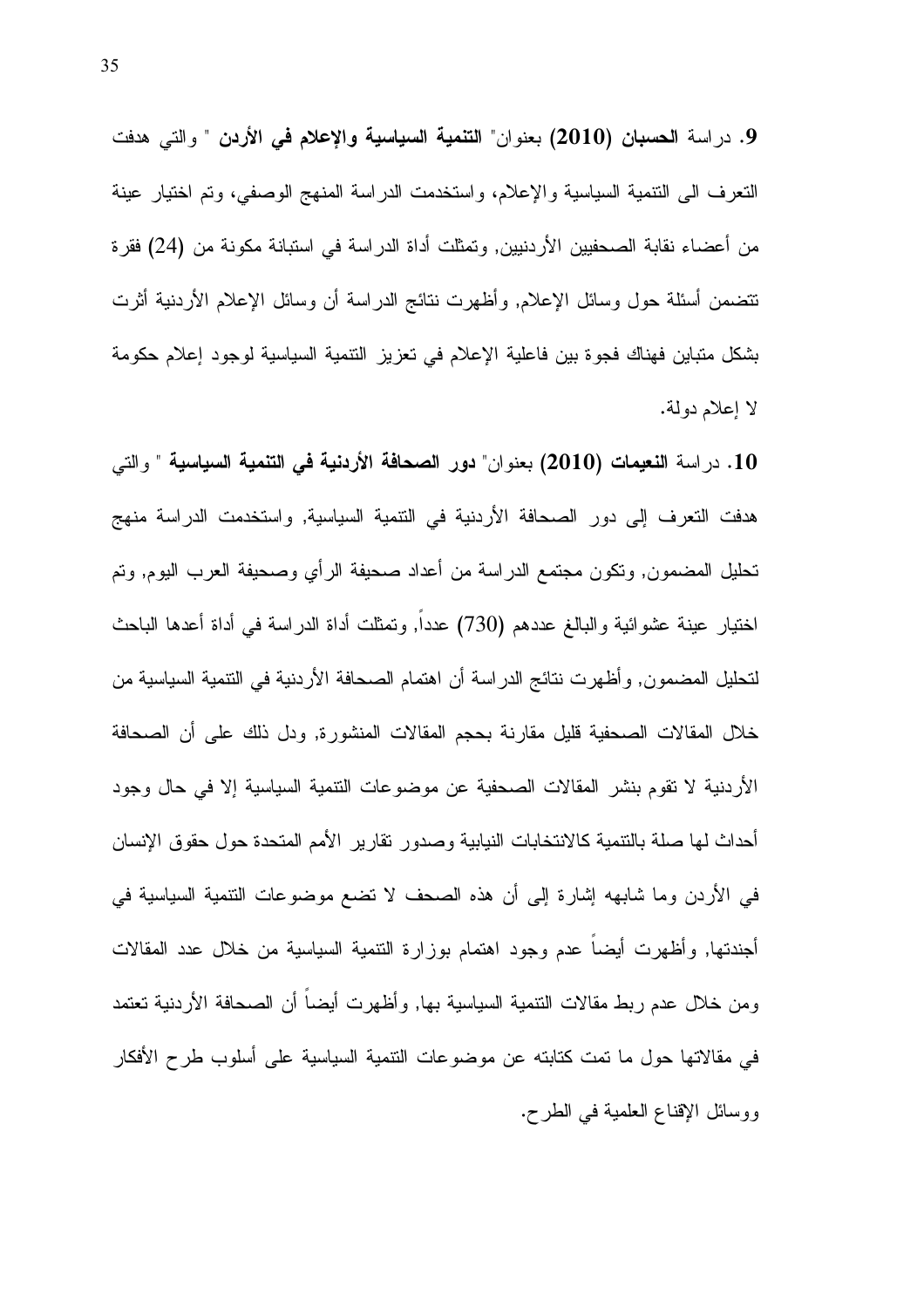9. دراسة الحسبان (2010) بعنوان" التنمية السياسية والإعلام في الأردن " والتي هدفت النعرف الى النتمية السياسية والإعلام، واستخدمت الدراسة المنهج الوصفي، ونم اختيار عينة من أعضاء نقابة الصحفيين الأردنيين, ونمثلت أداة الدراسة في استبانة مكونة من (24) فقرة تتضمن أسئلة حول وسائل الإعلام, وأظهرت نتائج الدراسة أن وسائل الإعلام الأردنية أثرت بشكل متباين فهناك فجوة بين فاعلية الإعلام في تعزيز النتمية السياسية لوجود إعلام حكومة لا إعلام دولة.

10. دراسة النعيمات (2010) بعنوان" دور الصحافة الأردنية في التنمية السياسية " والتي هدفت التعرف إلى دور الصحافة الأردنية في التتمية السياسية, واستخدمت الدراسة منهج تحليل المضمون, وتكون مجتمع الدراسة من أعداد صحيفة الرأى وصحيفة العرب اليوم, وتم اختيار عينة عشوائية والبالغ عددهم (730) عدداً, وتمثلت أداة الدراسة في أداة أعدها الباحث لتحليل المضمون, وأظهرت نتائج الدراسة أن اهتمام الصحافة الأردنية في التتمية السياسية من خلال المقالات الصحفية قليل مقارنة بحجم المقالات المنشورة, ودل ذلك على أن الصحافة الأردنية لا تقوم بنشر المقالات الصحفية عن موضوعات النتمية السياسية إلا في حال وجود أحداث لها صلة بالنتمية كالانتخابات النيابية وصدور نقارير الأمم المتحدة حول حقوق الإنسان في الأردن وما شابهه إشارة إلى أن هذه الصحف لا نضع موضوعات النتمية السياسية في أجندتها, وأظهرت أيضا عدم وجود اهتمام بوزارة النتمية السياسية من خلال عدد المقالات ومن خلال عدم ربط مقالات النتمية السياسية بها, وأظهرت أيضاً أن الصحافة الأردنية تعتمد في مقالاتها حول ما تمت كتابته عن موضوعات النتمية السياسية على أسلوب طرح الأفكار ووسائل الإقناع العلمية في الطرح.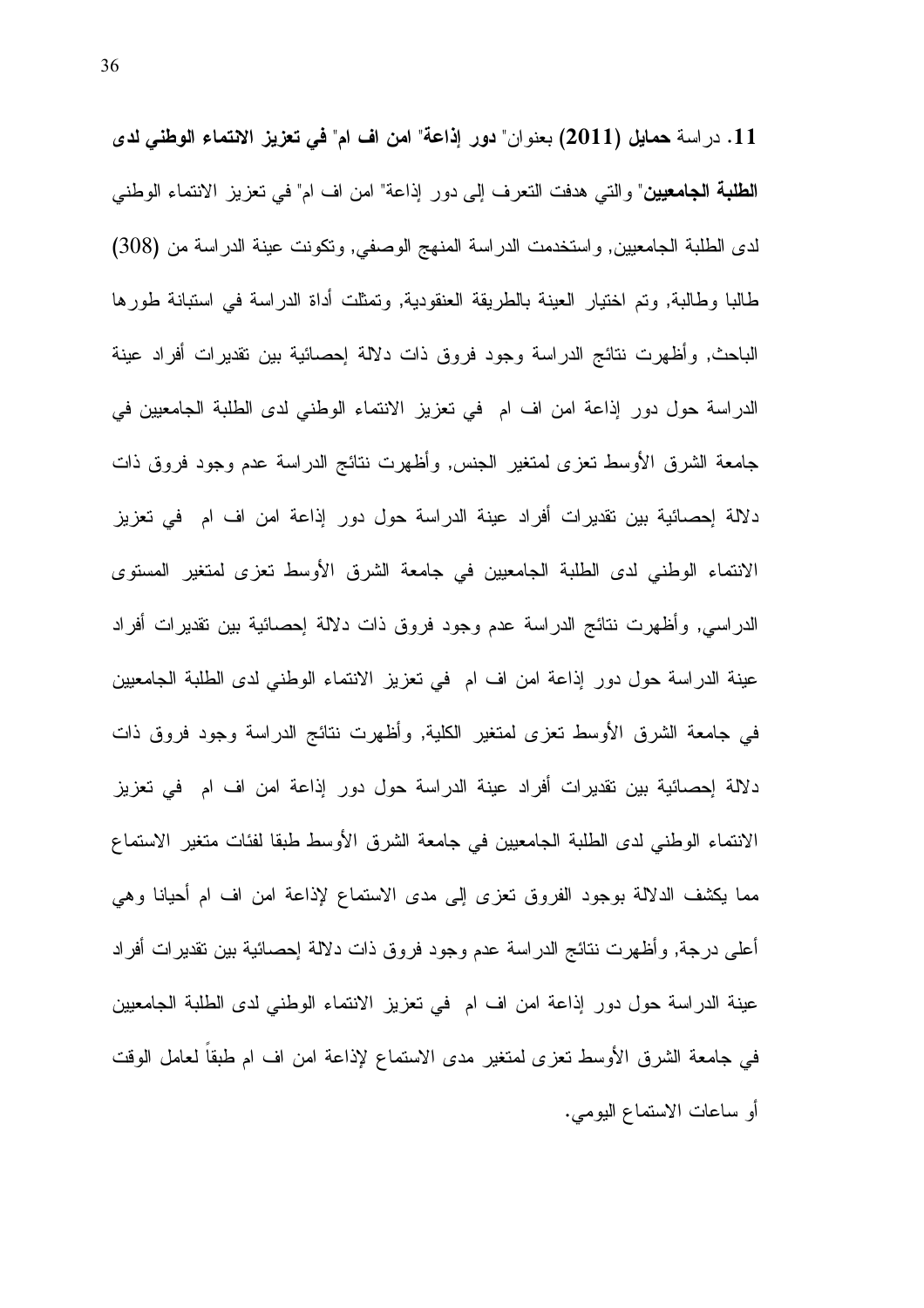11. دراسة حمايل (2011) بعنوان" دور إذاعة" امن اف ام" في تعزيز الانتماء الوطني لدى **الطلبة الجامعيين**" والتي هدفت التعرف إلى دور إذاعة" امن اف ام" في تعزيز الانتماء الوطني لدى الطلبة الجامعيين, واستخدمت الدراسة المنهج الوصفي, وتكونت عينة الدراسة من (308) طالبا وطالبة, وتم اختيار العينة بالطريقة العنقودية, وتمثلت أداة الدراسة في استبانة طورها الباحث, وأظهرت نتائج الدراسة وجود فروق ذات دلالة إحصائية بين تقديرات أفراد عينة الدراسة حول دور إذاعة امن اف ام في تعزيز الانتماء الوطني لدى الطلبة الجامعيين في جامعة الشرق الأوسط نعزى لمتغير الجنس, وأظهرت نتائج الدراسة عدم وجود فروق ذات دلالة إحصائية بين نقديرات أفراد عينة الدراسة حول دور إذاعة امن اف ام في تعزيز الانتماء الوطني لدى الطلبة الجامعيين في جامعة الشرق الأوسط تعزى لمتغير المستوى الدراسي, وأظهرت نتائج الدراسة عدم وجود فروق ذات دلالة إحصائية بين نقديرات أفراد عينة الدراسة حول دور إذاعة امن اف ام في تعزيز الانتماء الوطني لدى الطلبة الجامعيين في جامعة الشرق الأوسط نعزى لمتغير الكلية, وأظهرت نتائج الدراسة وجود فروق ذات دلالة إحصائية بين تقديرات أفراد عينة الدراسة حول دور إذاعة امن اف ام في تعزيز الانتماء الوطني لدى الطلبة الجامعيين في جامعة الشرق الأوسط طبقا لفئات متغير الاستماع مما يكشف الدلالة بوجود الفروق تعزى إلى مدى الاستماع لإذاعة امن اف ام أحيانا وهي أعلى درجة, وأظهرت نتائج الدراسة عدم وجود فروق ذات دلالة إحصائية بين نقديرات أفراد عينة الدراسة حول دور إذاعة امن اف ام في نعزيز الانتماء الوطني لدى الطلبة الجامعيين في جامعة الشرق الأوسط نعزى لمتغير مدى الاستماع لإذاعة امن اف ام طبقا لعامل الوقت أو ساعات الاستماع اليومي.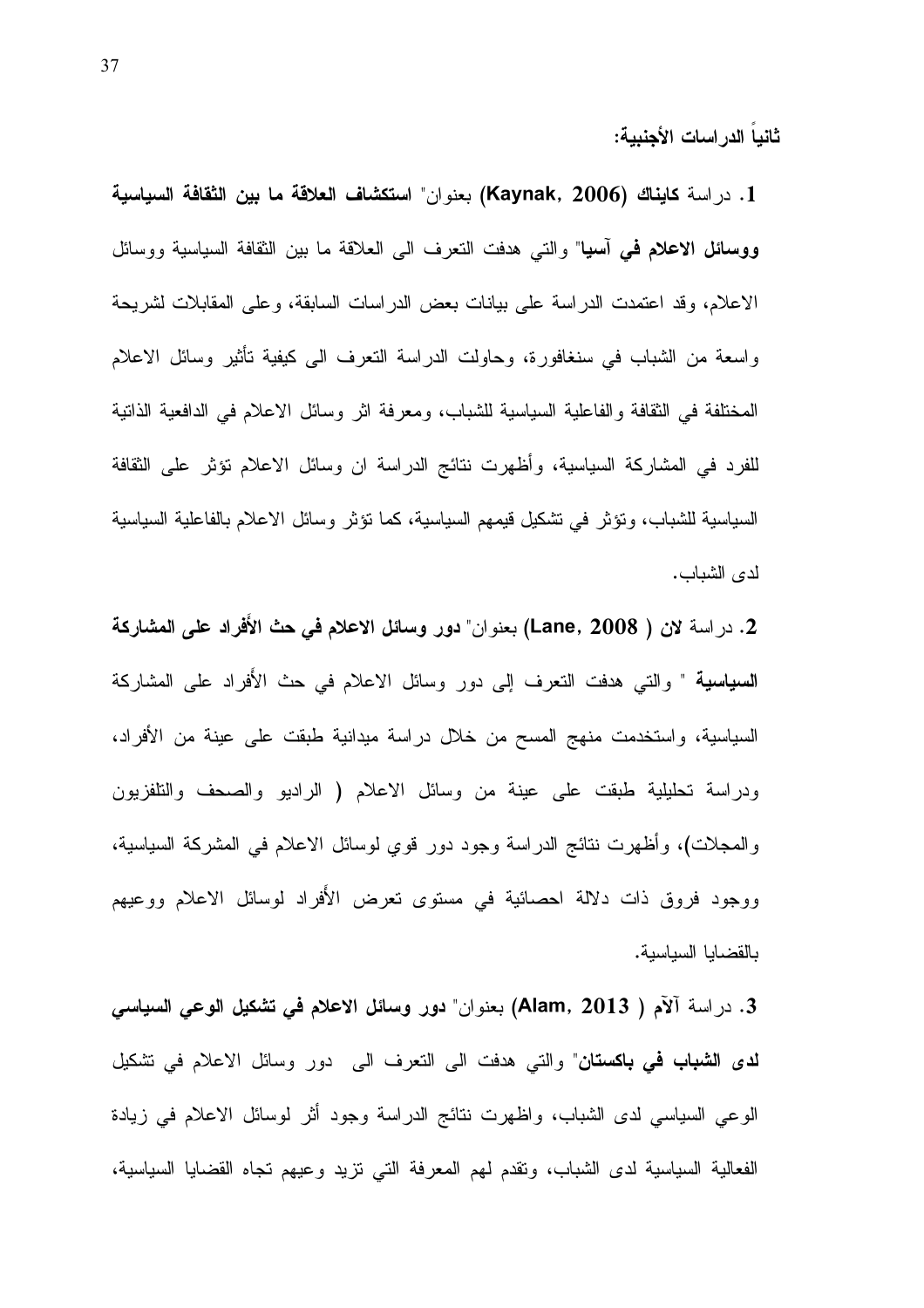ثانيا الدراسات الأجنبية:

1. در اسة كايناك (Kaynak, 2006) بعنو ان" استكشاف العلاقة ما بين الثقافة السياسية **ووسائل الاعلام في أسيا**" والتي هدفت النعرف الى العلاقة ما بين الثقافة السياسية ووسائل الاعلام، وقد اعتمدت الدراسة على بيانات بعض الدراسات السابقة، وعلى المقابلات لشريحة واسعة من الشباب في سنغافورة، وحاولت الدراسة النعرف الى كيفية نأثير وسائل الاعلام المختلفة في الثقافة والفاعلية السياسية للشباب، ومعرفة اثر وسائل الاعلام في الدافعية الذانية للفرد في المشاركة السياسية، وأظهرت نتائج الدراسة ان وسائل الاعلام تؤثر على الثقافة السياسية للشباب، ونؤثر في نشكيل قيمهم السياسية، كما نؤثر وسائل الاعلام بالفاعلية السياسية لدى الشباب.

2. در اسة لان ( Lane, 2008) بعنوان" **دور وسائل الاعلام في حث الأفراد على المشاركة السياسية** " والتي هدفت التعرف إلى دور وسائل الاعلام في حث الأفراد على المشاركة السياسية، واستخدمت منهج المسح من خلال دراسة ميدانية طبقت على عينة من الأفراد، ودراسة تحليلية طبقت على عينة من وسائل الاعلام ( الراديو والصحف والتلفزيون والمجلات)، وأظهرت نتائج الدراسة وجود دور قوي لوسائل الاعلام في المشركة السياسية، ووجود فروق ذات دلالة احصائية في مستوى تعرض الأفراد لوسائل الاعلام ووعيهم بالقضايا السياسية.

  
,  " - (Alam, 2013 ) N\_ % .3 **لدى الشباب في باكستان**" والتي هدفت الى النعرف الى دور وسائل الاعلام في تشكيل الوعبي السياسي لدى الشباب، واظهرت نتائج الدراسة وجود أثر لوسائل الاعلام في زيادة الفعالية السياسية لدى الشباب، وتقدم لمهم المعرفة التي نزيد وعيهم نجاه القضايا السياسية،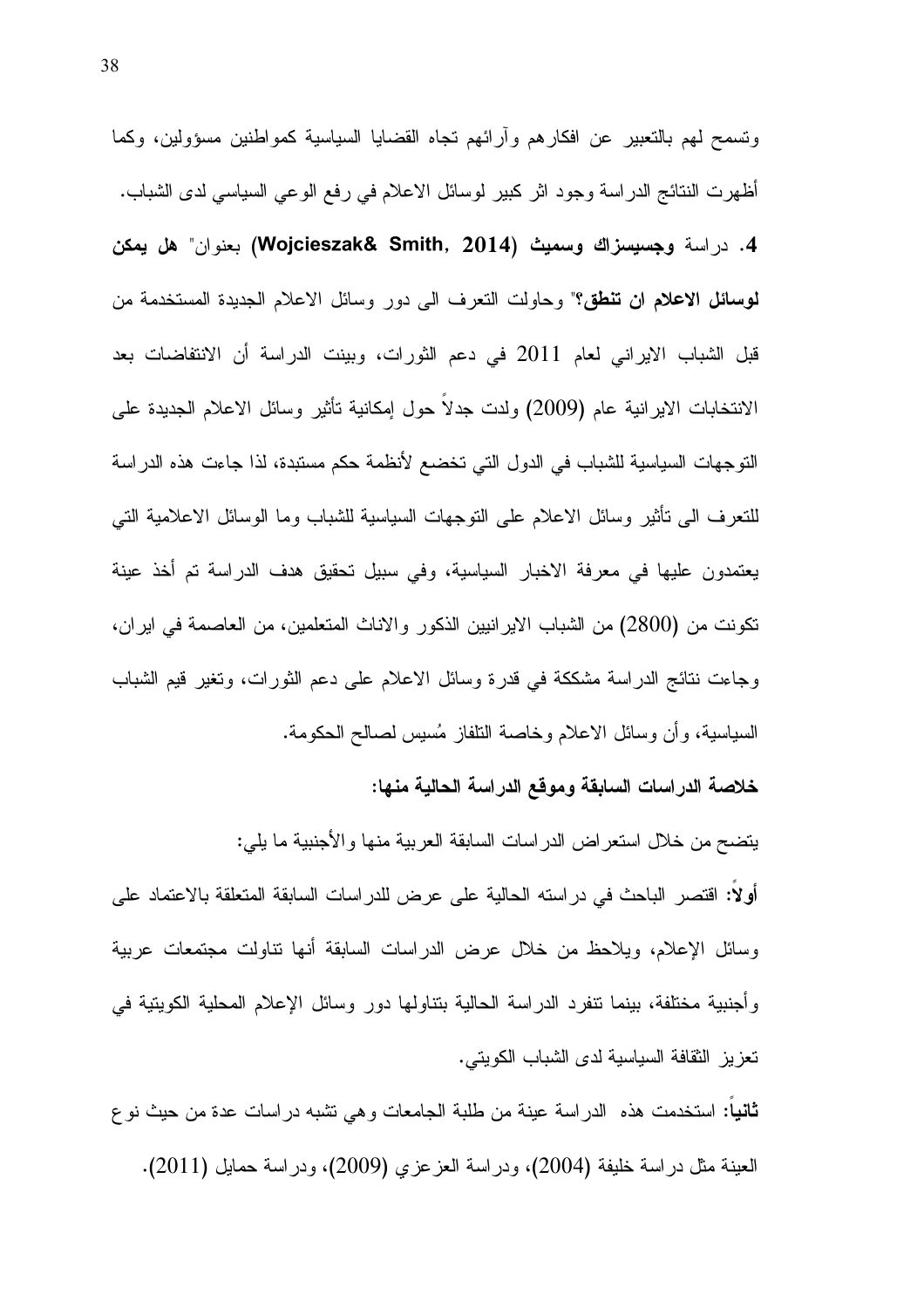ونسمح لمهم بالنعبير عن افكارهم وأرائهم نجاه القضايا السياسية كمواطنين مسؤولين، وكما أظهرت النتائج الدراسة وجود اثر كبير لموسائل الاعلام في رفع الوعبي السياسي لدى الشباب. 4. در اسة وجسيسزاك وسميث (Wojcieszak& Smith, 2014) بعنوان" هل يمكن لوسائل الاعلام ان تنطق؟" وحاولت النعرف الى دور وسائل الاعلام الجديدة المستخدمة من قبل الشباب الايراني لعام 2011 في دعم الثورات، وبينت الدراسة أن الانتفاضات بعد الانتخابات الايرانية عام (2009) ولدت جدلاً حول إمكانية تأثير وسائل الاعلام الجديدة على النوجهات السياسية للشباب في الدول التي تخضع لأنظمة حكم مستبدة، لذا جاءت هذه الدراسة للنعرف الى نأثير وسائل الاعلام على النوجهات السياسية للشباب وما الوسائل الاعلامية النبي يعتمدون عليها في معرفة الاخبار السياسية، وفي سبيل تحقيق هدف الدراسة تم أخذ عينة تكونت من (2800) من الشباب الايرانيين الذكور والاناث المتعلمين، من العاصمة في ايران، وجاءت نتائج الدراسة مشككة في قدرة وسائل الاعلام على دعم الثورات، وتغير قيم الشباب السياسية، وأن وسائل الاعلام وخاصة النلفاز مُسيس لصىالح الحكومة.

#### خلاصة الدراسات السابقة وموقع الدراسة الحالية منها:

يتضح من خلال استعر اض الدر اسات السابقة العربية منها والأجنبية ما يلي: أولاً: اقتصر الباحث في در استه الحالية على عرض للدر اسات السابقة المتعلقة بالاعتماد على وسائل الإعلام، ويلاحظ من خلال عرض الدراسات السابقة أنها نتاولت مجتمعات عربية وأجنبية مختلفة، بينما نتفرد الدراسة الحالية بتناولها دور وسائل الإعلام المحلية الكويتية في تعزيز الثقافة السياسية لدى الشباب الكويتي.

**ثانيا:** استخدمت هذه الدراسة عينة من طلبة الجامعات وهي نشبه دراسات عدة من حيث نوع العينة مثل دراسة خليفة (2004)، ودراسة العزعزى (2009)، ودراسة حمايل (2011).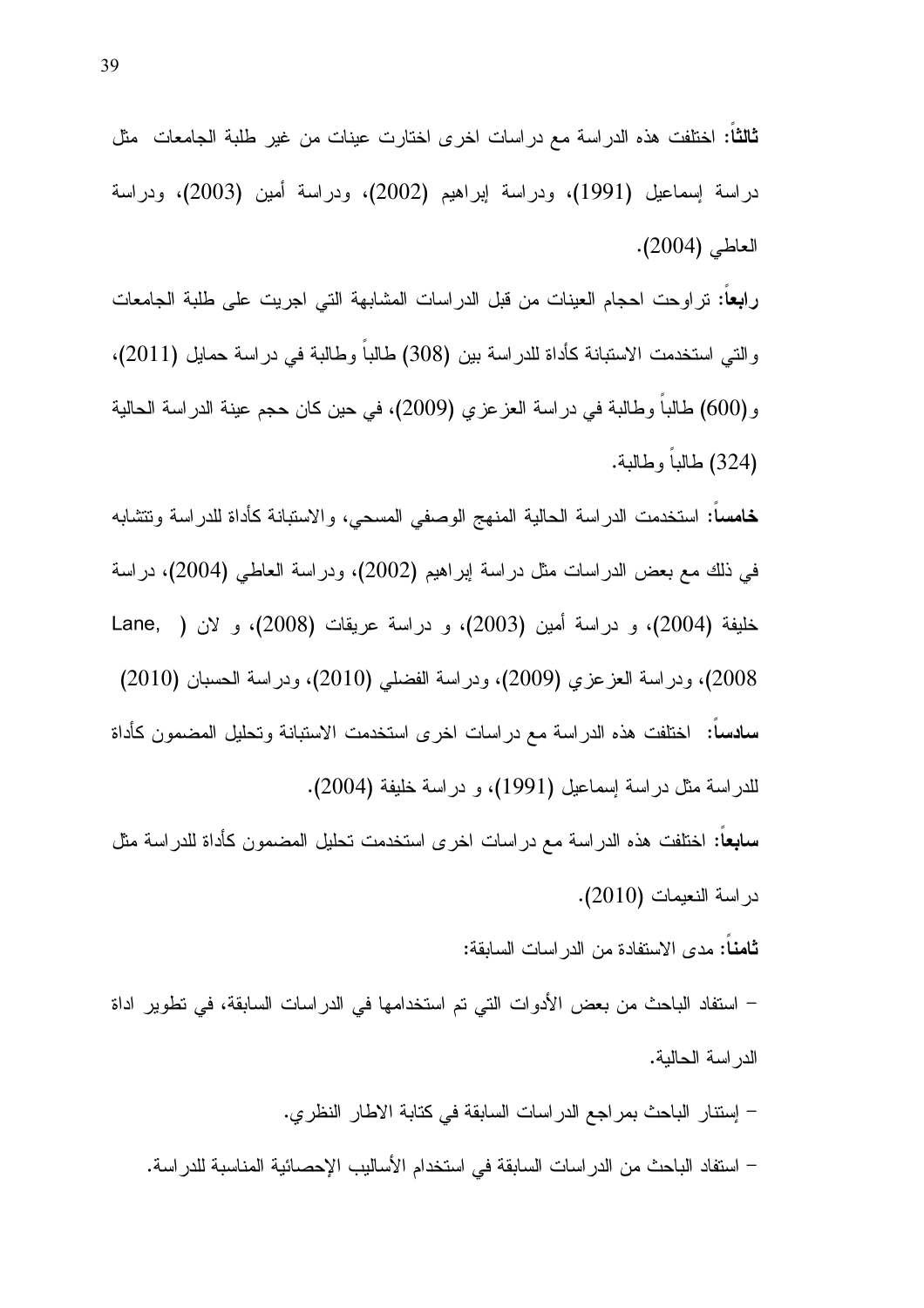دراسة إسماعيل (1991)، ودراسة إبراهيم (2002)، ودراسة أمين (2003)، ودراسة العاطي (2004).

را**بعا**: تراوحت احجام العينات من قبل الدراسات المشابهة التي اجريت على طلبة الجامعات والتي استخدمت الاستبانة كأداة للدراسة بين (308) طالبا وطالبة في دراسة حمايل (2011). و (600) طالبا وطالبة في دراسة العز عزي (2009)، في حين كان حجم عينة الدراسة الحالية (324) طالباً وطالبة.

**خامسا**: استخدمت الدراسة الحالية المنهج الوصفي المسحي، والاستبانة كأداة للدراسة ونتشابه في ذلك مع بعض الدراسات مثل دراسة ابراهيم (2002)، ودراسة العاطي (2004)، دراسة خليفة (2004)، و دراسة أمين (2003)، و دراسة عريقات (2008)، و لان ( .Lane 2008)، ودراسة العزعزي (2009)، ودراسة الفضلي (2010)، ودراسة الحسبان (2010) **سادسا:** اختلفت هذه الدراسة مع دراسات اخرى استخدمت الاستبانة وتحليل المضمون كأداة للدراسة مثل دراسة إسماعيل (1991)، و دراسة خليفة (2004).

**سابعا**: اختلفت هذه الدراسة مع دراسات اخرى استخدمت تحليل المضمون كأداة للدراسة مثل در اسة النعيمات (2010).

ثامنـا: مدى الاستفادة من الدراسات السابقة:

– استفاد الباحث من بعض الأدوات التي تم استخدامها في الدراسات السابقة، في تطوير اداة الدر اسة الحالية.

– إستنار الباحث بمراجع الدراسات السابقة في كتابة الاطار النظري. – استفاد الباحث من الدر اسات السابقة في استخدام الأساليب الإحصائية المناسبة للدر اسة.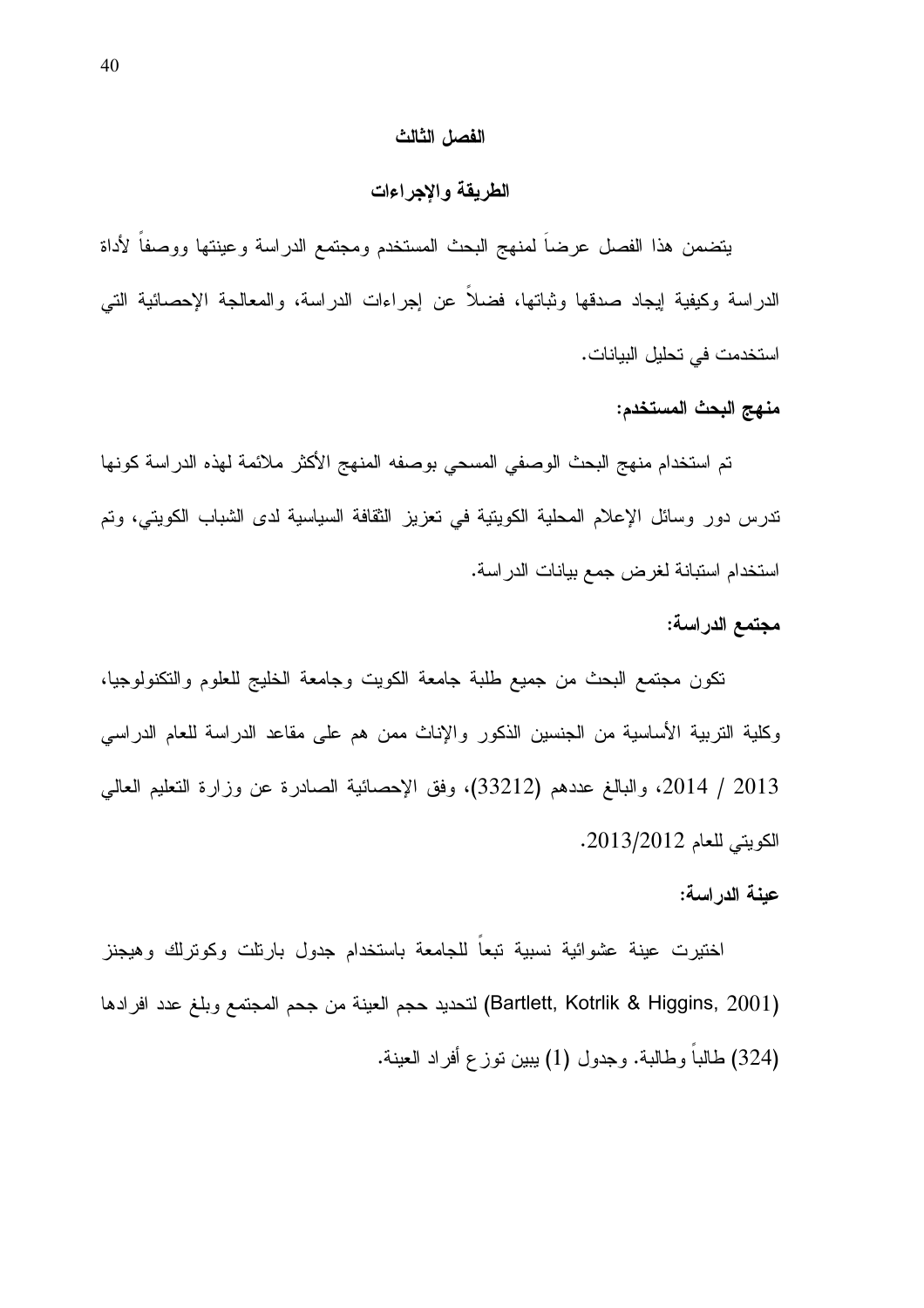#### الفصل الثالث

#### الطريقة والإجراءات

يتضمن هذا الفصل عرضا لمنهج البحث المستخدم ومجتمع الدراسة وعينتها ووصفا لأداة الدراسة وكيفية لِيجاد صدقها وثباتها، فضلا عن إجراءات الدراسة، والمعالجة الإحصائية التي استخدمت في تحليل البيانات.

#### منهج البحث المستخدم:

تم استخدام منهج البحث الوصفي المسحي بوصفه المنهج الأكثر ملائمة لهذه الدراسة كونها ندرس دور وسائل الإعلام المحلية الكويتية في تعزيز الثقافة السياسية لدى الشباب الكويتي، وتم استخدام استبانة لغرض جمع بيانات الدراسة.

#### مجتمع الدراسة:

نكون مجتمع البحث من جميع طلبة جامعة الكويت وجامعة الخليج للعلوم والنكنولوجيا، وكلية التربية الأساسية من الجنسين الذكور والإناث ممن هم على مقاعد الدراسة للعام الدراسي 2013 / 2014، والبالغ عددهم (33212)، وفق الإحصائية الصادرة عن وزارة النعليم العالي الكويتي للعام 2013/2012.

#### عينة الدراسة:

اختيرت عينة عشوائية نسبية تبعاً للجامعة باستخدام جدول بارنلت وكونرلك وهيجنز (Bartlett, Kotrlik & Higgins, 2001) لتحديد حجم العينة من جحم المجتمع وبلغ عدد افرادها (324) طالبا وطالبة. وجدول (1) يبين نوزع أفراد العينة.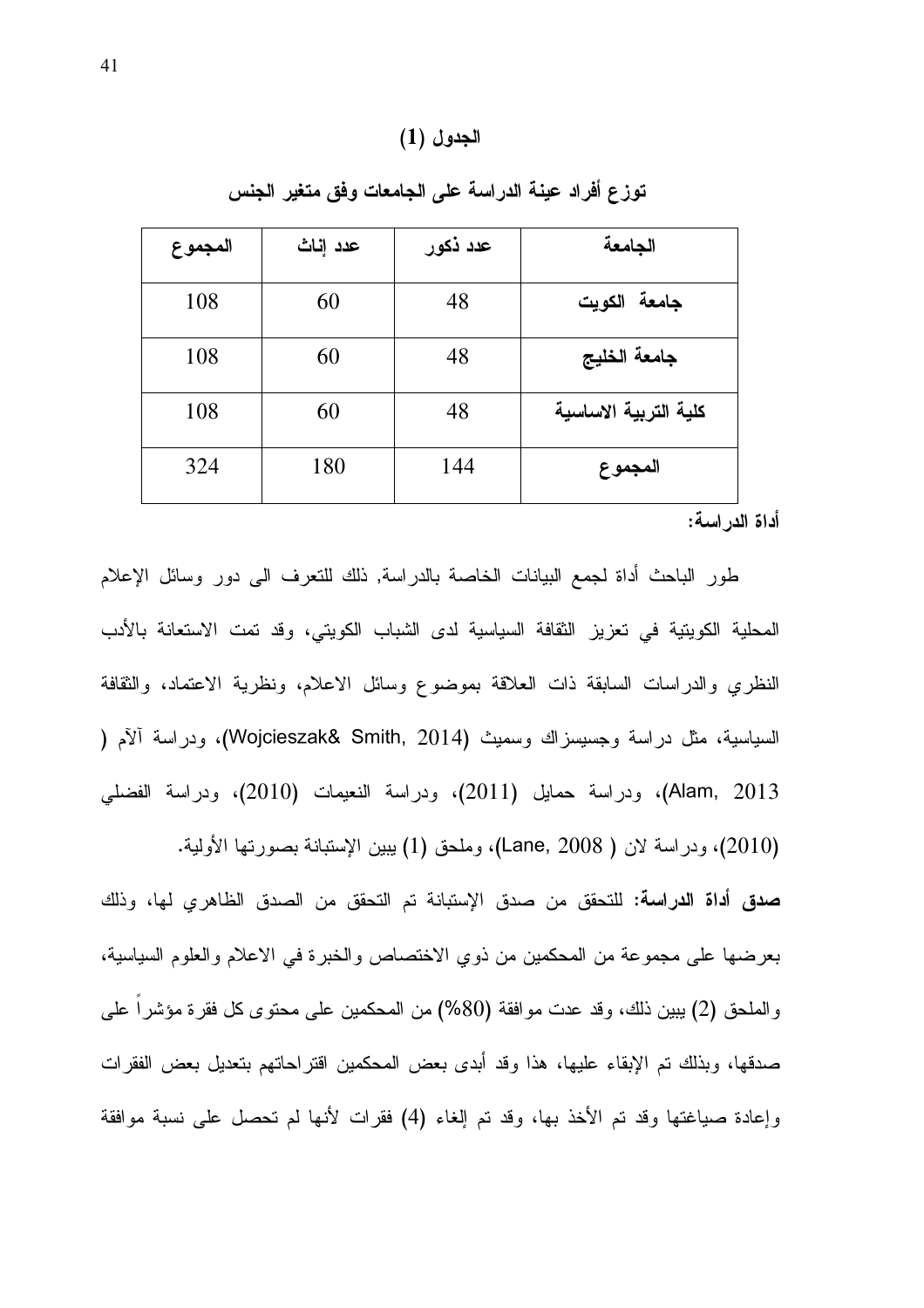### الجدول (1)

| المجموع | عدد إناث | عدد ذكور | الجامعة               |
|---------|----------|----------|-----------------------|
| 108     | 60       | 48       | جامعة الكويت          |
| 108     | 60       | 48       | جامعة الخليج          |
| 108     | 60       | 48       | كلية التربية الاساسية |
| 324     | 180      | 144      | المجموع               |

توزع أفراد عينة الدراسة على الجامعات وفق متغير الجنس

أداة الدراسة:

طور الباحث أداة لجمع البيانات الخاصة بالدراسة, ذلك للتعرف الى دور وسائل الإعلام المحلية الكويتية في تعزيز الثقافة السياسية لدى الشباب الكويتي، وقد تمت الاستعانة بالأدب النظري والدراسات السابقة ذات العلاقة بموضوع وسائل الاعلام، ونظرية الاعتماد، والثقافة السياسية، مثل دراسة وجسيسزاك وسميث (Wojcieszak& Smith, 2014)، ودراسة ألأم ( Alam, 2013)، ودراسة حمايل (2011)، ودراسة النعيمات (2010)، ودراسة الفضلي (2010)، ودراسة لان ( Lane, 2008)، وملحق (1) يبين الإستبانة بصورتها الأولية.

صدق أداة الدراسة: للتحقق من صدق الإستبانة تم التحقق من الصدق الظاهري لها، وذلك بعرضها على مجموعة من المحكمين من ذوي الاختصاص والخبرة في الاعلام والعلوم السياسية، والملحق (2) يبين ذلك، وقد عدت موافقة (80%) من المحكمين على محتوى كل فقرة مؤشرا على صدقها، وبذلك نم الإبقاء عليها، هذا وقد أبدى بعض المحكمين اقتراحاتهم بتعديل بعض الفقرات وإعادة صباغتها وقد تم الأخذ بها، وقد تم إلغاء (4) فقرات لأنها لم تحصل على نسبة موافقة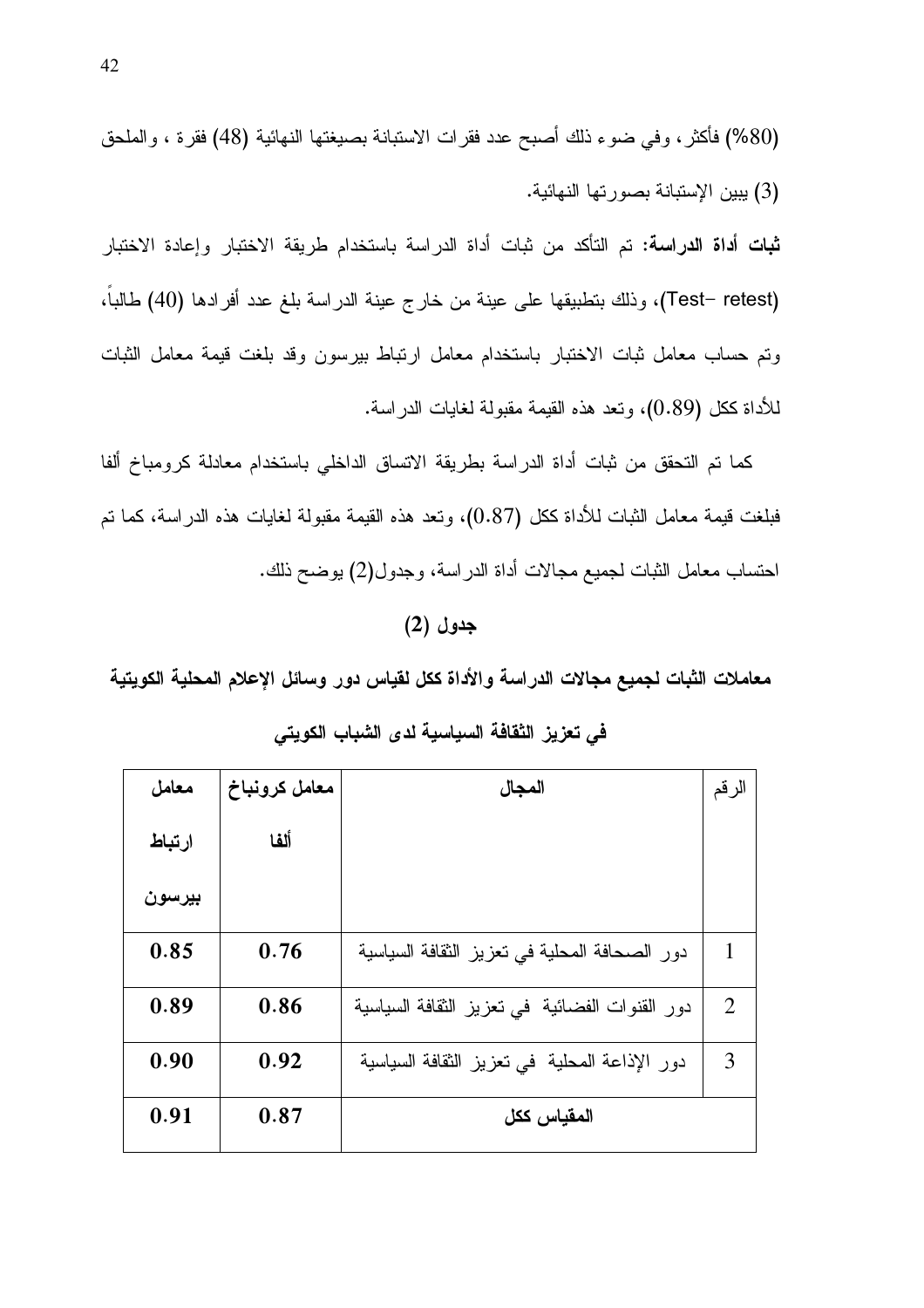(Test- retest)، وذلك بتطبيقها على عينة من خارج عينة الدراسة بلغ عدد أفرادها (40) طالباً، وتم حساب معامل ثبات الاختبار باستخدام معامل ارتباط بيرسون وقد بلغت قيمة معامل الثبات للأداة ككل (0.89)، ونعد هذه القيمة مقبولة لغايات الدراسة.

كما تم التحقق من ثبات أداة الدراسة بطريقة الاتساق الداخلي باستخدام معادلة كرومباخ ألفا فبلغت قيمة معامل الثبات للأداة ككل (0.87)، ونعد هذه القيمة مقبولة لغايات هذه الدراسة، كما تم احتساب معامل الثبات لجميع مجالات أداة الدراسة، وجدول(2) بوضح ذلك.

## جدول (2)

معاملات الثبات لجميع مجالات الدراسة والأداة ككل لقياس دور وسائل الإعلام المحلية الكويتية

| معامل  | معامل كرونباخ | المجال                                         | الرقم          |
|--------|---------------|------------------------------------------------|----------------|
| ارتباط | ألفا          |                                                |                |
| بيرسون |               |                                                |                |
| 0.85   | 0.76          | دور الصحافة المحلية في تعزيز الثقافة السياسية  | 1              |
| 0.89   | 0.86          | دور القنوات الفضائية في تعزيز الثقافة السياسية | $\overline{2}$ |
| 0.90   | 0.92          | دور الإذاعة المحلية ًفي تعزيز الثقافة السياسية | 3              |
| 0.91   | 0.87          | المقياس ككل                                    |                |

### في تعزيز الثقافة السياسية لدى الشباب الكويتي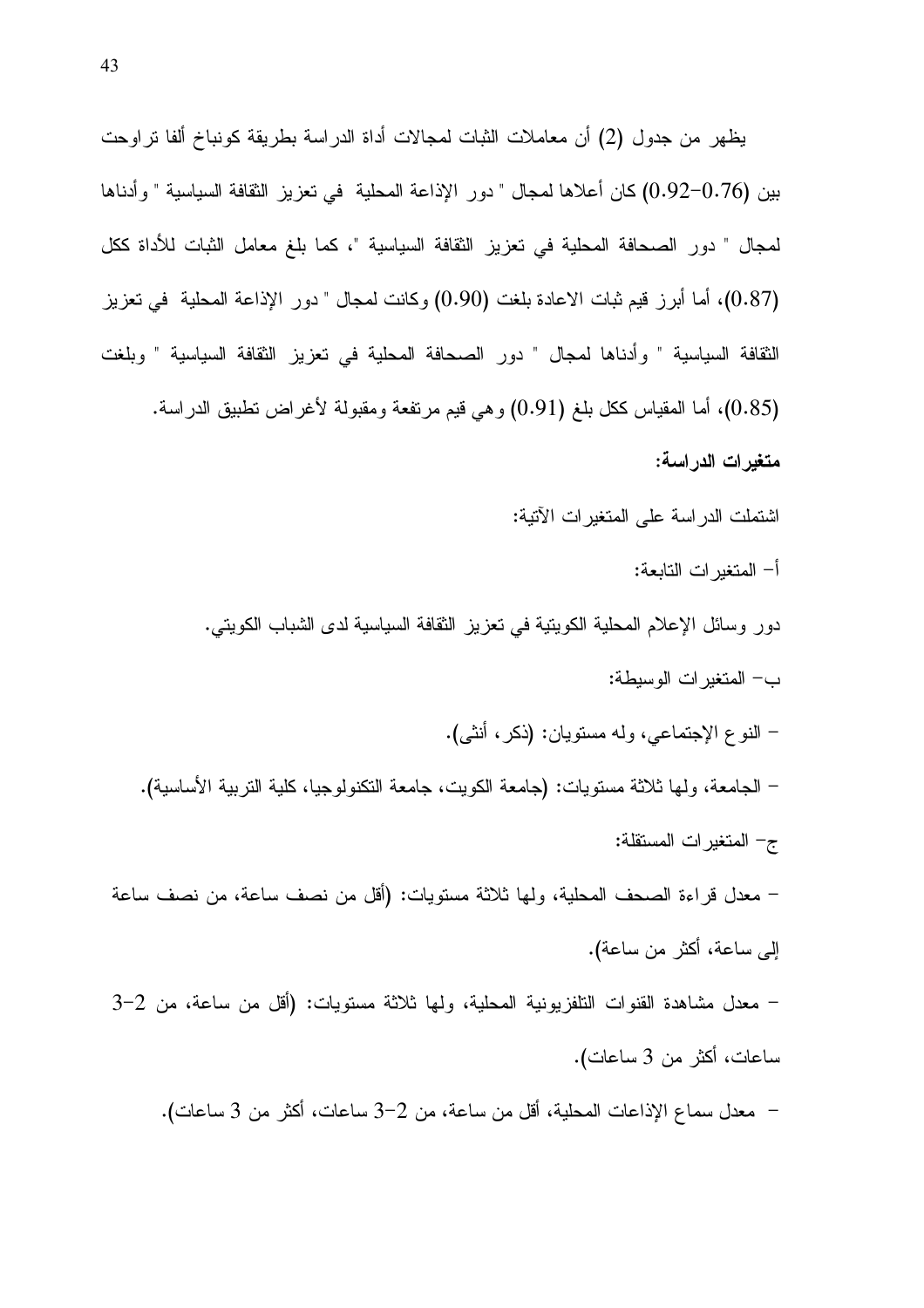يظهر من جدول (2) أن معاملات الثبات لمجالات أداة الدراسة بطريقة كونباخ ألفا نراوحت بين (0.76–0.92) كان أعلاها لمجال " دور الإذاعة المحلية في تعزيز الثقافة السياسية " وأدناها لمجال " دور الصحافة المحلية في تعزيز الثقافة السياسية "، كما بلغ معامل الثبات للأداة ككل (0.87)، أما أبرز قيم ثبات الاعادة بلغت (0.90) وكانت لمجال " دور الإذاعة المحلية في تعزيز النِّقافة السياسية " وأدناها لمجال " دور الصحافة المحلية في تعزيز النِّقافة السياسية " وبلغت (0.85)، أما المقياس ككل بلغ (0.91) وهي قيم مرتفعة ومقبولة لأغراض نطبيق الدراسة. متغيرات الدراسة: اشتملت الدراسة على المتغيرات الآتية:

- أ– المتغبر ات التابعة:
- دور وسائل الإعلام المحلية الكويتية في تعزيز الثقافة السياسية لدى الشباب الكويتي.
	- ب– المتغير ات الوسيطة:
	- النوع الإجتماعي، وله مستويان: (ذكر، أنثـي).
- الجامعة، ولَّها ثلاثة مستويات: (جامعة الكويت، جامعة التكنولوجيا، كلَّية التربية الأساسية). ج- المتغيرات المستقلة: – معدل قراءة الصحف المحلية، ولها ثلاثة مستويات: (أقل من نصف ساعة، من نصف ساعة
- إلى ساعة، أكثر من ساعة).
- معدل مشاهدة القنوات النلفزيونية المحلية، ولها ثلاثة مستويات: (أقل من ساعة، من 2–3 ساعات، أكثر من 3 ساعات).
	- معدل سماع الإذاعات المحلية، أقل من ساعة، من 2–3 ساعات، أكثر من 3 ساعات).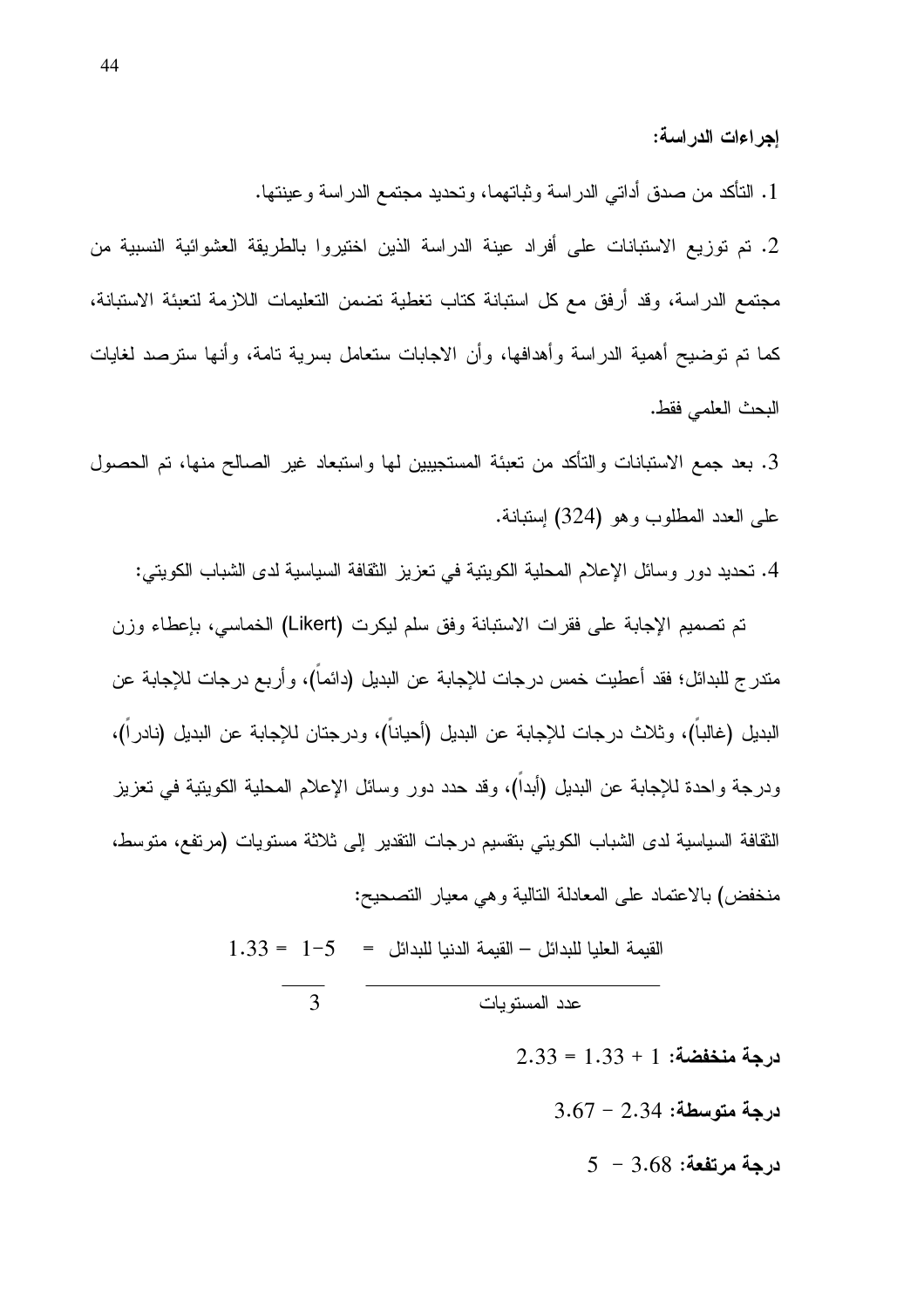إجراءات الدراسة:

1. التأكد من صدق أداتي الدراسة وثباتهما، وتحديد مجتمع الدراسة وعينتها.

2. تم توزيع الاستبانات على أفراد عينة الدراسة الذين اختيروا بالطريقة العشوائية النسبية من مجتمع الدراسة، وقد أرفق مع كل استبانة كتاب تغطية تضمن التعليمات اللازمة لتعبئة الاستبانة، كما تم نوضيح أهمية الدراسة وأهدافها، وأن الاجابات ستعامل بسرية نامة، وأنها سترصد لغايات البحث العلمي فقط.

3. بعد جمع الاستبانات والتأكد من تعبئة المستجيبين لمها واستبعاد غير الصىالح منها، تم الحصول على العدد المطلوب وهو (324) اِستبانة.

4. تحديد دور وسائل الإعلام المحلية الكويتية في تعزيز الثقافة السياسية لدى الشباب الكويتي:

تم تصميم الإجابة على فقرات الاستبانة وفق سلم ليكرت (Likert) الخماسي، بإعطاء وزن مندرج للبدائل؛ فقد أعطيت خمس درجات للإجابة عن البديل (دائما)، وأربع درجات للإجابة عن البديل (غالبا)، وثلاث درجات للإجابة عن البديل (أحيانا)، ودرجتان للإجابة عن البديل (نادر ا)، ودرجة واحدة للإجابة عن البديل (أبدا)، وقد حدد دور وسائل الإعلام المحلية الكويتية في تعزيز الثقافة السياسية لدى الشباب الكويتي بتقسيم درجات التقدير إلى ثلاثة مستويات (مرتفع، متوسط، منخفض) بالاعتماد على المعادلة التالية و هي معيار التصحيح:

1.33 = 
$$
1-5
$$
 =  $1-33$  =  $1-5$  =  $1-33$  =  $3$ 

 $2.33 = 1.33 + 1$  درجة منخفضة: 1  $3.67 - 2.34$  درجة متوسطة:  $5 - 3.68$  درجة مرتفعة: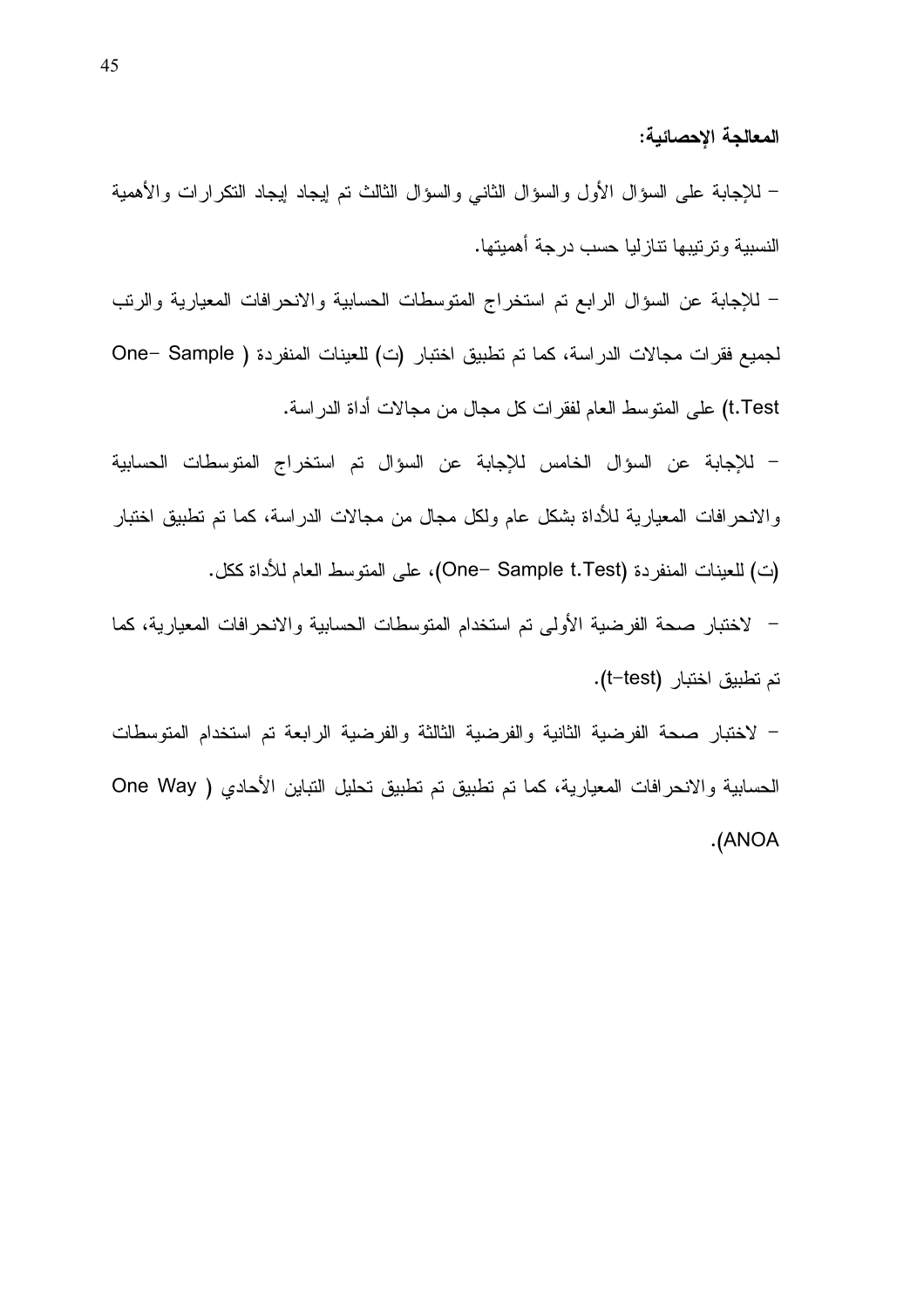المعالجة الإحصائية:

– للإجابة على السؤال الأول والسؤال الثانبي والسؤال الثالث نم إيجاد إيجاد النكر ارات والأهمية النسبية وترتيبها نتازليا حسب درجة أهميتها.

– للإجابة عن السؤال الرابع تم استخراج المتوسطات الحسابية والانحرافات المعيارية والرنب لجميع فقرات مجالات الدراسة، كما تم تطبيق اختبار (ت) للعينات المنفردة ( One– Sample t.Test) على المتوسط العام لفقرات كل مجال من مجالات أداة الدراسة.

– للإجابة عن السؤال الخامس للإجابة عن السؤال تم استخراج المتوسطات الحسابية و الانحر افات المعيارية للأداة بشكل عام ولكل مجال من مجالات الدر اسة، كما تم تطبيق اختبار (ت) للعينات المنفردة (One– Sample t.Test)، على المتوسط العام للأداة ككل.

– لاختبار صحة الفرضية الأولى تم استخدام المتوسطات الحسابية والانحرافات المعيارية، كما تم تطبيق اختبار (t–test).

– لاختبار صحة الفرضية الثانية والفرضية الثالثة والفرضية الرابعة تم استخدام المتوسطات الحسابية والانحرافات المعيارية، كما تم تطبيق تم تطبيق تحليل التباين الأحادي ( One Way .(ANOA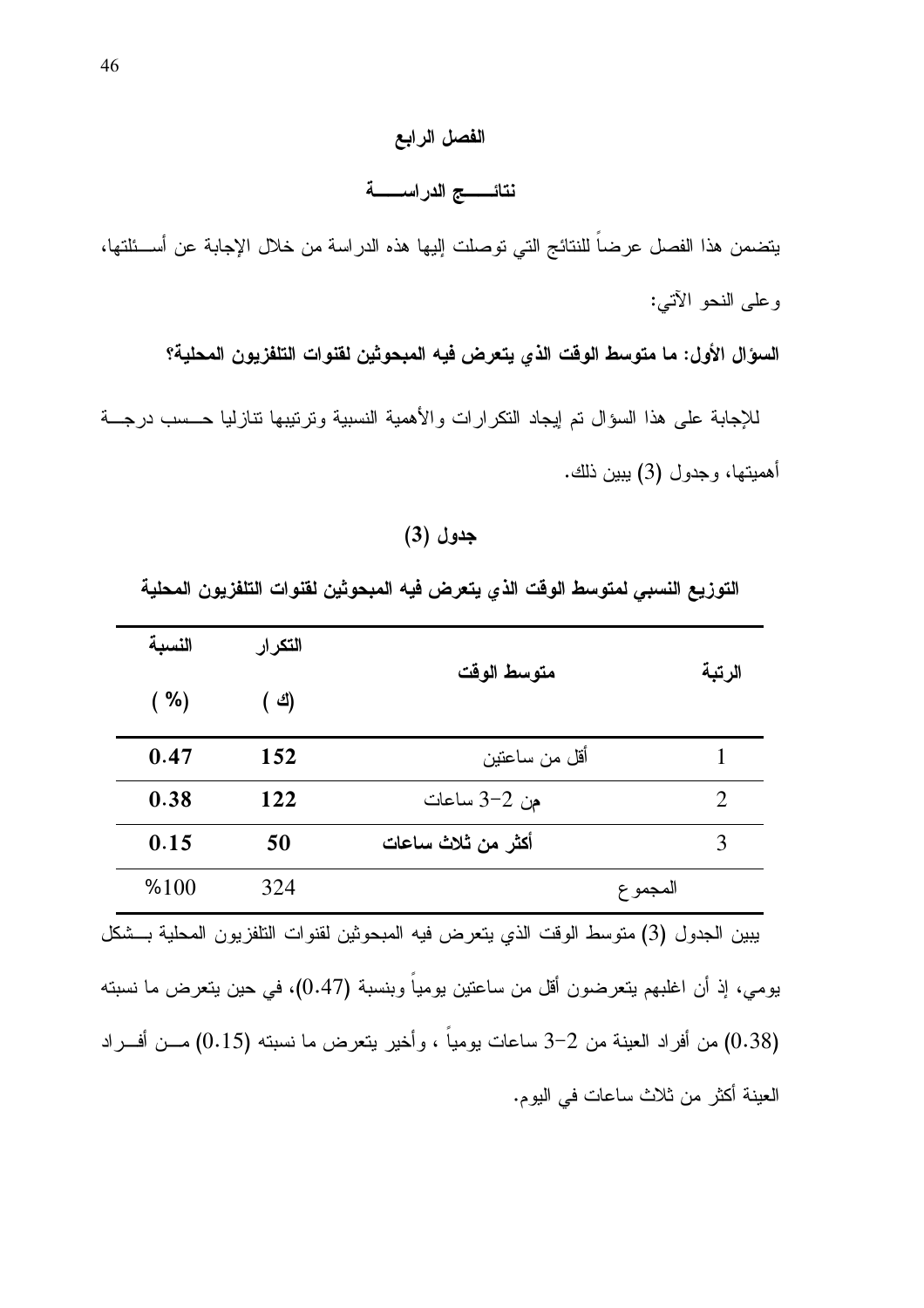## الفصل الرابع

## نتائـــــــج الدراســـــــة

يتضمن هذا الفصل عرضاً للنتائج التي توصلت إليها هذه الدراسة من خلال الإجابة عن أســئلتها، وعلى النحو الأتبي:

السؤال الأول: ما متوسط الوقت الذي يتعرض فيه المبحوثين لقنوات التلفزيون المحلية؟

للإجابة على هذا السؤال تم إيجاد النكرارات والأهمية النسبية ونرتيبها نتازليا حــسب درجـــة أهميتها، وجدول (3) ببين ذلك.

جدول (3)

التوزيع النسبي لمتوسط الوقت الذي يتعرض فيه المبحوثين لقنوات التلفزيون المحلية

| النسبة | التكر ار | متوسط الوقت                                                                            | الرتبة                              |
|--------|----------|----------------------------------------------------------------------------------------|-------------------------------------|
| ( %)   | ( শ্ৰ)   |                                                                                        |                                     |
| 0.47   | 152      | أقل من ساعتين                                                                          | 1                                   |
| 0.38   | 122      | من 2-3 ساعات                                                                           | $\mathcal{D}_{\mathcal{L}}$         |
| 0.15   | 50       | أكثر من ثلاث ساعات                                                                     | 3                                   |
| %100   | 324      |                                                                                        | المجمو ع                            |
|        |          | يبين الجدول (3) متوسط الوقت الذي يتعرض فيه المبحوثين لقنوات التلفزيون المحلية بـــشكل  |                                     |
|        |          | بومي، إذ أن اغلبهم يتعرضون أقل من ساعتين يوميا وبنسبة (0.47)، في حين يتعرض ما نسبته    |                                     |
|        |          | (0.38) من أفراد العينة من 2–3 ساعات يوميا ، وأخير يتعرض ما نسبته (0.15) مـــن أفـــراد |                                     |
|        |          |                                                                                        | العينة أكثر من ثلاث ساعات في اليوم. |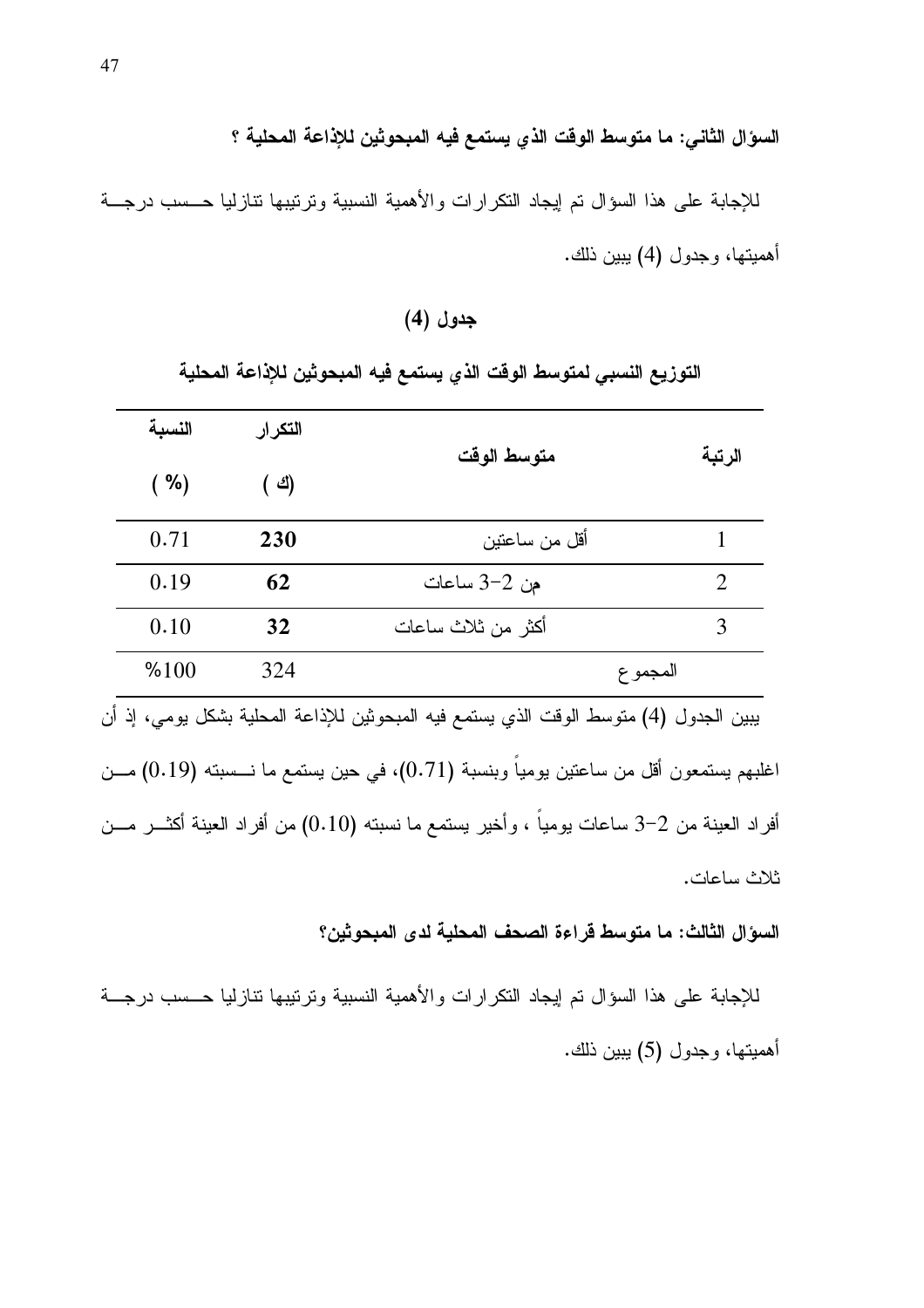السؤال الثاني: ما متوسط الوقت الذي يستمع فيه المبحوثين للإذاعة المحلية ؟

للإجابة على هذا السؤال تم إيجاد النكرارات والأهمية النسبية وترتيبها نتازليا حــسب درجــة أهميتها، وجدول (4) يبين ذلك.

## جدول (4)

التوزيع النسبي لمتوسط الوقت الذي يستمع فيه المبحوثين للإذاعة المحلية

| النسبة | التكر ار |                                                                                              |                |
|--------|----------|----------------------------------------------------------------------------------------------|----------------|
| ( %)   | ( শ্ৰ)   | متوسط الوقت                                                                                  | الرتبة         |
| 0.71   | 230      | أقل من ساعتين                                                                                | 1              |
| 0.19   | 62       | من 2–3 ساعات                                                                                 | $\mathfrak{D}$ |
| 0.10   | 32       | أكثر من ثلاث ساعات                                                                           | 3              |
| %100   | 324      |                                                                                              | المجموع        |
|        |          | يبين الجدول (4) متوسط الوقت الذي يستمع فيه المبحوثين للإذاعة المحلية بشكل يومي، إذ أن        |                |
|        |          | اغلبهم يستمعون أقل من ساعتين يوميا وبنسبة (0.71)، في حين يستمع ما نــــسبته (0.19) مــــن    |                |
|        |          | أفراد العينة من 2–3 ساعات بومياً ، وأخير يستمع ما نسبته (0.10) من أفراد العينة أكثـــر مـــن |                |
|        |          |                                                                                              | ثلاث ساعات.    |

السؤال الثالث: ما متوسط قراءة الصحف المحلية لدى المبحوثين؟

للإجابة على هذا السؤال تم إيجاد النكرارات والأهمية النسبية وترتيبها نتازليا حسب درجة أهميتها، وجدول (5) يبين ذلك.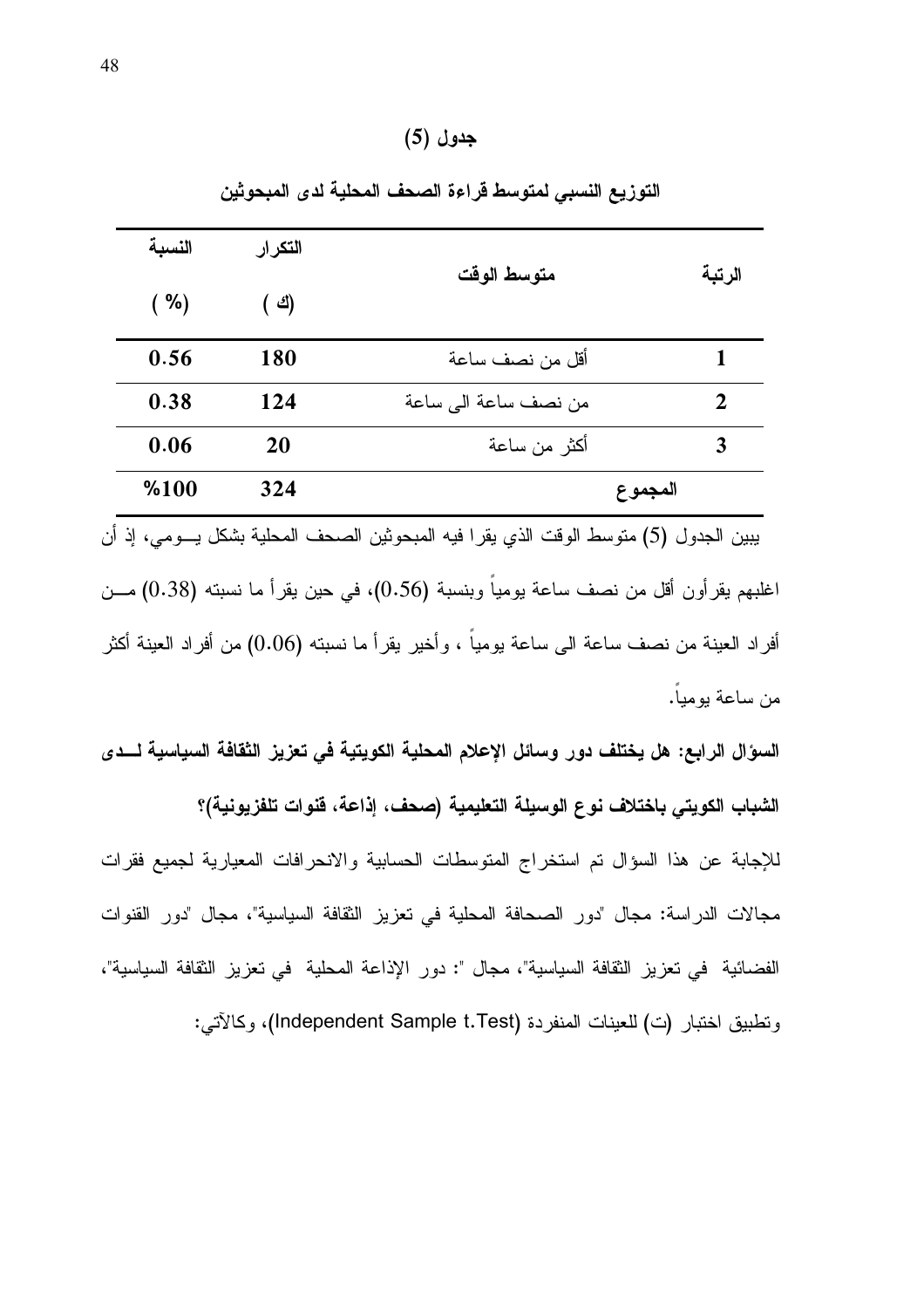## جدول (5)

| النسبة | التكرار | متوسط الوقت                                                                                 | الرتبة         |
|--------|---------|---------------------------------------------------------------------------------------------|----------------|
| ( %)   | ( শ্ৰ)  |                                                                                             |                |
| 0.56   | 180     | أقل من نصف ساعة                                                                             | 1              |
| 0.38   | 124     | من نصف ساعة الى ساعة                                                                        | $\overline{2}$ |
| 0.06   | 20      | أكثر من ساعة                                                                                | 3              |
| %100   | 324     | المجموع                                                                                     |                |
|        |         | يبين الجدول (5) متوسط الوقت الذي يقرا فيه المبحوثين الصحف المحلية بشكل يـــومي، إذ أن       |                |
|        |         | اغلبهم يقرأون أقل من نصف ساعة يومياً وبنسبة (0.56)، في حين يقرأ ما نسبته (0.38) مـــن       |                |
|        |         | أفراد العينة من نصف ساعة الى ساعة بومياً ، وأخير يقرأ ما نسبته (0.06) من أفراد العينة أكثر  |                |
|        |         |                                                                                             | من ساعة يوميا. |
|        |         | السؤال الرابع: هل يختلف دور وسائل الإعلام المحلية الكويتية في تعزيز الثقافة السياسية لـــدى |                |

التوزيع النسبي لمتوسط قراءة الصحف المحلية لدى المبحوثين

الشباب الكويتي باختلاف نوع الوسيلة التعليمية (صحف، إذاعة، فنوات تلفزيونية)؟ للإجابة عن هذا السؤال تم استخراج المتوسطات الحسابية والانحرافات المعيارية لجميع فقرات مجالات الدراسة: مجال "دور الصحافة المحلية في تعزيز الثقافة السياسية"، مجال "دور القنوات الفضائية في تعزيز الثقافة السياسية"، مجال ": دور الإذاعة المحلية في تعزيز الثقافة السياسية"، ونطبيق اختبار (ت) للعينات المنفردة (Independent Sample t.Test)، وكالآتي: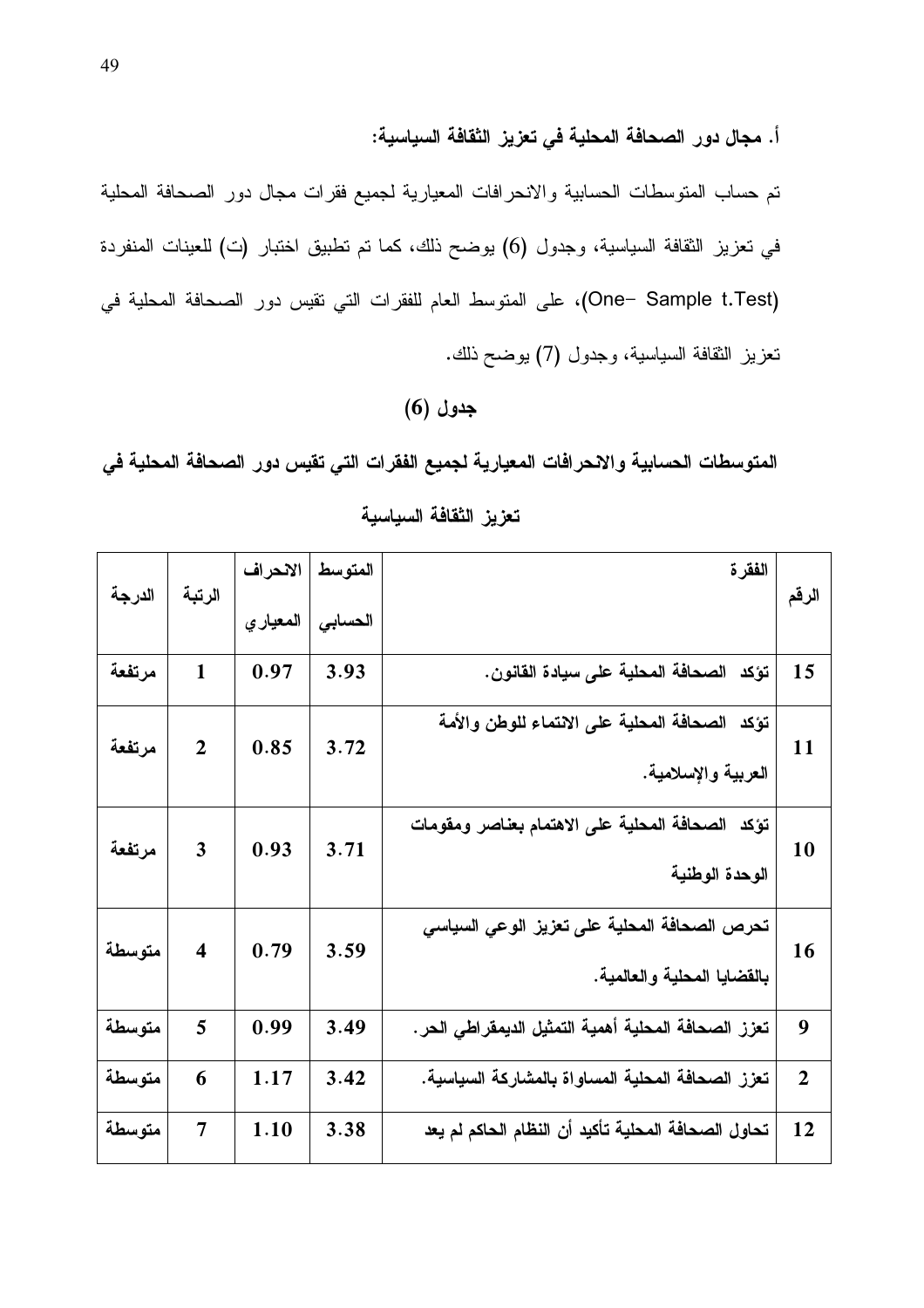أ. مجال دور الصحافة المحلية في تعزيز الثقافة السياسية:

تم حساب المتوسطات الحسابية والانحرافات المعيارية لجميع فقرات مجال دور الصحافة المحلية في تعزيز الثقافة السياسية، وجدول (6) يوضح ذلك، كما تم تطبيق اختبار (ت) للعينات المنفردة One– Sample t.Test)، على المتوسط العام للفقرات التي نقيس دور الصحافة المحلية في نعزيز الثقافة السياسية، وجدول (7) يوضح ذلك.

#### $(6)$  جدول

المتوسطات الحسابية والانحرافات المعيارية لجميع الفقرات التي تقيس دور الصحافة المحلية في

| الدرجة | الرتبة                  | الانحراف  | المتوسط | الفقرة                                               | الرقم          |
|--------|-------------------------|-----------|---------|------------------------------------------------------|----------------|
|        |                         | المعيار ي | الحسابي |                                                      |                |
| مرتفعة | $\mathbf{1}$            | 0.97      | 3.93    | تؤكد الصحافة المحلية على سيادة القانون.              | 15             |
| مرتفعة | $\overline{2}$          | 0.85      | 3.72    | تؤكد الصحافة المحلية على الانتماء للوطن والأمة       | 11             |
|        |                         |           |         | العربية والإسلامية.                                  |                |
| مرتفعة | 3                       | 0.93      | 3.71    | تؤكد الصحافة المحلية على الاهتمام بعناصر ومقومات     | 10             |
|        |                         |           |         | الوحدة الوطنية                                       |                |
| متوسطة | $\overline{\mathbf{4}}$ | 0.79      | 3.59    | تحرص الصحافة المحلية على تعزيز الوعي السياسي         | 16             |
|        |                         |           |         | بالقضايا المحلية والعالمية.                          |                |
| متوسطة | 5                       | 0.99      | 3.49    | تعزز الصحافة المحلية أهمية التمثيل الديمقراطى الحر . | 9              |
| متوسطة | 6                       | 1.17      | 3.42    | تعزز الصحافة المحلية المساواة بالمشاركة السياسية.    | $\overline{2}$ |
| متوسطة | $\overline{7}$          | 1.10      | 3.38    | تحاول الصحافة المحلية تأكيد أن النظام الحاكم لم يعد  | 12             |

تعزيز الثقافة السياسية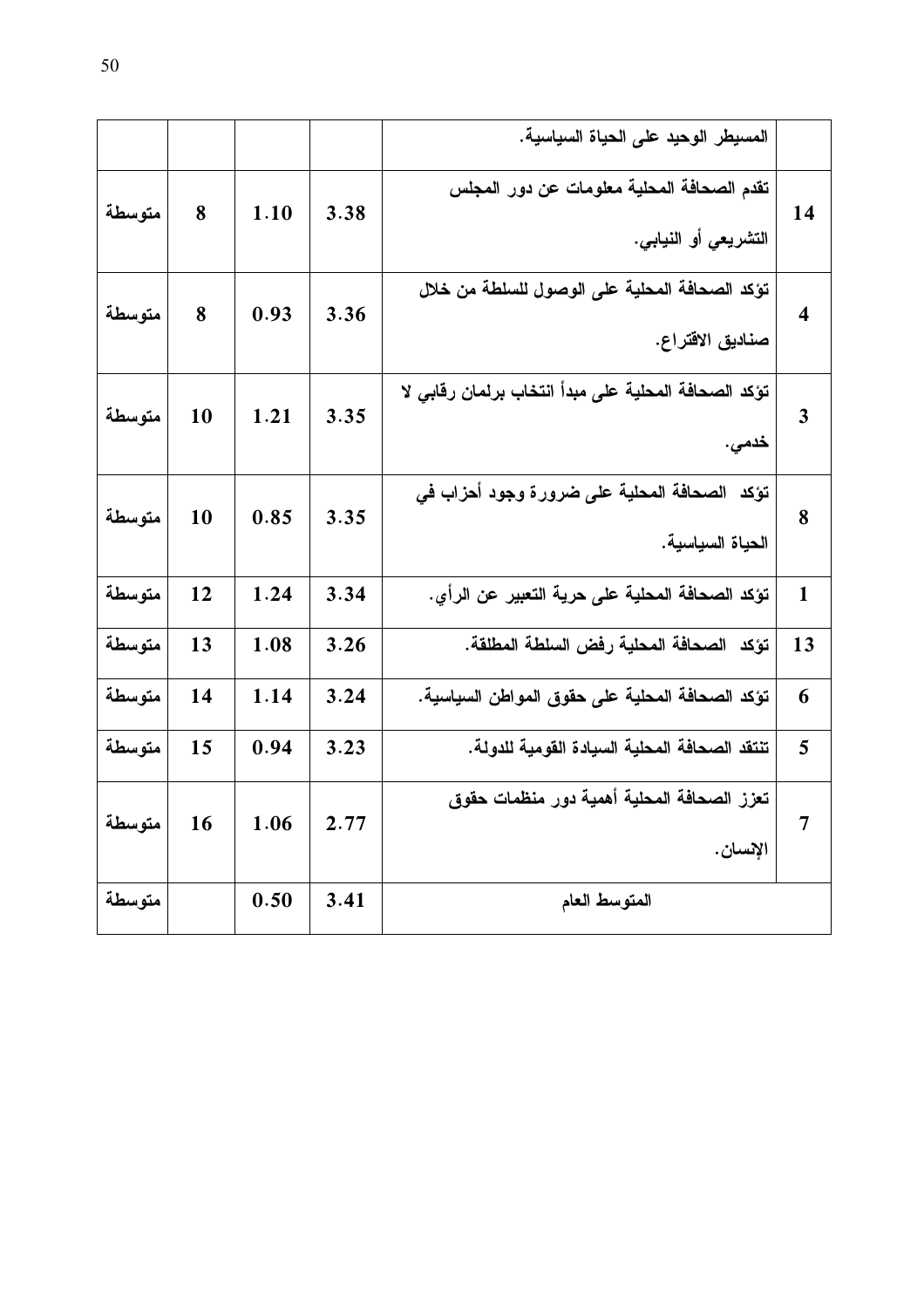|        |    |      |      | المسيطر الوحيد على الحياة السياسية.                                |                         |
|--------|----|------|------|--------------------------------------------------------------------|-------------------------|
| متوسطة | 8  | 1.10 | 3.38 | تقدم الصحافة المحلية معلومات عن دور المجلس<br>التشريعي أو النيابي. | 14                      |
| متوسطة | 8  | 0.93 | 3.36 | تؤكد الصحافة المحلية على الوصول للسلطة من خلال<br>صناديق الاقتراع. | $\overline{\mathbf{4}}$ |
| متوسطة | 10 | 1.21 | 3.35 | تؤكد الصحافة المحلية على مبدأ انتخاب برلمان رقابى لا<br>خدمى.      | $\overline{\mathbf{3}}$ |
| متوسطة | 10 | 0.85 | 3.35 | تؤكد الصحافة المحلية على ضرورة وجود أحزاب في<br>الحياة السياسية.   | 8                       |
| متوسطة | 12 | 1.24 | 3.34 | تؤكد الصحافة المحلية على حرية التعبير عن الرأي.                    | $\mathbf{1}$            |
| متوسطة | 13 | 1.08 | 3.26 | تؤكد  الصحافة المحلية رفض السلطة المطلقة.                          | 13                      |
| متوسطة | 14 | 1.14 | 3.24 | تؤكد الصحافة المحلية على حقوق المواطن السياسية.                    | 6                       |
| متوسطة | 15 | 0.94 | 3.23 | تنتقد الصحافة المحلية السيادة القومية للدولة.                      | 5                       |
| متوسطة | 16 | 1.06 | 2.77 | تعزز الصحافة المحلية أهمية دور منظمات حقوق<br>الإنسان .            | $\overline{7}$          |
| متوسطة |    | 0.50 | 3.41 | المتوسط العام                                                      |                         |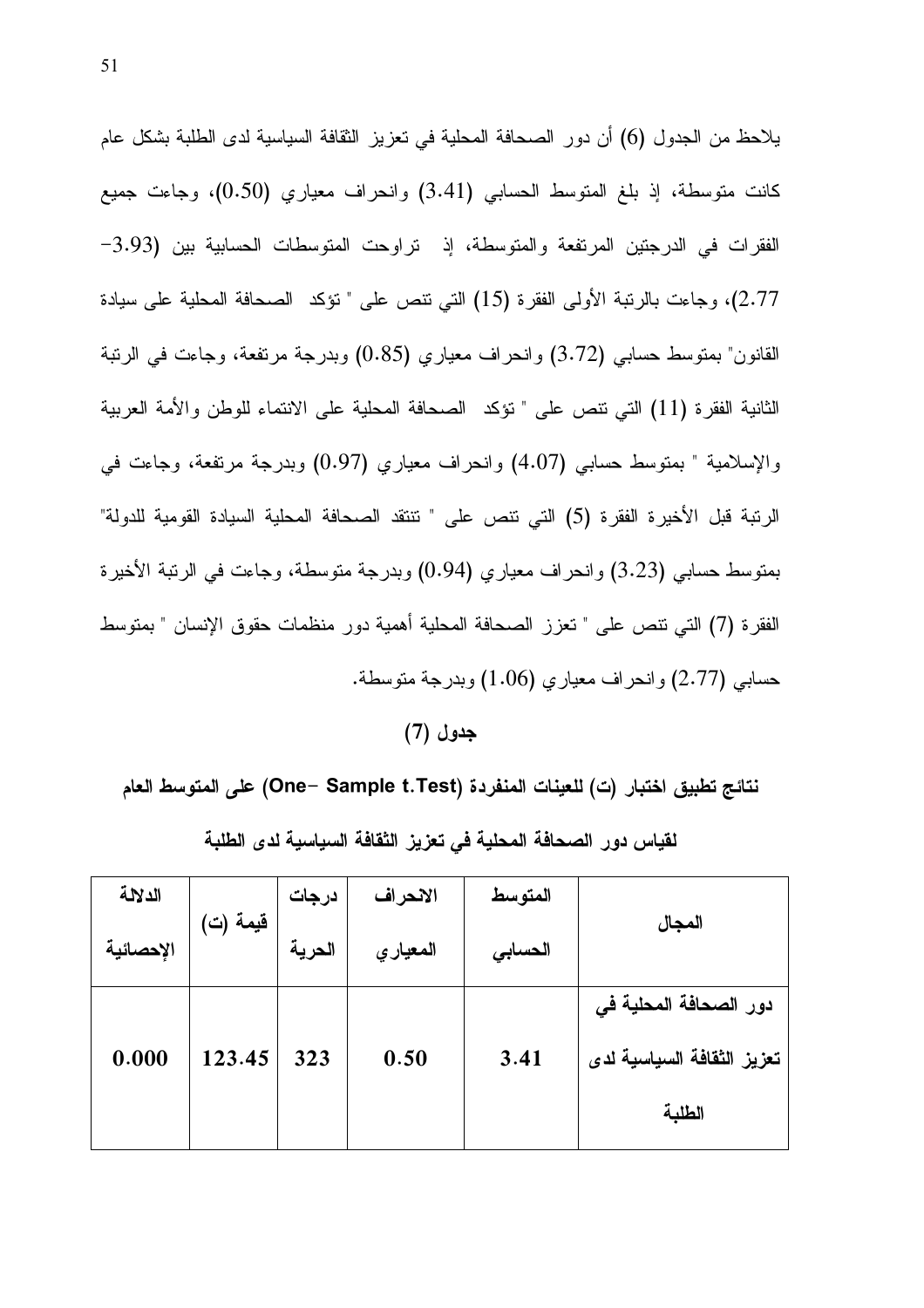يلاحظ من الجدول (6) أن دور الصحافة المحلية في تعزيز الثقافة السياسية لدى الطلبة بشكل عام كانت متوسطة، إذ بلغ المتوسط الحسابي (3.41) وانحراف معياري (0.50)، وجاءت جميع الفقرات في الدرجتين المرتفعة والمتوسطة، إذ تراوحت المتوسطات الحسابية بين (3.93– 2.77)، وجاءت بالرتبة الأولى الفقرة (15) التي نتص على " نؤكد الصحافة المحلية على سيادة القانون" بمنوسط حسابي (3.72) وانحراف معياري (0.85) وبدرجة مرتفعة، وجاءت في الرنبة الثانية الفقرة (11) التي نتص على " نؤكد الصحافة المحلية على الانتماء للوطن والأمة العربية والإسلامية " بمتوسط حسابي (4.07) وانحراف معياري (0.97) وبدرجة مرتفعة، وجاءت في الرتبة قبل الأخيرة الفقرة (5) التي تتص على " تتتقد الصحافة المحلية السيادة القومية للدولة" بمتوسط حسابي (3.23) وانحراف معياري (0.94) وبدرجة متوسطة، وجاءت في الرنبة الأخيرة الفقرة (7) التي نتص على " تعزز الصحافة المحلية أهمية دور منظمات حقوق الإنسان " بمتوسط حسابي (2.77) و انحر اف معياري (1.06) وبدرجة متوسطة.

جدول (7*)* 

نتائج تطبيق اختبار (ت) للعينات المنفردة (One– Sample t.Test) على المتوسط العام

| الدلالة   |          | درجات  | الانحراف | المتوسط |                            |  |
|-----------|----------|--------|----------|---------|----------------------------|--|
| الإحصائية | قيمة (ت) | الحرية | المعياري | الحسابى | المجال                     |  |
|           |          |        |          |         | دور الصحافة المحلية في     |  |
| 0.000     | 123.45   | 323    | 0.50     | 3.41    | تعزيز الثقافة السياسية لدى |  |
|           |          |        |          |         | الطلبة                     |  |

لقياس دور الصحافة المحلية فى تعزيز الثقافة السياسية لدى الطلبة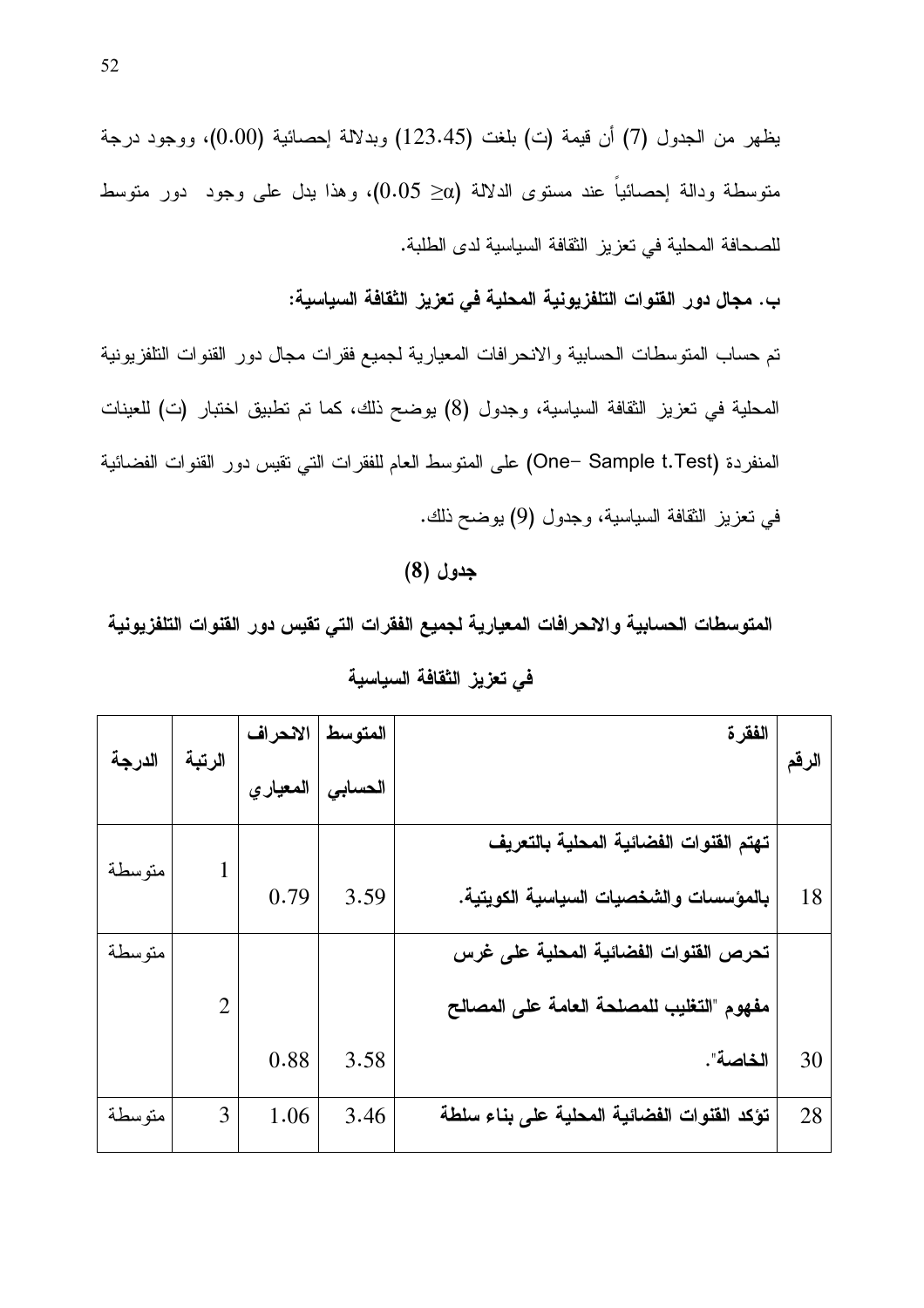يظهر من الجدول (7) أن قيمة (ت) بلغت (123.45) وبدلالة إحصائية (0.00)، ووجود درجة متوسطة ودالة اٍحصائياً عند مستوى الدلالة (α− 0.05)، وهذا بدل على وجود دور متوسط للصحافة المحلية في تعزيز الثقافة السياسية لدى الطلبة.

ب. مجال دور القنوات التلفزيونية المحلية في تعزيز الثقافة السياسية:

تم حساب المتوسطات الحسابية والانحرافات المعيارية لجميع فقرات مجال دور القنوات التلفزيونية المحلية في تعزيز الثقافة السياسية، وجدول (8) يوضح ذلك، كما تم تطبيق اختبار (ت) للعينات المنفردة (One- Sample t.Test) على المتوسط العام للفقرات التي نقيس دور القنوات الفضائية في تعزيز الثقافة السياسية، وجدول (9) يوضح ذلك.

### جدول (8)

المتوسطات الحسابية والانحرافات المعيارية لجميع الفقرات التي تقيس دور القنوات التلفزيونية

|        |                | الانحراف | المتوسط | الفقر ة                                     |       |
|--------|----------------|----------|---------|---------------------------------------------|-------|
| الدرجة | الرتبة         | المعياري | الحسابي |                                             | الرقم |
|        |                |          |         | تهتم القنوات الفضائية المحلية بالتعريف      |       |
| متوسطة |                | 0.79     | 3.59    | بالمؤسسات والشخصيات السياسية الكويتية.      | 18    |
| متوسطة |                |          |         | تحرص القنوات الفضائية المحلية على غرس       |       |
|        | $\overline{2}$ |          |         | مفهوم "التغليب للمصلحة العامة على المصالح   |       |
|        |                | 0.88     | 3.58    | الخاصة".                                    | 30    |
| متوسطة | 3              | 1.06     | 3.46    | تؤكد القنوات الفضائية المحلية على بناء سلطة | 28    |

| في تعزيز الثقافة السياسية |  |  |
|---------------------------|--|--|
|                           |  |  |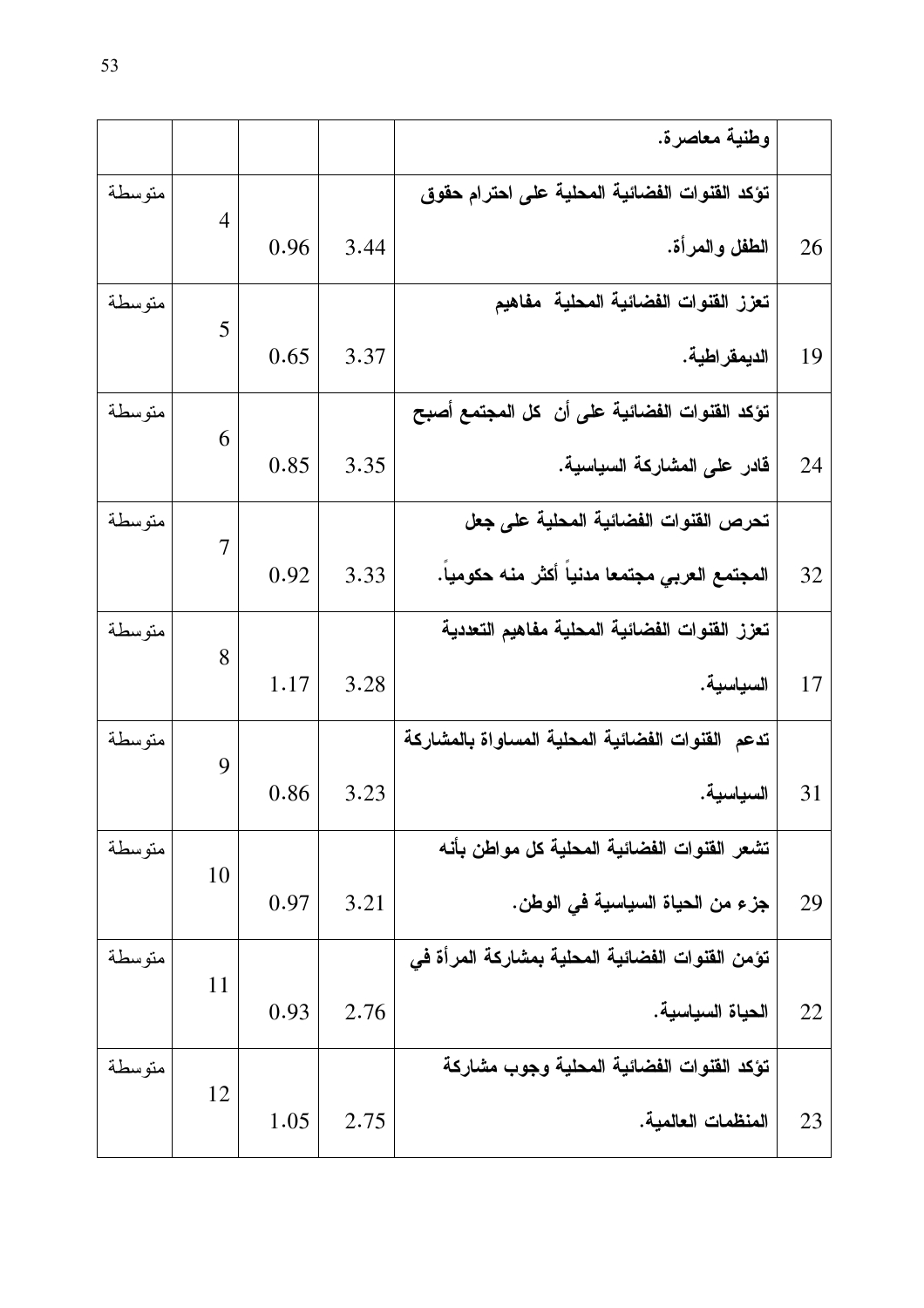|        |                |      |      | وطنية معاصرة.                                    |    |
|--------|----------------|------|------|--------------------------------------------------|----|
| متوسطة | $\overline{4}$ |      |      | تؤكد القنوات الفضائية المحلية على احترام حقوق    |    |
|        |                | 0.96 | 3.44 | الطفل والمرأة.                                   | 26 |
| متوسطة | 5              |      |      | تعزز القنوات الفضائية المحلية مفاهيم             |    |
|        |                | 0.65 | 3.37 | الديمقر اطية.                                    | 19 |
| متوسطة | 6              |      |      | تؤكد القنوات الفضائية على أن كل المجتمع أصبح     |    |
|        |                | 0.85 | 3.35 | قادر على المشاركة السياسية.                      | 24 |
| متوسطة | $\overline{7}$ |      |      | تحرص القنوات الفضائية المحلية على جعل            |    |
|        |                | 0.92 | 3.33 | المجتمع العربي مجتمعا مدنيا أكثر منه حكوميا.     | 32 |
| متوسطة | 8              |      |      | تعزز القنوات الفضائية المحلية مفاهيم التعددية    |    |
|        |                | 1.17 | 3.28 | السياسية.                                        | 17 |
| متوسطة | 9              |      |      | تدعم القنوات الفضائية المحلية المساواة بالمشاركة |    |
|        |                | 0.86 | 3.23 | السياسية.                                        | 31 |
| متوسطة | 10             |      |      | تشعر القنوات الفضائية المحلية كل مواطن بأنه      |    |
|        |                | 0.97 | 3.21 | جز ء من الحياة السياسية في الوطن.                | 29 |
| متوسطة | 11             |      |      | تؤمن القنوات الفضائية المحلية بمشاركة المرأة في  |    |
|        |                | 0.93 | 2.76 | الحياة السياسية.                                 | 22 |
| متوسطة | 12             |      |      | تؤكد القنوات الفضائية المحلية وجوب مشاركة        |    |
|        |                | 1.05 | 2.75 | المنظمات العالمية.                               | 23 |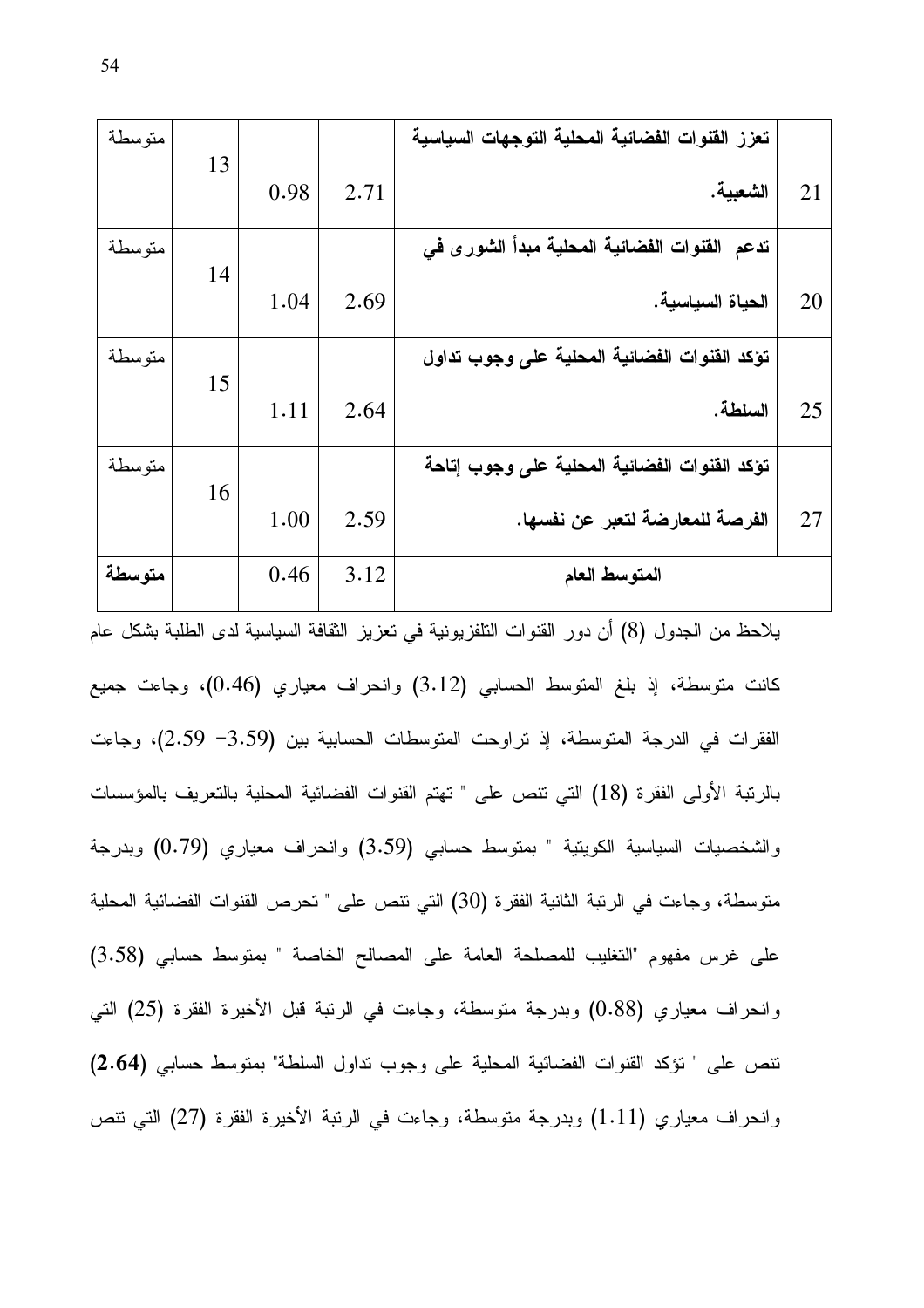| متوسطة |    |      |      | تعزز القنوات الفضائية المحلية التوجهات السياسية |    |
|--------|----|------|------|-------------------------------------------------|----|
|        | 13 | 0.98 | 2.71 | الشعبية.                                        | 21 |
| متوسطة |    |      |      | تدعم القنوات الفضائية المحلية مبدأ الشورى في    |    |
|        | 14 | 1.04 | 2.69 | الحياة السياسية.                                | 20 |
| متوسطة |    |      |      | تؤكد القنوات الفضائية المحلية على وجوب تداول    |    |
|        | 15 | 1.11 | 2.64 | السلطة.                                         | 25 |
| متوسطة |    |      |      | تؤكد القنوات الفضائية المحلية على وجوب إتاحة    |    |
|        | 16 | 1.00 | 2.59 | الفرصة للمعارضة لتعبر عن نفسها.                 | 27 |
| متوسطة |    | 0.46 | 3.12 | المتوسط العام                                   |    |

يلاحظ من الجدول (8) أن دور القنوات النلفزيونية في نعزيز الثقافة السياسية لدى الطلبة بشكل عام كانت متوسطة، إذ بلغ المتوسط الحسابي (3.12) وانحراف معياري (0.46)، وجاءت جميع الفقرات في الدرجة المتوسطة، إذ نراوحت المتوسطات الحسابية بين (3.59 2.59)، وجاءت بالرنبة الأولى الفقرة (18) التي نتص على " تهتم القنوات الفضائية المحلية بالتعريف بالمؤسسات والشخصيات السياسية الكويتية " بمتوسط حسابي (3.59) والحراف معياري (0.79) وبدرجة متوسطة، وجاءت في الرتبة الثانية الفقرة (30) التي نتص على " تحرص القنوات الفضائية المحلية على غرس مفهوم "التغليب للمصلحة العامة على المصالح الخاصة " بمنوسط حسابي (3.58) وانحراف معياري (0.88) وبدرجة متوسطة، وجاءت في الرتبة قبل الأخيرة الفقرة (25) التي نتص على " تؤكد القنوات الفضائية المحلية على وجوب نداول السلطة" بمنوسط حسابي (2.64) وانحراف معياري (1.11) وبدرجة متوسطة، وجاءت في الرتبة الأخيرة الفقرة (27) التي نتص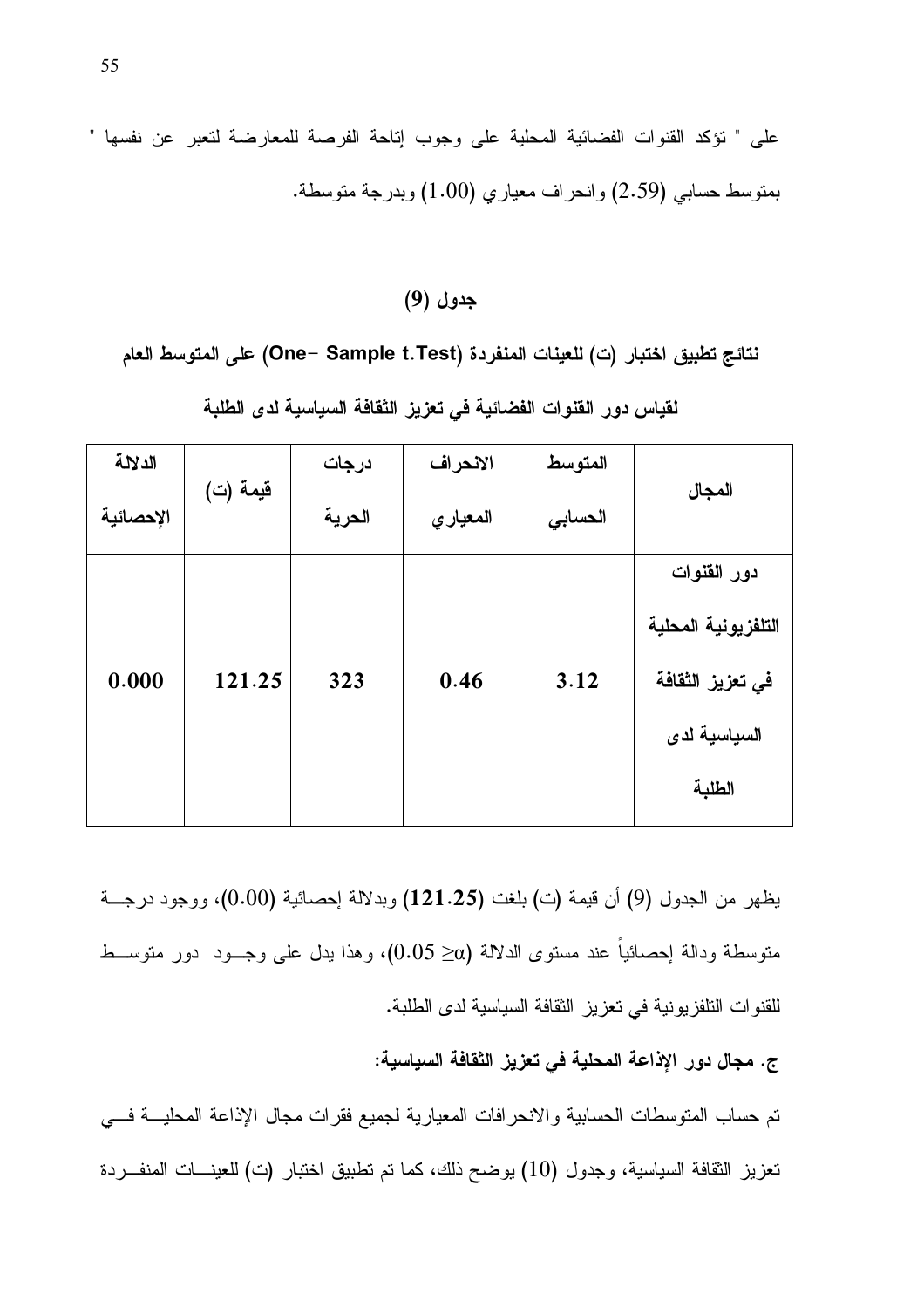على " تؤكد القنوات الفضائية المحلية على وجوب إتاحة الفرصة للمعارضة لتعبر عن نفسها " بمنوسط حسابي (2.59) وانحراف معياري (1.00) وبدرجة منوسطة.

## جدول (9)

نتائج تطبيق اختبار (ت) للعينات المنفردة (One– Sample t.Test) على المتوسط العام

| الدلالة   | قيمة (ت) | درجات  | الانحراف | المتوسط | المجال              |  |
|-----------|----------|--------|----------|---------|---------------------|--|
| الإحصائية |          | الحرية | المعياري | الحسابى |                     |  |
|           |          |        |          |         | دور القنوات         |  |
| 0.000     | 121.25   | 323    | 0.46     | 3.12    | التلفزيونية المحلية |  |
|           |          |        |          |         | في تعزيز الثقافة    |  |
|           |          |        |          |         | السياسية لدى        |  |
|           |          |        |          |         | الطلبة              |  |
|           |          |        |          |         |                     |  |

لقياس دور القنوات الفضائية في تعزيز الثقافة السياسية لدى الطلبة

يظهر من الجدول (9) أن قيمة (ت) بلغت (121.25) وبدلالة إحصائية (0.00)، ووجود درجـــة متوسطة ودالة احصائياً عند مستوى الدلالة (α≤ 0.05)، وهذا بدل على وجــود دور متوســط للقنوات النلفزيونية في تعزيز الثقافة السياسية لدى الطلبة.

ج. مجال دور الإذاعة المحلية في تعزيز الثقافة السياسية:

نم حساب المنوسطات الحسابية والانحرافات المعيارية لجميع فقرات مجال الإذاعة المحليــة فـــي تعزيز الثقافة السياسية، وجدول (10) يوضح ذلك، كما تم تطبيق اختبار (ت) للعينـــات المنفـــردة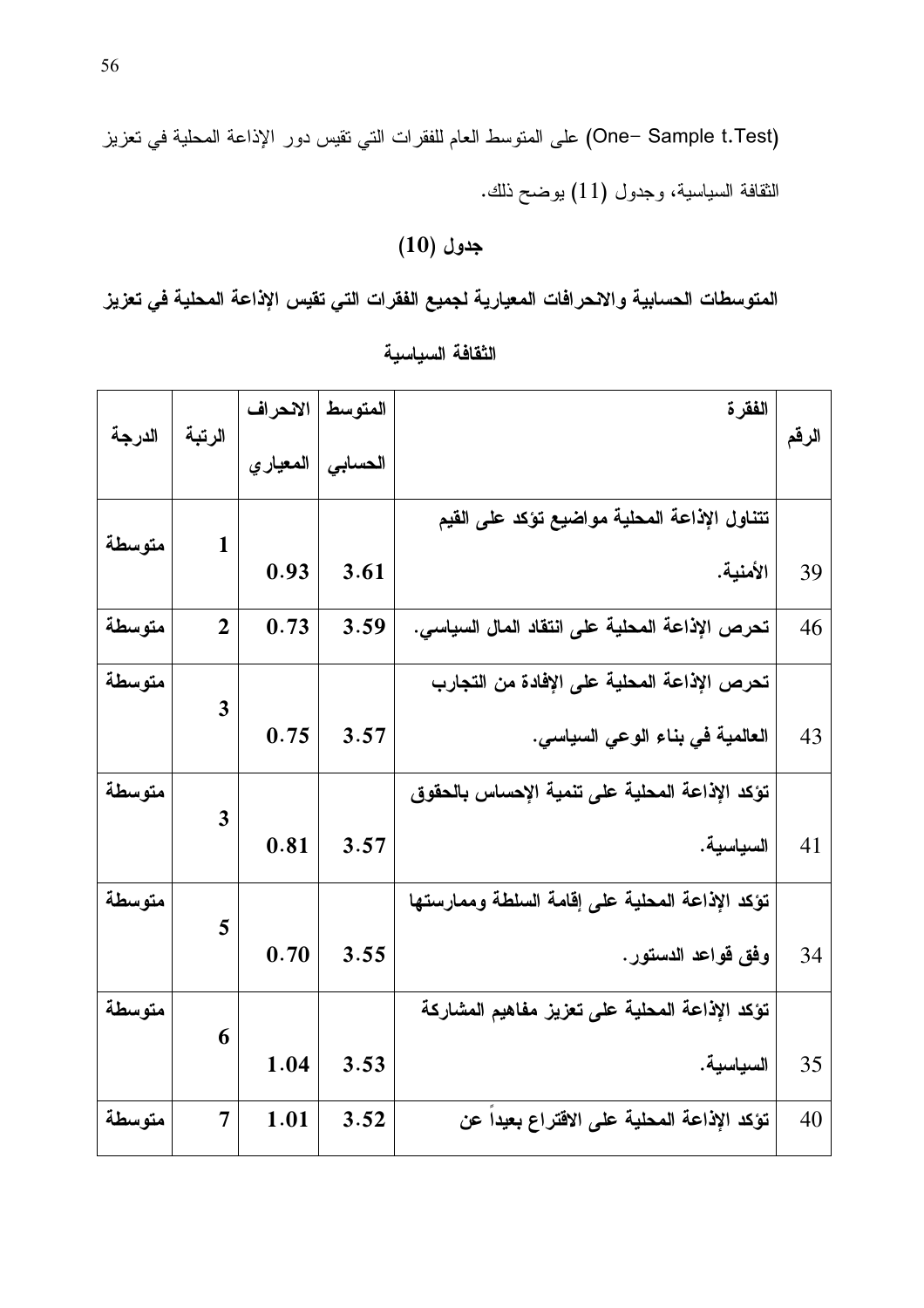(One– Sample t.Test) على المنوسط العام للفقرات التي نقيس دور الإذاعة المحلية في تعزيز النقافة السياسية، وجدول (11) بوضح ذلك.

# $(10)$  جدول

المتوسطات الحسابية والانحرافات المعيارية لجميع الفقرات التي تقيس الإذاعة المحلية في تعزيز

| الدرجة | الرتبة         | الانحراف | المتوسط | الفقرة                                          |       |
|--------|----------------|----------|---------|-------------------------------------------------|-------|
|        |                | المعيارى | الحسابى |                                                 | الرقم |
|        |                |          |         | تتناول الإذاعة المحلية مواضيع تؤكد على القيم    |       |
| متوسطة | $\mathbf{1}$   | 0.93     | 3.61    | الأمنية.                                        | 39    |
| متوسطة | $\overline{2}$ | 0.73     | 3.59    | تحرص الإذاعة المحلية على انتقاد المال السياسى.  | 46    |
| متوسطة | 3              |          |         | تحرص الإذاعة المحلية على الإفادة من التجارب     |       |
|        |                | 0.75     | 3.57    | العالمية في بناء الوعي السياسي.                 | 43    |
| متوسطة | 3              |          |         | تؤكد الإذاعة المحلية على تنمية الإحساس بالحقوق  |       |
|        |                | 0.81     | 3.57    | السياسية.                                       | 41    |
| متوسطة |                |          |         | تؤكد الإذاعة المحلية على إقامة السلطة وممارستها |       |
|        | 5              | 0.70     | 3.55    | وفق قواعد الدستور.                              | 34    |
| متوسطة |                |          |         | تؤكد الإذاعة المحلية على تعزيز مفاهيم المشاركة  |       |
|        | 6              | 1.04     | 3.53    | السياسية.                                       | 35    |
| متوسطة | 7              | 1.01     | 3.52    | تؤكد الإذاعة المحلية على الاقتراع بعيدا عن      | 40    |

الثقافة السياسية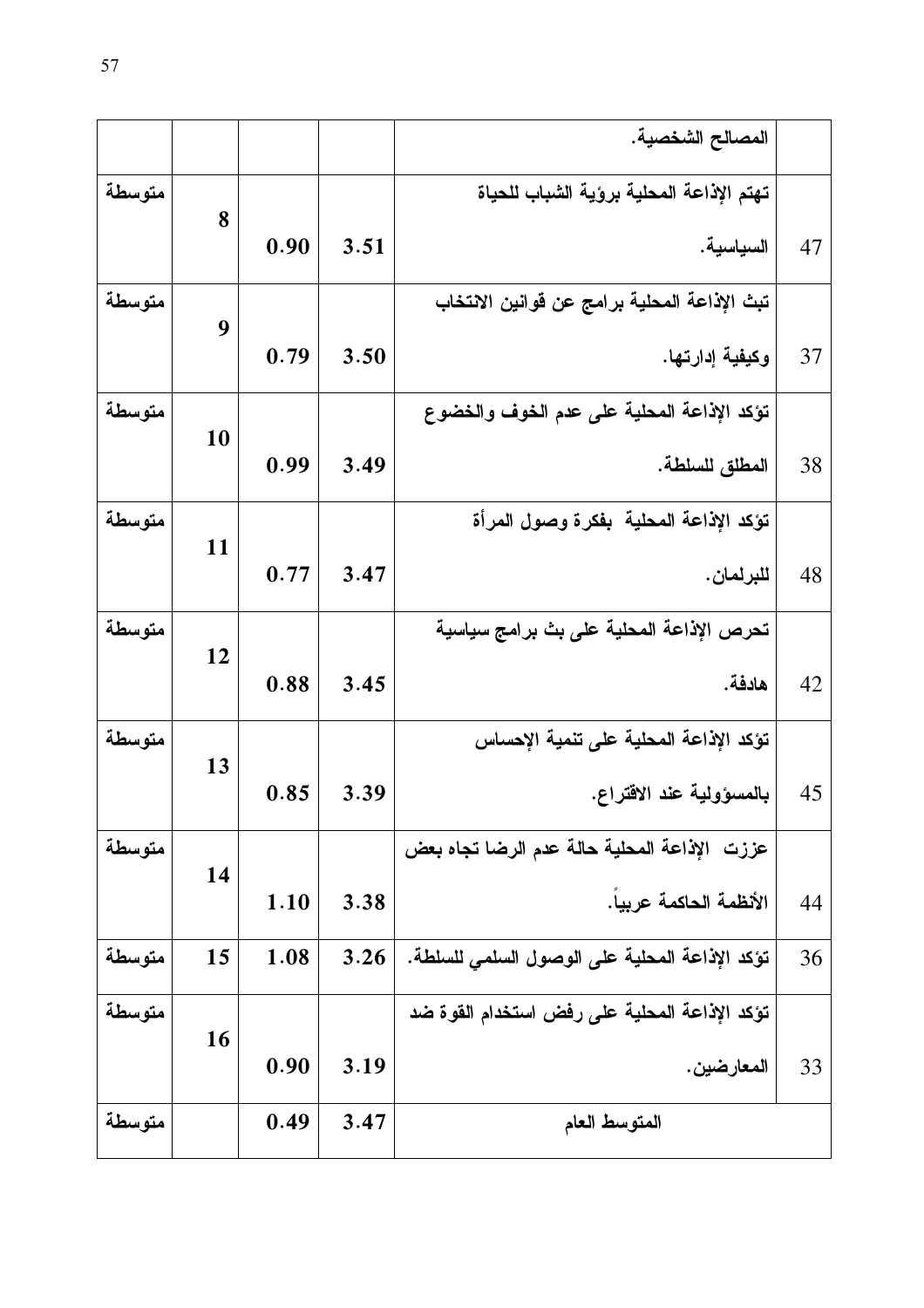|        |    |      |      | المصالح الشخصية.                               |    |
|--------|----|------|------|------------------------------------------------|----|
| متوسطة | 8  |      |      | تهتم الإذاعة المحلية برؤية الشباب للحياة       |    |
|        |    | 0.90 | 3.51 | السياسية.                                      | 47 |
| متوسطة | 9  |      |      | تبث الإذاعة المحلية برامج عن قوانين الانتخاب   |    |
|        |    | 0.79 | 3.50 | وكيفية إدارتها.                                | 37 |
| متوسطة | 10 |      |      | تؤكد الإذاعة المحلية على عدم الخوف والخضوع     |    |
|        |    | 0.99 | 3.49 | المطلق للسلطة.                                 | 38 |
| متوسطة | 11 |      |      | تؤكد الإذاعة المحلية بفكرة وصول المرأة         |    |
|        |    | 0.77 | 3.47 | للبرلمان.                                      | 48 |
| متوسطة | 12 |      |      | تحرص الإذاعة المحلية على بث برامج سياسية       |    |
|        |    | 0.88 | 3.45 | هادفة.                                         | 42 |
| متوسطة |    |      |      | تؤكد الإذاعة المحلية على تنمية الإحساس         |    |
|        | 13 | 0.85 | 3.39 | بالمسؤولية عند الاقتراع.                       | 45 |
| متوسطة |    |      |      | عززت الإذاعة المحلية حالة عدم الرضا تجاه بعض   |    |
|        | 14 | 1.10 | 3.38 | الأنظمة الحاكمة عريبا.                         | 44 |
| متوسطة | 15 | 1.08 | 3.26 | تؤكد الإذاعة المحلية على الوصول السلمى للسلطة. | 36 |
| متوسطة | 16 |      |      | تؤكد الإذاعة المحلية على رفض استخدام القوة ضد  |    |
|        |    | 0.90 | 3.19 | المعارضين.                                     | 33 |
| متوسطة |    | 0.49 | 3.47 | المتوسط العام                                  |    |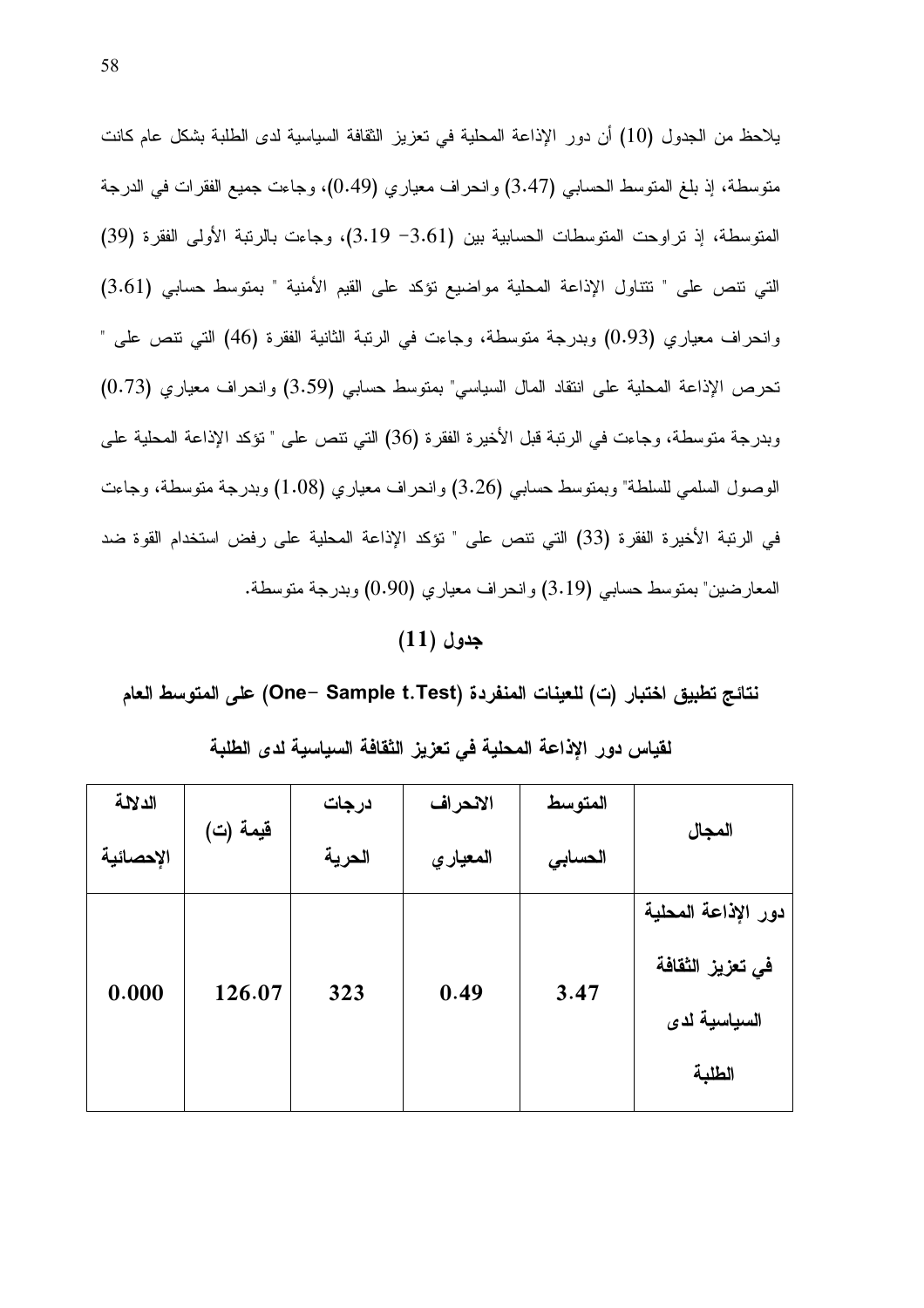يلاحظ من الجدول (10) أن دور الإذاعة المحلية في تعزيز الثقافة السياسية لدى الطلبة بشكل عام كانت متوسطة، إذ بلغ المتوسط الحسابي (3.47) وانحراف معياري (0.49)، وجاءت جميع الفقرات في الدرجة المتوسطة، إذ تراوحت المتوسطات الحسابية بين (3.61– 3.19)، وجاءت بالرتبة الأولى الفقرة (39) التي نتص على " نتتاول الإذاعة المحلية مواضيع نؤكد على القيم الأمنية " بمنوسط حسابي (3.61) وانحراف معياري (0.93) وبدرجة متوسطة، وجاءت في الرنبة الثانية الفقرة (46) التي نتص على " تحرص الإذاعة المحلية على انتقاد المال السياسي" بمتوسط حسابي (3.59) وانحراف معياري (0.73) وبدرجة متوسطة، وجاءت في الرتبة قبل الأخيرة الفقرة (36) التي تتص على " تؤكد الإذاعة المحلية على الوصول السلمي للسلطة" وبمنوسط حسابي (3.26) و انحر اف معياري (1.08) وبدرجة منوسطة، وجاءت في الرتبة الأخيرة الفقرة (33) التي نتص على " نؤكد الإذاعة المحلية على رفض استخدام القوة ضد المعارضين" بمتوسط حسابي (3.19) وانحراف معياري (0.90) وبدرجة متوسطة.

#### $(11)$  جدول

نتائج تطبيق اختبار (ت) للعينات المنفردة (One– Sample t.Test) على المتوسط العام

| الدلالة   |          | درجات  | الانحراف | المتوسط |                                                                   |  |
|-----------|----------|--------|----------|---------|-------------------------------------------------------------------|--|
| الإحصائية | قيمة (ت) | الحرية | المعياري | الحسابى | المجال                                                            |  |
| 0.000     | 126.07   | 323    | 0.49     | 3.47    | دور الإذاعة المحلية<br>في تعزيز الثقافة<br>السياسية لدى<br>الطلبة |  |

#### لقياس دور الإذاعة المحلية فى تعزيز الثقافة السياسية لدى الطلبة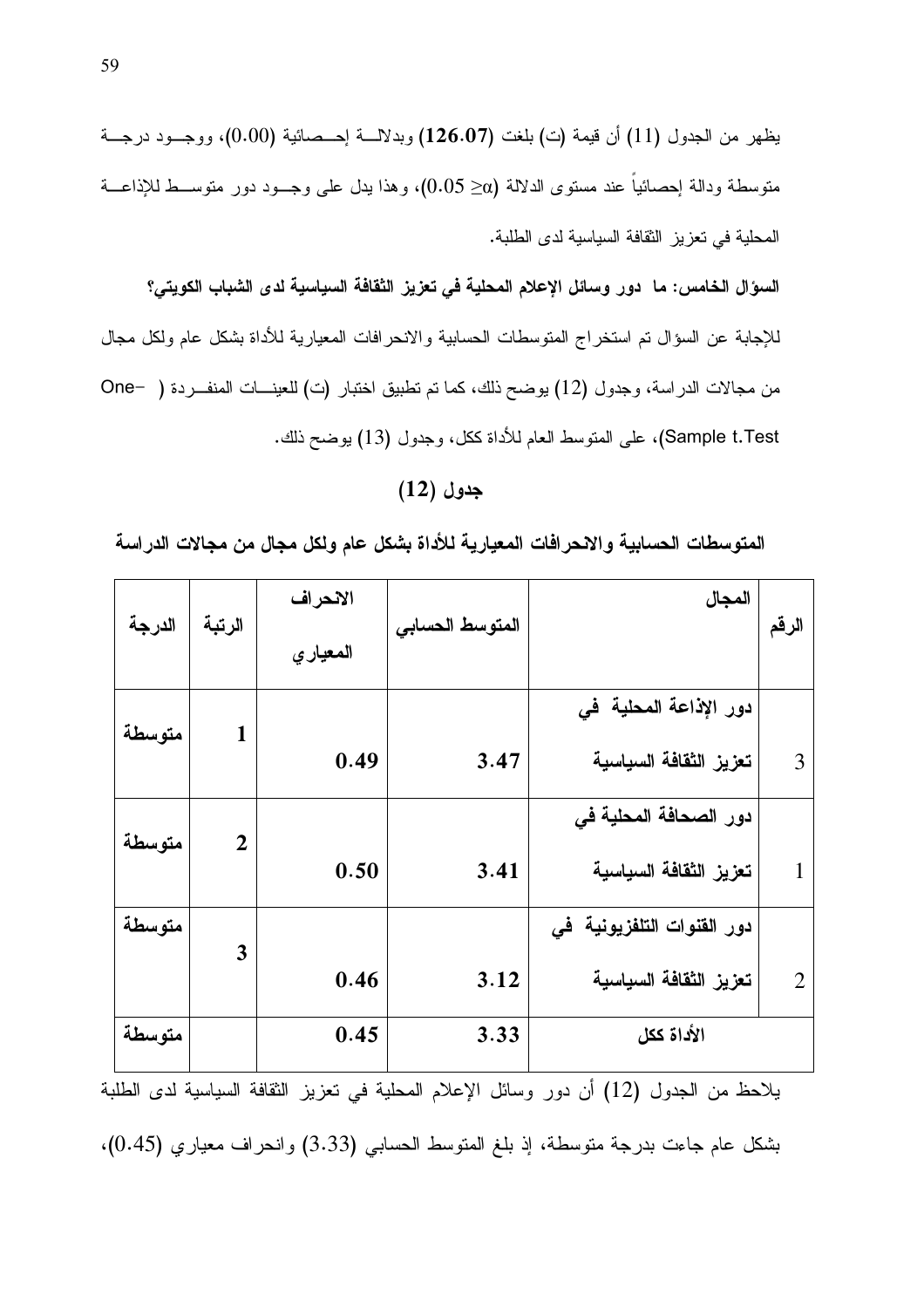يظهر من الجدول (11) أن قيمة (ت) بلغت (126.07) وبدلالسة اٍحـــصـائية (0.00)، ووجـــود درجـــة متوسطة ودالة اٍحصائيا عند مستوى الدلالة (20 $\geqslant 0.05$ )، وهذا بدل على وجـــود دور متوســـط للإذاعـــة المحلية في تعزيز الثقافة السياسية لدى الطلبة.

السوّال الخامس: ما دور وسائل الإعلام المحلية في تعزيز الثقافة السياسية لدى الشباب الكويتي؟ للإجابة عن السؤال تم استخراج المتوسطات الحسابية والانحرافات المعيارية للأداة بشكل عام ولكل مجال من مجالات الدراسة، وجدول (12) يوضح ذلك، كما تم تطبيق اختبار (ت) للعينــــات المنفـــردة ( –One Sample t.Test)، على المتوسط العام للأداة ككل، وجدول (13) يوضح ذلك.

# $(12)$  جدول

المتوسطات الحسابية والانحرافات المعيارية للأداة بشكل عام ولكل مجال من مجالات الدراسة

|        |                | الانحراف |                 | المجال                     |                |
|--------|----------------|----------|-----------------|----------------------------|----------------|
| الدرجة | الرتبة         | المعياري | المتوسط الحسابى |                            | الرقم          |
|        |                |          |                 | دور الإذاعة المحلية في     |                |
| متوسطة | $\mathbf{1}$   | 0.49     | 3.47            | تعزيز الثقافة السياسية     | 3              |
|        |                |          |                 | دور الصحافة المحلية في     |                |
| متوسطة | $\overline{2}$ | 0.50     | 3.41            | تعزيز الثقافة السياسية     | 1              |
| متوسطة |                |          |                 | دور الفنوات التلفزيونية في |                |
|        | 3              | 0.46     | 3.12            | تعزيز الثقافة السياسية     | $\overline{2}$ |
| متوسطة |                | 0.45     | 3.33            | الأداة ككل                 |                |

يلاحظ من الجدول (12) أن دور وسائل الإعلام المحلية في نعزيز الثقافة السياسية لدى الطلبة

بشكل عام جاءت بدرجة منوسطة، إذ بلغ المنوسط الحسابي (3.33) وانحراف معياري (0.45)،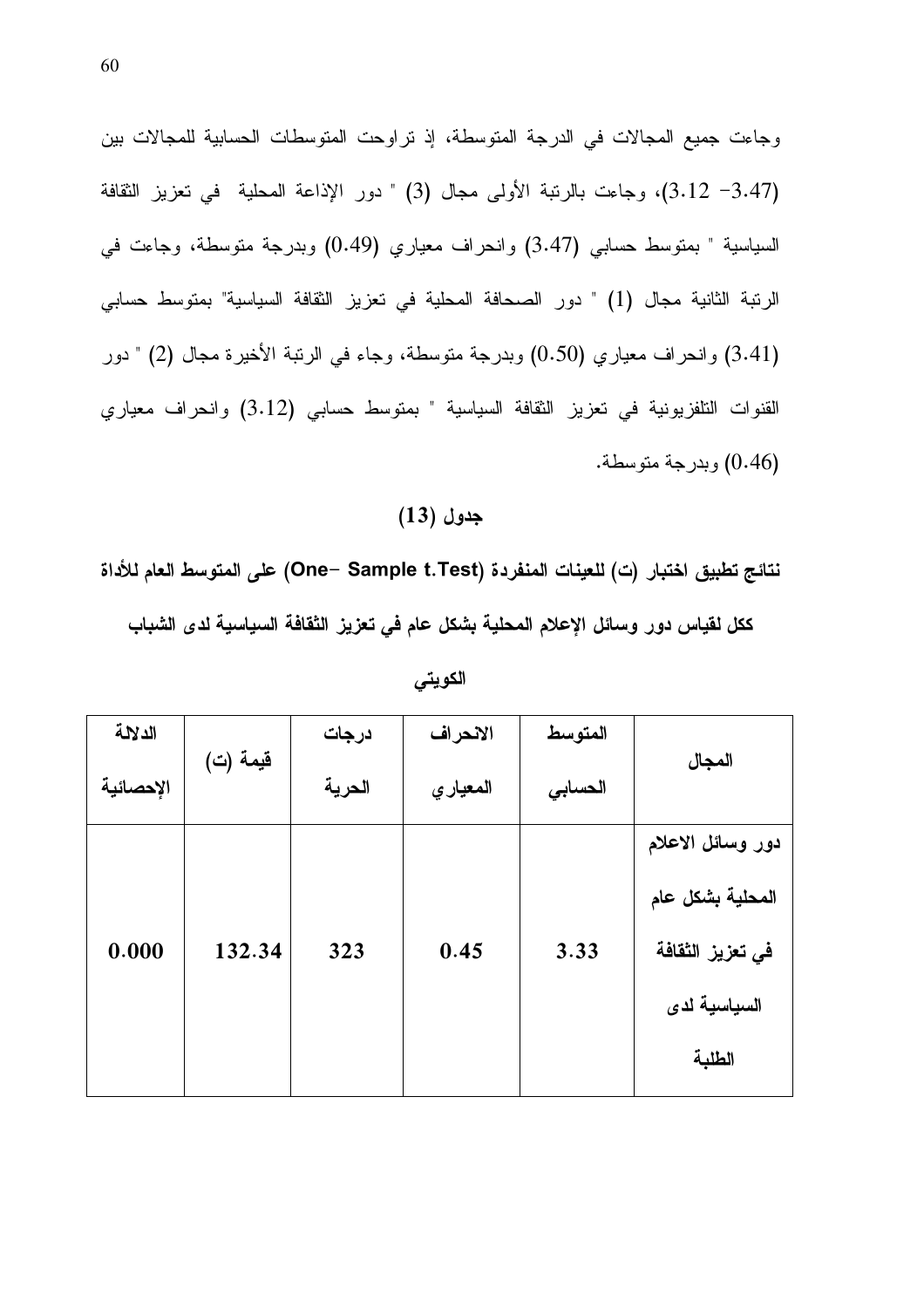وجاءت جميع المجالات في الدرجة المتوسطة، إذ تراوحت المنوسطات الحسابية للمجالات بين (3.12 – 3.12)، وجاءت بالرنبة الأولى مجال (3) " دور الإذاعة المحلية في تعزيز الثقافة السياسية " بمتوسط حسابي (3.47) وانحراف معياري (0.49) وبدرجة متوسطة، وجاءت في الرنبة الثانية مجال (1) " دور الصحافة المحلية في تعزيز الثقافة السياسية" بمتوسط حسابي (3.41) وانحراف معياري (0.50) وبدرجة متوسطة، وجاء في الرنبة الأخيرة مجال (2) " دور القنوات التلفزيونية في تعزيز الثقافة السياسية " بمتوسط حسابي (3.12) وانحراف معياري (0.46) وبدرجة متوسطة.

# $(13)$  جدول

نتائج تطبيق اختبار (ت) للعينات المنفردة (One– Sample t.Test) على المتوسط العام للأداة ككل لقياس دور وسائل الإعلام المحلية بشكل عام في تعزيز الثقافة السياسية لدى الشباب

|        | درجات              | الانحراف | المتوسط |                   |  |
|--------|--------------------|----------|---------|-------------------|--|
|        | الحرية<br>المعياري |          | الحسابى | المجال            |  |
|        |                    |          |         | دور وسائل الاعلام |  |
|        |                    |          |         | المحلية بشكل عام  |  |
| 132.34 | 323                | 0.45     | 3.33    | في تعزيز الثقافة  |  |
|        |                    |          |         | السياسية لدى      |  |
|        |                    |          |         | الطلبة            |  |
|        | قيمة (ت)           |          |         |                   |  |

الكويتى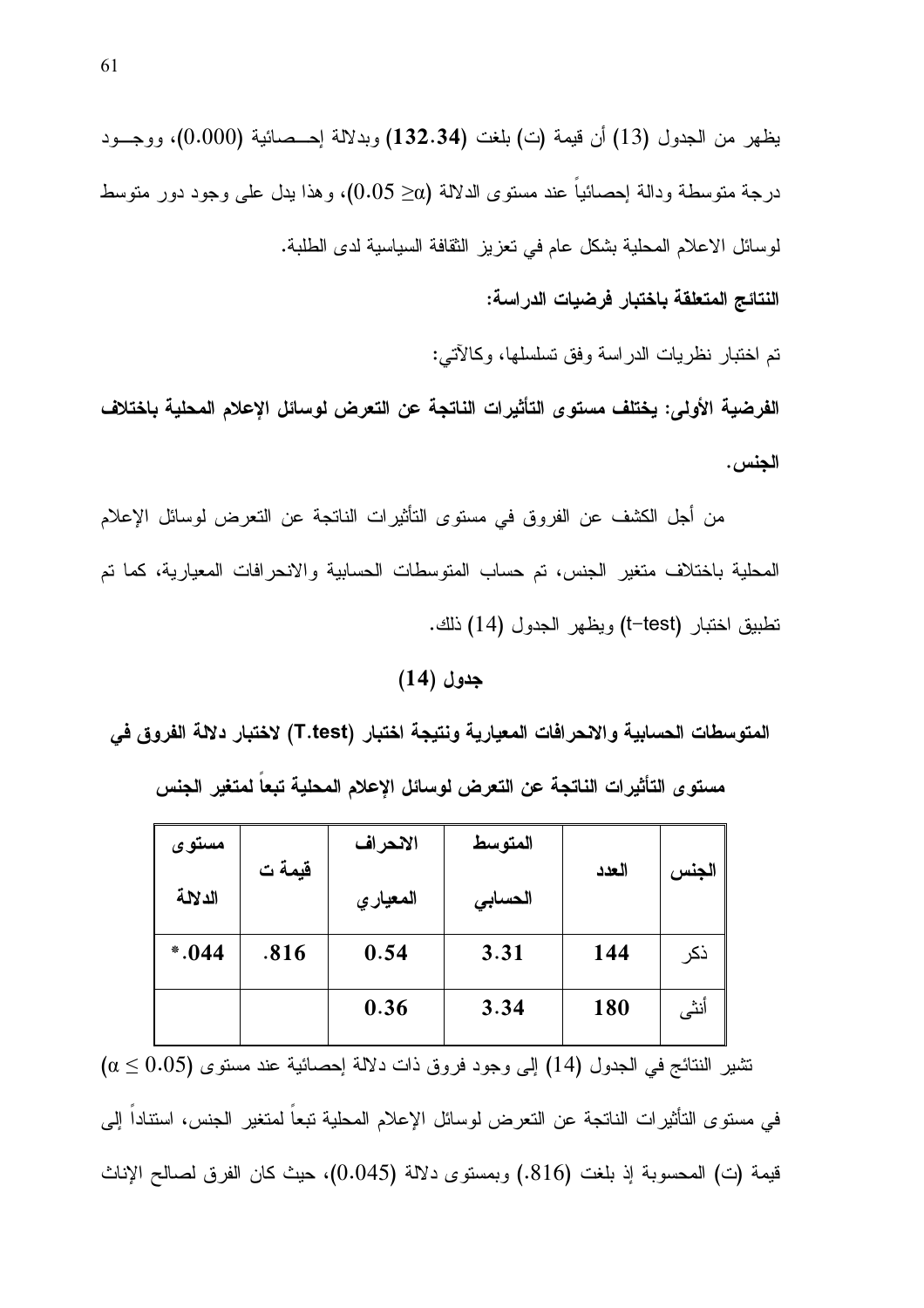يظهر من الجدول (13) أن قيمة (ت) بلغت (132.34) وبدلالة إحـــصائية (0.000)، ووجـــود درجة متوسطة ودالة إحصائيا عند مستوى الدلالة (2 $\alpha \geq 0.05$ )، وهذا يدل على وجود دور متوسط لوسائل الاعلام المحلية بشكل عام في تعزيز النقافة السياسية لدى الطلبة.

النتائج المتعلقة باختبار فرضيات الدراسة:

تم اختبار نظريات الدراسة وفق تسلسلها، وكالآتي:

الفرضية الأولى: يختلف مستوى التأثيرات الناتجة عن التعرض لوسائل الإعلام المحلية باختلاف الجنس .

من أجل الكشف عن الفروق في مستوى التأثيرات الناتجة عن التعرض لوسائل الإعلام المحلية باختلاف متغير الجنس، تم حساب المتوسطات الحسابية والانحرافات المعيارية، كما تم نطبيق اختبار (t–test) ويظهر الجدول (14) ذلك.

جدول (14)

المتوسطات الحسابية والانحرافات المعيارية ونتيجة اختبار (T.test) لاختبار دلالة الفروق في

مستو ى التأثير ات الناتجة عن التعرض لوسائل الإعلام المحلية تبعا لمتغير الجنس

| مستوى   |        | الانحراف             | المتوسط |       |       |
|---------|--------|----------------------|---------|-------|-------|
| الدلالة | قيمة ت | المعيار ي<br>الحسابى |         | العدد | الجنس |
| $*.044$ | .816   | 0.54                 | 3.31    | 144   | ذكر   |
|         |        | 0.36                 | 3.34    | 180   | أنثى  |

 $\alpha \leq 0.05$ ) تشير النتائج في الجدول (14) إلى وجود فروق ذات دلالة إحصائية عند مستوى في مستوى التأثيرات الناتجة عن التعرض لوسائل الإعلام المحلية تبعا لمتغير الجنس، استنادا إلى قيمة (ت) المحسوبة لذٍ بلغت (816.) وبمستوى دلالة (0.045)، حيث كان الفرق لصىالح الإناث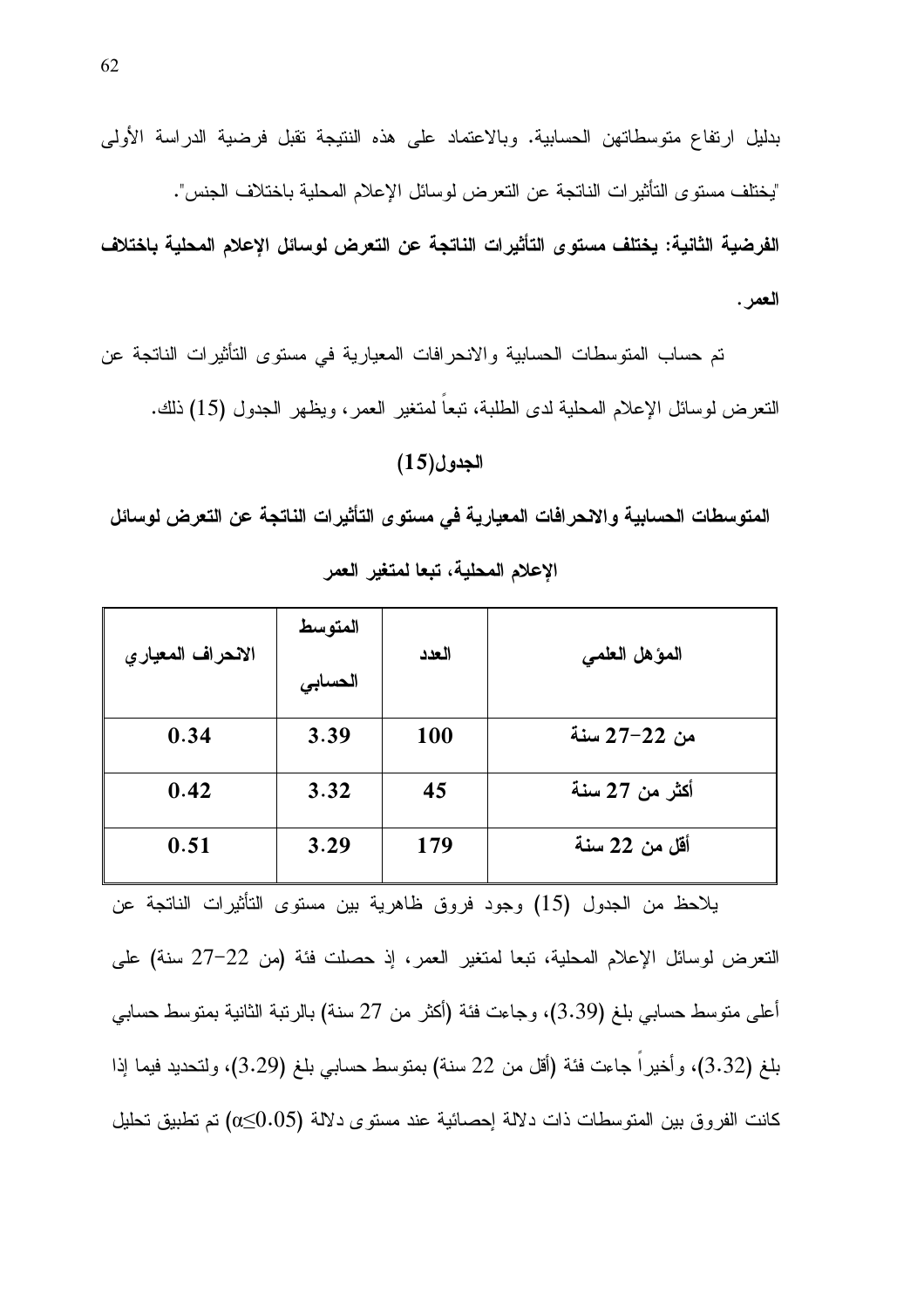بدليل ارتفاع متوسطاتهن الحسابية. وبالاعتماد على هذه النتيجة نقبل فرضية الدراسة الأولى "يختلف مستوى التأثير ات الناتجة عن التعرض لوسائل الإعلام المحلية باختلاف الجنس". الفرضية الثانية: يختلف مستوى التأثيرات الناتجة عن التعرض لوسائل الإعلام المحلية باختلاف العمر .

تم حساب المنوسطات الحسابية والانحرافات المعيارية في مستوى التأثيرات الناتجة عن النعرض لوسائل الإعلام المحلية لدى الطلبة، نبعا لمنغير العمر، ويظهر الجدول (15) ذلك.

#### الجدول(15)

المتوسطات الحسابية والانحرافات المعيارية في مستوى التأثيرات الناتجة عن التعرض لوسائل الإعلام المحلية، تبعا لمتغير العمر

| الانحراف المعياري | المتوسط<br>الحسابى | العدد      | المؤهل الطمي   |
|-------------------|--------------------|------------|----------------|
| 0.34              | 3.39               | <b>100</b> | من 22–27 سنة   |
| 0.42              | 3.32               | 45         | أكثر من 27 سنة |
| 0.51              | 3.29               | 179        | أقل من 22 سنة  |

يلاحظ من الجدول (15) وجود فروق ظاهرية بين مستوى التأثيرات الناتجة عن التعرض لوسائل الإعلام المحلية، تبعا لمتغير العمر، إذ حصلت فئة (من 22–27 سنة) على أُعلِّي منوسط حسابي بلغ (3.39)، وجاءت فئة (أكثر من 27 سنة) بالربِّبة الثانية بمنوسط حسابي بلغ (3.32)، وأخيرًا جاءت فئة (أقل من 22 سنة) بمتوسط حسابي بلغ (3.29)، ولتحديد فيما إذا كانت الفروق بين المتوسطات ذات دلالة احصائية عند مستوى دلالة (0.05) تم تطبيق تحليل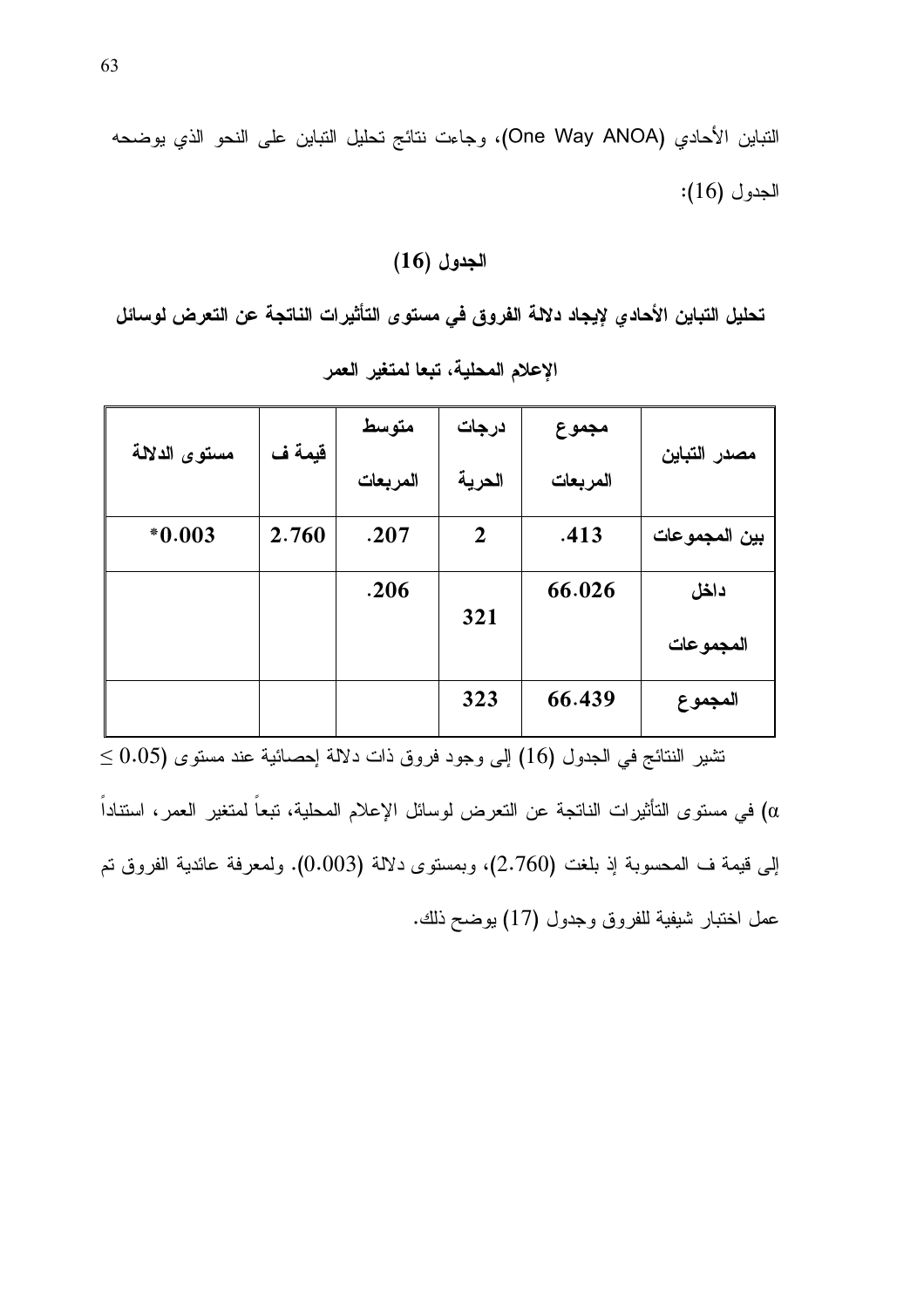النباين الأحادي (One Way ANOA)، وجاءت نتائج تحليل النباين على النحو الذي يوضحه الجدول (16):

## $(16)$  الجدول

تحليل التباين الأحادي لإيجاد دلالة الفروق في مستوى التأثيرات الناتجة عن التعرض لوسائل الإعلام المحلية، تبعا لمتغير العمر

|               |        | متوسط    | درجات       | مجموع    |               |
|---------------|--------|----------|-------------|----------|---------------|
| مستوى الدلالة | قيمة ف | المربعات | الحرية      | المربعات | مصدر التباين  |
| $*0.003$      | 2.760  | .207     | $\mathbf 2$ | .413     | بين المجموعات |
|               |        | .206     |             | 66.026   | داخل          |
|               |        |          | 321         |          | المجموعات     |
|               |        |          | 323         | 66.439   | المجموع       |

 $\leq 0.05$ نشير النتائج في الجدول (16) إلى وجود فروق ذات دلالة إحصائية عند مستوى (0.05 في مستوى التأثيرات الناتجة عن التعرض لوسائل الإعلام المحلية، تبعاً لمتغير العمر ، استتاداً  $(\alpha$ إلى قيمة ف المحسوبة إذ بلغت (2.760)، وبمستوى دلالة (0.003). ولمعرفة عائدية الفروق تم عمل اختبار شيفية للفروق وجدول (17) يوضح ذلك.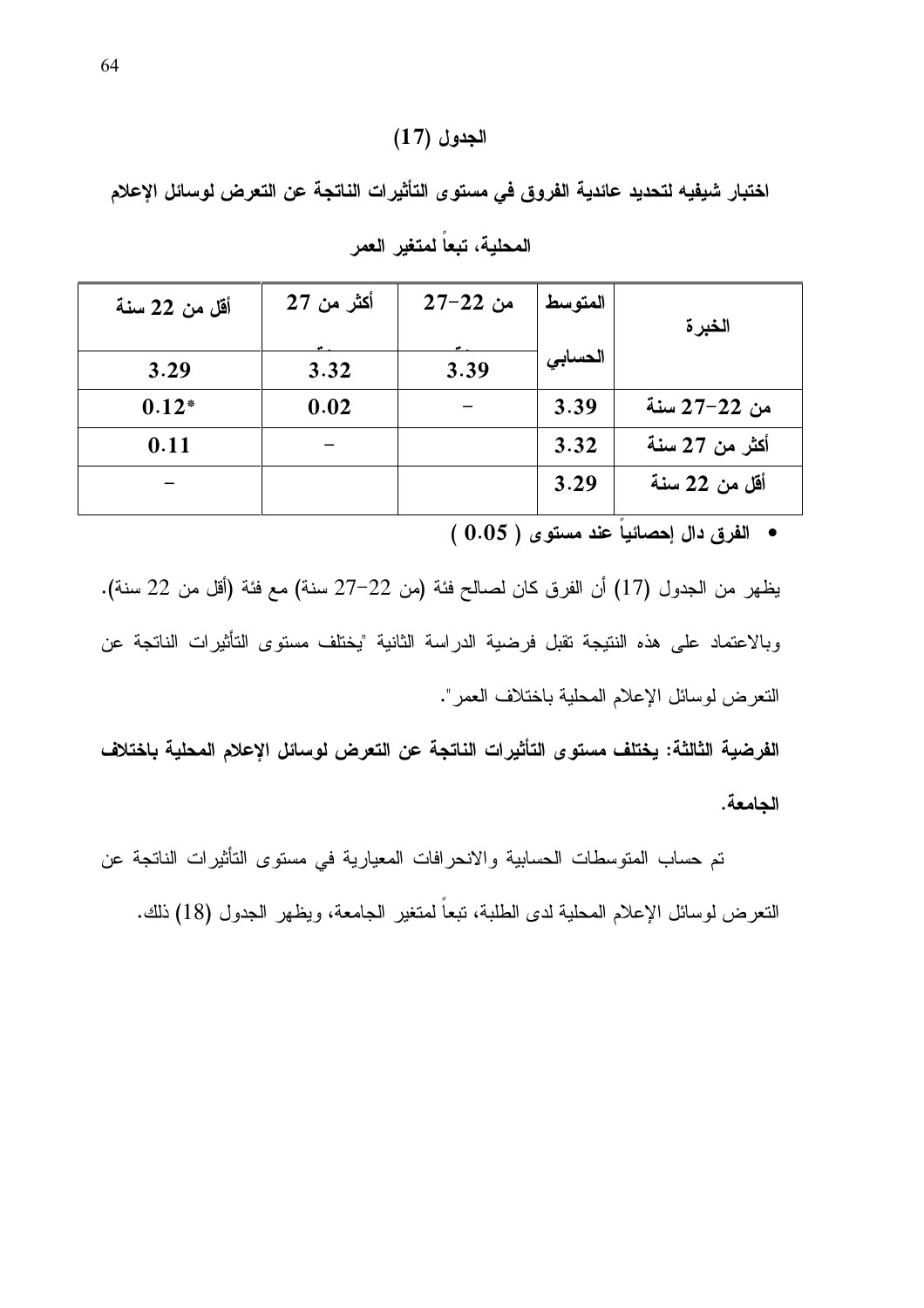## الجدول (17)

اختبار شبفيه لتحديد عائدية الفروق في مستوى التأثيرات الناتجة عن التعرض لوسائل الإعلام

| أقل من 22 سنة | أكثر من 27 | من 22–27 | المتوسط | الخبرة         |
|---------------|------------|----------|---------|----------------|
| 3.29          | 3.32       | 3.39     | الحسابى |                |
| $0.12*$       | 0.02       |          | 3.39    | من 22–27 سنة   |
| 0.11          |            |          | 3.32    | أكثر من 27 سنة |
|               |            |          | 3.29    | أقل من 22 سنة  |

المحلية، تبعاً لمتغير العمر

• الفرق دال إحصائياً عند مستوى ( 0.05 )

يظهر من الجدول (17) أن الفرق كان لصالح فئة (من 22–27 سنة) مع فئة (أقل من 22 سنة). وبالاعتماد على هذه النتيجة تقبل فرضية الدراسة الثانية "يختلف مستوى التأثيرات الناتجة عن النعرض لوسائل الإعلام المحلية باختلاف العمر".

الفرضية الثالثة: يختلف مستوى التأثيرات الناتجة عن التعرض لوسائل الإعلام المحلية باختلاف الجامعة.

تم حساب المنوسطات الحسابية والانحرافات المعيارية في مستوى التأثيرات الناتجة عن النعرض لوسائل الإعلام المحلية لدى الطلبة، نبعاً لمتغير الجامعة، ويظهر الجدول (18) ذلك.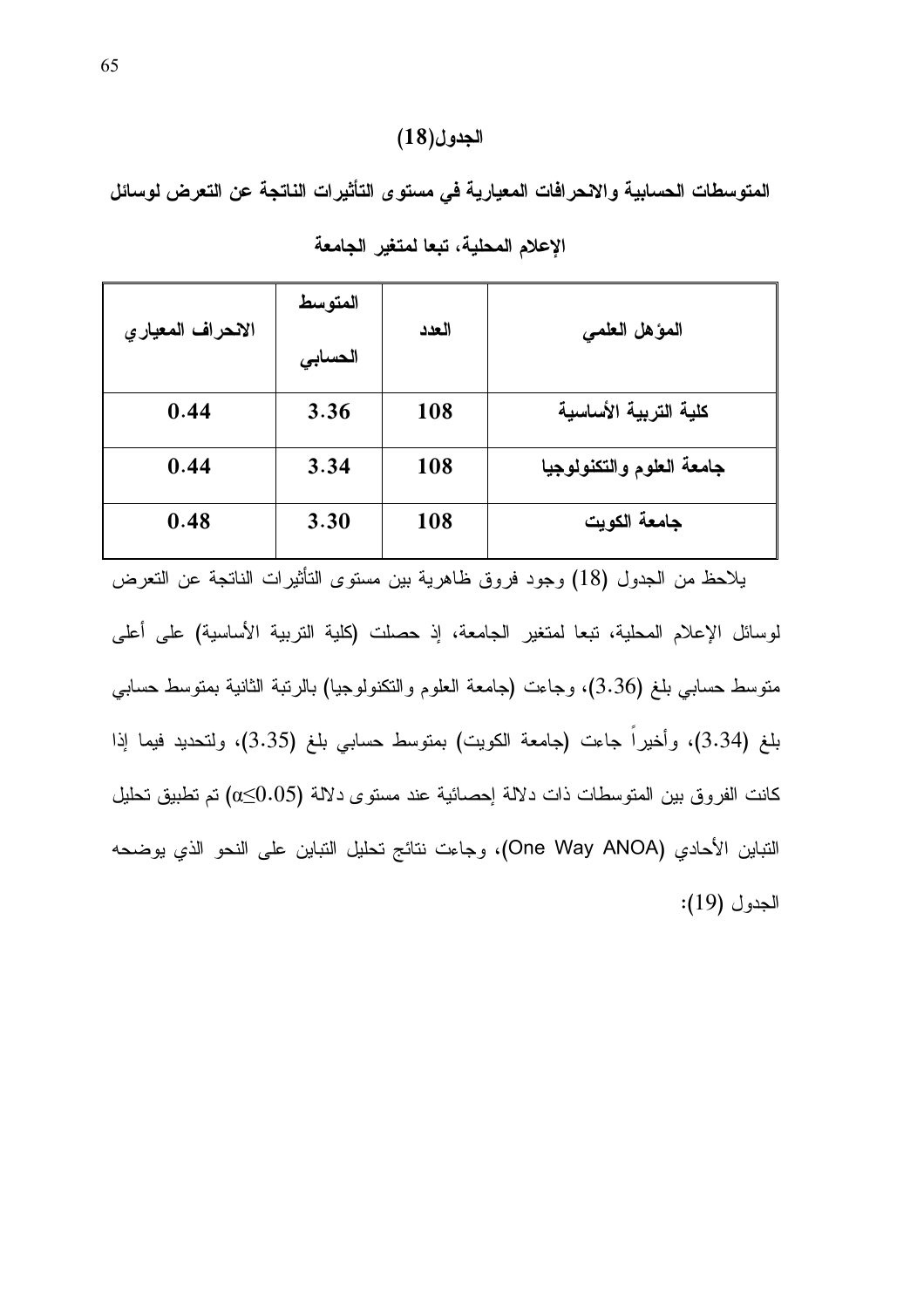## الجدول(18)

المتوسطات الحسابية والانحرافات المعيارية في مستوى التأثيرات الناتجة عن التعرض لوسائل ã

| الانحراف المعياري | المتوسط<br>الحسابى | العدد | المؤهل العلمى             |
|-------------------|--------------------|-------|---------------------------|
| 0.44              | 3.36               | 108   | كلية التربية الأساسية     |
| 0.44              | 3.34               | 108   | جامعة العلوم والتكنولوجيا |
| 0.48              | 3.30               | 108   | جامعة الكويت              |

|  |  |  | الإعلام المحلية، تبعا لمتغير الجامعة |  |
|--|--|--|--------------------------------------|--|
|--|--|--|--------------------------------------|--|

يلاحظ من الجدول (18) وجود فروق ظاهرية بين مستوى التأثيرات الناتجة عن التعرض لوسائل الإعلام المحلية، تبعا لمتغير الجامعة، إذ حصلت (كلية التربية الأساسية) على أعلى منوسط حسابي بلغ (3.36)، وجاءت (جامعة العلوم والنكنولوجيا) بالرنبة الثانية بمنوسط حسابي بلغ (3.34)، وأخيراً جاءت (جامعة الكويت) بمنوسط حسابي بلغ (3.35)، ولتحديد فيما إذا كانت الفروق بين المتوسطات ذات دلالة إحصائية عند مستوى دلالة (0.05) تم تطبيق تحليل النباين الأحادي (One Way ANOA)، وجاءت نتائج تحليل النباين على النحو الذي يوضحه الجدول (19):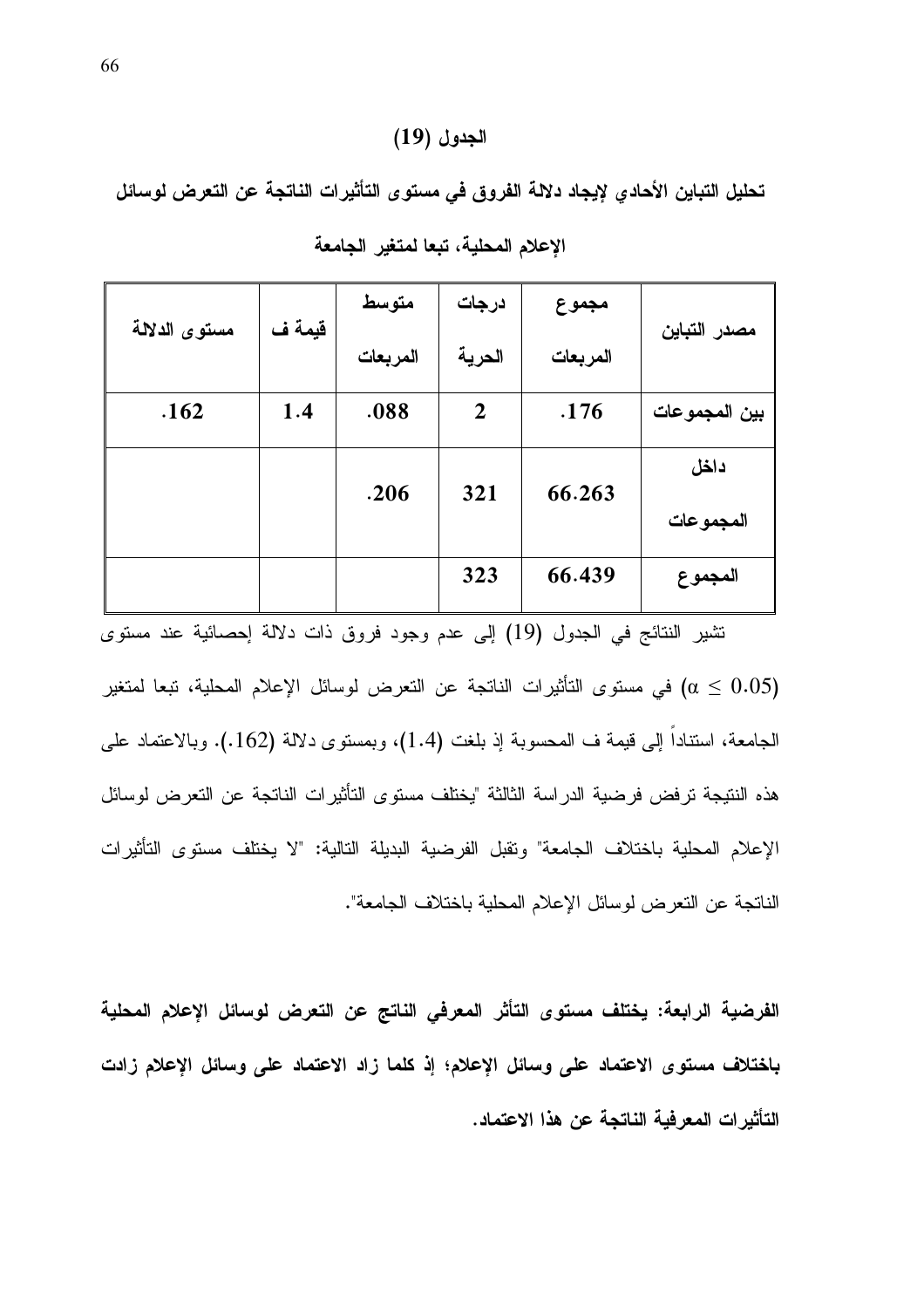## الجدول (19)

تحليل التباين الأحادي لإيجاد دلالة الفروق في مستوى التأثيرات الناتجة عن التعرض لوسائل

| مستوى الدلالة | قيمة ف | متوسط    | درجات          | مجموع    |               |
|---------------|--------|----------|----------------|----------|---------------|
|               |        | المربعات | الحرية         | المربعات | مصدر التباين  |
| .162          | 1.4    | .088     | $\overline{2}$ | .176     | بين المجموعات |
|               |        | .206     | 321            | 66.263   | داخل          |
|               |        |          |                |          | المجموعات     |
|               |        |          | 323            | 66.439   | المجموع       |

|  | الإعلام المحلية، تبعا لمتغير الجامعة |  |
|--|--------------------------------------|--|
|  |                                      |  |

تشير النتائج في الجدول (19) إلى عدم وجود فروق ذات دلالة إحصائية عند مستوى في مستوى التأثيرات الناتجة عن التعرض لوسائل الإعلام المحلية، تبعا لمتغير  $\alpha \leq 0.05$ ) الجامعة، استناداً إلى قيمة ف المحسوبة إذ بلغت (1.4)، وبمستوى دلالة (162.). وبالاعتماد على هذه النتيجة ترفض فرضية الدراسة الثالثة "يختلف مستوى التأثيرات الناتجة عن التعرض لوسائل الإعلام المحلية باختلاف الجامعة" وتقبل الفرضية البديلة النالية: "لا يختلف مستوى التأثيرات الناتجة عن النعرض لوسائل الإعلام المحلية باختلاف الجامعة".

الفرضية الرابعة: يختلف مستوى التأثر المعرفي الناتج عن التعرض لوسائل الإعلام المحلية باختلاف مستوى الاعتماد على وسائل الإعلام؛ إذ كلما زاد الاعتماد على وسائل الإعلام زادت التأثير ات المعر فية الناتجة عن هذا الاعتماد.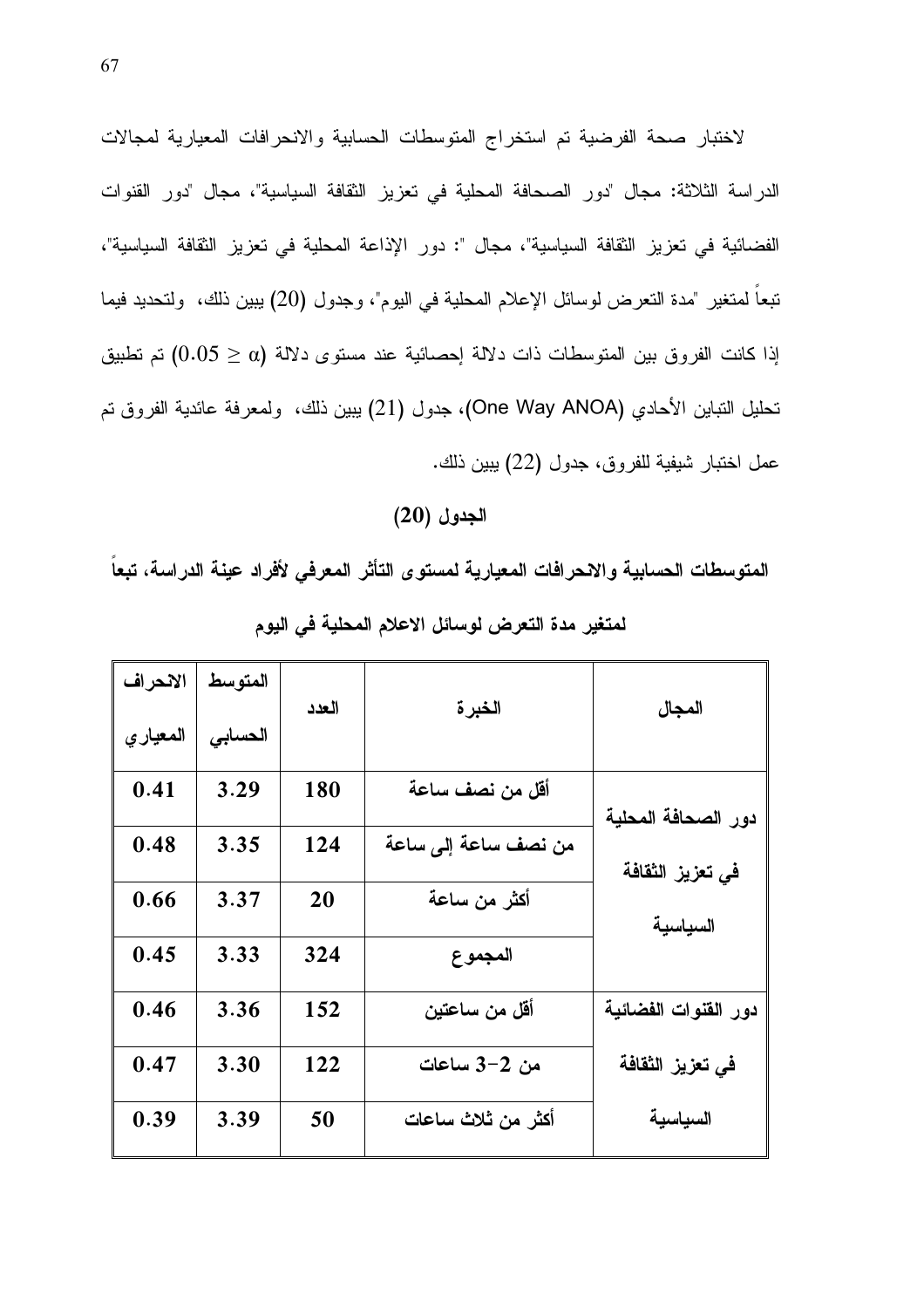لاختبار صحة الفرضية تم استخراج المتوسطات الحسابية والانحرافات المعيارية لمجالات الدراسة الثلاثة: مجال "دور الصحافة المحلية في تعزيز الثقافة السياسية"، مجال "دور القنوات الفضائية في تعزيز الثقافة السياسية"، مجال ": دور الإذاعة المحلية في تعزيز الثقافة السياسية"، تبعاً لمتغير "مدة التعرض لوسائل الإعلام المحلية في اليوم"، وجدول (20) ببين ذلك، ولتحديد فيما إذا كانت الفروق بين المتوسطات ذات دلالة إحصائية عند مستوى دلالة (0.05  $(0.05 \geq 0.05)$  تم تطبيق تحليل النباين الأحادي (One Way ANOA)، جدول (21) يبين ذلك، ولمعرفة عائدية الفروق تم عمل اختبار شيفية للفروق، جدول (22) بيين ذلك.

## الجدول (20)

المتوسطات الحسابية والانحرافات المعيارية لمستوى التأثر المعرفى لأفراد عينة الدراسة، تبعا

| الانحراف | المتوسط | العدد | الخبرة               | المجال               |
|----------|---------|-------|----------------------|----------------------|
| المعياري | الحسابى |       |                      |                      |
| 0.41     | 3.29    | 180   | أقل من نصف ساعة      | دور الصحافة المحلبة  |
| 0.48     | 3.35    | 124   | من نصف ساعة إلى ساعة | في تعزيز الثقافة     |
| 0.66     | 3.37    | 20    | أكثر من ساعة         | السياسية             |
| 0.45     | 3.33    | 324   | المجموع              |                      |
| 0.46     | 3.36    | 152   | أقل من ساعتين        | دور القنوات الفضائية |
| 0.47     | 3.30    | 122   | من 2–3 ساعات         | في تعزيز الثقافة     |
| 0.39     | 3.39    | 50    | أكثر من ثلاث ساعات   | السياسية             |

لمتغير مدة التعرض لوسائل الاعلام المحلية في اليوم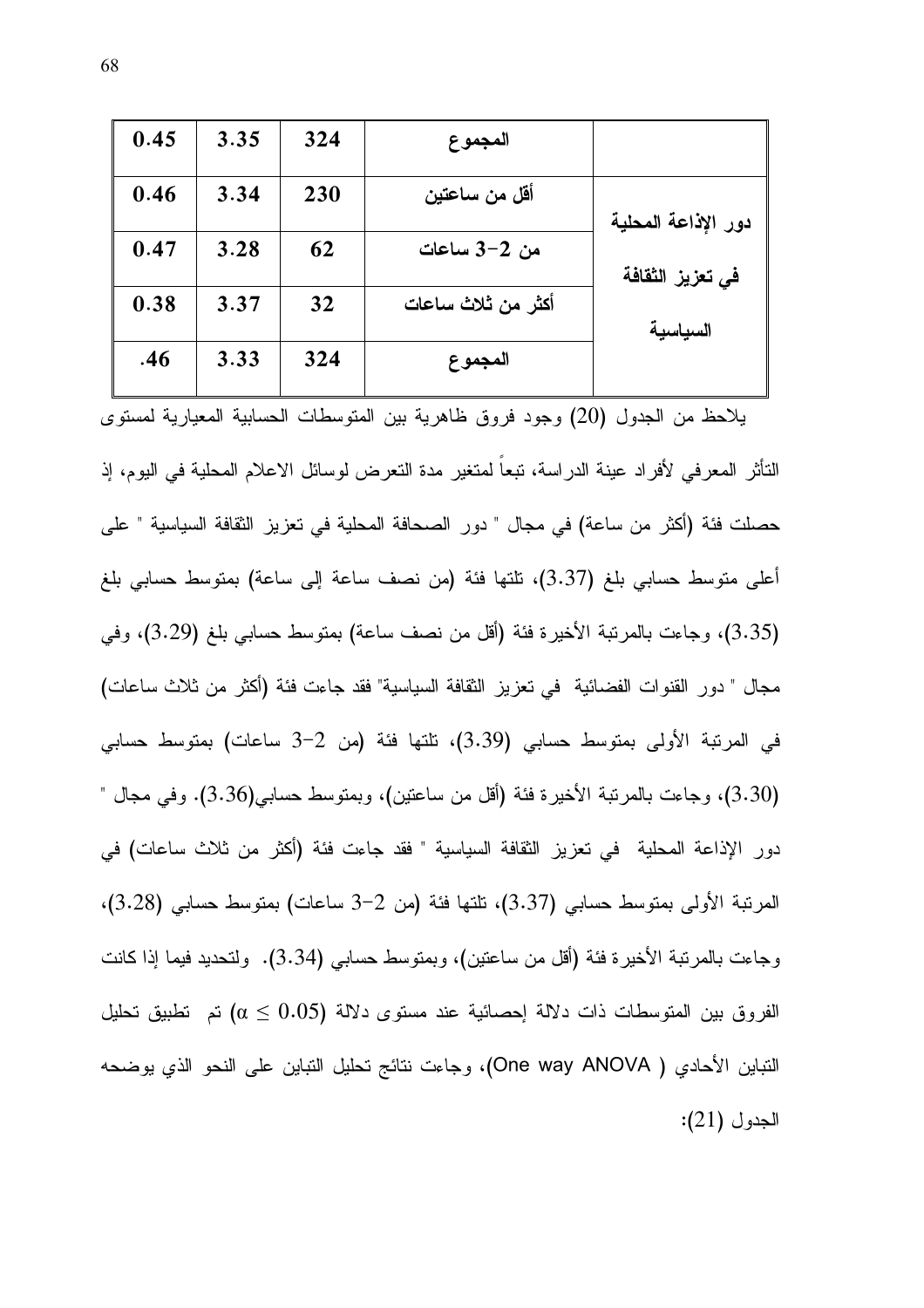| 0.45 | 3.35 | 324 | المجموع            |                     |
|------|------|-----|--------------------|---------------------|
| 0.46 | 3.34 | 230 | أقل من ساعتين      | دور الإذاعة المحلية |
| 0.47 | 3.28 | 62  | من 2–3 ساعات       | في تعزيز الثقافة    |
| 0.38 | 3.37 | 32  | أكثر من ثلاث ساعات | السياسية            |
| .46  | 3.33 | 324 | المجموع            |                     |

يلاحظ من الجدول (20) وجود فروق ظاهرية بين المتوسطات الحسابية المعيارية لمستوى التأثر المعرفي لأفراد عينة الدراسة، تبعا لمتغير مدة التعرض لوسائل الاعلام المحلية في اليوم، إذ حصلت فئة (أكثر من ساعة) في مجال " دور الصحافة المحلية في تعزيز الثقافة السياسية " على أعلى متوسط حسابي بلغ (3.37)، تلتها فئة (من نصف ساعة إلى ساعة) بمتوسط حسابي بلغ (3.35)، وجاءت بالمرتبة الأخيرة فئة (أقل من نصف ساعة) بمتوسط حسابي بلغ (3.29)، وفي مجال " دور القنوات الفضائية في تعزيز الثقافة السياسية" فقد جاءت فئة (أكثر من ثلاث ساعات) في المرتبة الأولى بمنوسط حسابي (3.39)، نلتها فئة (من 2–3 ساعات) بمنوسط حسابي (3.30)، وجاءت بالمرتبة الأخيرة فئة (أقل من ساعتين)، وبمنوسط حسابـي(3.36). وفي مجال " دور الإذاعة المحلية في تعزيز الثقافة السياسية " فقد جاءت فئة (أكثر من ثلاث ساعات) في المرتبة الأولى بمتوسط حسابي (3.37)، تلتها فئة (من 2–3 ساعات) بمتوسط حسابي (3.28)، وجاعت بالمرتبة الأخيرة فئة (أقل من ساعتين)، وبمنوسط حسابي (3.34). ولتحديد فيما إذا كانت الفروق بين المتوسطات ذات دلالة إحصائية عند مستوى دلالة (0.05  $\alpha \leq 0.5$  تم تطبيق تحليل النباين الأحادي ( One way ANOVA)، وجاءت نتائج تحليل النباين على النحو الذي يوضحه  $(21)$  الجدول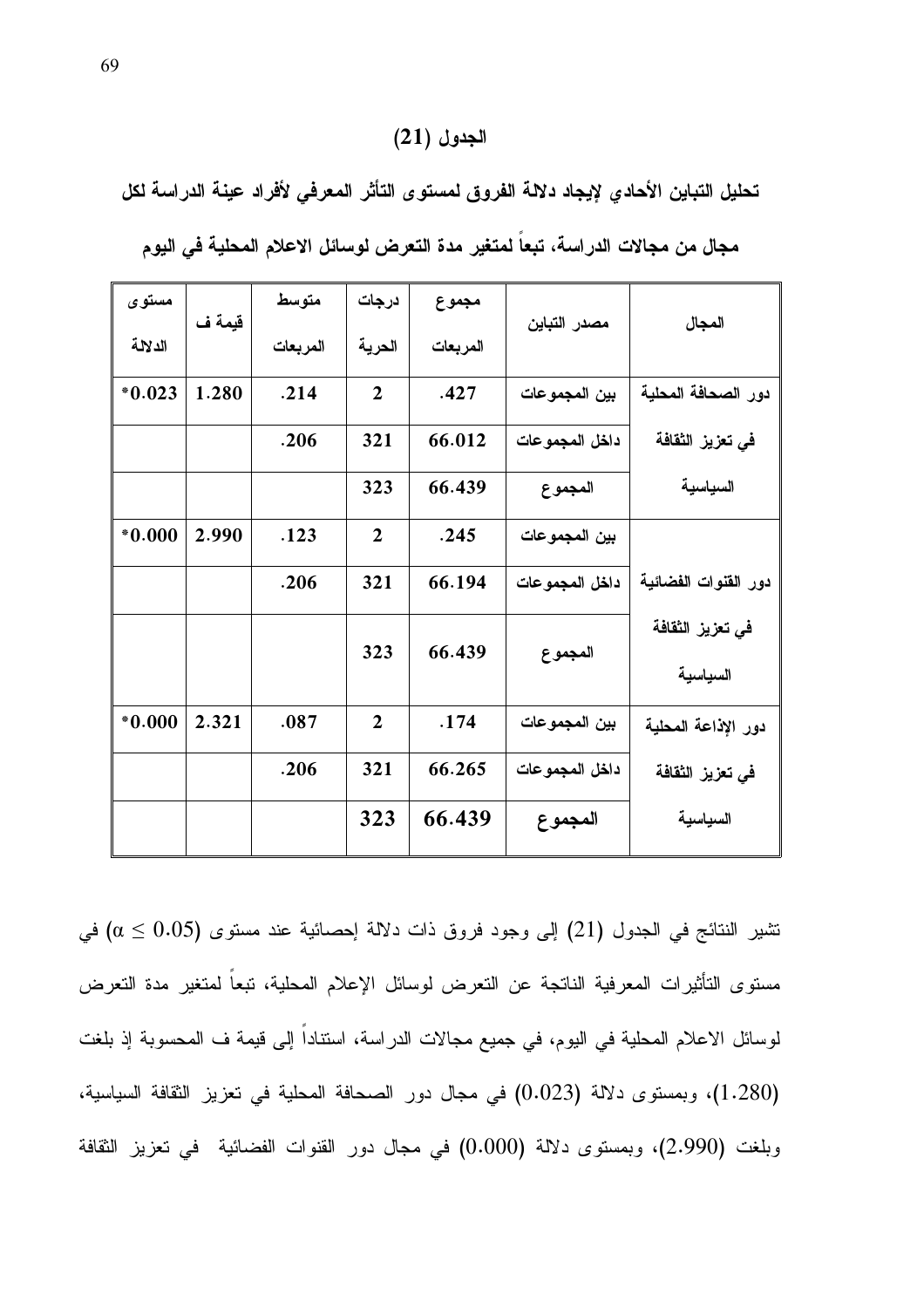## الجدول (21)

تحليل التباين الأحادي لإيجاد دلالة الفروق لمستوى التأثر المعرفى لأفراد عينة الدراسة لكل

| مستوى    | قيمة ف | متوسط    | درجات          | مجموع    | مصدر التباين   | المجال                       |
|----------|--------|----------|----------------|----------|----------------|------------------------------|
| الدلالة  |        | المربعات | الحرية         | المربعات |                |                              |
| $*0.023$ | 1.280  | .214     | $\overline{2}$ | .427     | بين المجموعات  | دور الصحافة المحلية          |
|          |        | .206     | 321            | 66.012   | داخل المجموعات | في تعزيز الثقافة             |
|          |        |          | 323            | 66.439   | المجموع        | السياسية                     |
| $*0.000$ | 2.990  | .123     | $\overline{2}$ | .245     | بين المجموعات  |                              |
|          |        | .206     | 321            | 66.194   | داخل المجموعات | دور القنوات الفضائية         |
|          |        |          | 323            | 66.439   | المجموع        | في تعزيز الثقافة<br>السياسية |
| $*0.000$ | 2.321  | .087     | $\overline{2}$ | .174     | بين المجموعات  | دور الإذاعة المحلية          |
|          |        | .206     | 321            | 66.265   | داخل المجموعات | في تعزيز الثقافة             |
|          |        |          | 323            | 66.439   | المجموع        | السياسية                     |

مجال من مجالات الدراسة، تبعاً لمتغير مدة التعرض لوسائل الاعلام المحلية في اليوم

تشير النتائج في الجدول (21) إلى وجود فروق ذات دلالة إحصائية عند مستوى (0.05  $\alpha \leq 0.05$  في مستوى التأثيرات المعرفية الناتجة عن التعرض لوسائل الإعلام المحلية، تبعاً لمتغير مدة التعرض لوسائل الاعلام المحلية في اليوم، في جميع مجالات الدراسة، استناداً إلى قيمة ف المحسوبة إذ بلغت (1.280)، وبمستوى دلالة (0.023) في مجال دور الصحافة المحلية في تعزيز الثقافة السياسية، وبلغت (2.990)، وبمسنوى دلالة (0.000) في مجال دور القنوات الفضائية في تعزيز الثقافة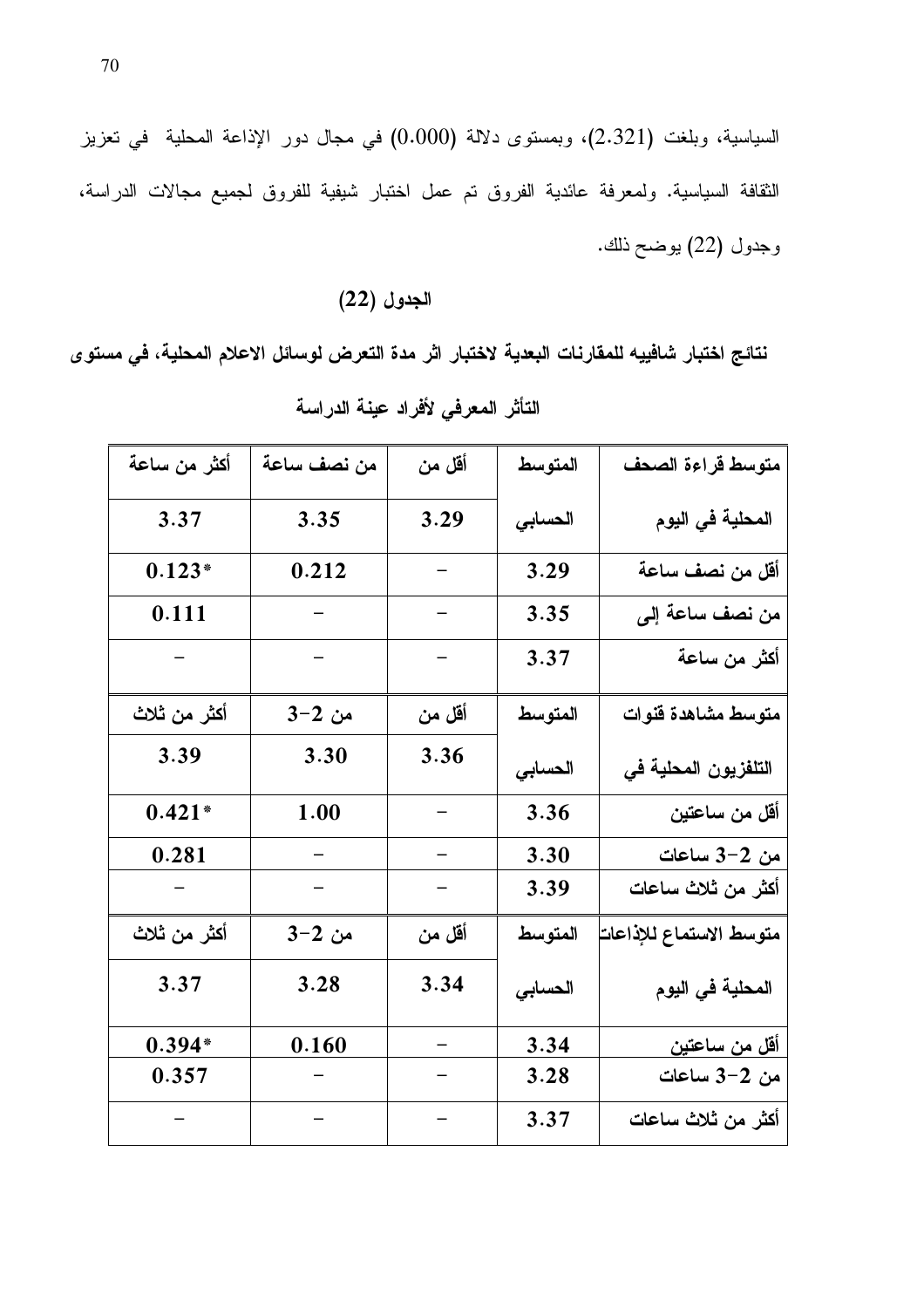السياسية، وبلغت (2.321)، وبمستوى دلالة (0.000) في مجال دور الإذاعة المحلية في تعزيز الثقافة السياسية. ولمعرفة عائدية الفروق تم عمل اختبار شيفية للفروق لجميع مجالات الدراسة، وجدول (22) بوضح ذلك.

# الجدول (22)

نتائج اختبار شافييه للمقارنات البعدية لاختبار اثر مدة التعرض لوسائل الاعلام المحلية، في مستو ي

| أكثر من ساعة    | من نصف ساعة | أقل من                   | المتوسط | متوسط قراءة الصحف       |
|-----------------|-------------|--------------------------|---------|-------------------------|
| 3.37            | 3.35        | 3.29                     | الحسابي | المحلية في اليوم        |
| $0.123*$        | 0.212       |                          | 3.29    | أقل من نصف ساعة         |
| 0.111           |             |                          | 3.35    | من نصف ساعة إلى         |
|                 | $\sim$      | $\overline{\phantom{0}}$ | 3.37    | أكثر من ساعة            |
| أكثر من ثلاث    | من 2−3      | أقل من                   | المتوسط | متوسط مشاهدة قنوات      |
| 3.39            | 3.30        | 3.36                     | الحسابى | التلفزيون المحلية في    |
| $0.421*$        | 1.00        |                          | 3.36    | أقل من ساعتين           |
| 0.281           |             |                          | 3.30    | <u>من 2-3 ساعات</u>     |
|                 |             |                          | 3.39    | أكثر من ثلاث ساعات      |
| أكثر من ثلاث    | من 2−3      | أقل من                   | المتوسط | متوسط الاستماع للإذاعات |
| 3.37            | 3.28        | 3.34                     | الحسابى | المحلية في اليوم        |
| $0.394*$        | 0.160       | -                        | 3.34    | <u>أقل من ساعتين</u>    |
| 0.357           |             |                          | 3.28    | من 2-3 ساعات            |
| $\gamma = 0.01$ | $\sim$ $-$  | $\frac{1}{2}$            | 3.37    | أكثر من ثلاث ساعات      |

التأثر المعرفي لأفراد عينة الدراسة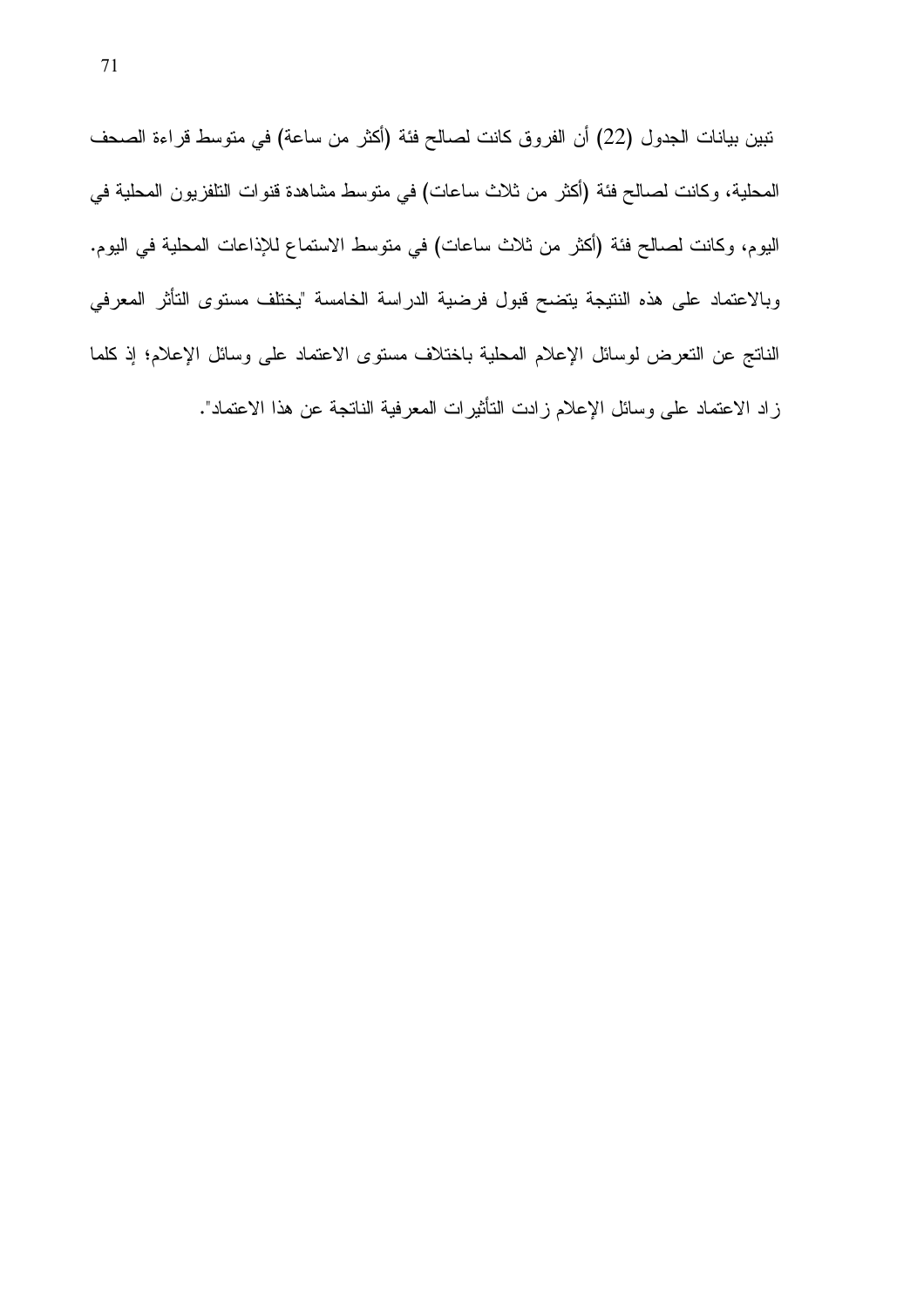نبين بيانات الجدول (22) أن الفروق كانت لصالح فئة (أكثر من ساعة) في متوسط قراءة الصحف المحلية، وكانت لصـالح فئة (أكثر من ثلاث ساعات) في متوسط مشاهدة قنوات النلفزيون المحلية في اليوم، وكانت لصالح فئة (أكثر من ثلاث ساعات) في متوسط الاستماع للإذاعات المحلية في اليوم. وبالاعتماد على هذه النتيجة يتضح قبول فرضية الدراسة الخامسة "يختلف مستوى التأثر المعرفي الناتج عن التعرض لوسائل الإعلام المحلية باختلاف مستوى الاعتماد على وسائل الإعلام؛ إذ كلما زاد الاعتماد على وسائل الإعلام زادت التأثيرات المعرفية الناتجة عن هذا الاعتماد".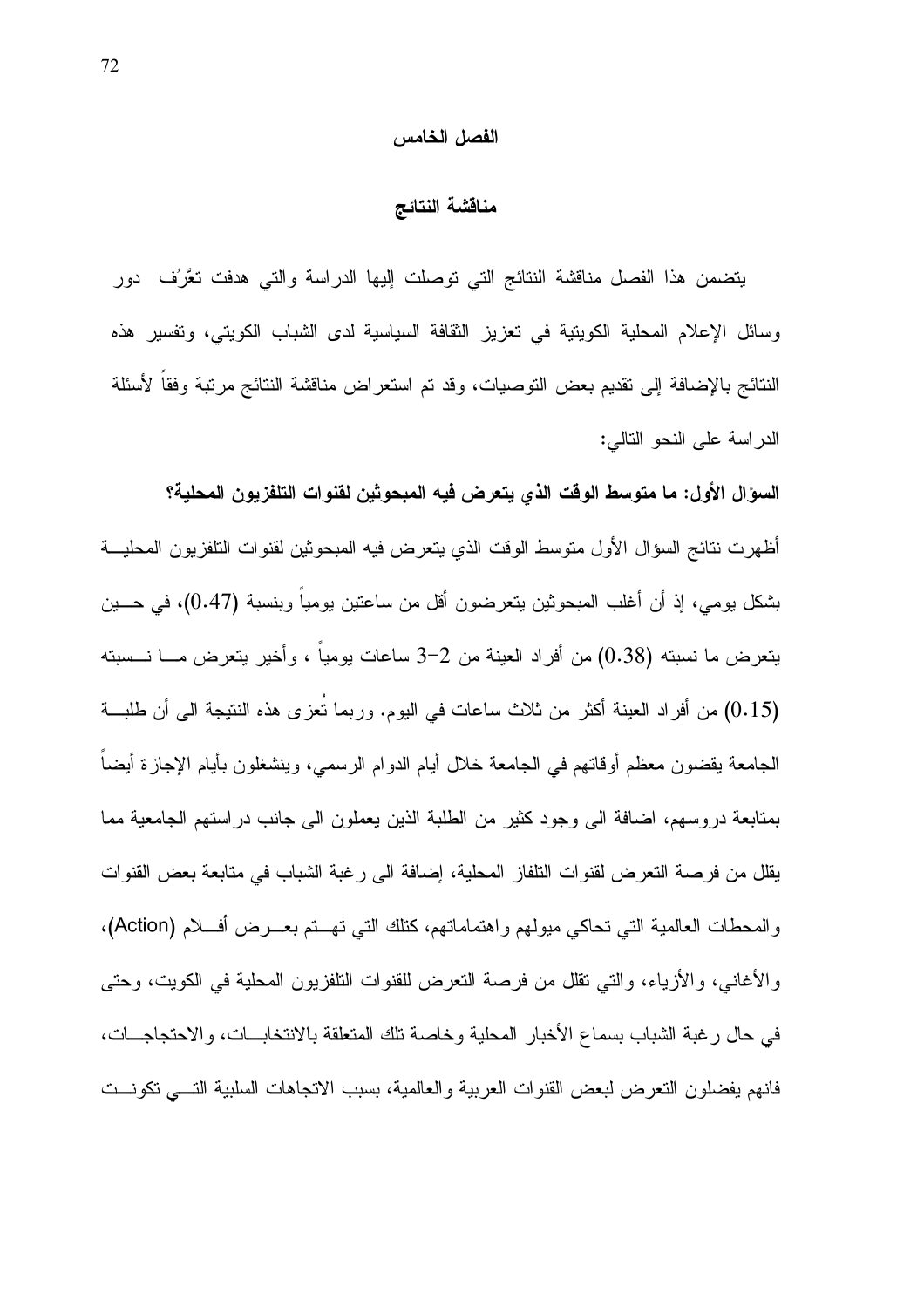#### الفصل الخامس

#### مناقشة النتائج

يتضمن هذا الفصل مناقشة النتائج التي توصلت إليها الدراسة والتي هدفت نعَّرُف دور وسائل الإعلام المحلية الكويتية في تعزيز الثقافة السياسية لدى الشباب الكويتي، وتفسير هذه النتائج بالإضافة إلى نقديم بعض النوصيات، وقد نم استعراض مناقشة النتائج مرتبة وفقاً لأسئلة الدراسة على النحو التالي:

السؤال الأول: ما متوسط الوقت الذي يتعرض فيه المبحوثين لقنوات التلفزيون المحلية؟ أظهرت نتائج السؤال الأول منوسط الوقت الذي يتعرض فيه المبحوثين لقنوات النلفزيون المحليـــة بشكل يومي، إذ أن أغلب المبحوثين يتعرضون أقل من ساعتين يوميا وبنسبة (0.47)، في حـــين يتعرض ما نسبته (0.38) من أفراد العينة من 2–3 ساعات بوميا ، وأخير يتعرض مـــا نـــسبته (0.15) من أفراد العينة أكثر من ثلاث ساعات في اليوم. وربما تعزى هذه النتيجة الى أن طلبة الجامعة يقضون معظم أوقاتهم في الجامعة خلال أيام الدوام الرسمي، وينشغلون بأيام الإجازة أيضا بمنابعة دروسهم، اضافة الى وجود كثير من الطلبة الذين يعملون الى جانب دراستهم الجامعية مما يقلل من فرصة التعرض لقنوات النلفاز المحلية، إضافة الى رغبة الشباب في متابعة بعض القنوات والمحطات العالمية التي تحاكي ميولهم واهتماماتهم، كنلك التي تهـــتم بعــــرض أفــــلام (Action)، والأغانـي، والأزياء، والتـي نقلل من فرصـة النعرض للقنوات النلفزيون المحلية فـي الكويت، وحتـي في حال رغبة الشباب بسماع الأخبار المحلية وخاصة نلك المتعلقة بالانتخابــات، والاحتجاجـــات، فانهم يفضلون النعرض لبعض القنوات العربية والعالمية، بسبب الانجاهات السلبية التسى نكونست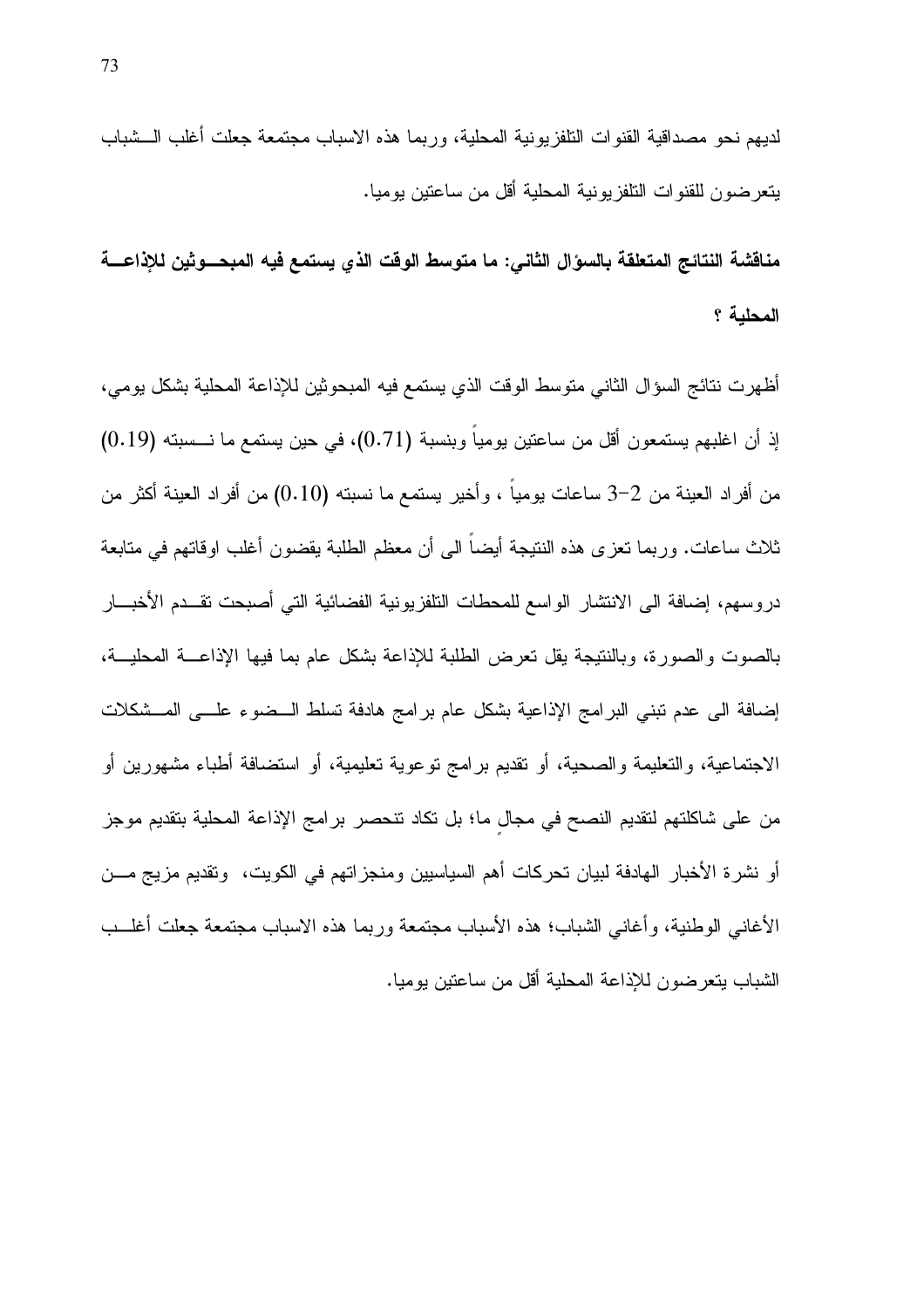لديهم نحو مصداقية القنوات التلفزيونية المحلية، وربما هذه الاسباب مجتمعة جعلت أغلب الـــشباب يتعرضون للقنوات التلفزيونية المحلية أقل من ساعتين بوميا.

مناقشة النتائج المتعلقة بالسوال الثاني: ما متوسط الوقت الذي يستمع فيه المبحـــوثين للإذاعـــة المحلية ؟

أظهرت نتائج السؤال الثاني متوسط الوقت الذي يستمع فيه المبحوثين للإذاعة المحلية بشكل يومي، إذ أن اغلبهم يستمعون أقل من ساعتين يومياً وبنسبة (0.71)، في حين يستمع ما نـــسبته (0.19) من أفراد العينة من 2–3 ساعات بومياً ، وأخير يستمع ما نسبته (0.10) من أفراد العينة أكثر من ثلاث ساعات. وربما نعزى هذه النتيجة أيضاً الى أن معظم الطلبة يقضون أغلب اوقاتهم في متابعة دروسهم، إضافة الى الانتشار الواسع للمحطات النلفزيونية الفضائية التي أصبحت نقــدم الأخبـــار بالصوت والصورة، وبالنتيجة يقل تعرض الطلبة للإذاعة بشكل عام بما فيها الإذاعــة المحليــة، إضافة الى عدم نبني البرامج الإذاعية بشكل عام برامج هادفة تسلط الــضوء علـــي المــشكلات الاجتماعية، والتعليمة والصحية، أو نقديم برامج توعوية تعليمية، أو استضافة أطباء مشهورين أو من على شاكلتهم لتقديم النصح في مجال ما؛ بل نكاد نتحصر برامج الإذاعة المحلية بتقديم موجز أو نشرة الأخبار الهادفة لبيان تحركات أهم السياسيين ومنجزاتهم في الكويت، وتقديم مزيج مـــن الأغاني الوطنية، وأغاني الشباب؛ هذه الأسباب مجتمعة وربما هذه الاسباب مجتمعة جعلت أغلب الشباب يتعرضون للإذاعة المحلية أقل من ساعتين يوميا.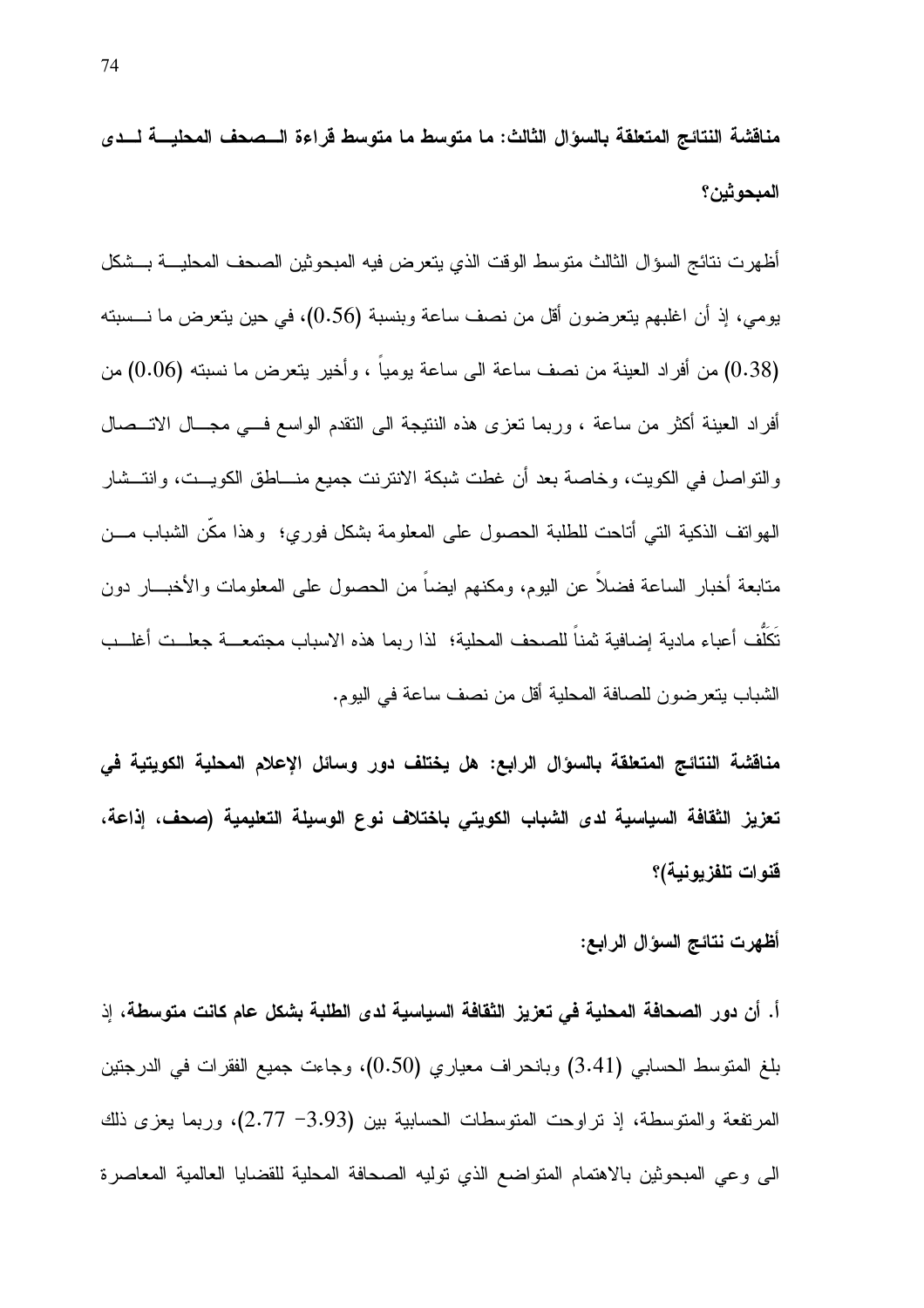مناقشة النتائج المتعلقة بالسؤال الثالث: ما متوسط ما متوسط قراءة الــصحف المحليـــة لـــدى المبحوثين؟

أظهرت نتائج السؤال الثالث منوسط الوقت الذي يتعرض فيه المبحوثين الصحف المحليــــة بـــشكل يومي، إذ أن اغلبهم يتعرضون أقل من نصف ساعة وبنسبة (0.56)، في حين يتعرض ما نـــسبته (0.38) من أفراد العينة من نصف ساعة الى ساعة بوميا ، وأخير يتعرض ما نسبته (0.06) من أفراد العينة أكثر من ساعة ، وربما نعزى هذه النتيجة الى النقدم الواسع فسى مجــال الاتـــصـال والنواصل في الكويت، وخاصة بعد أن غطت شبكة الانترنت جميع منـــاطق الكويـــت، وانتـــشار الهواتف الذكية التبي أناحت للطلبة الحصول على المعلومة بشكل فوري؛ وهذا مكن الشباب مــن متابعة أخبار الساعة فضلاً عن اليوم، ومكنهم ايضاً من الحصول على المعلومات والأخبـــار دون تَكَلُّف أعباء مادية إضافية ثمناً للصحف المحلية؛ لذا ربما هذه الاسباب مجتمعـــة جعلـــت أغلـــب الشباب يتعرضون للصافة المحلية أقل من نصف ساعة في اليوم.

مناقشة النتائج المتعلقة بالسؤال الرابع: هل يختلف دور وسائل الإعلام المحلية الكويتية في تعزيز الثقافة السياسية لدى الشباب الكويتي باختلاف نوع الوسيلة التعليمية (صحف، إذاعة، قنوات تلفزيونية)؟

#### أظهرت نتائج السوال الرابع:

أ. أن دور الصحافة المحلية في تعزيز الثقافة السياسية لدى الطلبة بشكل عام كانت متوسطة، إذ بلغ المتوسط الحسابي (3.41) وبانحراف معياري (0.50)، وجاءت جميع الفقرات في الدرجتين المرتفعة والمتوسطة، إذ نراوحت المتوسطات الحسابية بين (3.93– 2.77)، وربما يعزى ذلك الى وعي المبحوثين بالاهتمام المتواضع الذي توليه الصحافة المحلية للقضايا العالمية المعاصرة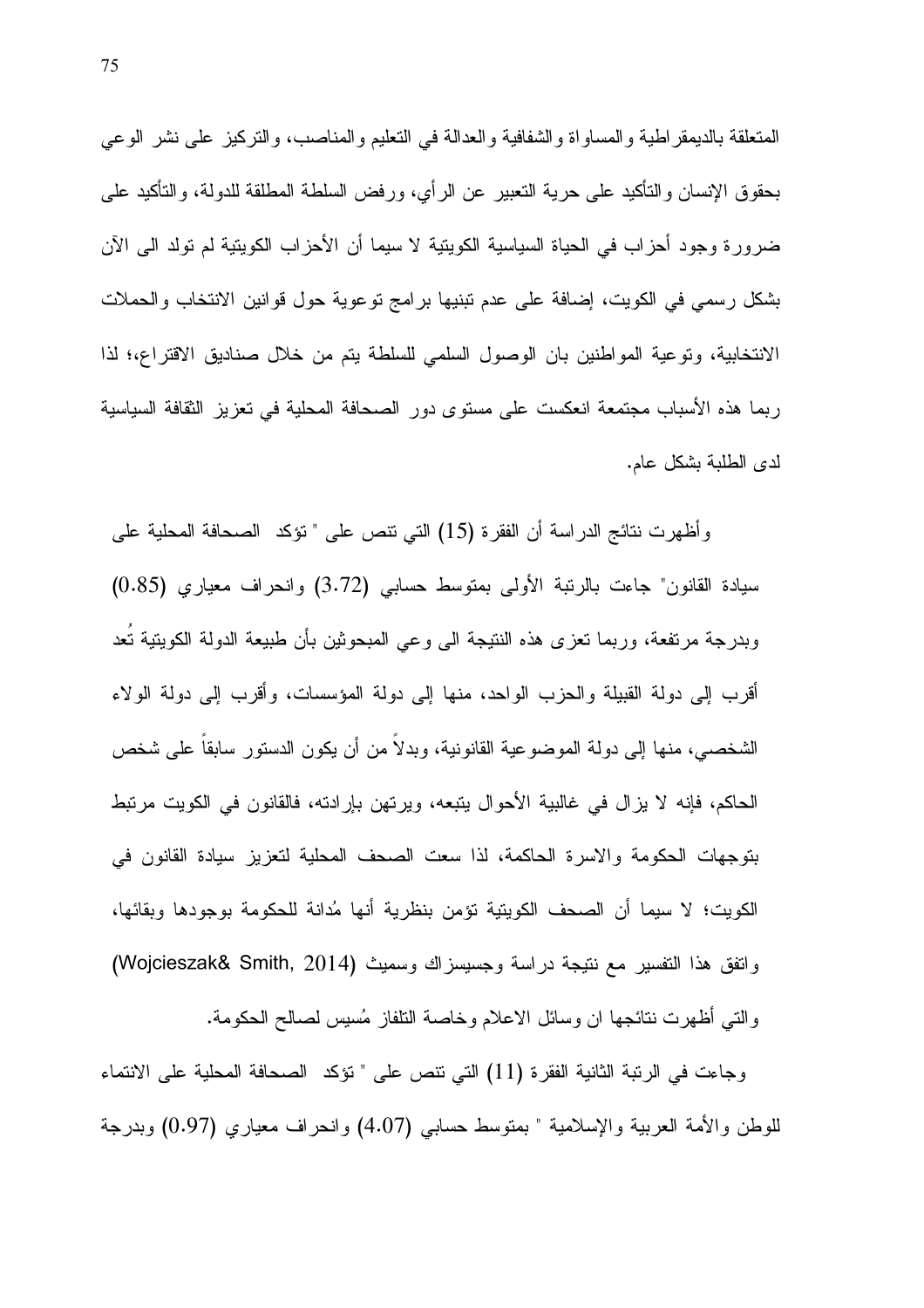المتعلقة بالديمقر اطية والمساواة والشفافية والعدالة في التعليم والمناصب، والتركيز على نشر الوعي بحقوق الإنسان والنأكيد على حرية النعبير عن الرأي، ورفض السلطة المطلقة للدولة، والنأكيد على ضرور ة وجود أحزاب في الحياة السياسية الكوينية لا سيما أن الأحزاب الكوينية لم تولد الى الآن بشكل رسمي في الكويت، إضافة على عدم تبنيها برامج توعوية حول قوانين الانتخاب والحملات الانتخابية، وتوعية المواطنين بان الوصول السلمى للسلطة يتم من خلال صناديق الاقتراع،؛ لذا رِيما هذه الأسباب مجتمعة انعكست على مستوى دور الصحافة المحلية في تعزيز الثقافة السياسية لدى الطلبة بشكل عام.

وأظهرت نتائج الدراسة أن الفقرة (15) التي نتص على " نؤكد الصحافة المحلية على سيادة القانون" جاءت بالرنبة الأولى بمنوسط حسابي (3.72) وانحراف معياري (0.85) وبدرجة مرتفعة، وربما نعزى هذه النتيجة الى وعى المبحوثين بأن طبيعة الدولة الكويتية تُعد أقرب إلى دولة القبيلة والحزب الواحد، منها إلى دولة المؤسسات، وأقرب إلى دولة الولاء الشخصبي، منها إلى دولة الموضوعية القانونية، وبدلا من أن يكون الدستور سابقا على شخص الحاكم، فإنه لا يزال في غالبية الأحوال يتبعه، ويرتهن بإرادته، فالقانون في الكويت مرتبط بِنَوِ جِهاتِ الْحِكومةِ والأسرِ ةِ الْحَاكِمةِ، لَذا سِعتِ الصَّحفِ الْمَحلِّيةِ لَتَعزِيزِ سِيادةِ القانونِ في الكويت؛ لا سيما أن الصحف الكويتية تؤمن بنظرية أنها مُدانة للحكومة بوجودها وبقائها، واتفق هذا التفسير مع نتيجة دراسة وجسيسزاك وسميث (Wojcieszak& Smith, 2014) والتي أظهرت نتائجها ان وسائل الاعلام وخاصة النلفاز مُسيس لصالح الحكومة.

وجاءت في الرنبة الثانية الفقرة (11) التي نتص على " نؤكد الصحافة المحلية على الانتماء للوطن والأمة العربية والإسلامية " بمنوسط حسابي (4.07) وانحراف معياري (0.97) وبدرجة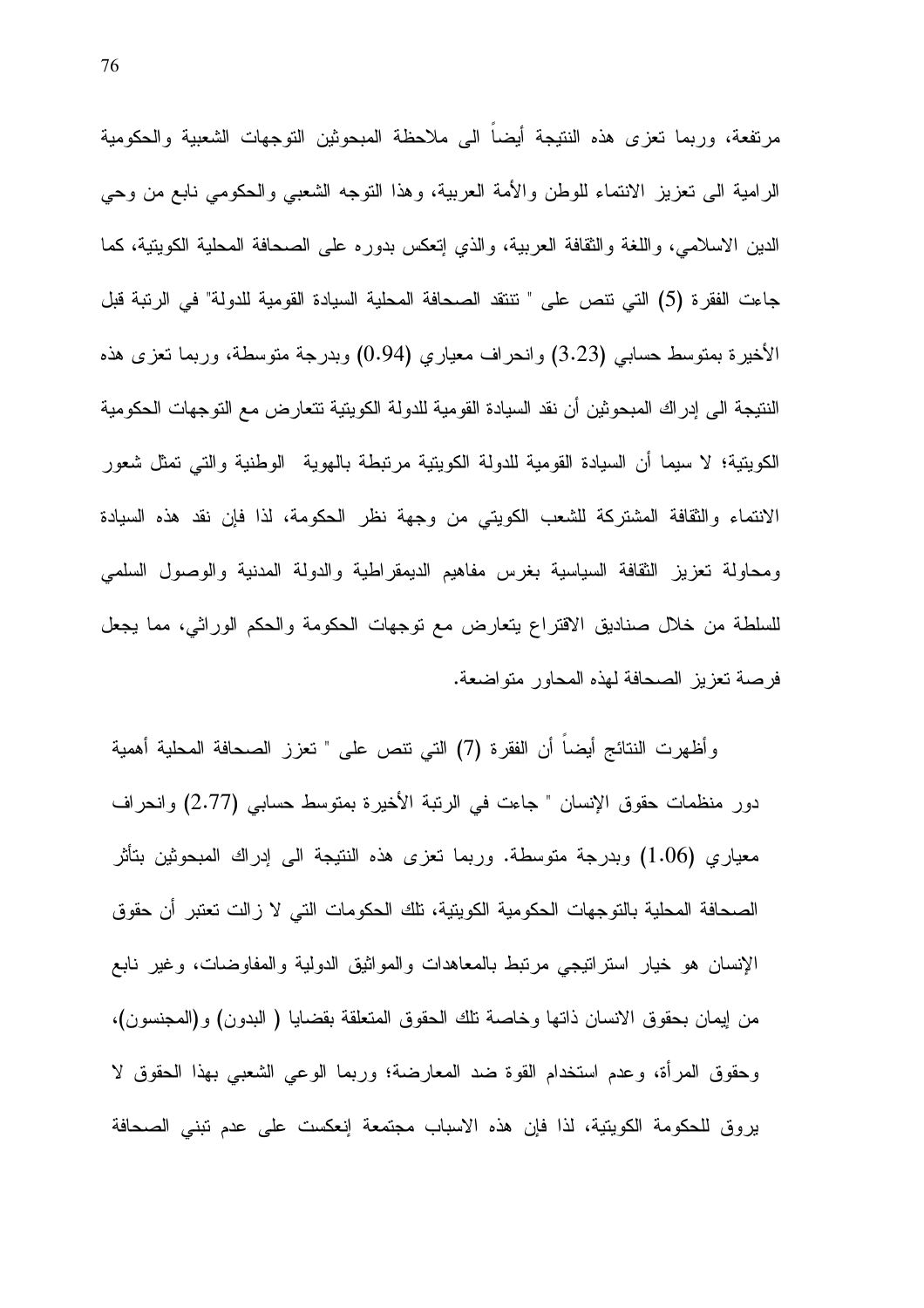مرتفعة، وربما نعزى هذه النتيجة أيضاً الى ملاحظة المبحوثين التوجهات الشعبية والحكومية الرامية الى نعزيز الانتماء للوطن والأمة العربية، وهذا النوجه الشعبي والحكومي نابع من وحي الدين الاسلامي، واللغة والثقافة العربية، والذي إنعكس بدوره على الصحافة المحلية الكويتية، كما جاءت الفقر ة (5) التي نتص على " نتنقد الصحافة المحلية السيادة القومية للدولة" في الرنبة قبل الأخيرة بمنوسط حسابي (3.23) وانحراف معياري (0.94) وبدرجة منوسطة، وربما نعزى هذه النتيجة الى إدراك المبحوثين أن نقد السيادة القومية للدولة الكويتية تتعارض مع التوجهات الحكومية الكويتية؛ لا سيما أن السيادة القومية للدولة الكويتية مرتبطة بالهوية الوطنية والتي تمثل شعور الانتماء والثقافة المشتركة للشعب الكويتي من وجهة نظر الحكومة، لذا فإن نقد هذه السيادة ومحاولة تعزيز الثقافة السياسية بغرس مفاهيم الديمقراطية والدولة المدنية والوصول السلمى للسلطة من خلال صناديق الاقتراع يتعارض مع نوجهات الحكومة والحكم الوراثي، مما يجعل فرصة تعزيز الصحافة لهذه المحاور متواضعة.

وأظهرت النتائج أيضاً أن الفقرة (7) التي نتص على " تعزز الصحافة المحلية أهمية دور منظمات حقوق الإنسان " جاءت في الرنبة الأخيرة بمنوسط حسابي (2.77) وانحراف معياري (1.06) وبدرجة متوسطة. وربما تعزي هذه النتيجة الى إدراك المبحوثين بتأثر الصحافة المحلية بالتوجهات الحكومية الكويتية، تلك الحكومات التي لا زالت تعتبر أن حقوق الإنسان هو خيار استراتيجي مرتبط بالمعاهدات والمواثيق الدولية والمفاوضات، وغير نابع من إيمان بحقوق الانسان ذاتها وخاصة تلك الحقوق المتعلقة بقضايا ( البدون) و(المجنسون)، وحقوق المرأة، وعدم استخدام القوة ضد المعارضة؛ وربما الوعبي الشعبي بهذا الحقوق لا يروق للحكومة الكويتية، لذا فإن هذه الاسباب مجتمعة إنعكست على عدم نبنى الصحافة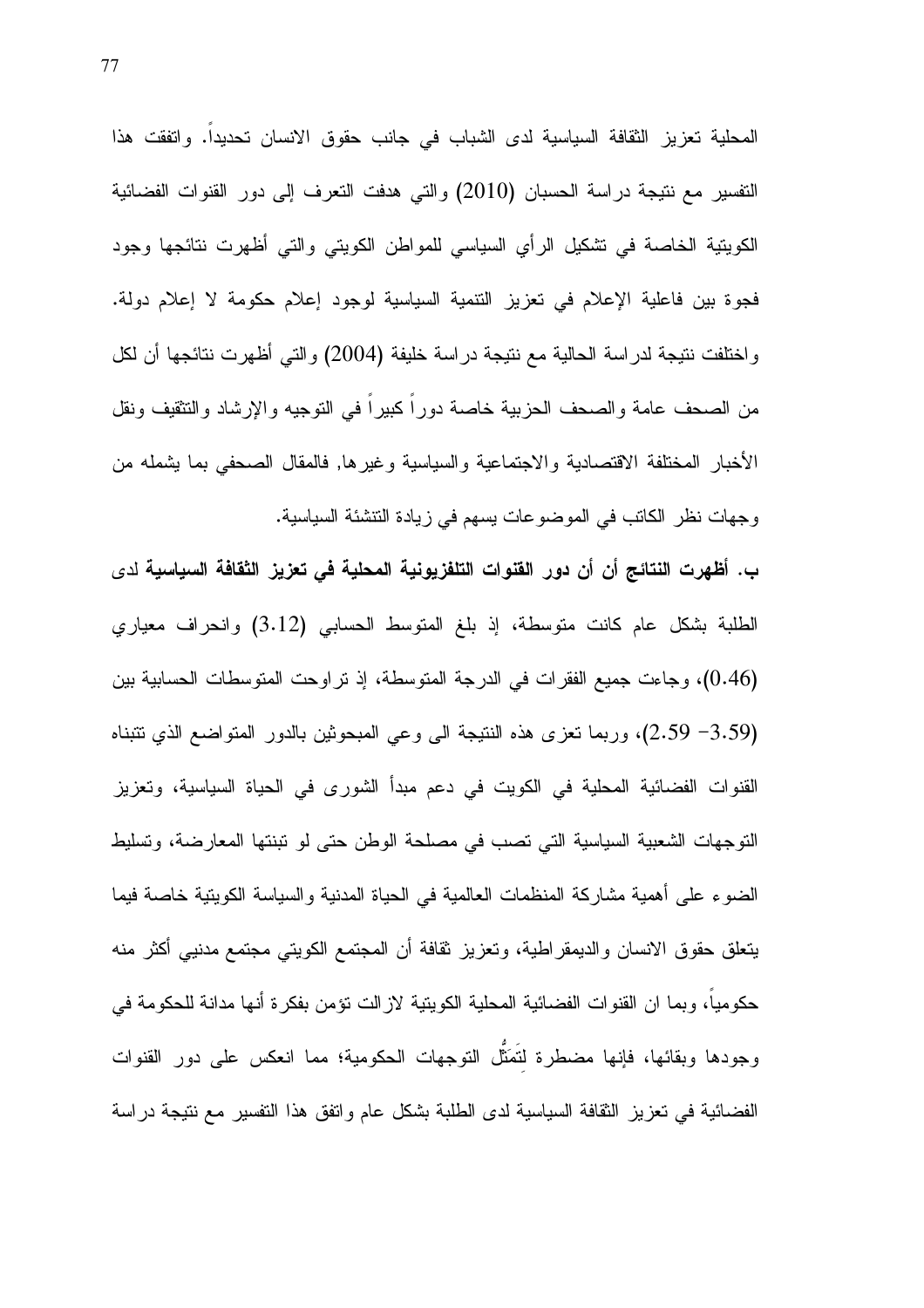المحلية تعزيز الثقافة السياسية لدى الشباب في جانب حقوق الانسان تحديدا. وانفقت هذا التفسير مع نتيجة دراسة الحسبان (2010) والتي هدفت التعرف إلى دور القنوات الفضائية الكويتية الخاصة في نشكيل الرأي السياسي للمواطن الكويتي والتي أظهرت نتائجها وجود فجوة بين فاعلية الإعلام في تعزيز التتمية السياسية لوجود إعلام حكومة لا إعلام دولة. واختلفت نتيجة لدراسة الحالية مع نتيجة دراسة خليفة (2004) والتي أظهرت نتائجها أن لكل من الصحف عامة والصحف الحزبية خاصة دوراً كبيراً في التوجيه والإرشاد والتثقيف ونقل الأخبار المختلفة الاقتصادية والاجتماعية والسياسية وغيرها, فالمقال الصحفى بما يشمله من وجهات نظر الكاتب في الموضوعات يسهم في زيادة التتشئة السياسية.

ب. أظهرت النتائج أن أن دور القنوات التلفزيونية المحلية في تعزيز الثقافة السياسية لدى الطلبة بشكل عام كانت متوسطة، إذ بلغ المتوسط الحسابي (3.12) وانحراف معياري (0.46)، وجاءت جميع الفقرات في الدرجة المتوسطة، إذ تراوحت المتوسطات الحسابية بين (3.59 2.59)، وربما نعزى هذه النتيجة الى وعي المبحوثين بالدور المتواضع الذي نتبناه القنوات الفضائية المحلية في الكويت في دعم مبدأ الشورى في الحياة السياسية، وتعزيز التوجهات الشعبية السياسية التي تصب في مصلحة الوطن حتى لو تبنتها المعارضة، وتسليط الضوء على أهمية مشاركة المنظمات العالمية في الحياة المدنية والسياسة الكويتية خاصة فيما يتعلق حقوق الانسان والديمقراطية، وتعزيز نقافة أن المجتمع الكويتي مجتمع مدنيبي أكثر منه حكوميا، وبما ان القنوات الفضائية المحلية الكويتية لاز الت نؤمن بفكر ة أنها مدانة للحكومة في وجودها وبقائها، فإنها مضطرة لتُمَثِّل النوجهات الحكومية؛ مما انعكس على دور القنوات الفضائية في تعزيز الثقافة السياسية لدى الطلبة بشكل عام واتفق هذا التفسير مع نتيجة دراسة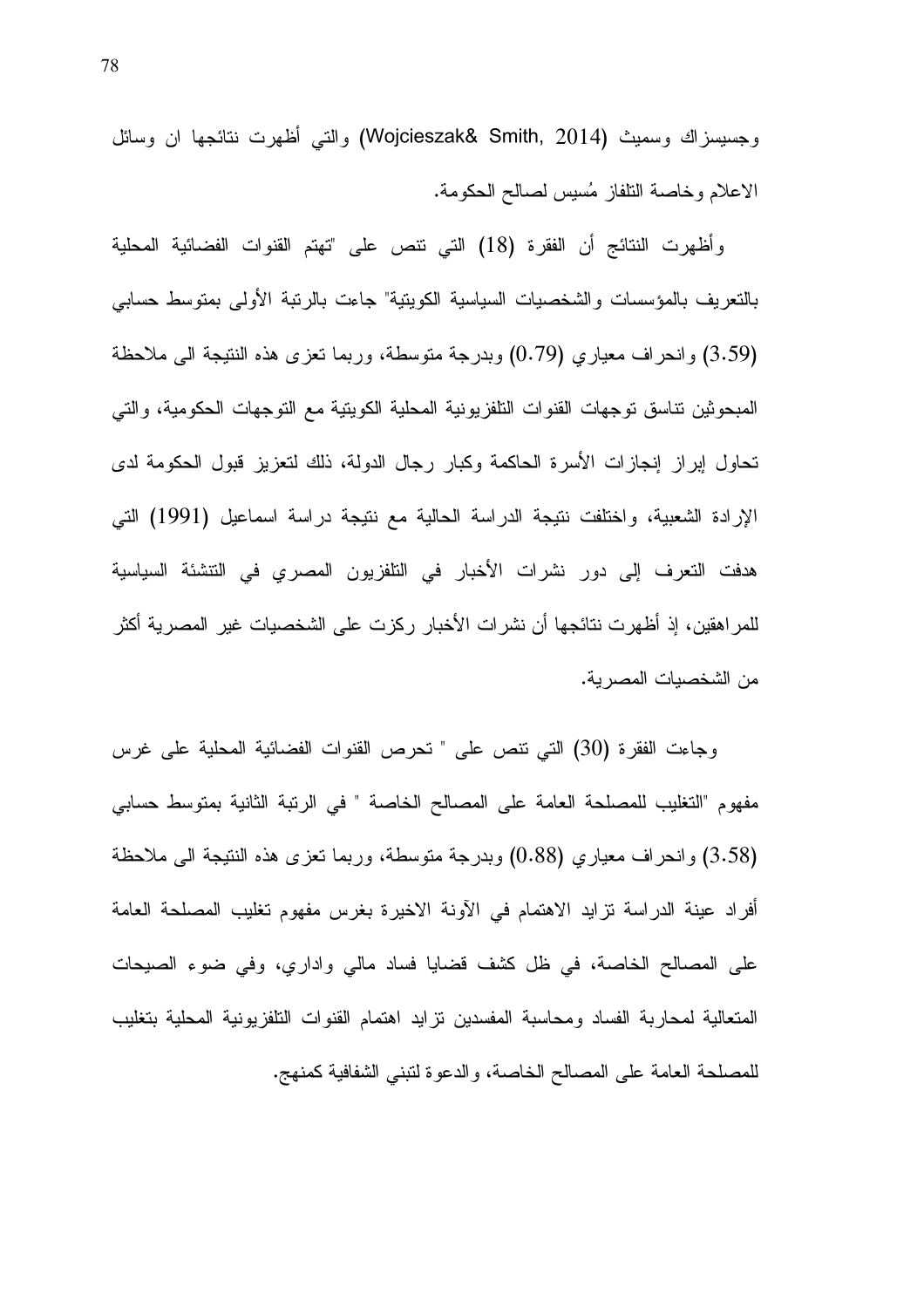وجسيسزاك وسميث (Wojcieszak& Smith, 2014) والتي أظهرت نتائجها ان وسائل الاعلام وخاصة النلفاز مُسيس لصىالح الحكومة.

وأظهرت النتائج أن الفقرة (18) التي نتص على "تهتم القنوات الفضائية المحلية بالنعريف بالمؤسسات والشخصيات السياسية الكوينية" جاءت بالرنبة الأولى بمنوسط حسابي (3.59) وانحراف معياري (0.79) وبدرجة متوسطة، وربما نعزى هذه النتيجة الى ملاحظة المبحوثين نتاسق توجهات القنوات النلفزيونية المحلية الكويتية مع التوجهات الحكومية، والتي تحاول إبراز إنجازات الأسرة الحاكمة وكبار رجال الدولة، ذلك لتعزيز قبول الحكومة لدى الإرادة الشعبية، واختلفت نتيجة الدراسة الحالية مع نتيجة دراسة اسماعيل (1991) التي هدفت النعرف إلى دور نشرات الأخبار في النلفزيون المصري في النتشئة السياسية للمر اهقين، إذ أظهرت نتائجها أن نشرات الأخبار ركزت على الشخصيات غير المصرية أكثر من الشخصبات المصر بة.

وجاءت الفقرة (30) التي نتص على " تحرص القنوات الفضائية المحلية على غرس مفهوم "التغليب للمصلحة العامة على المصالح الخاصة " في الرنبة الثانية بمنوسط حسابي (3.58) وانحراف معياري (0.88) وبدرجة متوسطة، وربما نعزى هذه النتيجة الى ملاحظة أفراد عينة الدراسة نزايد الاهتمام في الأونة الاخيرة بغرس مفهوم تغليب المصلحة العامة على المصالح الخاصة، في ظل كشف قضايا فساد مالي واداري، وفي ضوء الصيحات المتعالية لمحاربة الفساد ومحاسبة المفسدين نزايد اهتمام القنوات النلفزيونية المحلية بتغليب للمصلحة العامة على المصالح الخاصة، والدعوة لتبني الشفافية كمنهج.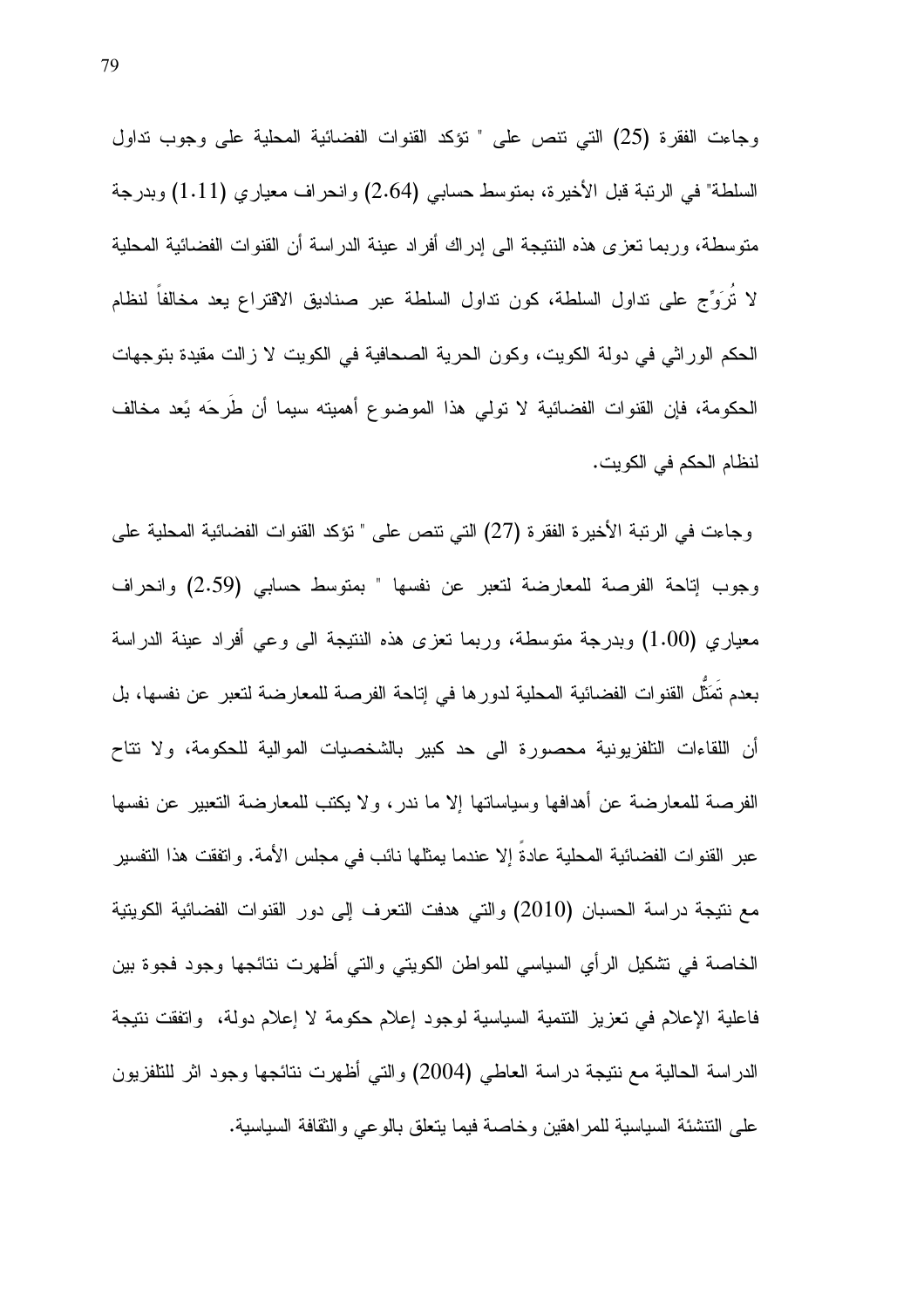وجاءت الفقرة (25) التي نتص على " نؤكد القنوات الفضائية المحلية على وجوب نداول السلطة" في الرتبة قبل الأخيرة، بمتوسط حسابي (2.64) وانحراف معياري (1.11) وبدرجة منوسطة، وربما نعزى هذه النتيجة الى إدراك أفراد عينة الدراسة أن القنوات الفضائية المحلية لا تُرَوِّج على نداول السلطة، كون نداول السلطة عبر صناديق الاقتراع يعد مخالفاً لنظام الحكم الوراثي في دولة الكويت، وكون الحرية الصحافية في الكويت لا زالت مقيدة بتوجهات الحكومة، فإن القنوات الفضائية لا تولى هذا الموضوع أهميته سيما أن طُرِحَه يَعد مخالف لنظام الحكم في الكويت.

وجاءت في الرنبة الأخيرة الفقرة (27) التي نتص على " تؤكد القنوات الفضائية المحلية على وجوب إتاحة الفرصة للمعارضة لتعبر عن نفسها " بمتوسط حسابي (2.59) وانحراف معياري (1.00) وبدرجة متوسطة، وربما تعزى هذه النتيجة الى وعي أفراد عينة الدراسة بعدم تُمَثِّل القنوات الفضائية المحلية لدورها في إناحة الفرصة للمعارضة لنعبر عن نفسها، بل أن اللقاءات التلفزيونية محصورة الى حد كبير بالشخصيات الموالية للحكومة، ولا نتاح الفرصة للمعارضة عن أهدافها وسياساتها إلا ما ندر ، ولا يكتب للمعارضة التعبير عن نفسها عبر القنوات الفضائية المحلية عادة إلا عندما يمثلها نائب في مجلس الأمة. واتفقت هذا التفسير مع نتيجة دراسة الحسبان (2010) والتي هدفت النعرف إلى دور القنوات الفضائية الكويتية الخاصة في تشكيل الرأي السياسي للمواطن الكويتي والتي أظهرت نتائجها وجود فجوة بين فاعلية الإعلام في تعزيز التتمية السياسية لوجود إعلام حكومة لا إعلام دولة، واتفقت نتيجة الدراسة الحالية مع نتيجة دراسة العاطي (2004) والتي أظهرت نتائجها وجود اثر للنلفزيون على التتشئة السياسية للمراهقين وخاصة فيما يتعلق بالوعى والثقافة السياسية.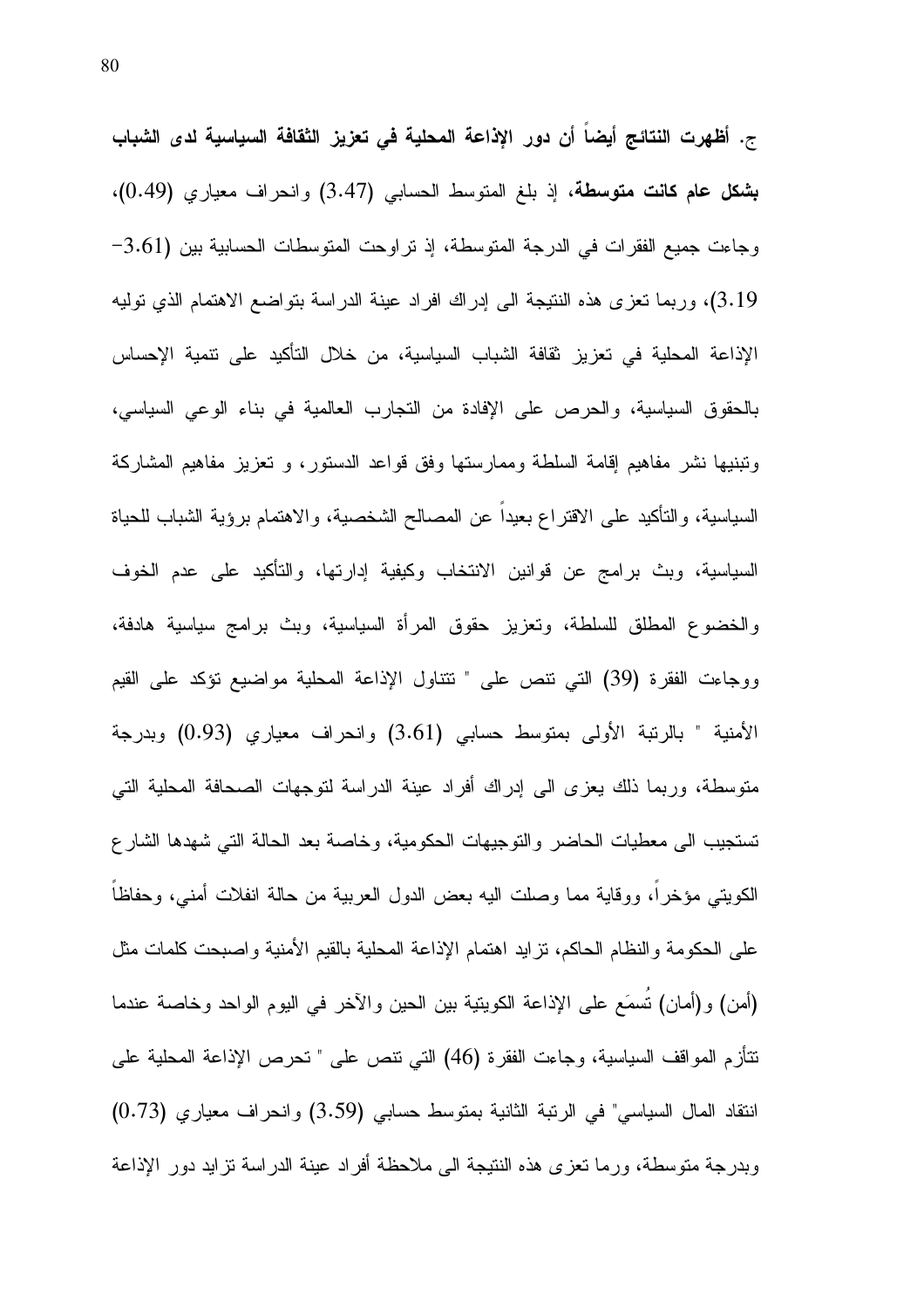ج. أظهرت النتائج أيضاً أن دور الإذاعة المحلية في تعزيز الثقافة السياسية لدى الشباب بشكل عام كانت متوسطة، إذ بلغ المتوسط الحسابي (3.47) وانحراف معياري (0.49)، وجاءت جميع الفقرات في الدرجة المتوسطة، إذ نراوحت المتوسطات الحسابية بين (3.61-3.19)، وربما نعزى هذه النتيجة الى إدراك افراد عينة الدراسة بتواضع الاهتمام الذي نوليه الإذاعة المحلية في تعزيز ثقافة الشباب السياسية، من خلال التأكيد على نتمية الإحساس بالحقوق السياسية، والحرص على الإفادة من التجارب العالمية في بناء الوعي السياسي، ونبنيها نشر مفاهيم إقامة السلطة وممارستها وفق قواعد الدستور، و تعزيز مفاهيم المشاركة السياسية، والنأكيد على الاقتراع بعيدا عن المصالح الشخصية، والاهتمام برؤية الشباب للحياة السياسية، وبث برامج عن قوانين الانتخاب وكيفية إدارتها، والتأكيد على عدم الخوف والخضوع المطلق للسلطة، وتعزيز حقوق المرأة السياسية، وبث برامج سياسية هادفة، ووجاءت الفقرة (39) التي نتص على " نتتاول الإذاعة المحلية مواضيع نؤكد على القيم الأمنية " بالرتبة الأولى بمنوسط حسابي (3.61) وانحراف معياري (0.93) وبدرجة متوسطة، وربما ذلك يعزى الى إدراك أفراد عينة الدراسة لتوجهات الصحافة المحلية التي تستجيب الى معطيات الحاضر والتوجيهات الحكومية، وخاصة بعد الحالة التي شهدها الشارع الكويتي مؤخرا، ووقاية مما وصلت اليه بعض الدول العربية من حالة انفلات أمني، وحفاظاً على الحكومة والنظام الحاكم، نزايد اهتمام الإذاعة المحلية بالقيم الأمنية واصبحت كلمات مثل (أمن) و(أمان) تُسمَع على الإذاعة الكويتية بين الحين والآخر في اليوم الواحد وخاصة عندما نتأزم المواقف السياسية، وجاءت الفقرة (46) التي نتص على " نحرص الإذاعة المحلية على انتقاد المال السياسي" في الرئبة الثانية بمتوسط حسابي (3.59) وانحراف معياري (0.73) وبدرجة متوسطة، ورما نعزى هذه النتيجة الى ملاحظة أفراد عينة الدراسة نزايد دور الإذاعة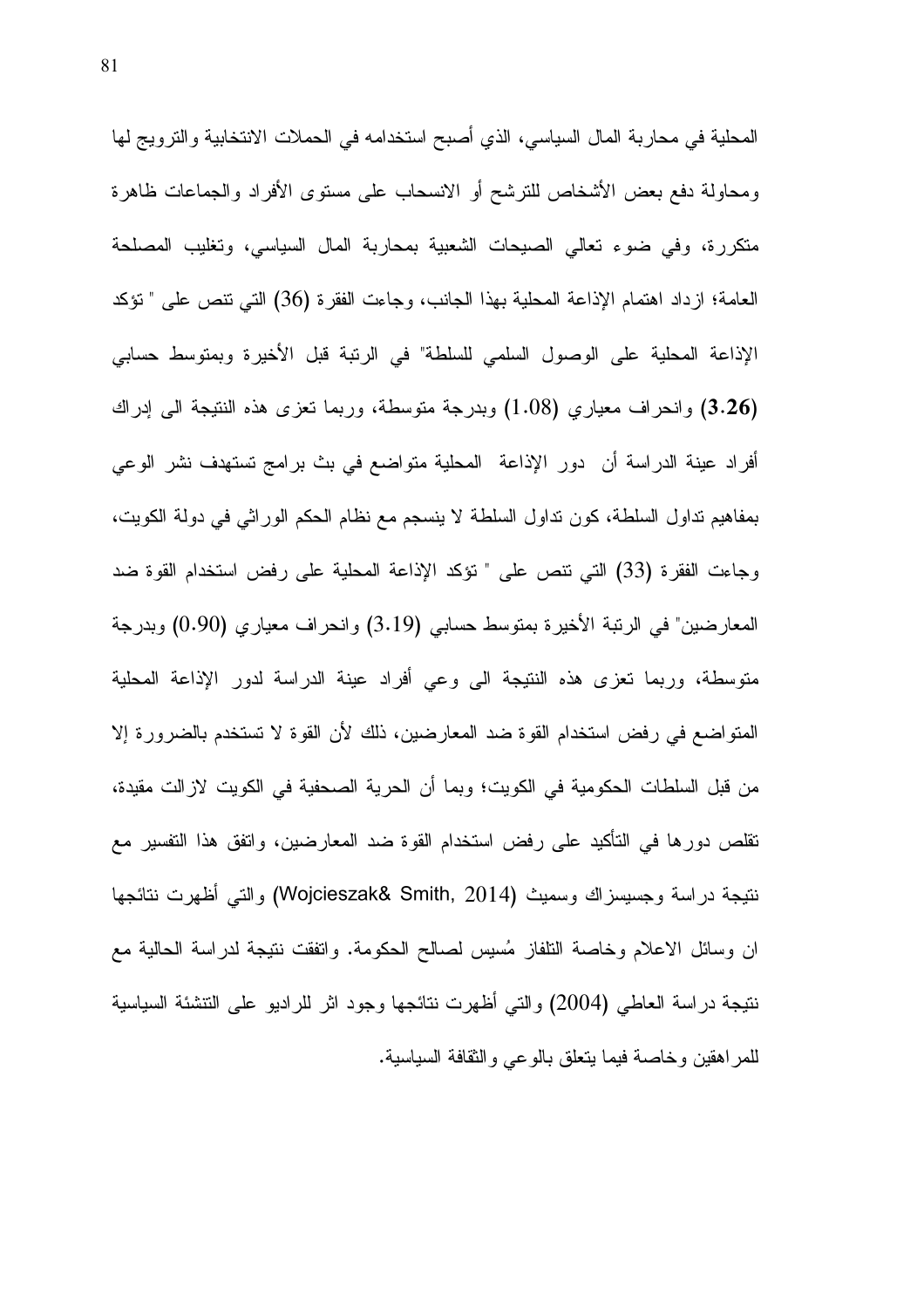المحلية في محاربة المال السياسي، الذي أصبح استخدامه في الحملات الانتخابية والترويج لها ومحاولة دفع بعض الأشخاص للترشح أو الانسحاب على مستوى الأفراد والجماعات ظاهرة متكررة، وفي ضوء تعالى الصيحات الشعبية بمحاربة المال السياسي، وتغليب المصلحة العامة؛ ازداد اهتمام الإذاعة المحلية بهذا الجانب، وجاءت الفقرة (36) التي تتص على " تؤكد الإذاعة المحلية على الوصول السلمي للسلطة" في الرنبة قبل الأخيرة وبمنوسط حسابي (3.26) وانحراف معياري (1.08) وبدرجة متوسطة، وربما نعزى هذه النتيجة الى إدراك أفراد عينة الدراسة أن دور الإذاعة المحلية متواضع في بث برامج تستهدف نشر الوعي بمفاهيم نداول السلطة، كون نداول السلطة لا ينسجم مع نظام الحكم الوراثي في دولة الكويت، وجاءت الفقرة (33) التي نتص على " نؤكد الإذاعة المحلية على رفض استخدام القوة ضد المعارضين" في الرنبة الأخيرة بمتوسط حسابي (3.19) وانحراف معياري (0.90) وبدرجة متوسطة، وربما تعزى هذه النتيجة الى وعي أفراد عينة الدراسة لدور الإذاعة المحلية المتواضع في رفض استخدام القوة ضد المعارضين، ذلك لأن القوة لا تستخدم بالضرورة إلا من قبل السلطات الحكومية في الكويت؛ وبما أن الحرية الصحفية في الكويت لازالت مقيدة، تقلص دورها في التأكيد على رفض استخدام القوة ضد المعارضين، واتفق هذا التفسير مع نتيجة در اسة وجسيسز اك وسميث (Wojcieszak& Smith, 2014) و التبي أظهرت نتائجها ان وسائل الاعلام وخاصة التلفاز مُسيس لصـالـح الـحكومة. وانفقت ننيجة لدراسة الـحالية مـع نتيجة دراسة العاطي (2004) والتي أظهرت نتائجها وجود اثر للراديو على التتشئة السياسية للمر اهقين وخاصة فيما يتعلق بالوعي والنقافة السياسية.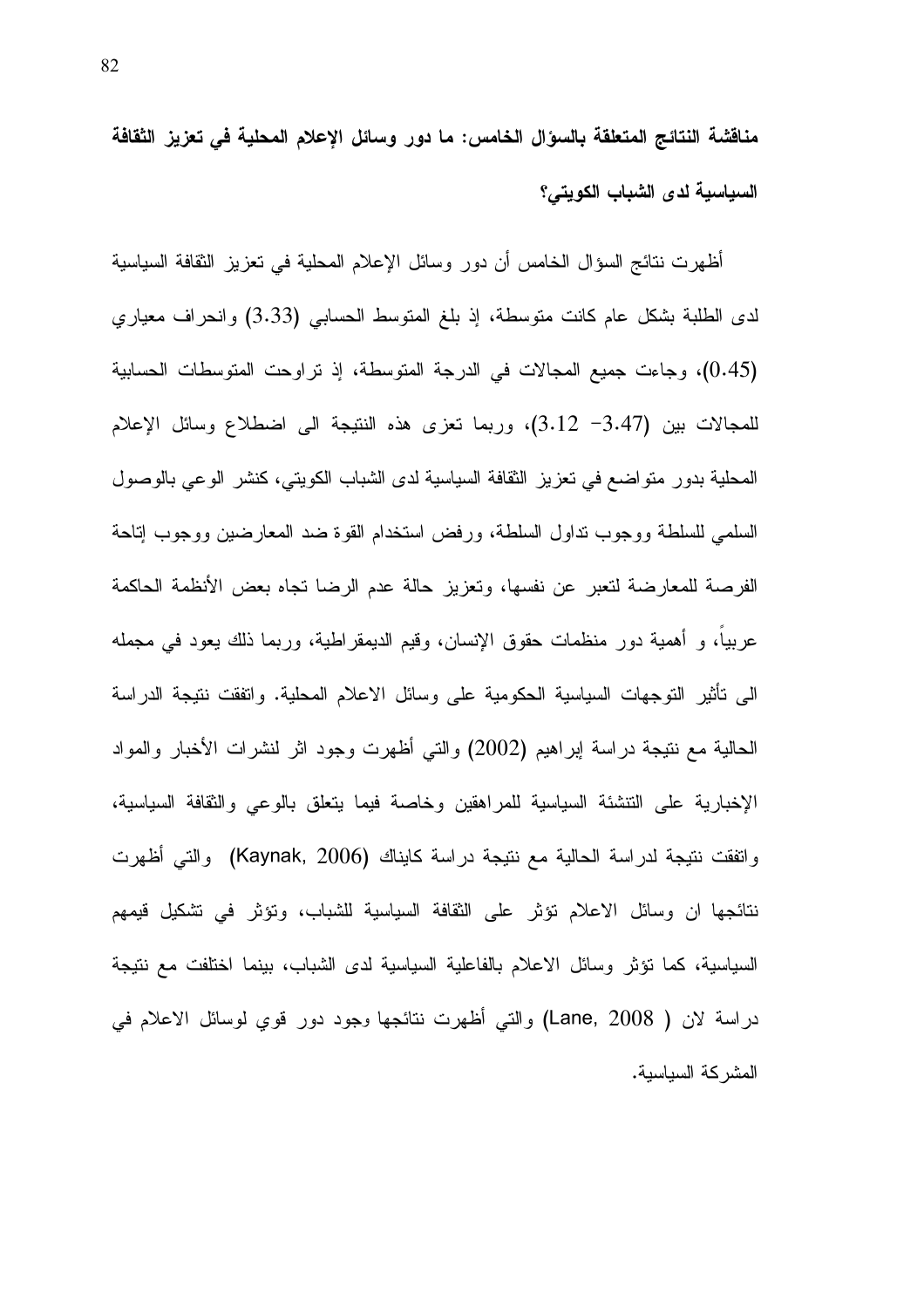مناقشة النتائج المتعلقة بالسؤال الخامس: ما دور وسائل الإعلام المحلية في تعزيز الثقافة السياسية لدى الشباب الكويتي؟

أظهرت نتائج السؤال الخامس أن دور وسائل الإعلام المحلية في تعزيز الثقافة السياسية لدى الطلبة بشكل عام كانت متوسطة، إذ بلغ المتوسط الحسابي (3.33) وانحراف معياري (0.45)، وجاءت جميع المجالات في الدرجة المنوسطة، إذ نراوحت المنوسطات الحسابية للمجالات بين (3.47– 3.12)، وربما تعزى هذه النتيجة الى اضطلاع وسائل الإعلام المحلية بدور منواضع في تعزيز الثقافة السياسية لدى الشباب الكويتي، كنشر الوعي بالوصول السلمي للسلطة ووجوب نداول السلطة، ورفض استخدام القوة ضد المعارضين ووجوب إناحة الفرصة للمعارضة لتعبر عن نفسها، وتعزيز حالة عدم الرضا تجاه بعض الأنظمة الحاكمة عربياً، و أهمية دور منظمات حقوق الإنسان، وقيم الديمقراطية، وربما ذلك يعود في مجمله الـى نـأثير النوجهات السياسية الـحكومية علـى وسائل الاعلام المـحلية. وانفقت ننيجة الدراسة الحالية مع نتيجة دراسة إبراهيم (2002) والتي أظهرت وجود اثر لنشرات الأخبار والمواد الإخبارية على التتشئة السياسية للمراهقين وخاصة فيما يتعلق بالوعى والثقافة السياسية، واتفقت نتيجة لدراسة الحالية مع نتيجة دراسة كايناك (Kaynak, 2006) والتي أظهرت نتائجها ان وسائل الاعلام نؤثر على النقافة السياسية للشباب، ونؤثر في نشكيل فيمهم السياسية، كما تؤثِّر وسائل الاعلام بالفاعلية السياسية لدى الشباب، بينما اختلفت مع نتيجة دراسة لان ( Lane, 2008) والتي أظهرت نتائجها وجود دور قوي لوسائل الاعلام في المشركة السياسية.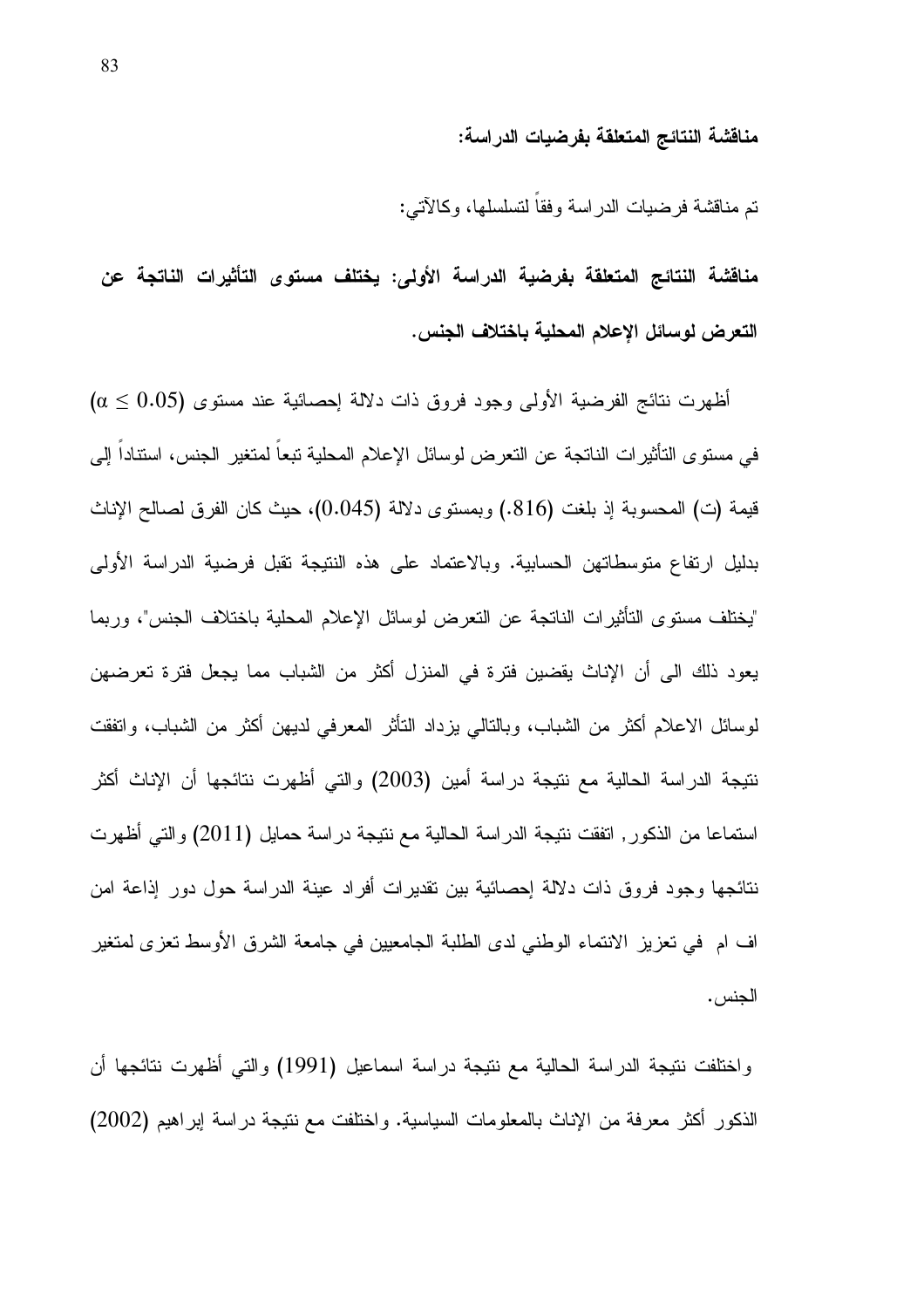#### مناقشة النتائج المتعلقة بفرضيات الدراسة:

نم مناقشة فرضيات الدراسة وفقا لتسلسلها، وكالآتي:

مناقشة النتائج المتعلقة بفرضية الدراسة الأولى: يختلف مستوى التأثيرات الناتجة عن التعرض لوسائل الاعلام المحلية باختلاف الجنس.

أظهرت نتائج الفرضية الأولى وجود فروق ذات دلالة احصائية عند مستوى (0.05 ≤ α) في مستو ي التأثير ات الناتجة عن التعر ض لو سائل الإعلام المحلية تبعا لمتغير الجنس، استنادا إلى قيمة (ت) المحسوبة إذ بلغت (816.) وبمستوى دلالة (0.045)، حيث كان الفرق لصالح الإناث بدليل ارتفاع متوسطاتهن الحسابية. وبالاعتماد على هذه النتيجة تقبل فرضية الدراسة الأولى "بختلف مستوى التأثيرات الناتجة عن التعرض لوسائل الإعلام المحلية باختلاف الجنس"، وربما يعود ذلك الى أن الإناث يقضين فترة في المنزل أكثر من الشباب مما يجعل فترة تعرضهن لوسائل الاعلام أكثر من الشباب، وبالنالي بزداد النَّاثر المعرفي لديهن أكثر من الشباب، وانفقت نتيجة الدراسة الحالية مع نتيجة دراسة أمين (2003) والتي أظهرت نتائجها أن الإناث أكثر استماعا من الذكور , اتفقت نتيجة الدراسة الحالية مع نتيجة دراسة حمايل (2011) والتي أظهرت نتائجها وجود فروق ذات دلالة إحصائية بين نقديرات أفراد عينة الدراسة حول دور إذاعة امن اف ام في تعزيز الانتماء الوطني لدى الطلبة الجامعيين في جامعة الشرق الأوسط تعزى لمتغير الجنس .

واختلفت نتيجة الدراسة الحالية مع نتيجة دراسة اسماعيل (1991) والتي أظهرت نتائجها أن الذكور أكثر معرفة من الإناث بالمعلومات السياسية. واختلفت مع نتيجة در اسة إبراهيم (2002)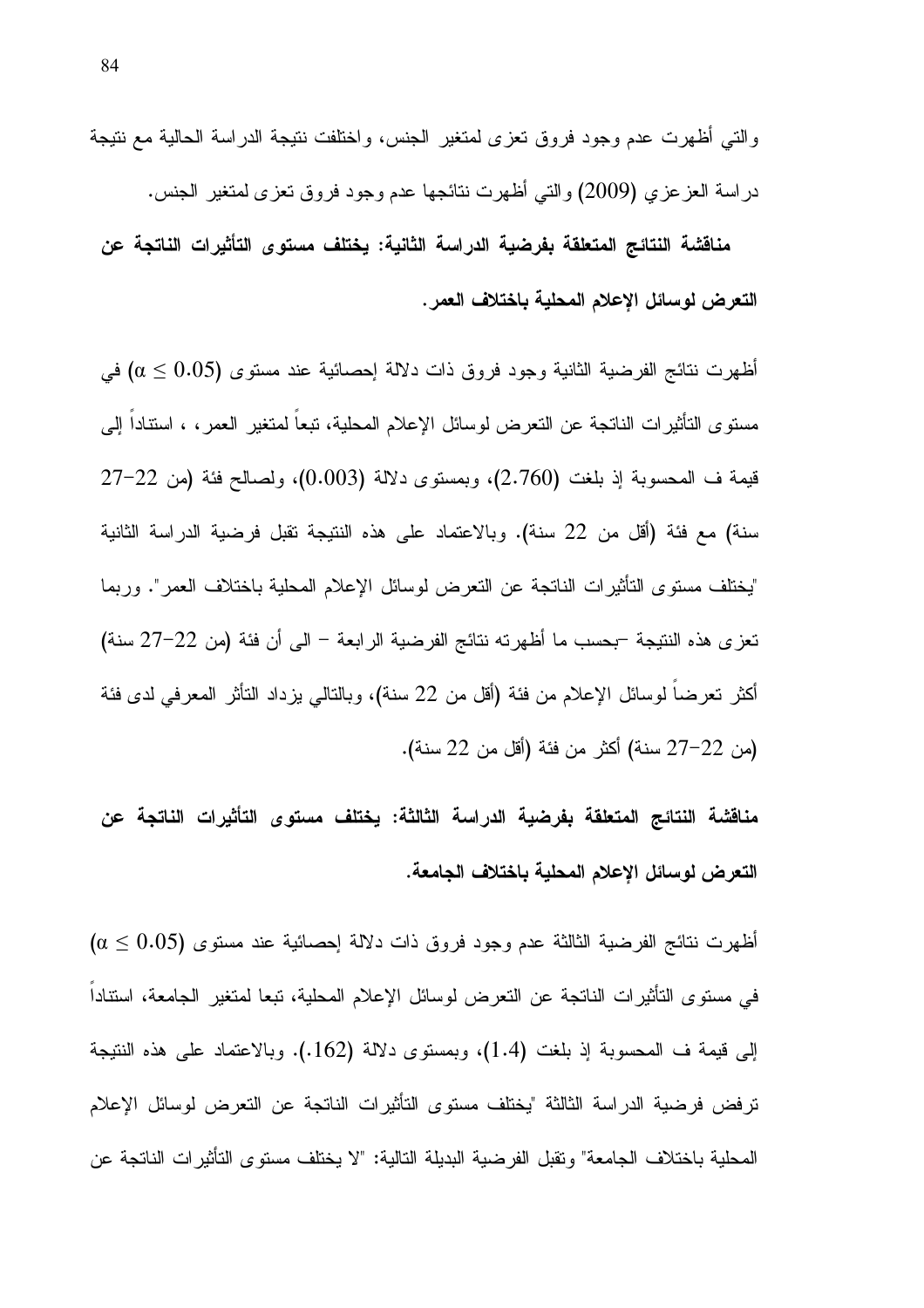والتي أظهرت عدم وجود فروق تعزى لمتغير الجنس، واختلفت نتيجة الدراسة الحالية مع نتيجة در اسة العز عزي (2009) والتي أظهرت نتائجها عدم وجود فروق تعزى لمتغير الجنس.

مناقشة النتائج المتعلقة بفرضية الدراسة الثانية: يختلف مستوى التأثيرات الناتجة عن التعرض لوسائل الإعلام المحلية باختلاف العمر .

أظهرت نتائج الفرضية الثانية وجود فروق ذات دلالة إحصائية عند مستوى (0.05  $\alpha \leq 0.05$  في مستوى التأثيرات الناتجة عن التعرض لوسائل الإعلام المحلية، تبعا لمتغير العمر ، ، استنادا إلىي قيمة ف المحسوبة إذ بلغت (2.760)، وبمستوى دلالة (0.003)، ولصـالـح فئة (من 22–27 سنة) مع فئة (أقل من 22 سنة). وبالاعتماد على هذه النتيجة نقبل فرضية الدراسة الثانية "يختلف مستوى التأثيرات الناتجة عن التعرض لوسائل الإعلام المحلية باختلاف العمر". وربما تعزى هذه النتيجة –بحسب ما أظهرته نتائج الفرضية الرابعة – الى أن فئة (من 22–27 سنة) أكثر تعرضا لوسائل الإعلام من فئة (أقل من 22 سنة)، وبالنالي يزداد النأثر المعرفي لدى فئة (من 22–27 سنة) أكثر من فئة (أقل من 22 سنة).

مناقشة النتائج المتعلقة بفرضية الدراسة الثالثة: يختلف مستوى التأثيرات الناتجة عن التعرض لوسائل الإعلام المحلية باختلاف الجامعة.

أظهرت نتائج الفرضية الثالثة عدم وجود فروق ذات دلالة إحصائية عند مستوى (0.05  $\alpha \leq 0.05$ في مستوى التاثيرات الناتجة عن التعرض لوسائل الإعلام المحلية، تبعا لمتغير الجامعة، استتادا إلى قيمة ف المحسوبة إذ بلغت (1.4)، وبمستوى دلالة (162.). وبالاعتماد على هذه النتيجة ترفض فرضية الدراسة الثالثة "يختلف مستوى التأثيرات الناتجة عن التعرض لوسائل الإعلام المحلية باختلاف الجامعة" وتقبل الفرضية البديلة التالية: "لا يختلف مستوى التأثيرات الناتجة عن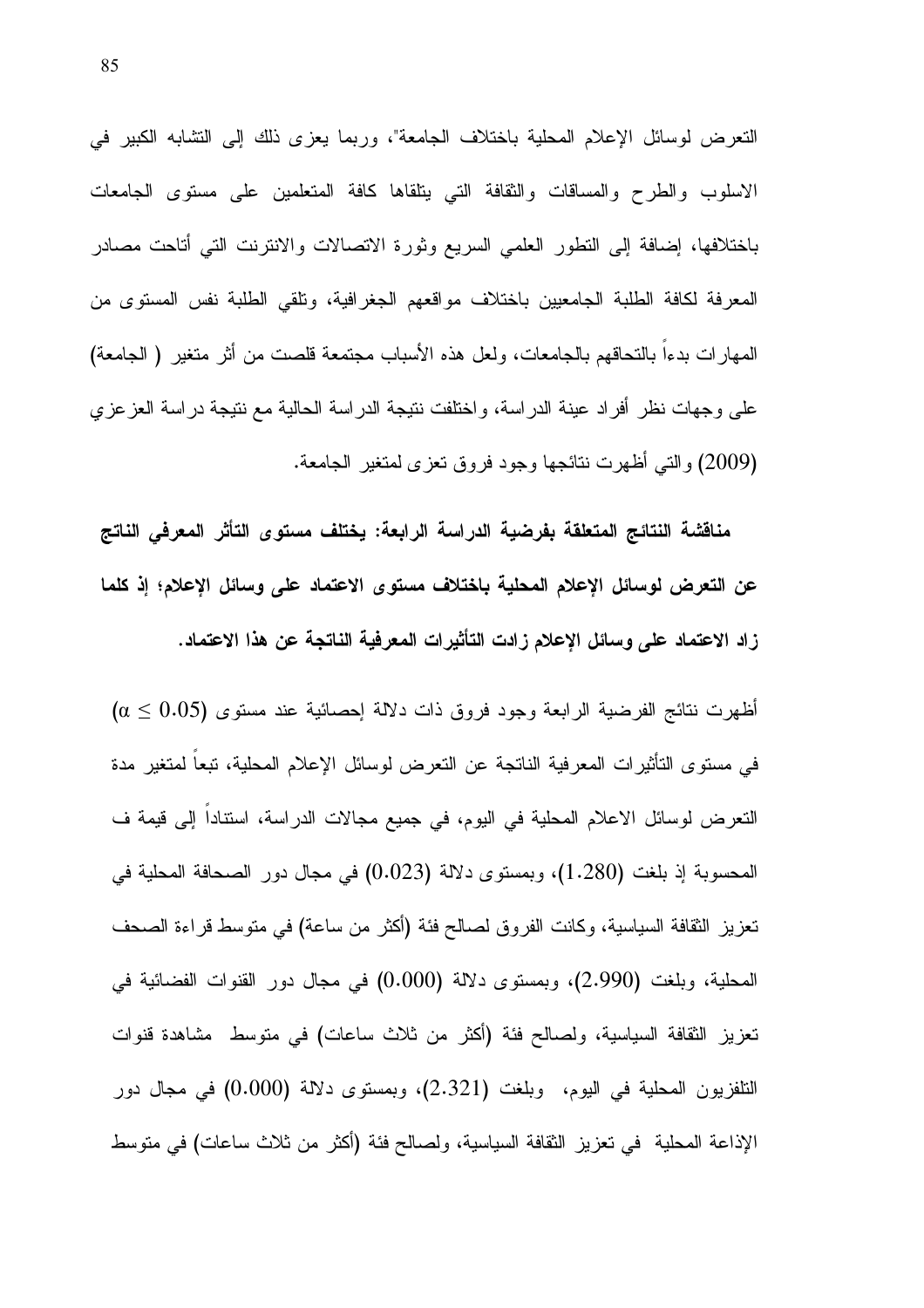النعرض لوسائل الإعلام المحلية باختلاف الجامعة"، وربما يعزى ذلك إلى التشابه الكبير في الاسلوب والطرح والمساقات والثقافة التبي ينلقاها كافة المتعلمين على مستوى الجامعات باختلافها، إضافة إلى النطور العلمي السريع وثورة الانصالات والانترنت التي أناحت مصادر المعرفة لكافة الطلبة الجامعيين باختلاف مواقعهم الجغرافية، ونلقي الطلبة نفس المستوى من المهارات بدءاً بالتحاقهم بالجامعات، ولعل هذه الأسباب مجتمعة قلصت من أثر متغير ( الجامعة) على وجهات نظر أفراد عينة الدراسة، واختلفت نتيجة الدراسة الحالية مع نتيجة دراسة العزعزى (2009) والتي أظهرت نتائجها وجود فروق تعزى لمتغير الجامعة.

مناقشة النتائج المتعلقة بفرضية الدراسة الرابعة: يختلف مستوى التأثر المعرفى الناتج عن التعرض لوسائل الإعلام المحلية باختلاف مستوى الاعتماد على وسائل الإعلام؛ إذ كلما زاد الاعتماد على وسائل الإعلام زادت التأثيرات المعرفية الناتجة عن هذا الاعتماد.

أظهرت نتائج الفرضية الرابعة وجود فروق ذات دلالة إحصائية عند مستوى (0.05  $\alpha \leq 0.05$ في مستوى التأثيرات المعرفية الناتجة عن التعرض لوسائل الإعلام المحلية، تبعا لمتغير مدة النعرض لوسائل الاعلام المحلية في اليوم، في جميع مجالات الدراسة، استنادا إلى قيمة ف المحسوبة إذ بلغت (1.280)، وبمستوى دلالة (0.023) في مجال دور الصحافة المحلية في تعزيز ِ النقافة السياسية، وكانت الفروق لصالح فئة (أكثر من ساعة) في متوسط قراءة الصحف المحلية، وبلغت (2.990)، وبمستوى دلالة (0.000) في مجال دور القنوات الفضائية في نعزيز الثقافة السياسية، ولصالح فئة (أكثر من ثلاث ساعات) في منوسط مشاهدة قنوات التلفزيون المحلية في اليوم، وبلغت (2.321)، وبمستوى دلالة (0.000) في مجال دور الإذاعة المحلية في تعزيز النقافة السياسية، ولصالح فئة (أكثر من ثلاث ساعات) في متوسط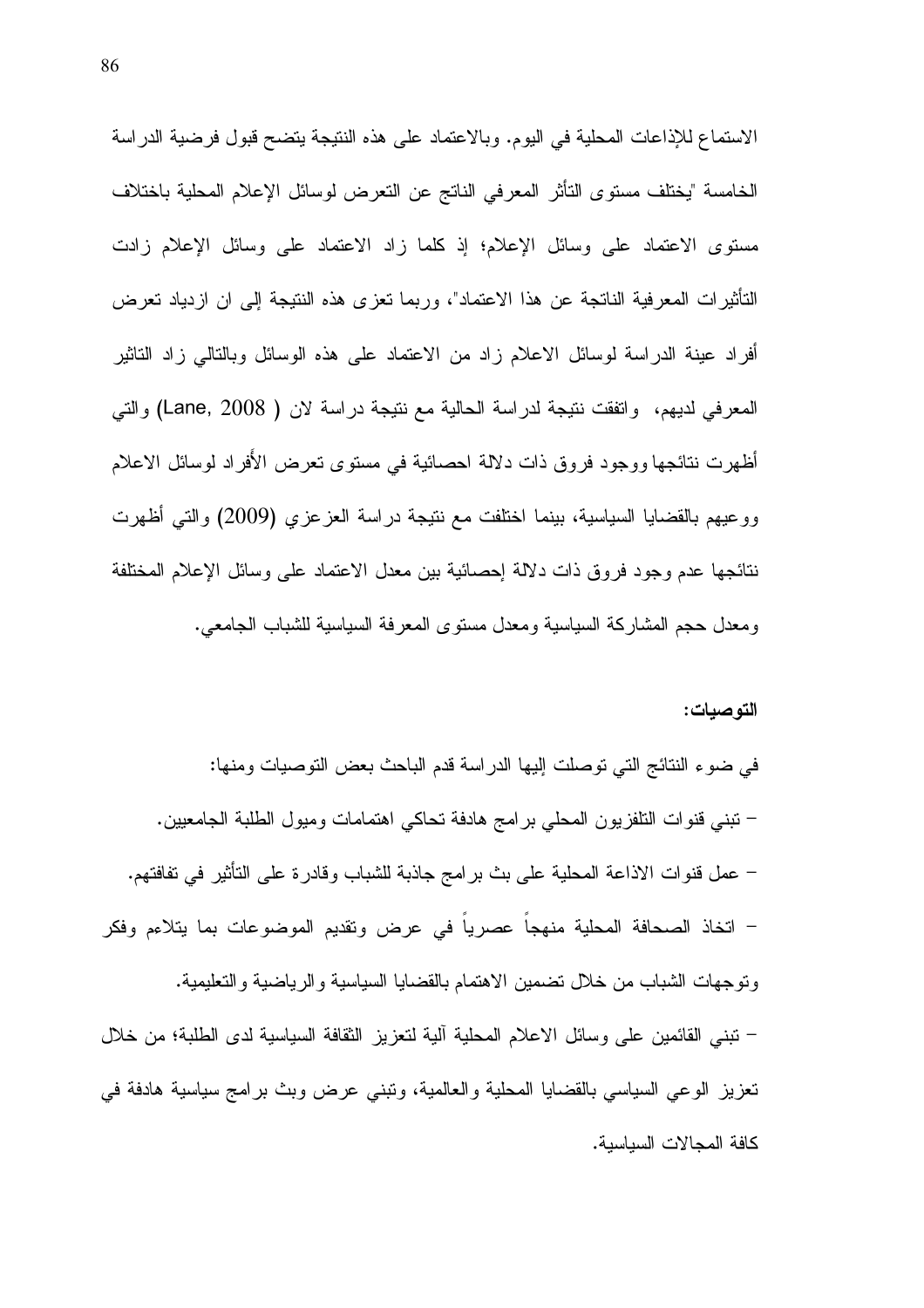الاستماع للإذاعات المحلية في اليوم. وبالاعتماد على هذه النتيجة يتضح قبول فرضية الدراسة الخامسة "يختلف مستوى التأثر المعرفي الناتج عن التعرض لوسائل الإعلام المحلية باختلاف مستوى الاعتماد على وسائل الإعلام؛ إذ كلما زاد الاعتماد على وسائل الإعلام زادت التأثيرات المعرفية الناتجة عن هذا الاعتماد"، وربما تعزى هذه النتيجة إلىي ان ازدياد تعرض أفراد عينة الدراسة لوسائل الاعلام زاد من الاعتماد على هذه الوسائل وبالتالي زاد التاثير المعرفي لديهم، وانفقت ننيجة لدراسة الحالية مع نتيجة دراسة لان ( Lane, 2008) والتي أظهرت نتائجها ووجود فروق ذات دلالة احصائية في مستوى تعرض الأفراد لوسائل الاعلام ووعيهم بالقضايا السياسية، بينما اختلفت مع نتيجة دراسة العزعزي (2009) والتي أظهرت نتائجها عدم وجود فروق ذات دلالة إحصائية بين معدل الاعتماد على وسائل الإعلام المختلفة ومعدل حجم المشاركة السياسية ومعدل مستوى المعرفة السياسية للشباب الجامعي.

#### التوصيات:

في ضوء النتائج التي نوصلت إليها الدراسة قدم الباحث بعض التوصيات ومنها: – نبني قنوات النلفزيون المحلي برامج هادفة تحاكي اهتمامات وميول الطلبة الجامعيين. – عمل قنوات الاذاعة المحلية على بث برامج جاذبة للشباب وقادرة على التأثير في تفافتهم. – انخاذ الصحافة المحلية منهجاً عصرياً في عرض وتقديم الموضوعات بما يتلاءم وفكر ونوجهات الشباب من خلال نضمين الاهتمام بالقضايا السياسية والرياضية والتعليمية. – ننبني القائمين على وسائل الاعلام المحلية الية لنعزيز النقافة السياسية لدى الطلبة؛ من خلال تعزيز الوعي السياسي بالقضايا المحلية والعالمية، ونبنى عرض وبث برامج سياسية هادفة في كافة المجالات السياسية.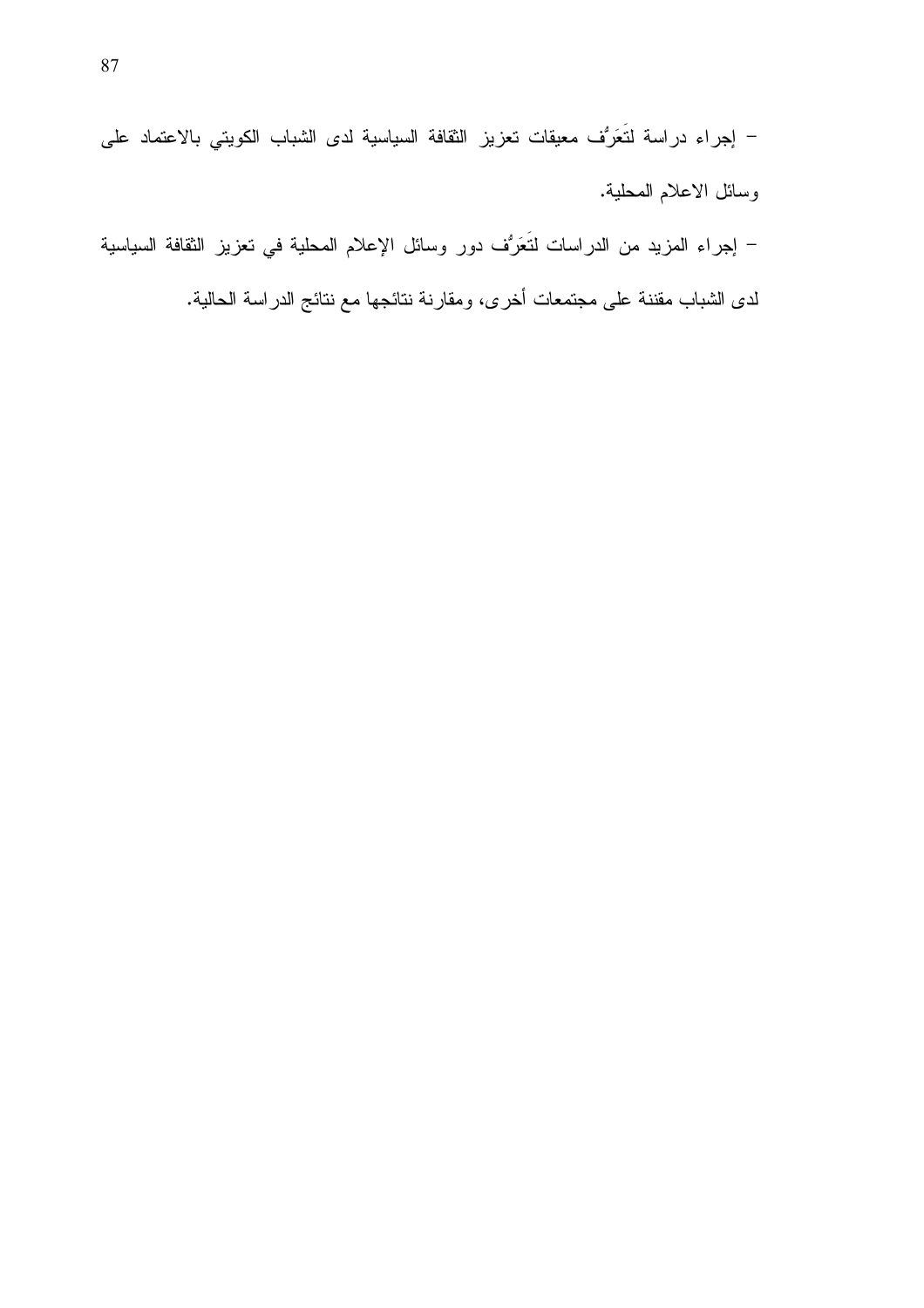– إجراء دراسة لتَعَرُّف معيقات تعزيز الثقافة السياسية لدى الشباب الكويتي بالاعتماد على وسائل الاعلام المحلية.

– إجراء المزيد من الدراسات لتَعَرُّف دور وسائل الإعلام المحلية في تعزيز الثقافة السياسية

لدى الشباب مقننة على مجتمعات أخرى، ومقارنة نتائجها مع نتائج الدراسة الحالية.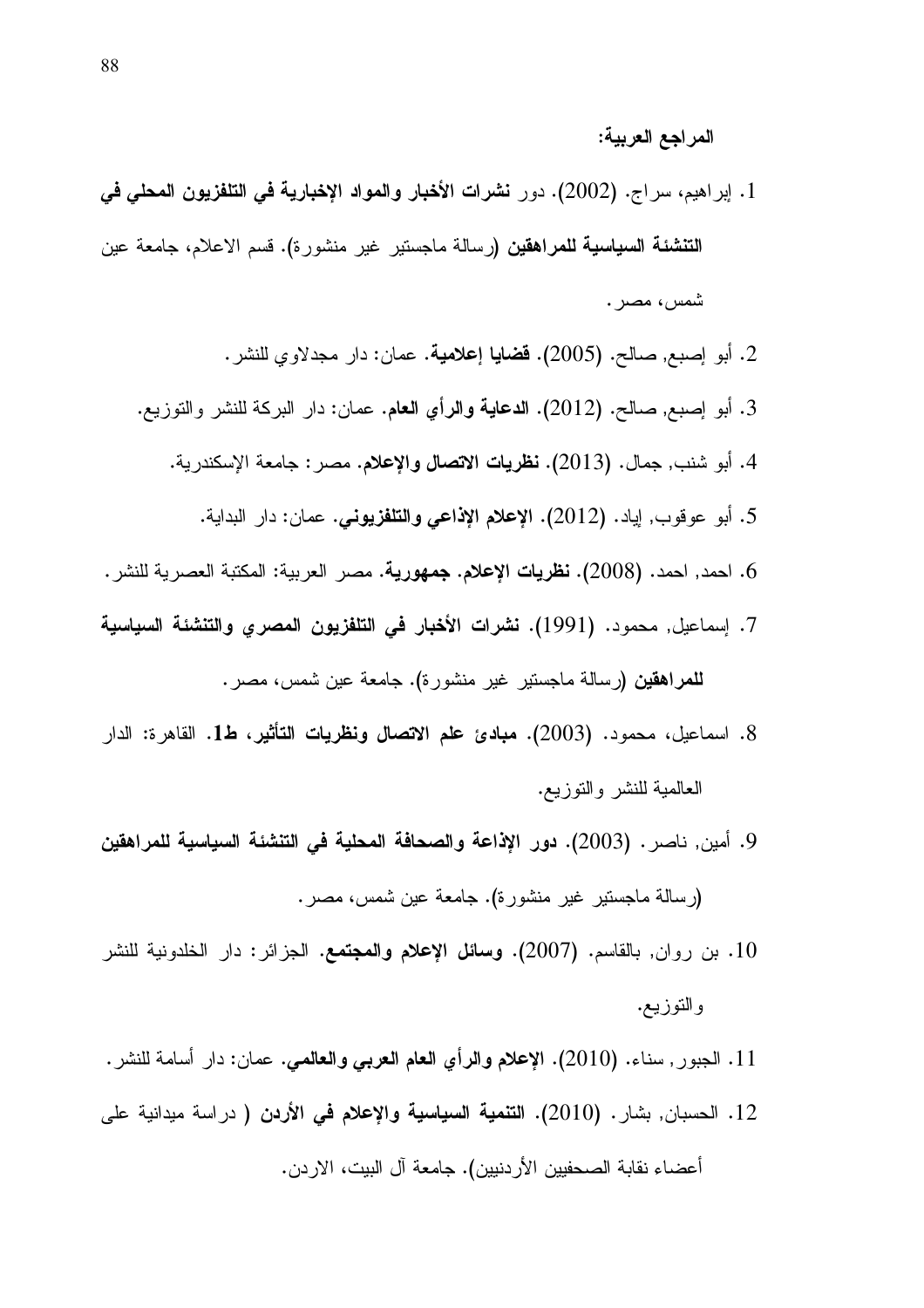- 1. إبراهيم، سراج. (2002). دور نشرات الأخبار والمواد الإخبارية في التلفزيون المحلي في **التنشئة السياسية للمراهقين (**رسالة ماجستير غير منشورة). قسم الاعلام، جامعة عين شمس، مصر .
	- 2. أبو إصبع, صالح. (2005). **قضايا إعلامية**. عمان: دار مجدلاوي للنشر.
	- 3. أبو إصبع, صالح. (2012). ا**لدعاية والرأي العام**. عمان: دار البركة للنشر والتوزيع.
		- 4. أبو شنب, جمال. (2013). **نظريات الاتصال والإعلام.** مصر : جامعة الإسكندرية.
			- 5. أبو عوقوب, اياد. (2012). الإعلام الإذاعي والتلفزيوني. عمان: دار البداية.
- 6. احمد, احمد. (2008). **نظريات الإعلام. جمهورية.** مصر العربية: المكتبة العصرية للنشر .
- 7. إسماعيل, محمود. (1991). نشرات الأخبار في التلفزيون المصرى والتنشئة السياسية **للمراهقين (**رسالة ماجستير غير منشورة). جامعة عين شمس، مصر .
- 8. اسماعيل، محمود. (2003). مبادئ علم الاتصال ونظريات التأثير، ط1. القاهرة: الدار العالمية للنشر والنوزيع.
- 9. أمين, ناصر . (2003). دور الإذاعة والصحافة المحلية في التنشئة السياسية للمراهقين (رسالة ماجستير غير منشورة). جامعة عين شمس، مصر .
- 10. بن روان, بالقاسم. (2007). وسائل الإعلام والمجتمع. الجزائر: دار الخلدونية للنشر والتوزيع.
- 11. الجبور٬ سناء. (2010). الإعلام والرأي العام العربي والعالمي. عمان: دار أسامة للنشر .
- 12. الحسبان, بشار. (2010). ا**لتنمية السياسية والإعلام في الأردن (** دراسة ميدانية على أعضاء نقابة الصحفيين الأر دنيين). جامعة آل البيت، الار دن.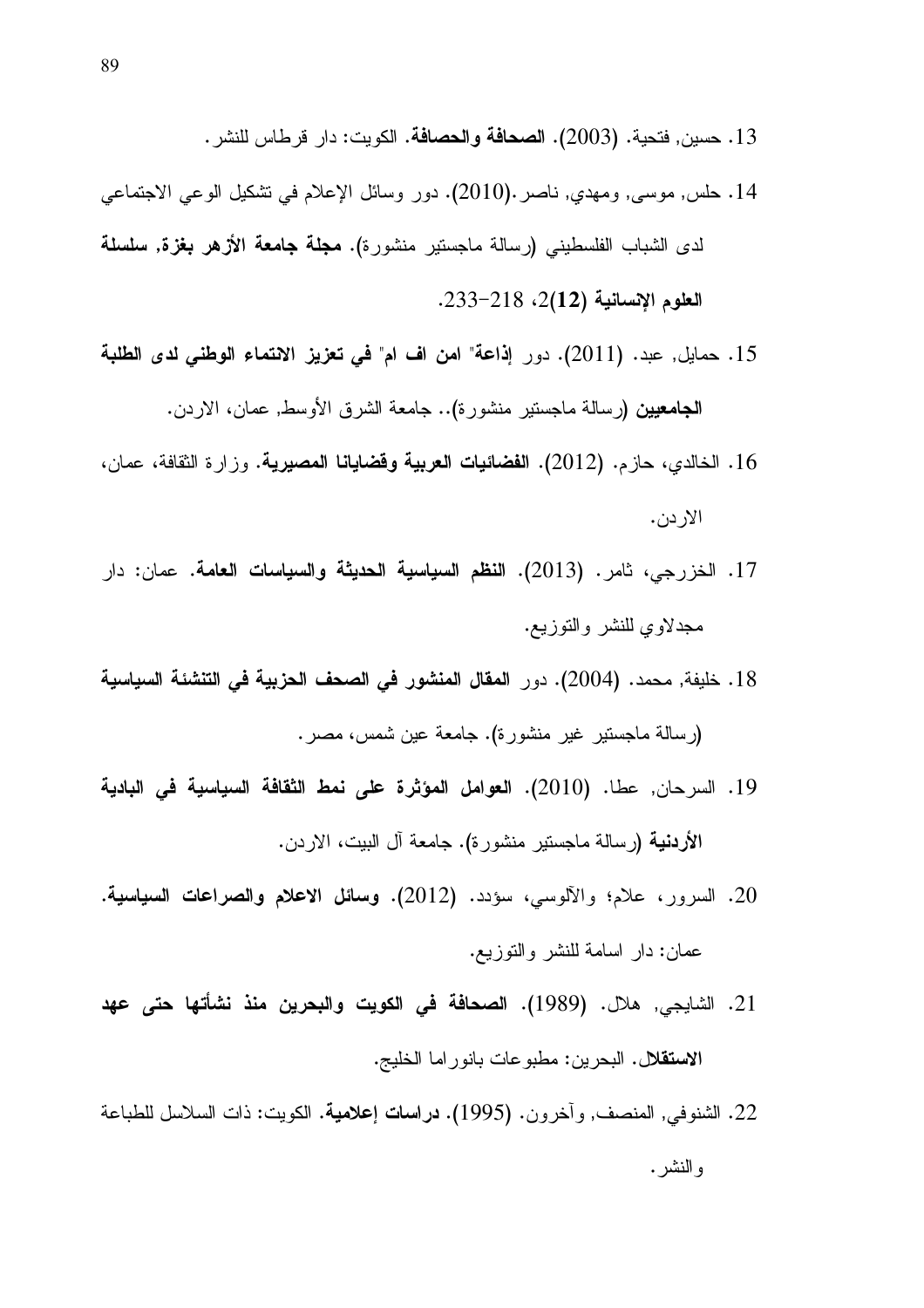- 13 . حسين, فتحية. (2003). ا**لصحافة والحصافة**. الكويت: دار قرطاس للنشر .
- 14. حلس, موسى, ومهدي, ناصر .(2010). دور وسائل الإعلام في تشكيل الوعي الاجتماعي لدى الشباب الفلسطيني (رسالة ماجستير منشورة). **مجلة جامعة الأزهر بغزة, سلسلة** العلوم الإنسانية (2(12)، 233–233.
- 15. حمايل, عبد. (2011). دور إ**ذاعة" امن اف ام" في تعزيز الانتماء الوطني لدى الطلبة الجامعيين (**رسالة ماجستير منشورة).. جامعة الشرق الأوسط, عمان، الاردن.
- 16. الخالدي، حازم. (2012). ا**لفضائيات العربية وقضايانا المصيرية**. وزارة الثقافة، عمان، الاردن.
- 17. الخزرجي، ثامر. (2013). ا**لنظم السياسية الحديثة والسياسات العامة**. عمان: دار مجدلاوي للنشر والنوزيع.
- 18. خليفة, محمد. (2004). دور المقال المنشور في الصحف الحزبية في التنشئة السياسية (رسالة ماجستير غير منشورة). جامعة عين شمس، مصر .
- 19. السرحان, عطا. (2010). العوامل المؤثرة على نمط الثقافة السياسية في البادية الأ**ردنية** (رسالة ماجستير منشورة). جامعة آل البيت، الاردن.
- 20. السرور، علام؛ والألوسي، سؤدد. (2012). **وسائل الاعلام والصراعات السياسية**. عمان: دار اسامة للنشر والنوزيع.
- 21. الشايجي, هلال. (1989). ا**لصحافة في الكويت والبحرين منذ نشأتها حتى عهد** الاستقلال. البحرين: مطبوعات بانوراما الخليج.
- 22. الشنوفي, المنصف, وأخرون. (1995). **دراسات إعلامية**. الكويت: ذات السلاسل للطباعة و النشر .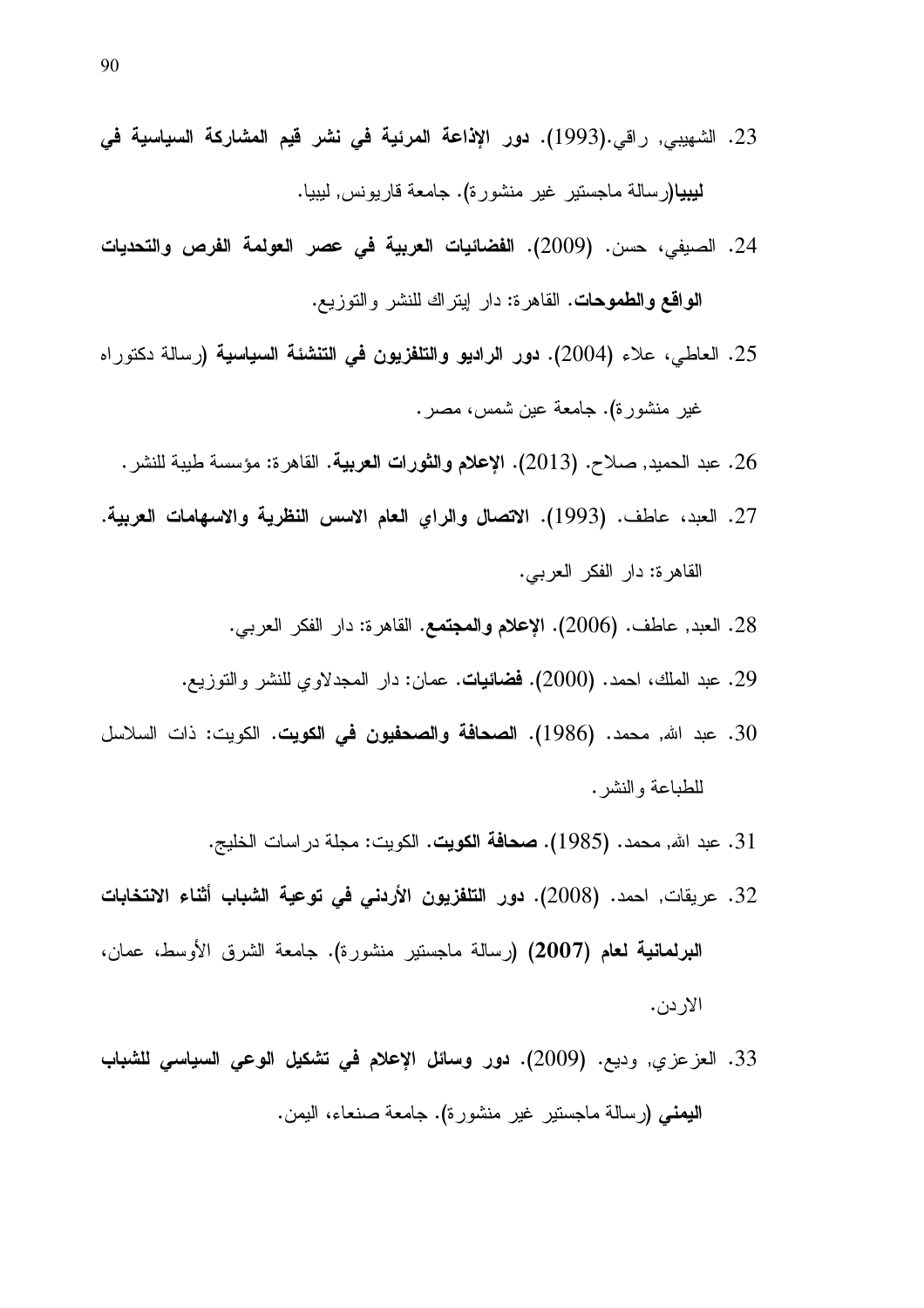- 23. الشهيبي, راقي.(1993). **دور الإذاعة المرئية في نشر قيم المشاركة السياسية ف***ي* **ليبيا(**رسالة ماجستير غير منشورة). جامعة قاريونس, ليبيا.
- 24. الصيفي، حسن. (2009). ا**لفضائيات العربية في عصر العولمة الفرص والتحديات** الواقع والطموحات. القاهرة: دار اينراك للنشر والتوزيع.
- 25. العاطي، علاء (2004). **دور الراديو والتلفزيون في التنشئة السياسية (**رسالة دكتوراه غير منشورة). جامعة عين شمس، مصر .
	- 26. عبد الحميد, صلاح. (2013). الإعلام والثورات العربية. القاهرة: مؤسسة طيبة للنشر .
- 27. العبد، عاطف. (1993). الاتصال والراي العام الاسس النظرية والاسهامات العربية. القاهرة: دار الفكر العربي.
	- 28. العبد, عاطف. (2006). الإ**علام والمجتمع**. القاهرة: دار الفكر العرب*ي*.
	- 29. عبد الملك، احمد. (2000). **فضائيات**. عمان: دار المجدلاوي للنشر والنوزيع.
- 30. عبد الله, محمد. (1986). ا**لصحافة والصحفيون في الكويت**. الكويت: ذات السلاسل للطباعة والنشر .
	- 31. عبد الله, محمد. (1985). **صحافة الكويت**. الكويت: مجلة در اسات الخليج.
- 32. عريقات, احمد. (2008). **دور التلفزيون الأردني في توعية الشباب أثناء الانتخابات** ا**لبرلمانية لـعام (2007) (**رسالة ماجستير منشورة). جامعة الشرق الأوسط، عمان، الاردن.
- 33. العزعزي, وديع. (2009). **دور وسائل الإعلام في تشكيل الوعي السياسي للشباب اليمني (**رسالة ماجستير غير منشورة). جامعة صنعاء، اليمن.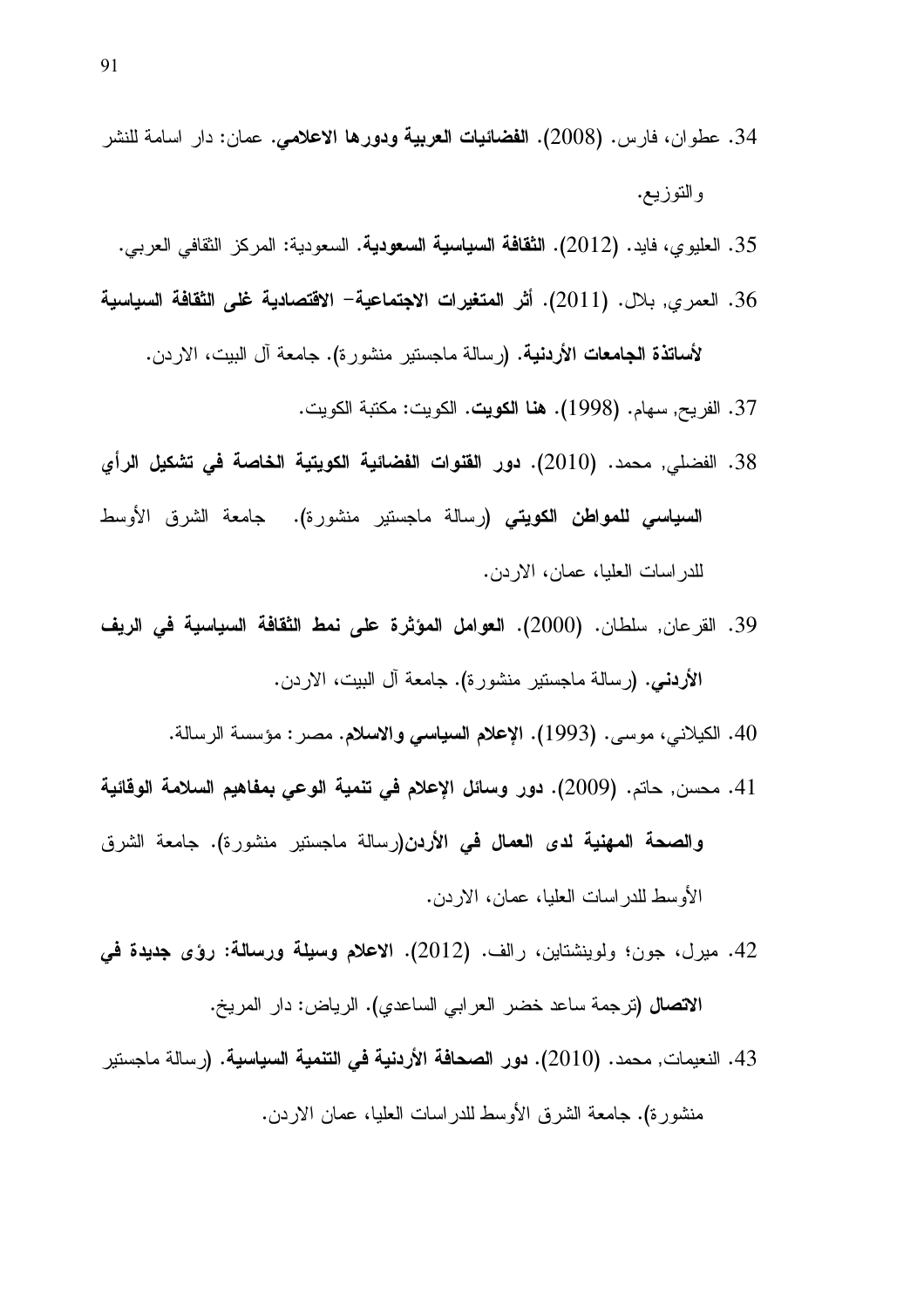- 34. عطوان، فارس. (2008). ا**لفضائيات العربية ودورها الاعلامي**. عمان: دار اسامة للنشر والتوزيع.
	- 35. العليوي، فايد. (2012). الثقافة السياسية السعودية. السعودية: المركز الثقافي العربي.
- 36. العمري, بلال. (2011). أثر المتغيرات الاجتماعية– الاقتصادية غلى الثقافة السياسية لأ**ساتذة الجامعات الأردنية. (**رسالة ماجستير منشورة). جامعة آل البيت، الاردن.
	- 37. الفريح, سهام. (1998). **هنا الكويت**. الكويت: مكتبة الكويت.
- 38. الفضلي, محمد. (2010). دور القنوات الفضائية الكويتية الخاصة في تشكيل الرأي **السياسي للمواطن الكويتي (**رسالة ماجستير منشورة). جامعة الشرق الأوسط للدر اسات العليا، عمان، الاردن.
- 39. القرعان, سلطان. (2000). العوامل المؤثرة على نمط الثقافة السياسية في الريف الأردنسي. (رسالة ماجستير منشورة). جامعة أل البيت، الاردن.
	- 40. الكيلاني، موسى. (1993). الإعلام السياسي والاسلام. مصر : مؤسسة الرسالة.
- 41. محسن, حاتم. (2009). دور وسائل الإعلام في تنمية الوعي بمفاهيم السلامة الوقائية والصحة المهنية لدى العمال في الأردن(رسالة ماجستير منشورة). جامعة الشرق الأوسط للدر اسات العليا، عمان، الاردن.
- 42. ميرل، جون؛ ولوينشتاين، رالف. (2012). الاعلام وسيلة ورسالة: رؤى جديدة في الا**تصال (**ترجمة ساعد خضر العرابي الساعدي). الرياض: دار المريخ.
- 43. النعيمات, محمد. (2010). دور الصحافة الأردنية في التنمية السياسية. (رسالة ماجستير منشورة). جامعة الشرق الأوسط للدراسات العليا، عمان الاردن.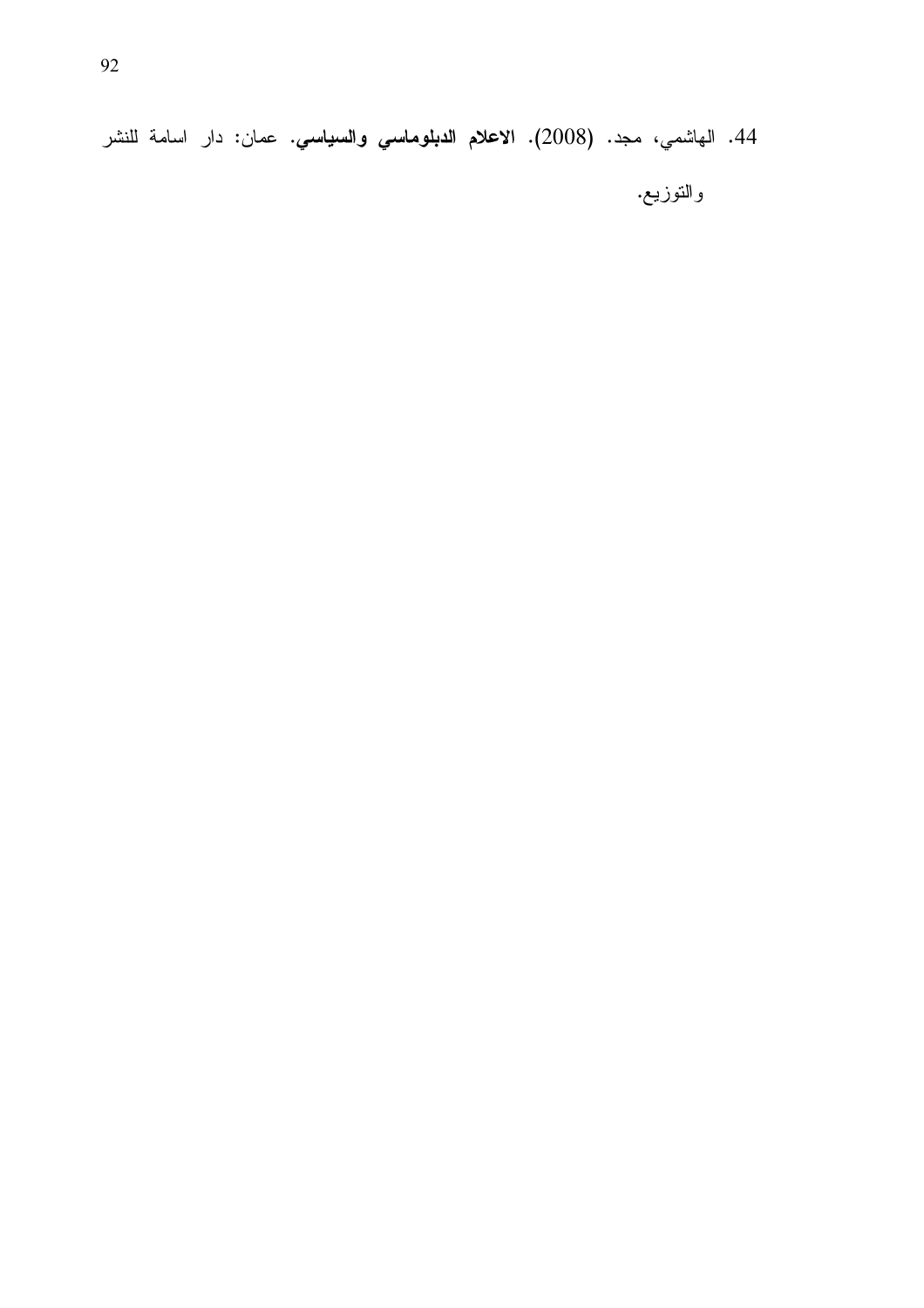44. الهاشمي، مجد. (2008). الاعلام الدبلوماسي والسياسي. عمان: دار اسامة للنشر والتوزيع.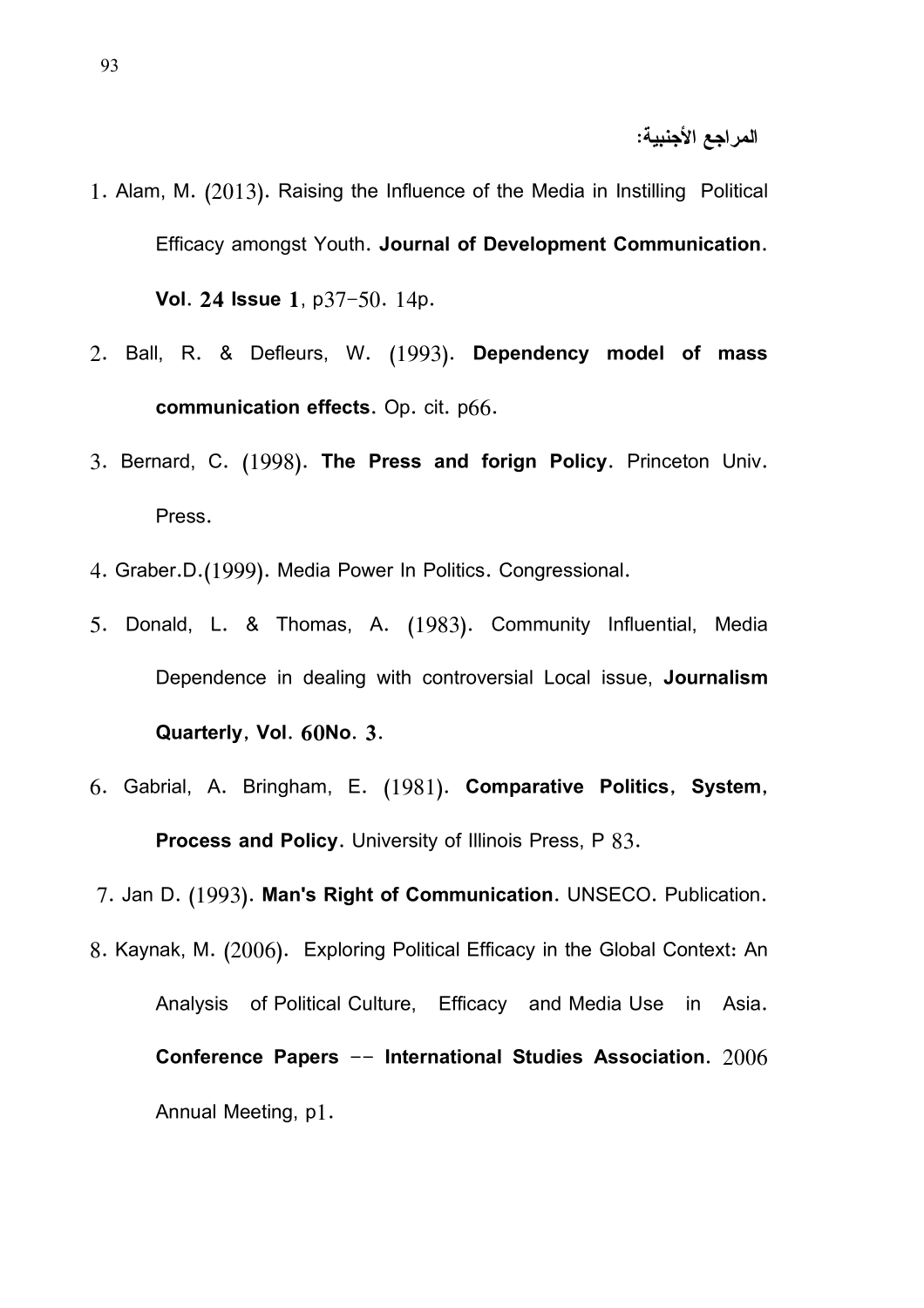- 1. Alam, M. (2013). Raising the Influence of the Media in Instilling Political Efficacy amongst Youth. Journal of Development Communication. Vol. 24 Issue 1, p37-50. 14p.
- 2. Ball, R. & Defleurs, W. (1993). Dependency model of mass communication effects. Op. cit. p66.
- 3. Bernard, C. (1998). The Press and forign Policy. Princeton Univ. Press.
- 4. Graber.D.(1999). Media Power In Politics. Congressional.
- 5. Donald, L. & Thomas, A. (1983). Community Influential, Media Dependence in dealing with controversial Local issue, Journalism Quarterly, Vol. 60No. 3.
- 6. Gabrial, A. Bringham, E. (1981). Comparative Politics, System, Process and Policy. University of Illinois Press, P 83.

7. Jan D. (1993). Man's Right of Communication. UNSECO. Publication.

8. Kaynak, M. (2006). Exploring Political Efficacy in the Global Context: An Analysis of Political Culture, Efficacy and Media Use in Asia. Conference Papers  $-$  International Studies Association.  $2006$ Annual Meeting, p1.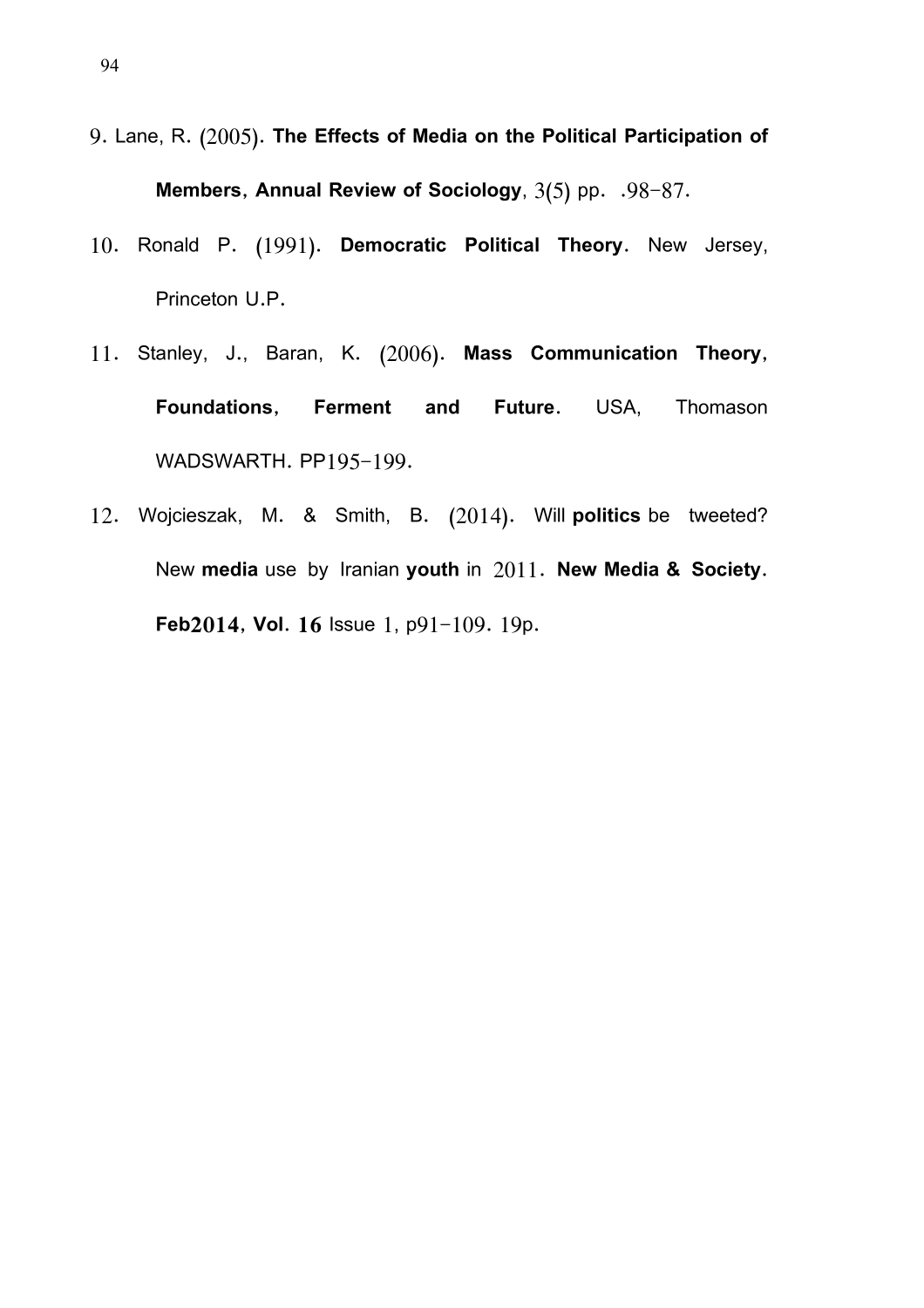9. Lane, R. (2005). The Effects of Media on the Political Participation of

Members, Annual Review of Sociology,  $3(5)$  pp.  $.98-87$ .

- 10. Ronald P. (1991). Democratic Political Theory. New Jersey, Princeton U.P.
- 11. Stanley, J., Baran, K. (2006). Mass Communication Theory, Foundations, Ferment and Future. USA, Thomason WADSWARTH. PP195-199.
- 12. Wojcieszak, M. & Smith, B. (2014). Will politics be tweeted? New media use by Iranian youth in 2011. New Media & Society. Feb2014, Vol. 16 Issue 1,  $p91-109$ . 19p.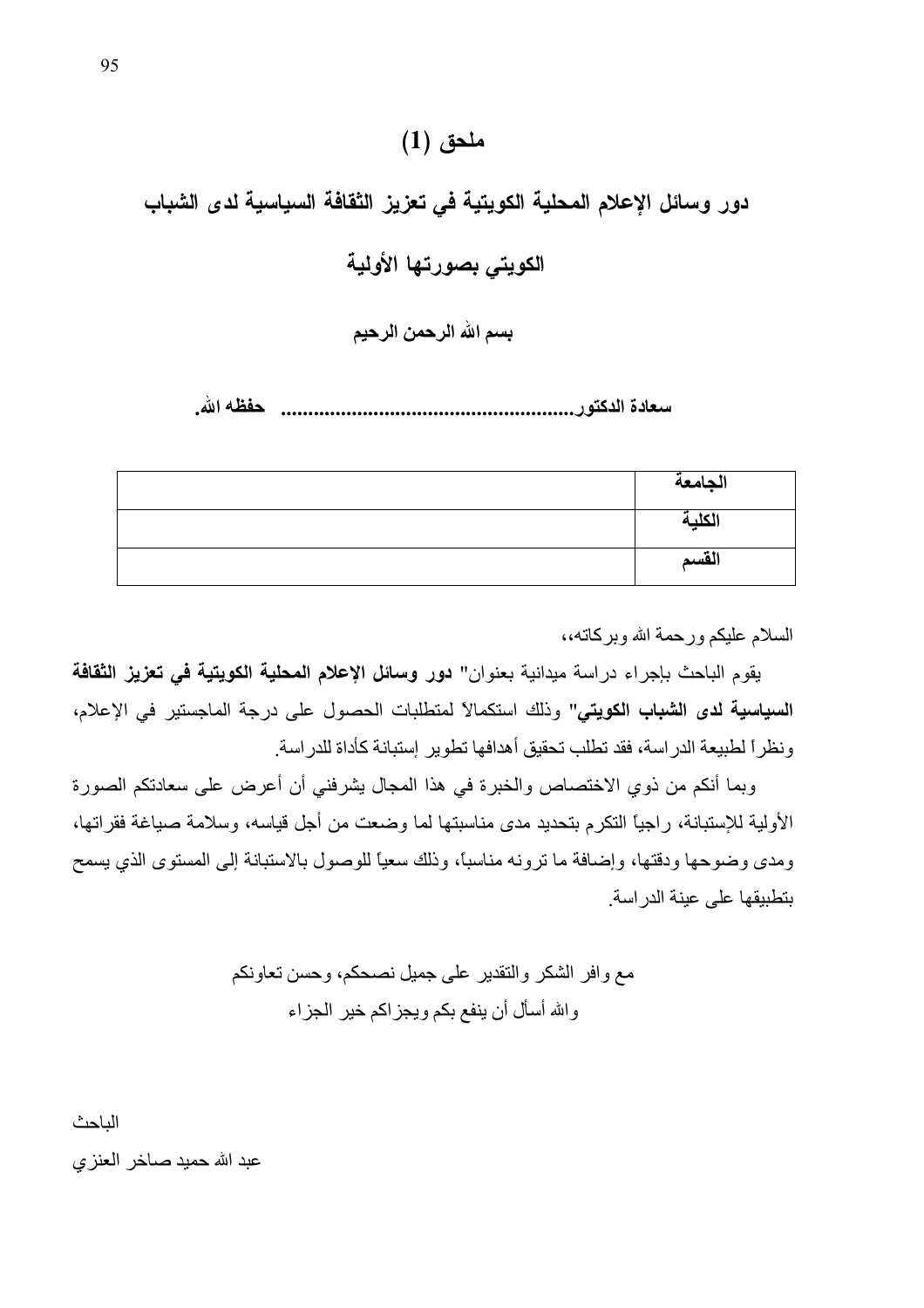## ملحق (1)

دور وسائل الإعلام المحلية الكويتية في تعزيز الثقافة السياسية لدى الشباب الكويتي بصورتها الأولبة

بسم الله الرحمن الرحيم

| الجامعة |
|---------|
| الكلية  |
| القسم   |

السلام عليكم ورحمة الله وبركاته،،

يقوم الباحث بإجراء دراسة ميدانية بعنوان" دور وسائل الإعلام المحلية الكويتية في تعزيز الثقافة السياسية لدى الشباب الكويتي" وذلك استكمالاً لمتطلبات الحصول على درجة الماجستير في الإعلام، و نظر اً لطبيعة الدر اسة، فقد تطلب تحقيق أهدافها تطوير ۖ إستبانة كأداة للدر اسة ِ

وبما أنكم من ذوي الاختصاص والخبرة في هذا المجال يشرفني أن أعرض على سعادتكم الصورة الأولية للإستبانة، راجيًا التكرم بتحديد مدى مناسبتها لما وضعت من أجل قياسه، وسلامة صياغة فقراتها، ومدى وضوحها ودقتها، وإضافة ما ترونه مناسبًا، وذلك سعيًّا للوصول بالاستبانة إلى المستوى الذي يسمح بتطبيقها على عبنة الدر اسة

> مع وافر الشكر والتقدير على جميل نصحكم، وحسن تعاونكم والله أسأل أن ينفع بكم ويجز اكم خير الجزاء

الباحث

عبد الله حميد صـاخر العنز ي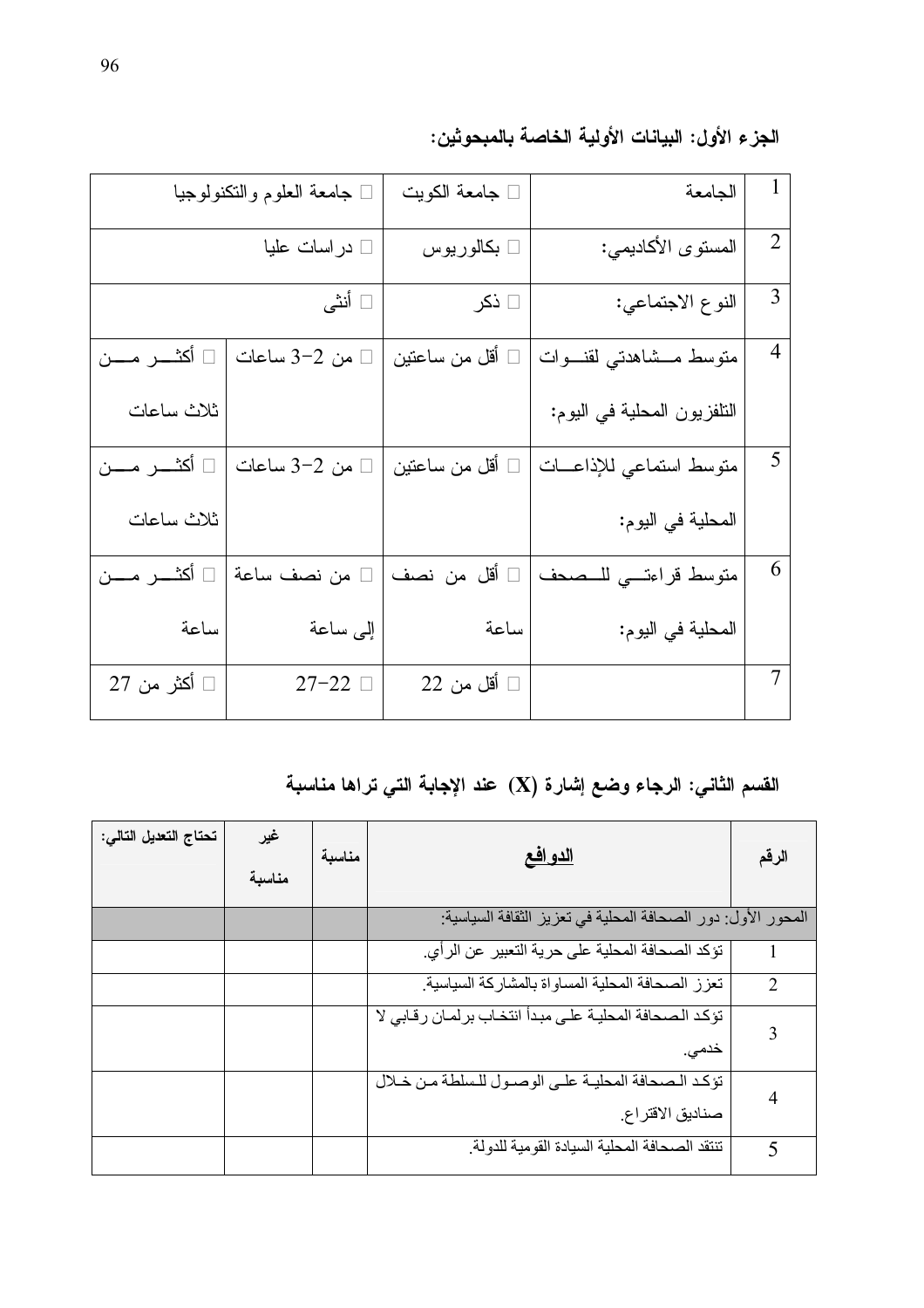|                | الجامعة                     | □ جامعة الكويت        | ك جامعة العلوم والنكنولوجيا |                      |  |  |  |  |  |
|----------------|-----------------------------|-----------------------|-----------------------------|----------------------|--|--|--|--|--|
| $\overline{2}$ | المستوى الأكاديمي:          | □ بكالوريوس           | □ در اسات عليا              |                      |  |  |  |  |  |
| 3              | النوع الاجتماعي:            | □ ذکر                 | □ أنثى                      |                      |  |  |  |  |  |
| $\overline{4}$ | متوسط مــشاهدتى لقنـــوات   | أقل من ساعتين         | من 2–3 ساعات                | □ أكثـــــر مــــــن |  |  |  |  |  |
|                | التلفزيون المحلية في اليوم: |                       |                             | ثلاث ساعات           |  |  |  |  |  |
| 5              | متوسط استماعي للإذاعسات     | أقل من ساعتين         | من 2-3 ساعات                |                      |  |  |  |  |  |
|                | المحلية في اليوم:           |                       |                             | ثلاث ساعات           |  |  |  |  |  |
| 6              | متوسط قراءتي للمحدف         | أقل من نصف            | من نصف ساعة                 |                      |  |  |  |  |  |
|                | المحلية في اليوم:           | ساعة                  | إلى ساعة                    | ساعة                 |  |  |  |  |  |
| 7              |                             | $22$ أقل من $\square$ | $27-22$                     | □ أكثر من 27         |  |  |  |  |  |

الجزء الأول: البيانات الأولية الخاصة بالمبحوثين:

القسم الثاني: الرجاء وضع إشارة (X) عند الإجابة التي تراها مناسبة

| تحتاج التعديل التالي: | غير<br>مناسبة | مناسبة | <u>الدو افع</u>                                                    | الرقم         |
|-----------------------|---------------|--------|--------------------------------------------------------------------|---------------|
|                       |               |        | المحور الأول: دور الصحافة المحلية في تعزيز الثقافة السياسية:       |               |
|                       |               |        | تؤكد الصحافة المحلية على حرية التعبير عن الرأي.                    |               |
|                       |               |        | تعزز الصحافة المحلية المساواة بالمشاركة السياسية                   | $\mathcal{L}$ |
|                       |               |        | تؤكد الصحافة المحلية على مبدأ انتخاب برلمان رقابي لا<br>خدمی.      | 3             |
|                       |               |        | تؤكد الصحافة المحلية على الوصول للسلطة من خلال<br>صناديق الاقتراع. |               |
|                       |               |        | تنتقد الصحافة المحلية السيادة القومية للدولة                       | 5             |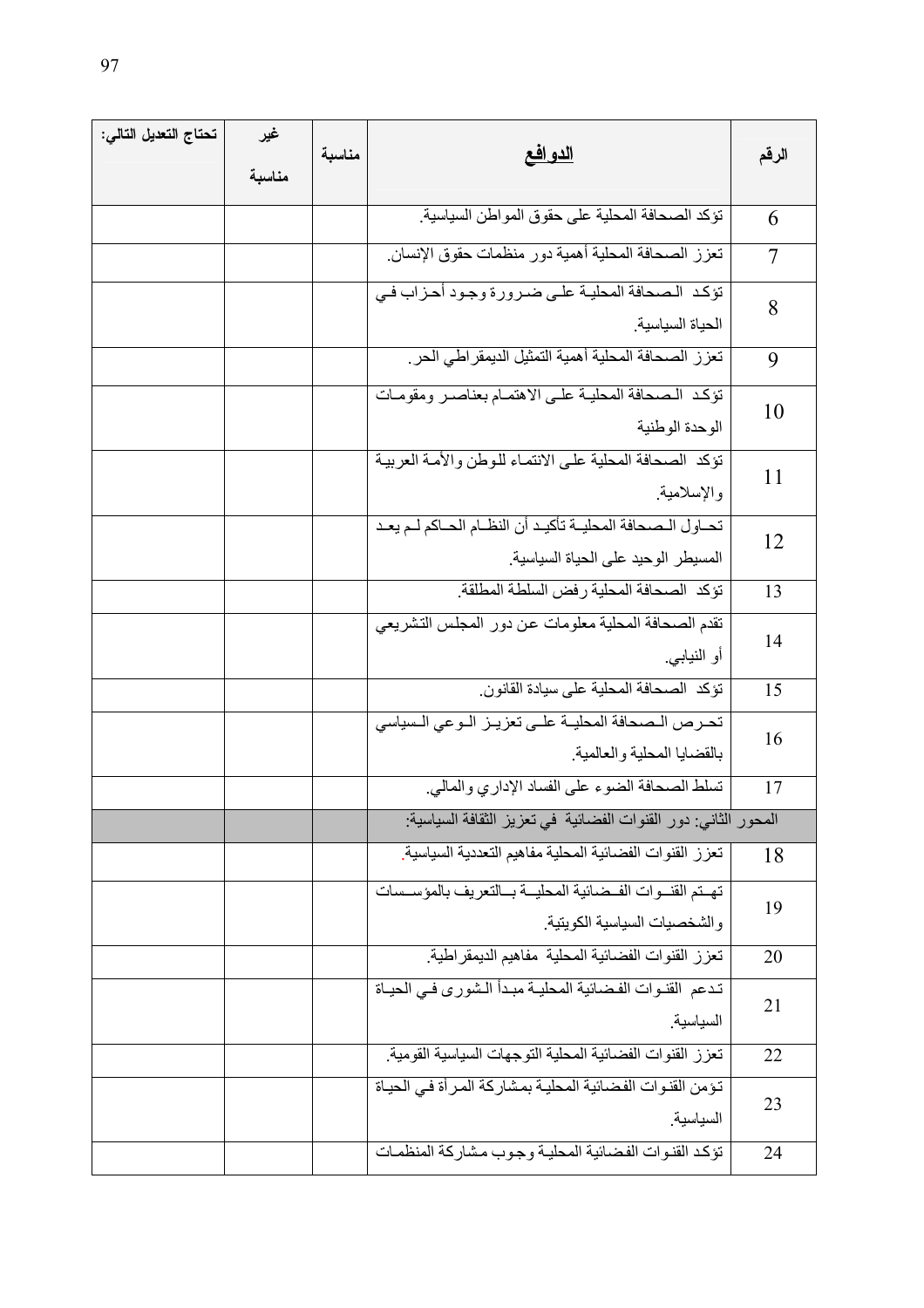| تحتاج التعديل التالي: | غير    | مناسبة | <u>الدو افع</u>                                                                  |       |
|-----------------------|--------|--------|----------------------------------------------------------------------------------|-------|
|                       | مناسبة |        |                                                                                  | الرقم |
|                       |        |        | نؤكد الصحافة المحلية على حقوق المواطن السياسية.                                  | 6     |
|                       |        |        | تعزز الصحافة المحلية أهمية دور منظمات حقوق الإنسان                               | 7     |
|                       |        |        | تؤكد الصحافة المحلية على ضرورة وجود أحزاب في                                     | 8     |
|                       |        |        | الحياة السياسية<br>تعزز الصحافة المحلية أهمية التمثيل الديمقراطي الحر            | 9     |
|                       |        |        | تؤكد الصحافة المحلية على الاهتمام بعناصر ومقومات                                 |       |
|                       |        |        | الوحدة الوطنية                                                                   | 10    |
|                       |        |        | تؤكد الصحافة المحلية على الانتماء للوطن والأمة العربية<br>والإسلامية             | 11    |
|                       |        |        | تحـاول الـصحافة المحليــة تأكيـد أن النظــام الحــاكم لــم يعـد                  | 12    |
|                       |        |        | المسيطر الوحيد على الحياة السياسية.                                              |       |
|                       |        |        | تؤكد الصحافة المحلية رفض السلطة المطلقة                                          | 13    |
|                       |        |        | تقدم الصحافة المحلية معلومات عن دور المجلس التشريعي<br>أو النيابي <sub>.</sub>   | 14    |
|                       |        |        | تؤكد الصحافة المحلية على سيادة القانون                                           | 15    |
|                       |        |        | تحرص الصحافة المحليـة علـى تعزيـز الـوعي الـسياسي<br>بالقضايا المحلية والعالمية  | 16    |
|                       |        |        | تسلط الصحافة الضوء على الفساد الإداري والمالي.                                   | 17    |
|                       |        |        | المحور الثاني: دور القنوات الفضائية في تعزيز الثقافة السياسية:                   |       |
|                       |        |        | تعزز القنوات الفضائية المحلية مفاهيم التعددية السياسية                           | 18    |
|                       |        |        | تهتم القنوات الفضائية المحلية بالتعريف بالمؤسسات                                 | 19    |
|                       |        |        | والشخصيات السياسية الكويتية<br>تعزز القنوات الفضائية المحلية مفاهيم الديمقر اطية |       |
|                       |        |        | تدعم القنوات الفضائية المحلية مبدأ الشورى فيي الحياة                             | 20    |
|                       |        |        | السياسية                                                                         | 21    |
|                       |        |        | تعزز القنوات الفضائية المحلية التوجهات السياسية القومية                          | 22    |
|                       |        |        | تؤمن القنوات الفضائية المحلية بمشاركة المرأة في الحياة<br>السياسية               | 23    |
|                       |        |        | تؤكد القنوات الفضائية المحلية وجوب مشاركة المنظمات                               | 24    |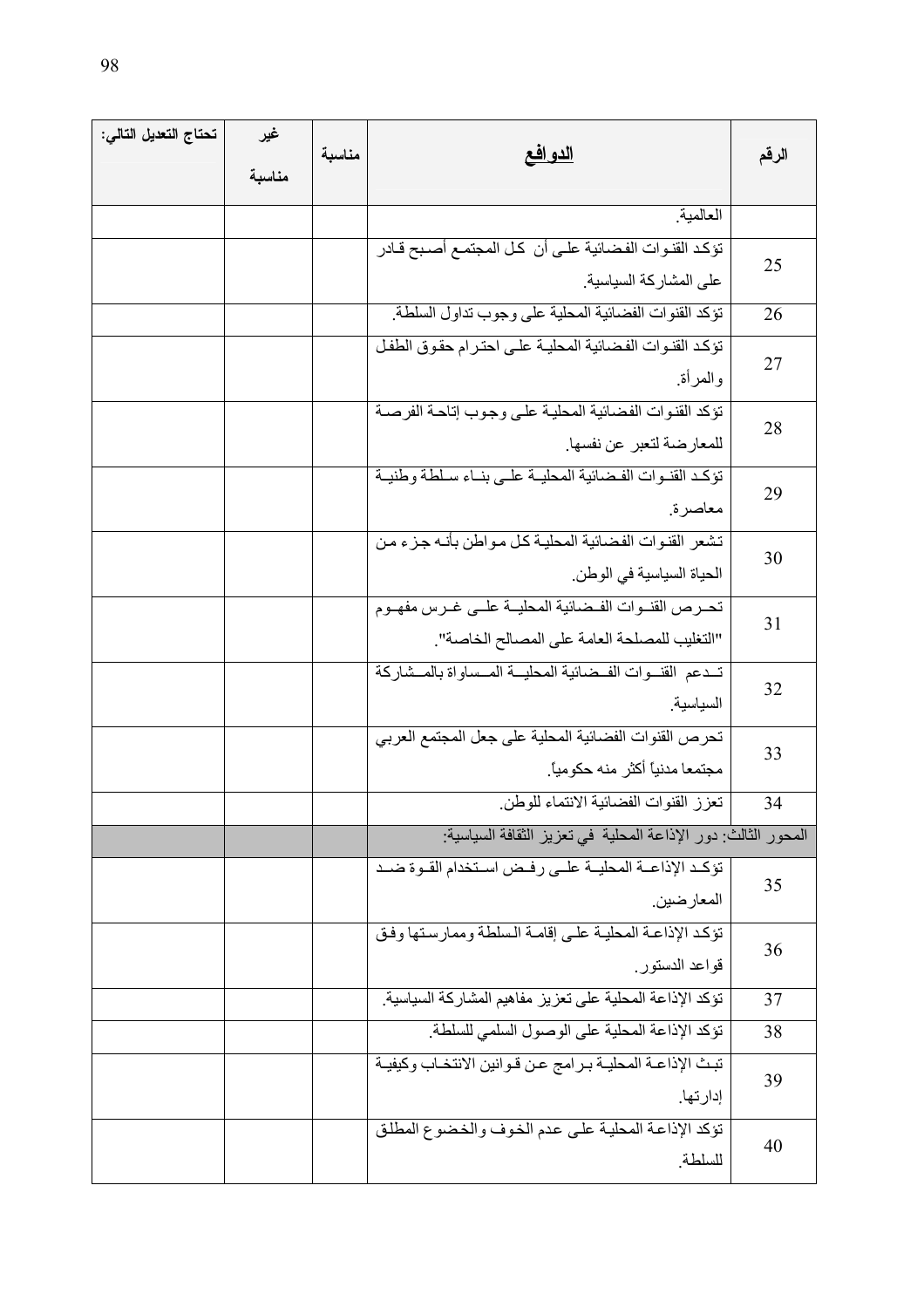| تحتاج التعديل التالي: | غير    |        |                                                               |       |
|-----------------------|--------|--------|---------------------------------------------------------------|-------|
|                       | مناسبة | مناسبة | <u>الدو افع</u>                                               | الرقم |
|                       |        |        | العالمية                                                      |       |
|                       |        |        | تؤكد القنوات الفضائية علىي أن كل المجتمع أصبح قـادر           |       |
|                       |        |        | على المشاركة السياسية                                         | 25    |
|                       |        |        | نؤكد القنوات الفضائية المحلية على وجوب نداول السلطة           | 26    |
|                       |        |        | تؤكد القنوات الفضائية المحلية على احترام حقوق الطفل           |       |
|                       |        |        | والمرأة                                                       | 27    |
|                       |        |        | تؤكد القنوات الفضائية المحلية على وجوب إتاحة الفرصة           |       |
|                       |        |        | للمعارضة لتعبر عن نفسها.                                      | 28    |
|                       |        |        | تؤكد القنوات الفضائية المحلية على بناء سلطة وطنية             | 29    |
|                       |        |        | معاصرة                                                        |       |
|                       |        |        | تشعر القنوات الفضائية المحلية كل مواطن بأنـه جزء من           | 30    |
|                       |        |        | الحياة السياسية في الوطن.                                     |       |
|                       |        |        | تحرص القنوات الفضائية المحليــة علــى غـرس مفهــوم            | 31    |
|                       |        |        | "التغليب للمصلحة العامة على المصالح الخاصة".                  |       |
|                       |        |        | تسدعم القنسوات الفسضائية المحليسة المسساواة بالمسشاركة        | 32    |
|                       |        |        | السياسية                                                      |       |
|                       |        |        | تحرص القنوات الفضائية المحلية على جعل المجتمع العربي          | 33    |
|                       |        |        | مجتمعا مدنياً أكثر منه حكومياً.                               |       |
|                       |        |        | تعزز القنوات الفضائية الانتماء للوطن                          | 34    |
|                       |        |        | المحور الثالث: دور الإذاعة المحلية في تعزيز الثقافة السياسية: |       |
|                       |        |        | تؤكد الإذاعــة المحليــة علــى رفـض اسـتخدام القــوة ضــد     | 35    |
|                       |        |        | المعار ضين.                                                   |       |
|                       |        |        | تؤكد الإذاعة المحلية على إقامة السلطة وممارستها وفق           | 36    |
|                       |        |        | قواعد الدستور                                                 |       |
|                       |        |        | تؤكد الإذاعة المحلية على تعزيز مفاهيم المشاركة السياسية       | 37    |
|                       |        |        | تؤكد الإذاعة المحلية على الوصول السلمي للسلطة                 | 38    |
|                       |        |        | تبث الإذاعـة المحليـة بـرامج عـن قـوانين الانتخـاب وكيفيـة    | 39    |
|                       |        |        | إدارتها.                                                      |       |
|                       |        |        | تؤكد الإذاعة المحلية على عدم الخوف والخضوع المطلق             | 40    |
|                       |        |        | للسلطة                                                        |       |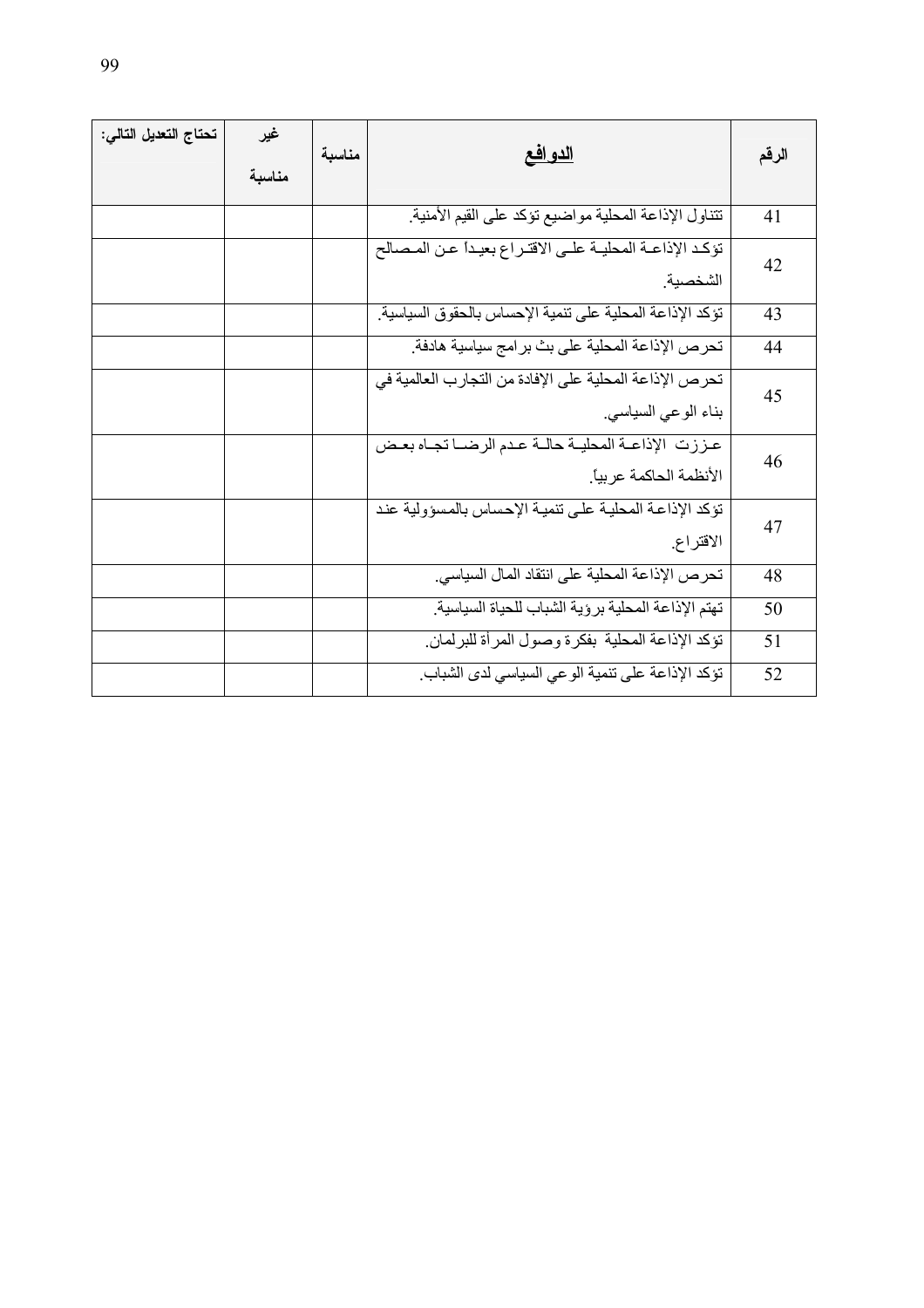| تحتاج التعديل التالي: | غير<br>مناسبة | مناسبة | <u>الدو افع</u>                                                               | الرقم |
|-----------------------|---------------|--------|-------------------------------------------------------------------------------|-------|
|                       |               |        | تتناول الإذاعة المحلية مواضيع تؤكد على القيم الأمنية                          | 41    |
|                       |               |        | تؤكد الإذاعــة المحليــة علــى الاقتــراع بعيـدأ عـن المـصـالح<br>الشخصبة     | 42    |
|                       |               |        | تؤكد الإذاعة المحلية على تنمية الإحساس بالحقوق السياسية.                      | 43    |
|                       |               |        | تحرص الإذاعة المحلية على بث برامج سياسية هادفة.                               | 44    |
|                       |               |        | تحرص الإذاعة المحلية على الإفادة من التجارب العالمية في<br>بناء الوعي السياسي | 45    |
|                       |               |        | عززت الإذاعة المحلية حالة عدم الرضا نجاه بعض<br>الأنظمة الحاكمة عربياً.       | 46    |
|                       |               |        | تؤكد الإذاعة المحلية على تنمية الإحساس بالمسؤولية عند<br>الاقتراع             | 47    |
|                       |               |        | تحرص الإذاعة المحلية على انتقاد المال السياسي.                                | 48    |
|                       |               |        | تهتم الإذاعة المحلية برؤية الشباب للحياة السياسية                             | 50    |
|                       |               |        | نؤكد الإذاعة المحلية بفكرة وصول المرأة للبرلمان                               | 51    |
|                       |               |        | تؤكد الإذاعة على تنمية الوعي السياسي لدى الشباب.                              | 52    |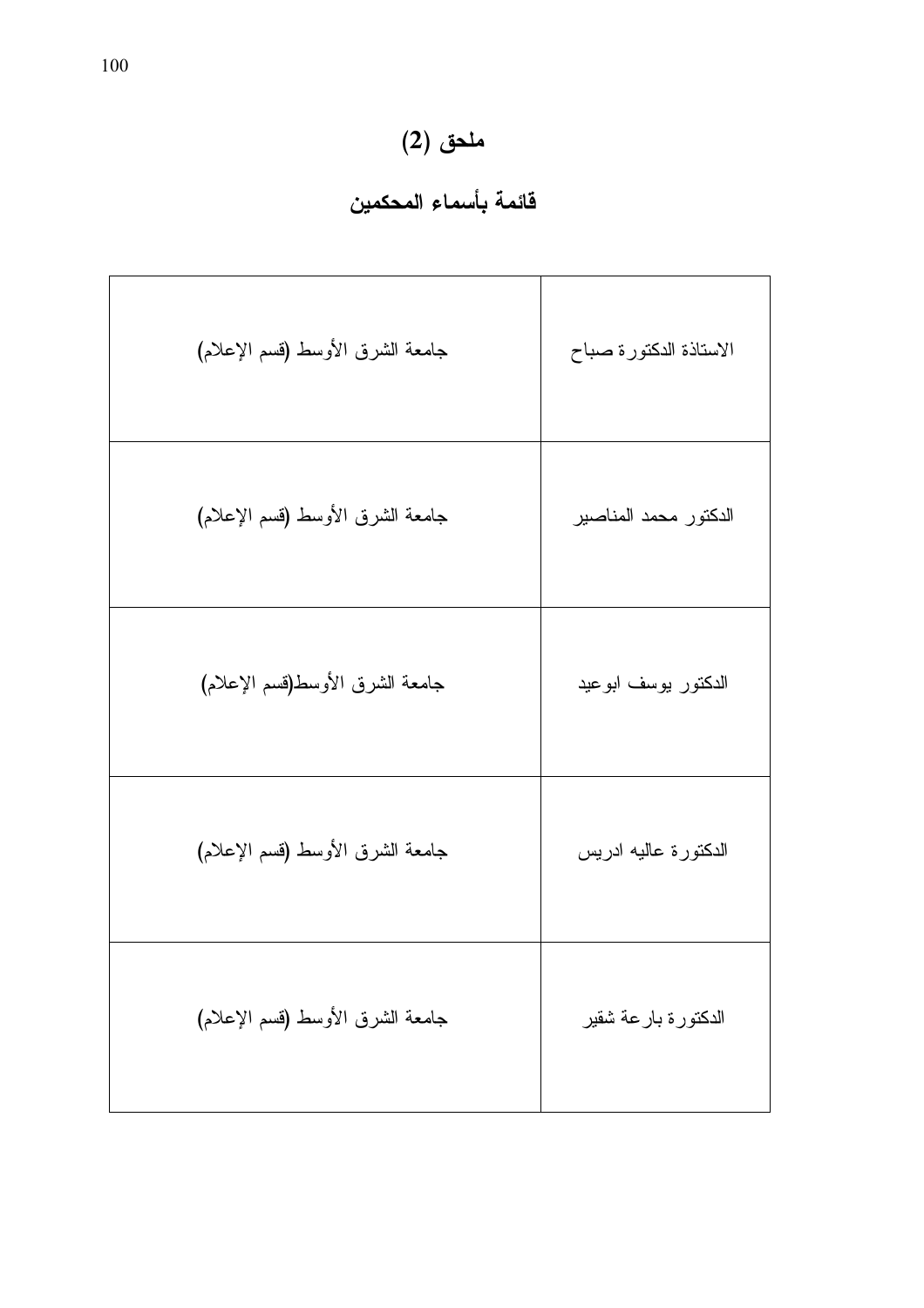## ملحق (2)<br>قائمة بأسماء المحكمين

| جامعة الشرق الأوسط (قسم الإعلام) | الاستاذة الدكتورة صباح |
|----------------------------------|------------------------|
| جامعة الشرق الأوسط (قسم الإعلام) | الدكتور محمد المناصبير |
| جامعة الشرق الأوسط(قسم الإعلام)  | الدكتور بوسف ابوعيد    |
| جامعة الشرق الأوسط (قسم الإعلام) | الدكتورة عاليه ادريس   |
| جامعة الشرق الأوسط (قسم الإعلام) | الدكتورة بارعة شقير    |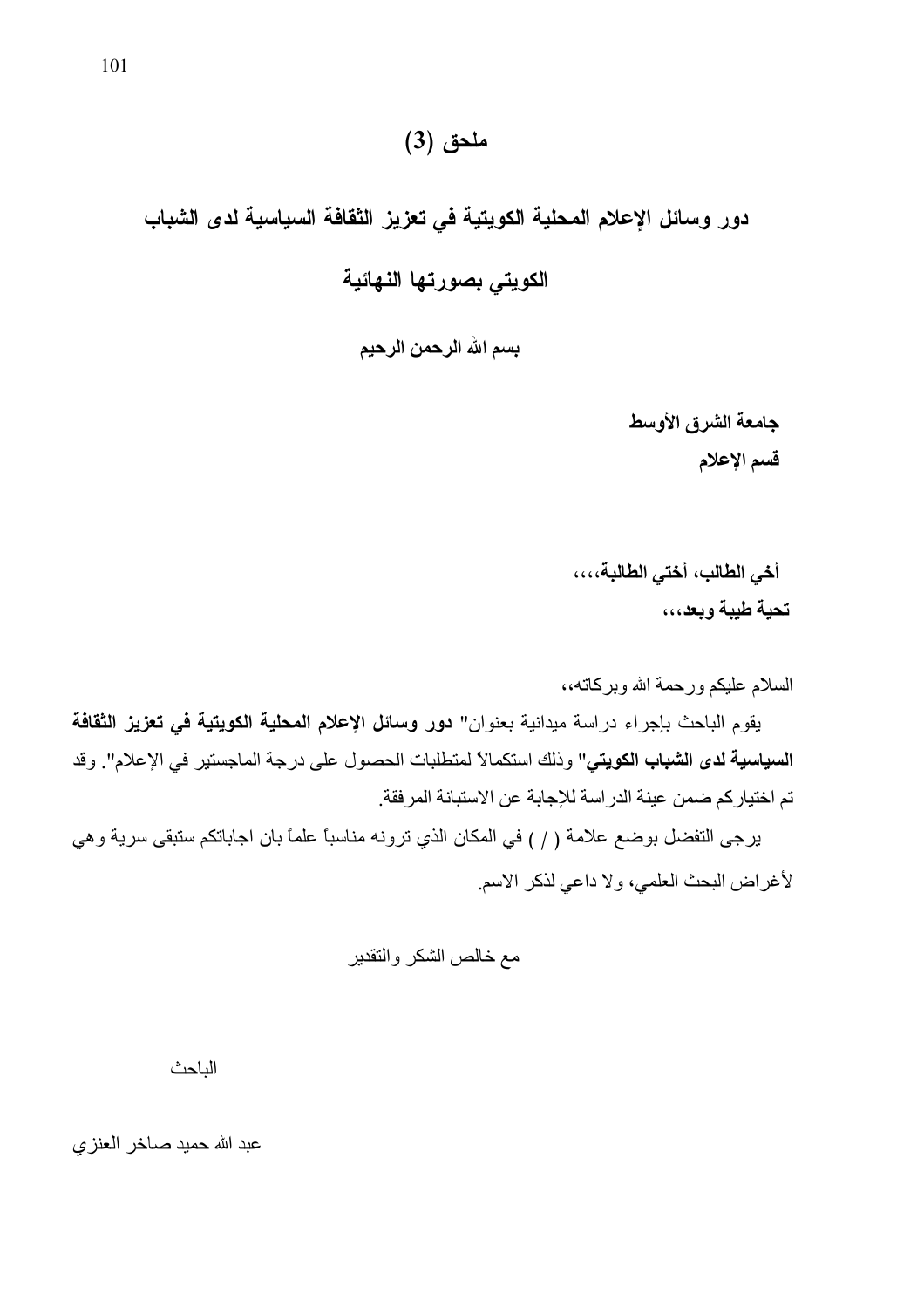دور وسائل الإعلام المحلية الكويتية في تعزيز الثقافة السياسية لدى الشباب الكويتي بصورتها النهائية

بسم الله الرحمن الرحيم

جامعة الشرق الأوسط قسم الإعلام

أخي الطالب، أختى الطالبة،،،، تحية طيبة وبعد،،،

السلام عليكم ورحمة الله وبركاته،،

يقوم الباحث بإجراء دراسة ميدانية بعنوان" **دور وسائل الإعلام المحلية الكويتية في تعزيز الثقافة** السياسية لدى الشباب الكويتي" وذلك استكمالاً لمتطلبات الحصول على درجة الماجستير في الإعلام". وقد تم اختيار كم ضمن عينة الدر اسة للإجابة عن الاستبانة المر فقة

يرجى النفضل بوضع علامة ( / ) في المكان الذي ترونه مناسبًا علمًا بان اجاباتكم ستبقى سرية وهي لأغراض البحث العلمي، ولا داعي لذكر الاسم

الناحث

عبد الله حميد صـاخر الـعنز ي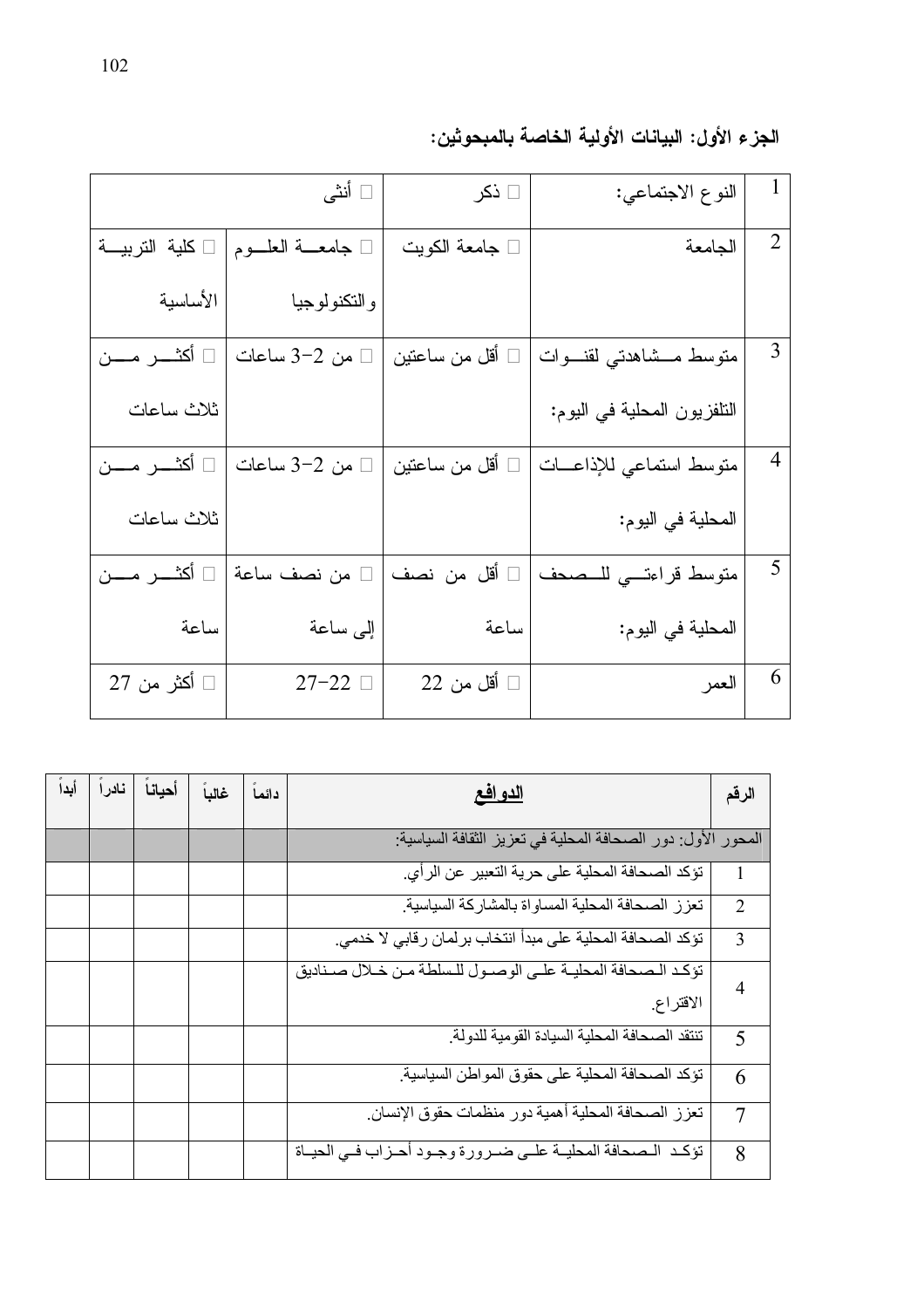| 1              | النوع الاجتماعي:            | ⊡ ذکر                 | □ أنثى               |                     |
|----------------|-----------------------------|-----------------------|----------------------|---------------------|
| $\overline{2}$ | الجامعة                     | □ جامعة الكويت        | □ جامعـــة العلـــوم | كلية التربيــة      |
|                |                             |                       | والتكنولوجيا         | الأساسية            |
| 3              | متوسط مــشاهدتي لقنـــوات   | أقل من ساعتين         | من 2–3 ساعات         | أكثـــــر مــــــن  |
|                | النلفزيون المحلية في اليوم: |                       |                      | ثلاث ساعات          |
| $\overline{4}$ | متوسط استماعي للإذاعــات    | أقل من ساعتين         | من 2–3 ساعات         | أكثــــــر مــــــن |
|                | المحلية في اليوم:           |                       |                      | ثلاث ساعات          |
| 5              | متوسط قراءتى للمصحف         | أقل من نصف            | من نصف ساعة          | أكثــــر مـــــن    |
|                | المحلية في اليوم:           | ساعة                  | إلى ساعة             | ساعة                |
| 6              | العمر                       | $22$ أقل من $\square$ | $27-22$              | □ أكثر من 27        |

| الجزء الأول: البيانات الأولية الخاصة بالمبحوثين: |  |  |  |  |
|--------------------------------------------------|--|--|--|--|
|--------------------------------------------------|--|--|--|--|

| أيداً | نادرآ | أحيانا | غالباً | دائما | <u>الدو افع</u>                                              | الرقم          |
|-------|-------|--------|--------|-------|--------------------------------------------------------------|----------------|
|       |       |        |        |       | المحور الأول: دور الصحافة المحلية في تعزيز الثقافة السياسية: |                |
|       |       |        |        |       | نؤكد الصحافة المحلية على حرية التعبير عن الرأي.              | 1              |
|       |       |        |        |       | تعزز الصحافة المحلية المساواة بالمشاركة السياسية             | $\overline{2}$ |
|       |       |        |        |       | نؤكد الصحافة المحلية على مبدأ انتخاب برلمان رقابي لا خدمي.   | 3              |
|       |       |        |        |       | تؤكد الصحافة المحلية على الوصول للسلطة من خلال صناديق        | 4              |
|       |       |        |        |       | الاقتراع                                                     |                |
|       |       |        |        |       | تنتقد الصحافة المحلية السيادة القومية للدولة                 | 5              |
|       |       |        |        |       | تؤكد الصحافة المحلية على حقوق المواطن السياسية.              | 6              |
|       |       |        |        |       | تعزز الصحافة المحلية أهمية دور منظمات حقوق الإنسان.          | 7              |
|       |       |        |        |       | تؤكد المصحافة المحليـة علـى ضـرورة وجـود أحـزاب فـى الحيـاة  | 8              |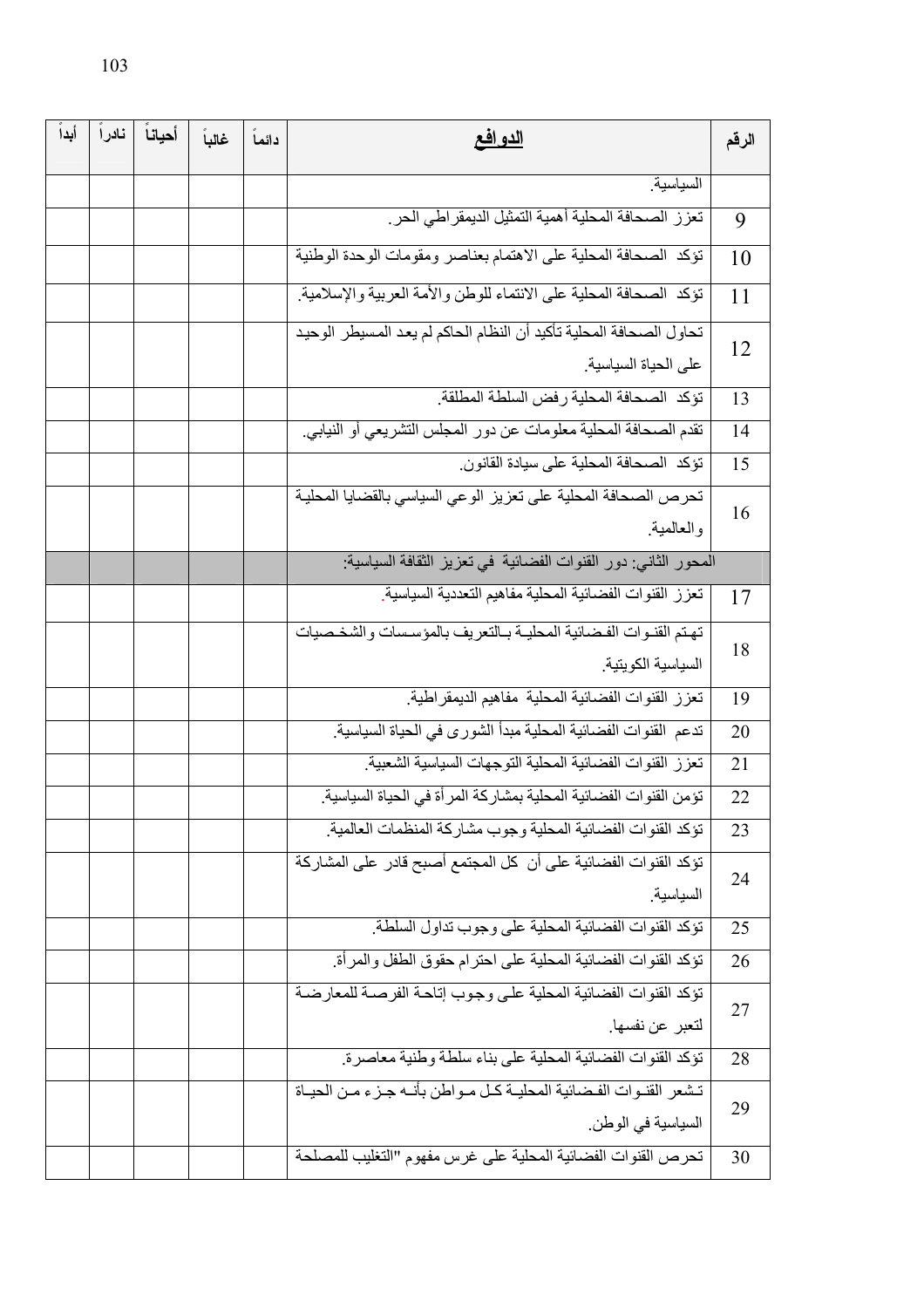| أيدآ | نادراً | أحياناً | غالباً | دائما | <u>الدو افع</u>                                                     | الرقم |
|------|--------|---------|--------|-------|---------------------------------------------------------------------|-------|
|      |        |         |        |       | السياسية                                                            |       |
|      |        |         |        |       | تعزز الصحافة المحلية أهمية التمثيل الديمقراطي الحر                  | 9     |
|      |        |         |        |       | تؤكد الصحافة المحلية على الاهتمام بعناصر ومقومات الوحدة الوطنية     | 10    |
|      |        |         |        |       | تؤكد الصحافة المحلية على الانتماء للوطن والأمة العربية والإسلامية   | 11    |
|      |        |         |        |       | تحاول الصحافة المحلية تأكيد أن النظام الحاكم لم يعد المسيطر الوحيد  | 12    |
|      |        |         |        |       | على الحياة السياسية                                                 |       |
|      |        |         |        |       | تؤكد الصحافة المحلية رفض السلطة المطلقة                             | 13    |
|      |        |         |        |       | تقدم الصحافة المحلية معلومات عن دور المجلس التشريعي أو النيابي.     | 14    |
|      |        |         |        |       | نؤكد الصحافة المحلية على سيادة القانون                              | 15    |
|      |        |         |        |       | تحرص الصحافة المحلية على تعزيز الوعي السياسي بالقضايا المحلية       | 16    |
|      |        |         |        |       | والعالمية                                                           |       |
|      |        |         |        |       | المحور الثاني: دور القنوات الفضائية في تعزيز الثقافة السياسية:      |       |
|      |        |         |        |       | تعزز القنوات الفضائية المحلية مفاهيم التعددية السياسية              | 17    |
|      |        |         |        |       | تهتم القنوات الفضائية المحلية بالتعريف بالمؤسسات والشخصيات          | 18    |
|      |        |         |        |       | السياسية الكويتية                                                   |       |
|      |        |         |        |       | تعزز القنوات الفضائية المحلية مفاهيم الديمقر اطية                   | 19    |
|      |        |         |        |       | تدعم القنوات الفضائية المحلية مبدأ الشورى في الحياة السياسية        | 20    |
|      |        |         |        |       | تعزز القنوات الفضائية المحلية التوجهات السياسية الشعبية             | 21    |
|      |        |         |        |       | تؤمن القنوات الفضائية المحلية بمشاركة المرأة في الحياة السياسية     | 22    |
|      |        |         |        |       | تؤكد القنوات الفضائية المحلية وجوب مشاركة المنظمات العالمية         | 23    |
|      |        |         |        |       | تؤكد القنوات الفضائية على أن كل المجتمع أصبح قادر على المشاركة      | 24    |
|      |        |         |        |       | السياسية                                                            |       |
|      |        |         |        |       | نؤكد القنوات الفضائية المحلية على وجوب نداول السلطة                 | 25    |
|      |        |         |        |       | تؤكد القنوات الفضائية المحلية على احترام حقوق الطفل والمرأة         | 26    |
|      |        |         |        |       | تؤكد القنوات الفضائية المحلية على وجوب إتاحة الفرصىة للمعارضة       | 27    |
|      |        |         |        |       | لتعبر عن نفسها                                                      |       |
|      |        |         |        |       | تؤكد القنوات الفضائية المحلية على بناء سلطة وطنية معاصرة.           | 28    |
|      |        |         |        |       | تشعر القنـوات الفـضائية المحليـة كـل مـواطن بأنــه جـزء مـن الحيـاة | 29    |
|      |        |         |        |       | السياسية في الوطن.                                                  |       |
|      |        |         |        |       | تحرص القنوات الفضائية المحلية على غرس مفهوم "التغليب للمصلحة        | 30    |